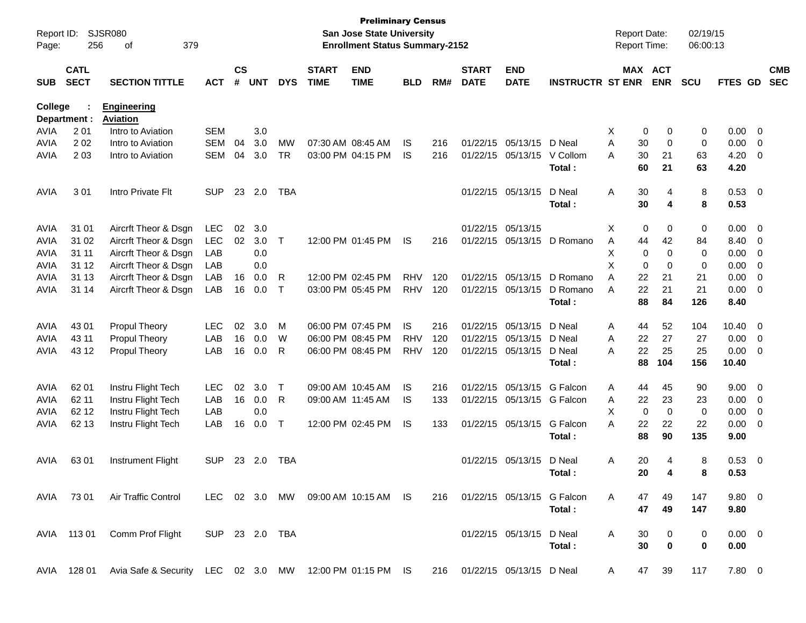| Report ID:<br>Page: | 256                        | SJSR080<br>379<br>of                                    |                |                    |            |             |                             | <b>Preliminary Census</b><br><b>San Jose State University</b><br><b>Enrollment Status Summary-2152</b> |            |     |                              |                           |                                | <b>Report Date:</b><br><b>Report Time:</b> |                            | 02/19/15<br>06:00:13 |                |                          |                          |
|---------------------|----------------------------|---------------------------------------------------------|----------------|--------------------|------------|-------------|-----------------------------|--------------------------------------------------------------------------------------------------------|------------|-----|------------------------------|---------------------------|--------------------------------|--------------------------------------------|----------------------------|----------------------|----------------|--------------------------|--------------------------|
| <b>SUB</b>          | <b>CATL</b><br><b>SECT</b> | <b>SECTION TITTLE</b>                                   | <b>ACT</b>     | $\mathsf{cs}$<br># | <b>UNT</b> | <b>DYS</b>  | <b>START</b><br><b>TIME</b> | <b>END</b><br><b>TIME</b>                                                                              | <b>BLD</b> | RM# | <b>START</b><br><b>DATE</b>  | <b>END</b><br><b>DATE</b> | <b>INSTRUCTR ST ENR</b>        |                                            | MAX ACT<br><b>ENR</b>      | <b>SCU</b>           | FTES GD        |                          | <b>CMB</b><br><b>SEC</b> |
| <b>College</b>      | Department :               | <b>Engineering</b><br><b>Aviation</b>                   |                |                    |            |             |                             |                                                                                                        |            |     |                              |                           |                                |                                            |                            |                      |                |                          |                          |
| <b>AVIA</b>         | 201                        | Intro to Aviation                                       | <b>SEM</b>     |                    | 3.0        |             |                             |                                                                                                        |            |     |                              |                           |                                | Χ                                          | 0<br>0                     | 0                    | 0.00           | $\overline{\mathbf{0}}$  |                          |
| <b>AVIA</b>         | 202                        | Intro to Aviation                                       | <b>SEM</b>     | 04                 | 3.0        | <b>MW</b>   |                             | 07:30 AM 08:45 AM                                                                                      | IS.        | 216 | 01/22/15                     | 05/13/15                  | D Neal                         | A<br>30                                    | 0                          | 0                    | 0.00           | 0                        |                          |
| AVIA                | 2 0 3                      | Intro to Aviation                                       | <b>SEM</b>     | 04                 | 3.0        | <b>TR</b>   |                             | 03:00 PM 04:15 PM                                                                                      | IS.        | 216 | 01/22/15                     | 05/13/15                  | V Collom                       | 30<br>A                                    | 21                         | 63                   | 4.20           | 0                        |                          |
|                     |                            |                                                         |                |                    |            |             |                             |                                                                                                        |            |     |                              |                           | Total:                         | 60                                         | 21                         | 63                   | 4.20           |                          |                          |
| <b>AVIA</b>         | 301                        | Intro Private Flt                                       | <b>SUP</b>     | 23                 | 2.0        | <b>TBA</b>  |                             |                                                                                                        |            |     | 01/22/15                     | 05/13/15                  | D Neal                         | 30<br>A                                    | 4                          | 8                    | 0.53           | $\overline{\phantom{0}}$ |                          |
|                     |                            |                                                         |                |                    |            |             |                             |                                                                                                        |            |     |                              |                           | Total:                         | 30                                         | 4                          | 8                    | 0.53           |                          |                          |
| <b>AVIA</b>         | 31 01                      | Aircrft Theor & Dsgn                                    | <b>LEC</b>     | 02                 | 3.0        |             |                             |                                                                                                        |            |     | 01/22/15                     | 05/13/15                  |                                | Χ                                          | 0<br>0                     | 0                    | 0.00           | 0                        |                          |
| <b>AVIA</b>         | 31 02                      | Aircrft Theor & Dsgn                                    | LEC            | 02                 | 3.0        | $\top$      |                             | 12:00 PM 01:45 PM                                                                                      | IS.        | 216 | 01/22/15                     | 05/13/15                  | D Romano                       | Α<br>44                                    | 42                         | 84                   | 8.40           | 0                        |                          |
| <b>AVIA</b>         | 31 11                      | Aircrft Theor & Dsgn                                    | LAB            |                    | 0.0        |             |                             |                                                                                                        |            |     |                              |                           |                                | Χ                                          | $\mathbf 0$<br>0           | 0                    | 0.00           | 0                        |                          |
| <b>AVIA</b>         | 31 12                      | Aircrft Theor & Dsgn                                    | LAB            |                    | 0.0        |             |                             |                                                                                                        |            |     |                              |                           |                                | X                                          | $\mathbf 0$<br>0           | 0                    | 0.00           | 0                        |                          |
| <b>AVIA</b>         | 31 13                      | Aircrft Theor & Dsgn                                    | LAB            | 16                 | 0.0        | R           |                             | 12:00 PM 02:45 PM                                                                                      | <b>RHV</b> | 120 | 01/22/15                     | 05/13/15                  | D Romano                       | 22<br>A                                    | 21                         | 21                   | 0.00           | 0                        |                          |
| <b>AVIA</b>         | 31 14                      | Aircrft Theor & Dsgn                                    | LAB            | 16                 | 0.0        | $\mathsf T$ |                             | 03:00 PM 05:45 PM                                                                                      | <b>RHV</b> | 120 | 01/22/15                     | 05/13/15                  | D Romano                       | A<br>22                                    | 21                         | 21                   | 0.00           | 0                        |                          |
|                     |                            |                                                         |                |                    |            |             |                             |                                                                                                        |            |     |                              |                           | Total:                         | 88                                         | 84                         | 126                  | 8.40           |                          |                          |
| <b>AVIA</b>         | 43 01                      | <b>Propul Theory</b>                                    | LEC            | 02                 | 3.0        | M           |                             | 06:00 PM 07:45 PM                                                                                      | <b>IS</b>  | 216 | 01/22/15                     | 05/13/15                  | D Neal                         | Α<br>44                                    | 52                         | 104                  | 10.40          | 0                        |                          |
| <b>AVIA</b>         | 43 11                      | Propul Theory                                           | LAB            | 16                 | 0.0        | W           |                             | 06:00 PM 08:45 PM                                                                                      | <b>RHV</b> | 120 | 01/22/15                     | 05/13/15                  | D Neal                         | 22<br>A                                    | 27                         | 27                   | 0.00           | 0                        |                          |
| <b>AVIA</b>         | 43 12                      | <b>Propul Theory</b>                                    | LAB            | 16                 | 0.0        | R           |                             | 06:00 PM 08:45 PM                                                                                      | <b>RHV</b> | 120 |                              | 01/22/15 05/13/15         | D Neal                         | 22<br>A                                    | 25                         | 25                   | 0.00           | 0                        |                          |
|                     |                            |                                                         |                |                    |            |             |                             |                                                                                                        |            |     |                              |                           | Total:                         | 88                                         | 104                        | 156                  | 10.40          |                          |                          |
| <b>AVIA</b>         | 62 01                      | Instru Flight Tech                                      | LEC            | 02                 | 3.0        | Т           |                             | 09:00 AM 10:45 AM                                                                                      | IS.        | 216 | 01/22/15                     | 05/13/15                  | G Falcon                       | Α<br>44                                    | 45                         | 90                   | 9.00           | $\overline{0}$           |                          |
| <b>AVIA</b>         | 62 11                      | Instru Flight Tech                                      | LAB            | 16                 | 0.0        | R           |                             | 09:00 AM 11:45 AM                                                                                      | IS.        | 133 | 01/22/15                     | 05/13/15 G Falcon         |                                | 22<br>Α                                    | 23                         | 23                   | 0.00           | 0                        |                          |
| <b>AVIA</b>         | 62 12                      | Instru Flight Tech                                      | LAB            |                    | 0.0        |             |                             |                                                                                                        |            |     |                              |                           |                                | X                                          | $\mathbf 0$<br>$\mathbf 0$ | 0                    | 0.00           | 0                        |                          |
| <b>AVIA</b>         | 62 13                      | Instru Flight Tech                                      | LAB            | 16                 | 0.0        | $\top$      |                             | 12:00 PM 02:45 PM                                                                                      | IS.        | 133 |                              | 01/22/15 05/13/15         | G Falcon                       | 22<br>A                                    | 22                         | 22                   | 0.00           | 0                        |                          |
|                     |                            |                                                         |                |                    |            |             |                             |                                                                                                        |            |     |                              |                           | Total:                         | 88                                         | 90                         | 135                  | 9.00           |                          |                          |
| AVIA                | 6301                       | Instrument Flight                                       | <b>SUP</b>     | 23                 | 2.0        | <b>TBA</b>  |                             |                                                                                                        |            |     |                              | 01/22/15 05/13/15         | D Neal                         | 20<br>A                                    | 4                          | 8                    | 0.53           | $\overline{\mathbf{0}}$  |                          |
|                     |                            |                                                         |                |                    |            |             |                             |                                                                                                        |            |     |                              |                           | Total:                         |                                            | 20<br>4                    | 8                    | 0.53           |                          |                          |
|                     | AVIA 73 01                 | Air Traffic Control                                     |                |                    |            |             |                             | LEC 02 3.0 MW 09:00 AM 10:15 AM IS                                                                     |            |     |                              |                           | 216 01/22/15 05/13/15 G Falcon | A<br>47                                    | 49                         | 147                  | $9.80 \quad 0$ |                          |                          |
|                     |                            |                                                         |                |                    |            |             |                             |                                                                                                        |            |     |                              |                           | Total:                         | 47                                         | 49                         | 147                  | 9.80           |                          |                          |
|                     | AVIA 113 01                | Comm Prof Flight                                        | SUP 23 2.0 TBA |                    |            |             |                             |                                                                                                        |            |     |                              | 01/22/15 05/13/15 D Neal  |                                | A<br>30                                    | 0                          | 0                    | $0.00 \t 0$    |                          |                          |
|                     |                            |                                                         |                |                    |            |             |                             |                                                                                                        |            |     |                              |                           | Total:                         | 30                                         | 0                          | 0                    | 0.00           |                          |                          |
|                     | AVIA 128 01                | Avia Safe & Security LEC 02 3.0 MW 12:00 PM 01:15 PM IS |                |                    |            |             |                             |                                                                                                        |            |     | 216 01/22/15 05/13/15 D Neal |                           |                                | A                                          | 39<br>47                   | 117                  | 7.80 0         |                          |                          |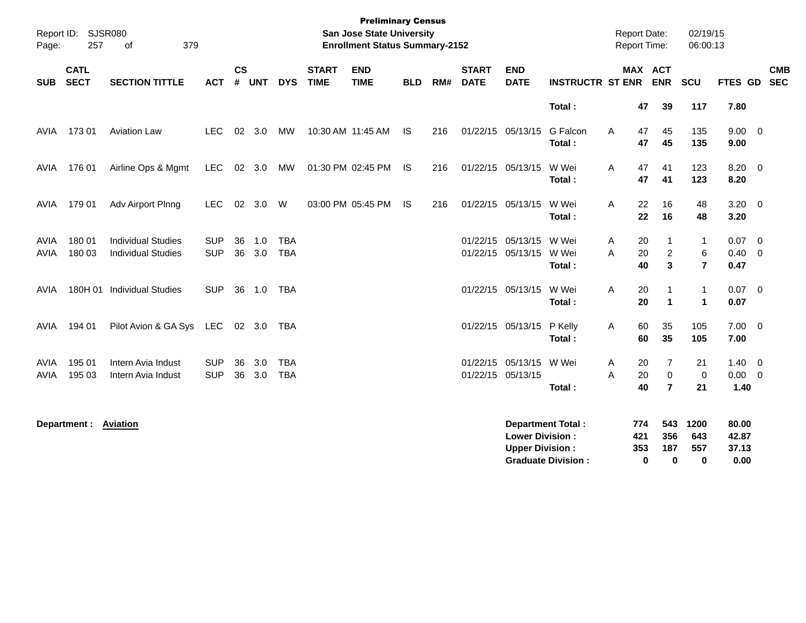| Page:               | Report ID: SJSR080<br>257  | 379<br>of                                              |                          |                |            |                          |                             | <b>Preliminary Census</b><br>San Jose State University<br><b>Enrollment Status Summary-2152</b> |            |     |                             |                                                  |                                                       | <b>Report Date:</b> | <b>Report Time:</b>                                | 02/19/15<br>06:00:13                        |                                       |                          |
|---------------------|----------------------------|--------------------------------------------------------|--------------------------|----------------|------------|--------------------------|-----------------------------|-------------------------------------------------------------------------------------------------|------------|-----|-----------------------------|--------------------------------------------------|-------------------------------------------------------|---------------------|----------------------------------------------------|---------------------------------------------|---------------------------------------|--------------------------|
| <b>SUB</b>          | <b>CATL</b><br><b>SECT</b> | <b>SECTION TITTLE</b>                                  | <b>ACT</b>               | <b>CS</b><br># | <b>UNT</b> | <b>DYS</b>               | <b>START</b><br><b>TIME</b> | <b>END</b><br><b>TIME</b>                                                                       | <b>BLD</b> | RM# | <b>START</b><br><b>DATE</b> | <b>END</b><br><b>DATE</b>                        | <b>INSTRUCTR ST ENR</b>                               |                     | <b>MAX ACT</b><br><b>ENR</b>                       | <b>SCU</b>                                  | <b>FTES GD</b>                        | <b>CMB</b><br><b>SEC</b> |
|                     |                            |                                                        |                          |                |            |                          |                             |                                                                                                 |            |     |                             |                                                  | Total:                                                |                     | 47<br>39                                           | 117                                         | 7.80                                  |                          |
| <b>AVIA</b>         | 17301                      | <b>Aviation Law</b>                                    | <b>LEC</b>               |                | 02 3.0     | MW                       |                             | 10:30 AM 11:45 AM                                                                               | <b>IS</b>  | 216 |                             | 01/22/15 05/13/15                                | G Falcon<br>Total:                                    | A                   | 47<br>45<br>47<br>45                               | 135<br>135                                  | $9.00 \t 0$<br>9.00                   |                          |
| AVIA                | 176 01                     | Airline Ops & Mgmt                                     | <b>LEC</b>               |                | 02 3.0     | MW                       |                             | 01:30 PM 02:45 PM                                                                               | - IS       | 216 |                             | 01/22/15 05/13/15                                | W Wei<br>Total:                                       | A                   | 47<br>41<br>47<br>41                               | 123<br>123                                  | $8.20 \ 0$<br>8.20                    |                          |
| AVIA                | 179 01                     | Adv Airport Plnng                                      | <b>LEC</b>               | 02             | 3.0        | W                        |                             | 03:00 PM 05:45 PM                                                                               | <b>IS</b>  | 216 |                             | 01/22/15 05/13/15                                | W Wei<br>Total:                                       | Α                   | 22<br>16<br>22<br>16                               | 48<br>48                                    | $3.20 \ 0$<br>3.20                    |                          |
| AVIA<br><b>AVIA</b> | 180 01<br>180 03           | <b>Individual Studies</b><br><b>Individual Studies</b> | <b>SUP</b><br><b>SUP</b> | 36<br>36       | 1.0<br>3.0 | <b>TBA</b><br><b>TBA</b> |                             |                                                                                                 |            |     |                             | 01/22/15 05/13/15 W Wei<br>01/22/15 05/13/15     | W Wei<br>Total:                                       | A<br>A              | 20<br>1<br>20<br>$\overline{c}$<br>3<br>40         | $\overline{1}$<br>$\,6\,$<br>$\overline{7}$ | $0.07$ 0<br>0.40<br>0.47              | $\overline{\phantom{0}}$ |
| AVIA                |                            | 180H 01 Individual Studies                             | <b>SUP</b>               | 36             | 1.0        | TBA                      |                             |                                                                                                 |            |     |                             | 01/22/15 05/13/15                                | W Wei<br>Total:                                       | Α                   | 20<br>-1<br>20<br>$\mathbf{1}$                     | $\mathbf{1}$<br>$\mathbf{1}$                | $0.07 \quad 0$<br>0.07                |                          |
| AVIA                | 194 01                     | Pilot Avion & GA Sys LEC                               |                          |                | 02 3.0     | TBA                      |                             |                                                                                                 |            |     |                             | 01/22/15 05/13/15 P Kelly                        | Total:                                                | Α                   | 35<br>60<br>60<br>35                               | 105<br>105                                  | $7.00 \t 0$<br>7.00                   |                          |
| AVIA<br><b>AVIA</b> | 195 01<br>195 03           | Intern Avia Indust<br>Intern Avia Indust               | <b>SUP</b><br><b>SUP</b> | 36<br>36       | 3.0<br>3.0 | <b>TBA</b><br><b>TBA</b> |                             |                                                                                                 |            |     |                             | 01/22/15 05/13/15<br>01/22/15 05/13/15           | W Wei<br>Total:                                       | Α<br>A              | 7<br>20<br>$\pmb{0}$<br>20<br>40<br>$\overline{7}$ | 21<br>$\mathbf 0$<br>21                     | $1.40 \quad 0$<br>$0.00 \t 0$<br>1.40 |                          |
|                     | Department : Aviation      |                                                        |                          |                |            |                          |                             |                                                                                                 |            |     |                             | <b>Lower Division:</b><br><b>Upper Division:</b> | <b>Department Total:</b><br><b>Graduate Division:</b> | 774<br>421<br>353   | 543<br>356<br>187<br>$\mathbf 0$<br>0              | 1200<br>643<br>557<br>0                     | 80.00<br>42.87<br>37.13<br>0.00       |                          |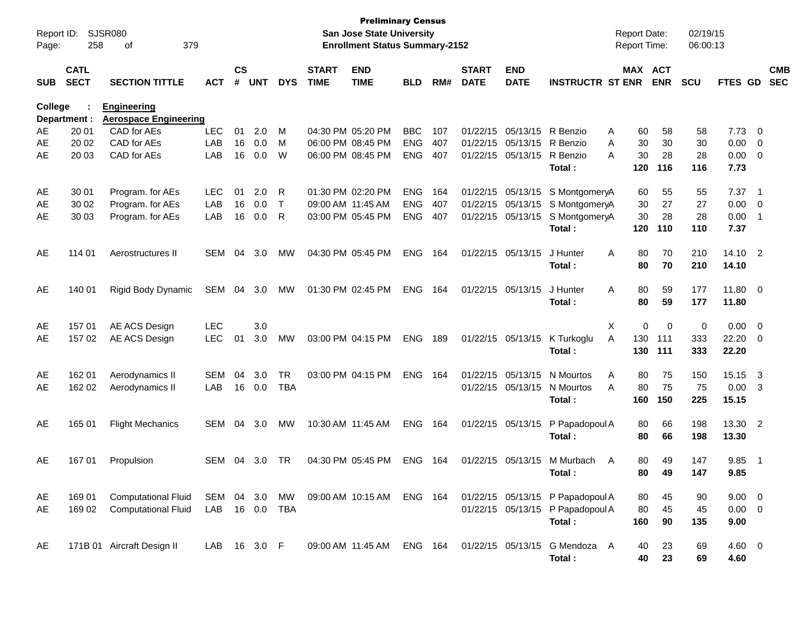| Report ID:<br>Page: | 258                        | <b>SJSR080</b><br>379<br>οf                        |              |                |            |              |                             | <b>Preliminary Census</b><br><b>San Jose State University</b><br><b>Enrollment Status Summary-2152</b> |            |     |                             |                           |                                  | <b>Report Date:</b><br><b>Report Time:</b> |             | 02/19/15<br>06:00:13 |                  |                            |
|---------------------|----------------------------|----------------------------------------------------|--------------|----------------|------------|--------------|-----------------------------|--------------------------------------------------------------------------------------------------------|------------|-----|-----------------------------|---------------------------|----------------------------------|--------------------------------------------|-------------|----------------------|------------------|----------------------------|
| <b>SUB</b>          | <b>CATL</b><br><b>SECT</b> | <b>SECTION TITTLE</b>                              | <b>ACT</b>   | <b>CS</b><br># | <b>UNT</b> | <b>DYS</b>   | <b>START</b><br><b>TIME</b> | <b>END</b><br><b>TIME</b>                                                                              | <b>BLD</b> | RM# | <b>START</b><br><b>DATE</b> | <b>END</b><br><b>DATE</b> | <b>INSTRUCTR ST ENR</b>          | MAX ACT                                    | <b>ENR</b>  | <b>SCU</b>           | FTES GD          | <b>CMB</b><br><b>SEC</b>   |
| College             | Department :               | <b>Engineering</b><br><b>Aerospace Engineering</b> |              |                |            |              |                             |                                                                                                        |            |     |                             |                           |                                  |                                            |             |                      |                  |                            |
| AE                  | 20 01                      | CAD for AEs                                        | <b>LEC</b>   | 01             | 2.0        | м            |                             | 04:30 PM 05:20 PM                                                                                      | <b>BBC</b> | 107 | 01/22/15                    | 05/13/15                  | R Benzio                         | 60<br>A                                    | 58          | 58                   | 7.73             | $\overline{0}$             |
| AE                  | 20 02                      | CAD for AEs                                        | LAB          | 16             | 0.0        | м            |                             | 06:00 PM 08:45 PM                                                                                      | <b>ENG</b> | 407 | 01/22/15                    | 05/13/15                  | R Benzio                         | 30<br>A                                    | 30          | 30                   | 0.00             | - 0                        |
| AE                  | 20 03                      | CAD for AEs                                        | LAB          | 16             | 0.0        | W            |                             | 06:00 PM 08:45 PM                                                                                      | <b>ENG</b> | 407 | 01/22/15                    | 05/13/15                  | R Benzio                         | 30<br>A                                    | 28          | 28                   | 0.00             | $\overline{\mathbf{0}}$    |
|                     |                            |                                                    |              |                |            |              |                             |                                                                                                        |            |     |                             |                           | Total:                           | 120                                        | 116         | 116                  | 7.73             |                            |
| AE                  | 30 01                      | Program. for AEs                                   | <b>LEC</b>   | 01             | 2.0        | R            |                             | 01:30 PM 02:20 PM                                                                                      | <b>ENG</b> | 164 | 01/22/15                    | 05/13/15                  | S MontgomeryA                    | 60                                         | 55          | 55                   | 7.37             | $\overline{\phantom{0}}$ 1 |
| AE                  | 30 02                      | Program. for AEs                                   | LAB          | 16             | 0.0        | $\mathsf{T}$ |                             | 09:00 AM 11:45 AM                                                                                      | <b>ENG</b> | 407 | 01/22/15                    | 05/13/15                  | S MontgomeryA                    | 30                                         | 27          | 27                   | 0.00             | - 0                        |
| AE                  | 30 03                      | Program. for AEs                                   | LAB          | 16             | 0.0        | R            |                             | 03:00 PM 05:45 PM                                                                                      | <b>ENG</b> | 407 | 01/22/15                    | 05/13/15                  | S MontgomeryA<br>Total:          | 30<br>120                                  | 28<br>110   | 28<br>110            | 0.00<br>7.37     | $\overline{1}$             |
|                     |                            |                                                    |              |                |            |              |                             |                                                                                                        |            |     |                             |                           |                                  |                                            |             |                      |                  |                            |
| AE                  | 114 01                     | Aerostructures II                                  | <b>SEM</b>   | 04             | 3.0        | <b>MW</b>    |                             | 04:30 PM 05:45 PM                                                                                      | <b>ENG</b> | 164 | 01/22/15                    | 05/13/15                  | J Hunter<br>Total:               | 80<br>A<br>80                              | 70<br>70    | 210<br>210           | 14.10<br>14.10   | $\overline{\phantom{0}}^2$ |
|                     |                            |                                                    |              |                |            |              |                             |                                                                                                        | <b>ENG</b> |     |                             |                           |                                  | A                                          |             |                      |                  |                            |
| AE                  | 140 01                     | Rigid Body Dynamic                                 | SEM          | 04             | 3.0        | МW           |                             | 01:30 PM 02:45 PM                                                                                      |            | 164 | 01/22/15                    | 05/13/15                  | J Hunter<br>Total:               | 80<br>80                                   | 59<br>59    | 177<br>177           | 11.80<br>11.80   | $\overline{\phantom{0}}$   |
| AE                  | 157 01                     | AE ACS Design                                      | <b>LEC</b>   |                | 3.0        |              |                             |                                                                                                        |            |     |                             |                           |                                  | X<br>0                                     | 0           | 0                    | 0.00             | $\overline{0}$             |
| AE                  | 157 02                     | AE ACS Design                                      | <b>LEC</b>   | 01             | 3.0        | <b>MW</b>    |                             | 03:00 PM 04:15 PM                                                                                      | <b>ENG</b> | 189 |                             | 01/22/15 05/13/15         | K Turkoglu                       | A<br>130                                   | 111         | 333                  | 22.20            | $\overline{\mathbf{0}}$    |
|                     |                            |                                                    |              |                |            |              |                             |                                                                                                        |            |     |                             |                           | Total:                           | 130                                        | 111         | 333                  | 22.20            |                            |
| AE                  | 162 01                     | Aerodynamics II                                    | <b>SEM</b>   | 04             | 3.0        | <b>TR</b>    |                             | 03:00 PM 04:15 PM                                                                                      | <b>ENG</b> | 164 | 01/22/15                    | 05/13/15                  | N Mourtos                        | 80<br>A                                    | 75          | 150                  | 15.15            | -3                         |
| AE                  | 162 02                     | Aerodynamics II                                    | LAB          | 16             | 0.0        | <b>TBA</b>   |                             |                                                                                                        |            |     | 01/22/15                    | 05/13/15                  | N Mourtos<br>Total:              | 80<br>A<br>160                             | 75<br>150   | 75<br>225            | 0.00<br>15.15    | $\overline{\mathbf{3}}$    |
|                     |                            |                                                    |              |                |            |              |                             |                                                                                                        |            |     |                             |                           |                                  |                                            |             |                      |                  |                            |
| AE                  | 165 01                     | <b>Flight Mechanics</b>                            | <b>SEM</b>   | 04             | 3.0        | <b>MW</b>    |                             | 10:30 AM 11:45 AM                                                                                      | <b>ENG</b> | 164 |                             | 01/22/15 05/13/15         | P Papadopoul A<br>Total:         | 80<br>80                                   | 66<br>66    | 198<br>198           | 13.30 2<br>13.30 |                            |
|                     |                            |                                                    |              |                |            |              |                             |                                                                                                        |            |     |                             |                           |                                  |                                            |             |                      |                  |                            |
| AE                  | 16701                      | Propulsion                                         | SEM          | 04             | 3.0        | TR.          |                             | 04:30 PM 05:45 PM                                                                                      | <b>ENG</b> | 164 | 01/22/15                    | 05/13/15                  | M Murbach<br>Total:              | 80<br>A                                    | 49<br>80 49 | 147<br>147           | 9.85<br>9.85     | $\overline{\phantom{0}}$ 1 |
|                     |                            |                                                    |              |                |            |              |                             |                                                                                                        |            |     |                             |                           |                                  |                                            |             |                      |                  |                            |
| AE                  | 169 01                     | <b>Computational Fluid</b>                         | SEM 04 3.0   |                |            | MW           |                             | 09:00 AM 10:15 AM ENG 164                                                                              |            |     |                             |                           | 01/22/15 05/13/15 P Papadopoul A | 80                                         | 45          | 90                   | $9.00 \t 0$      |                            |
| AE                  | 169 02                     | <b>Computational Fluid</b>                         | LAB          |                | 16 0.0     | TBA          |                             |                                                                                                        |            |     |                             |                           | 01/22/15 05/13/15 P Papadopoul A | 80                                         | 45          | 45                   | $0.00 \t 0$      |                            |
|                     |                            |                                                    |              |                |            |              |                             |                                                                                                        |            |     |                             |                           | Total:                           | 160                                        | 90          | 135                  | 9.00             |                            |
| AE                  |                            | 171B 01 Aircraft Design II                         | LAB 16 3.0 F |                |            |              |                             | 09:00 AM 11:45 AM ENG 164                                                                              |            |     |                             |                           | 01/22/15 05/13/15 G Mendoza A    | 40                                         | 23          | 69                   | $4.60$ 0         |                            |
|                     |                            |                                                    |              |                |            |              |                             |                                                                                                        |            |     |                             |                           | Total:                           | 40                                         | 23          | 69                   | 4.60             |                            |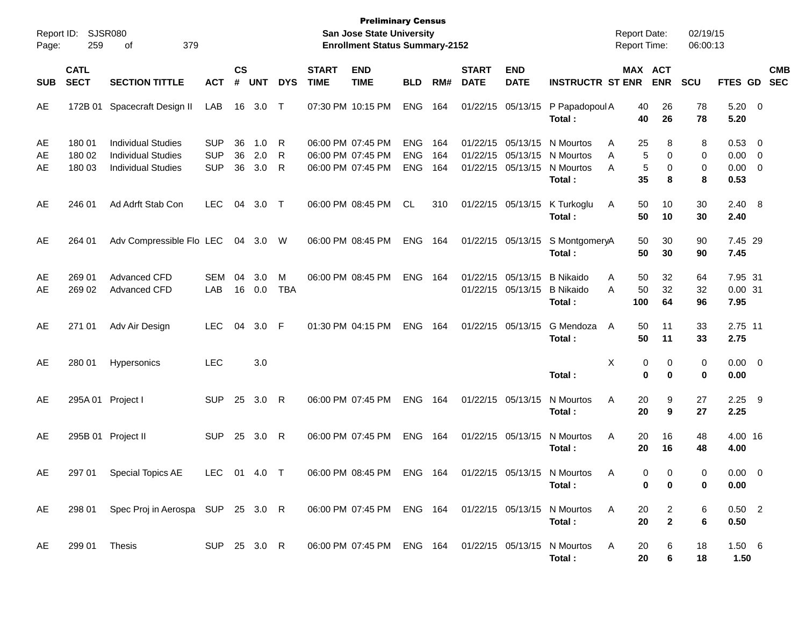| Report ID:<br>Page: | 259                        | <b>SJSR080</b><br>379<br>οf                                                                    |                                        |                |                   |                 |                                                             | <b>Preliminary Census</b><br><b>San Jose State University</b><br><b>Enrollment Status Summary-2152</b> |                                        |                   |                             |                                                    |                                                                 | <b>Report Date:</b><br><b>Report Time:</b> |                                  | 02/19/15<br>06:00:13 |                                |                                           |                          |
|---------------------|----------------------------|------------------------------------------------------------------------------------------------|----------------------------------------|----------------|-------------------|-----------------|-------------------------------------------------------------|--------------------------------------------------------------------------------------------------------|----------------------------------------|-------------------|-----------------------------|----------------------------------------------------|-----------------------------------------------------------------|--------------------------------------------|----------------------------------|----------------------|--------------------------------|-------------------------------------------|--------------------------|
| <b>SUB</b>          | <b>CATL</b><br><b>SECT</b> | <b>SECTION TITTLE</b>                                                                          | <b>ACT</b>                             | <b>CS</b><br># | <b>UNT</b>        | <b>DYS</b>      | <b>START</b><br><b>TIME</b>                                 | <b>END</b><br><b>TIME</b>                                                                              | <b>BLD</b>                             | RM#               | <b>START</b><br><b>DATE</b> | <b>END</b><br><b>DATE</b>                          | <b>INSTRUCTR ST ENR</b>                                         |                                            | <b>MAX ACT</b><br><b>ENR</b>     | <b>SCU</b>           | FTES GD                        |                                           | <b>CMB</b><br><b>SEC</b> |
| AE                  | 172B 01                    | Spacecraft Design II                                                                           | LAB                                    | 16             | 3.0               | $\top$          | 07:30 PM 10:15 PM                                           |                                                                                                        | <b>ENG</b>                             | 164               | 01/22/15                    | 05/13/15                                           | P Papadopoul A<br>Total:                                        | 40<br>40                                   | 26<br>26                         | 78<br>78             | $5.20 \ 0$<br>5.20             |                                           |                          |
| AE<br>AE<br>AE      | 180 01<br>180 02<br>180 03 | <b>Individual Studies</b><br><b>Individual Studies</b><br><b>Individual Studies</b>            | <b>SUP</b><br><b>SUP</b><br><b>SUP</b> | 36<br>36<br>36 | 1.0<br>2.0<br>3.0 | R<br>R<br>R     | 06:00 PM 07:45 PM<br>06:00 PM 07:45 PM<br>06:00 PM 07:45 PM |                                                                                                        | <b>ENG</b><br><b>ENG</b><br><b>ENG</b> | 164<br>164<br>164 | 01/22/15                    | 01/22/15 05/13/15<br>05/13/15<br>01/22/15 05/13/15 | N Mourtos<br>N Mourtos<br>N Mourtos<br>Total:                   | 25<br>A<br>A<br>A<br>35                    | 8<br>5<br>0<br>5<br>0<br>8       | 8<br>0<br>0<br>8     | 0.53 0<br>0.00<br>0.00<br>0.53 | $\overline{0}$<br>$\overline{\mathbf{0}}$ |                          |
| AE                  | 246 01                     | Ad Adrft Stab Con                                                                              | <b>LEC</b>                             | 04             | 3.0               | $\top$          |                                                             | 06:00 PM 08:45 PM                                                                                      | CL.                                    | 310               |                             | 01/22/15 05/13/15                                  | K Turkoglu<br>Total:                                            | Α<br>50<br>50                              | 10<br>10                         | 30<br>30             | 2.40 8<br>2.40                 |                                           |                          |
| AE                  | 264 01                     | Adv Compressible Flo LEC                                                                       |                                        | 04             | 3.0               | W               | 06:00 PM 08:45 PM                                           |                                                                                                        | <b>ENG</b>                             | 164               |                             | 01/22/15 05/13/15                                  | S MontgomeryA<br>Total:                                         | 50<br>50                                   | 30<br>30                         | 90<br>90             | 7.45 29<br>7.45                |                                           |                          |
| AE<br>AE            | 269 01<br>269 02           | Advanced CFD<br>Advanced CFD                                                                   | <b>SEM</b><br>LAB                      | 04<br>16       | 3.0<br>0.0        | M<br><b>TBA</b> | 06:00 PM 08:45 PM                                           |                                                                                                        | <b>ENG</b>                             | 164               |                             | 01/22/15 05/13/15<br>01/22/15 05/13/15             | <b>B</b> Nikaido<br><b>B Nikaido</b><br>Total:                  | Α<br>50<br>A<br>50<br>100                  | 32<br>32<br>64                   | 64<br>32<br>96       | 7.95 31<br>0.0031<br>7.95      |                                           |                          |
| AE                  | 271 01                     | Adv Air Design                                                                                 | <b>LEC</b>                             | 04             | 3.0               | - F             | 01:30 PM 04:15 PM                                           |                                                                                                        | <b>ENG</b>                             | 164               |                             | 01/22/15 05/13/15                                  | G Mendoza<br>Total:                                             | A<br>50<br>50                              | 11<br>11                         | 33<br>33             | 2.75 11<br>2.75                |                                           |                          |
| AE                  | 280 01                     | Hypersonics                                                                                    | <b>LEC</b>                             |                | 3.0               |                 |                                                             |                                                                                                        |                                        |                   |                             |                                                    | Total:                                                          | X                                          | 0<br>0<br>0<br>0                 | 0<br>0               | $0.00 \t 0$<br>0.00            |                                           |                          |
| AE                  |                            | 295A 01 Project I                                                                              | <b>SUP</b>                             | 25             | 3.0               | $\mathsf{R}$    | 06:00 PM 07:45 PM                                           |                                                                                                        | <b>ENG</b>                             | 164               |                             | 01/22/15 05/13/15                                  | N Mourtos<br>Total:                                             | Α<br>20<br>20                              | 9<br>9                           | 27<br>27             | 2.25<br>2.25                   | - 9                                       |                          |
| AE                  |                            | 295B 01 Project II                                                                             | <b>SUP</b>                             | 25             | 3.0               | R               | 06:00 PM 07:45 PM                                           |                                                                                                        | <b>ENG</b>                             | 164               |                             | 01/22/15 05/13/15                                  | N Mourtos<br>Total:                                             | Α<br>20<br>20                              | 16<br>16                         | 48<br>48             | 4.00 16<br>4.00                |                                           |                          |
| AE                  | 297 01                     | Special Topics AE                                                                              | LEC 01 4.0 T                           |                |                   |                 |                                                             | 06:00 PM 08:45 PM                                                                                      | ENG 164                                |                   |                             |                                                    | 01/22/15 05/13/15 N Mourtos<br>Total:                           | A                                          | 0<br>. റ<br>0<br>0               | $\Omega$<br>0        | $0.00 \t 0$<br>0.00            |                                           |                          |
| AE                  |                            | 298 01 Spec Proj in Aerospa SUP 25 3.0 R 06:00 PM 07:45 PM ENG 164 01/22/15 05/13/15 N Mourtos |                                        |                |                   |                 |                                                             |                                                                                                        |                                        |                   |                             |                                                    | Total:                                                          | A<br>20<br>20                              | $\overline{2}$<br>$\overline{2}$ | 6<br>6               | $0.50$ 2<br>0.50               |                                           |                          |
| AE                  | 299 01                     | Thesis                                                                                         | SUP 25 3.0 R                           |                |                   |                 |                                                             |                                                                                                        |                                        |                   |                             |                                                    | 06:00 PM 07:45 PM ENG 164 01/22/15 05/13/15 N Mourtos<br>Total: | A<br>20<br>20                              | 6<br>6                           | 18<br>18             | $1.50\ 6$<br>1.50              |                                           |                          |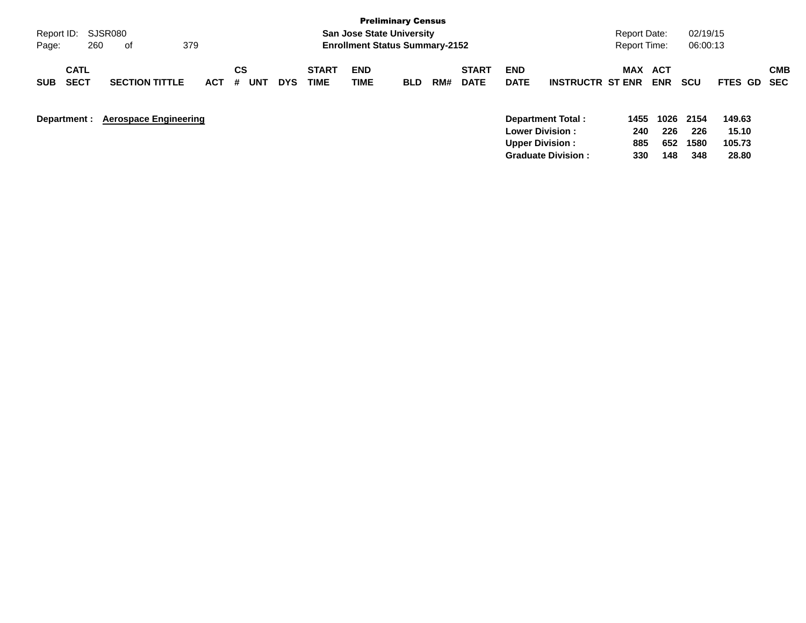|                                          |                              |            |                |            |                             |                                       | <b>Preliminary Census</b> |     |                             |                           |                                             |                     |                          |             |                 |                          |
|------------------------------------------|------------------------------|------------|----------------|------------|-----------------------------|---------------------------------------|---------------------------|-----|-----------------------------|---------------------------|---------------------------------------------|---------------------|--------------------------|-------------|-----------------|--------------------------|
| Report ID:                               | SJSR080                      |            |                |            |                             | <b>San Jose State University</b>      |                           |     |                             |                           |                                             | Report Date:        |                          | 02/19/15    |                 |                          |
| 260<br>Page:                             | 379<br>0f                    |            |                |            |                             | <b>Enrollment Status Summary-2152</b> |                           |     |                             |                           |                                             | <b>Report Time:</b> |                          | 06:00:13    |                 |                          |
| <b>CATL</b><br><b>SECT</b><br><b>SUB</b> | <b>SECTION TITTLE</b>        | <b>ACT</b> | CS<br>#<br>UNT | <b>DYS</b> | <b>START</b><br><b>TIME</b> | <b>END</b><br><b>TIME</b>             | <b>BLD</b>                | RM# | <b>START</b><br><b>DATE</b> | <b>END</b><br><b>DATE</b> | <b>INSTRUCTR ST ENR</b>                     | <b>MAX</b>          | <b>ACT</b><br><b>ENR</b> | <b>SCU</b>  | <b>FTES GD</b>  | <b>CMB</b><br><b>SEC</b> |
| Department :                             | <b>Aerospace Engineering</b> |            |                |            |                             |                                       |                           |     |                             |                           | Department Total:<br><b>Lower Division:</b> | 1455<br>240         | 1026<br>226              | 2154<br>226 | 149.63<br>15.10 |                          |
|                                          |                              |            |                |            |                             |                                       |                           |     |                             |                           | <b>Upper Division:</b>                      | 885                 | 652                      | 1580        | 105.73          |                          |
|                                          |                              |            |                |            |                             |                                       |                           |     |                             |                           | <b>Graduate Division:</b>                   | 330                 | 148                      | 348         | 28.80           |                          |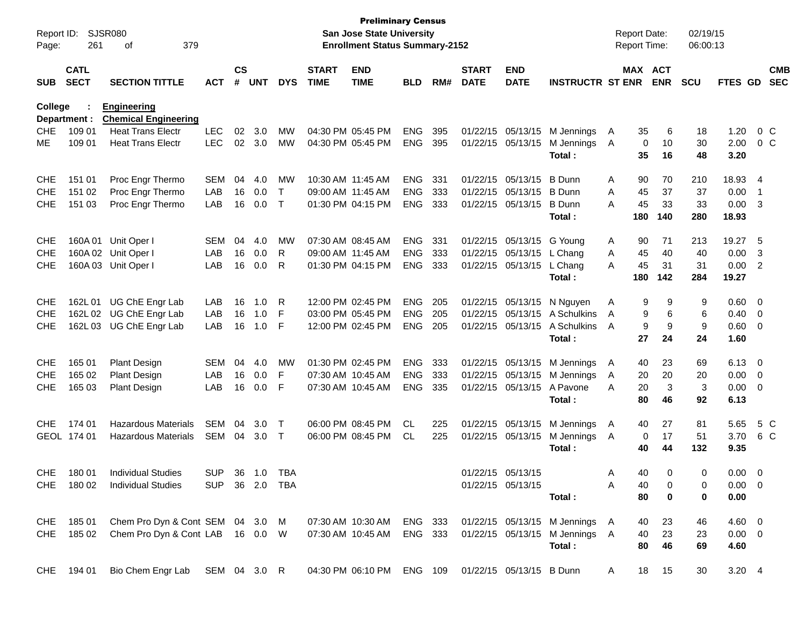| Report ID:<br>Page: | 261                        | <b>SJSR080</b><br>379<br>оf                       |                |                    |            |              |                             | <b>Preliminary Census</b><br><b>San Jose State University</b><br><b>Enrollment Status Summary-2152</b> |            |     |                             |                           |                                |              | <b>Report Date:</b><br>Report Time: |                         | 02/19/15<br>06:00:13 |                |                          |                          |
|---------------------|----------------------------|---------------------------------------------------|----------------|--------------------|------------|--------------|-----------------------------|--------------------------------------------------------------------------------------------------------|------------|-----|-----------------------------|---------------------------|--------------------------------|--------------|-------------------------------------|-------------------------|----------------------|----------------|--------------------------|--------------------------|
| <b>SUB</b>          | <b>CATL</b><br><b>SECT</b> | <b>SECTION TITTLE</b>                             | ACT            | $\mathsf{cs}$<br># | <b>UNT</b> | <b>DYS</b>   | <b>START</b><br><b>TIME</b> | <b>END</b><br><b>TIME</b>                                                                              | <b>BLD</b> | RM# | <b>START</b><br><b>DATE</b> | <b>END</b><br><b>DATE</b> | <b>INSTRUCTR ST ENR</b>        |              | MAX ACT                             | <b>ENR</b>              | <b>SCU</b>           | <b>FTES GD</b> |                          | <b>CMB</b><br><b>SEC</b> |
| <b>College</b>      | Department :               | <b>Engineering</b><br><b>Chemical Engineering</b> |                |                    |            |              |                             |                                                                                                        |            |     |                             |                           |                                |              |                                     |                         |                      |                |                          |                          |
| <b>CHE</b>          | 109 01                     | <b>Heat Trans Electr</b>                          | <b>LEC</b>     | 02                 | 3.0        | MW           |                             | 04:30 PM 05:45 PM                                                                                      | <b>ENG</b> | 395 |                             |                           | 01/22/15 05/13/15 M Jennings   | $\mathsf{A}$ | 35                                  | 6                       | 18                   | 1.20           |                          | $0\,C$                   |
| МE                  | 109 01                     | <b>Heat Trans Electr</b>                          | <b>LEC</b>     | 02                 | 3.0        | MW           |                             | 04:30 PM 05:45 PM                                                                                      | <b>ENG</b> | 395 |                             | 01/22/15 05/13/15         | M Jennings<br>Total:           | A            | 0<br>35                             | 10<br>16                | 30<br>48             | 2.00<br>3.20   |                          | 0 <sup>o</sup>           |
| <b>CHE</b>          | 151 01                     | Proc Engr Thermo                                  | <b>SEM</b>     | 04                 | 4.0        | MW           |                             | 10:30 AM 11:45 AM                                                                                      | <b>ENG</b> | 331 |                             | 01/22/15 05/13/15         | <b>B</b> Dunn                  | Α            | 90                                  | 70                      | 210                  | 18.93 4        |                          |                          |
| <b>CHE</b>          | 151 02                     | Proc Engr Thermo                                  | LAB            | 16                 | 0.0        | $\mathsf{T}$ |                             | 09:00 AM 11:45 AM                                                                                      | <b>ENG</b> | 333 |                             | 01/22/15 05/13/15         | <b>B</b> Dunn                  | A            | 45                                  | 37                      | 37                   | 0.00           | $\overline{\phantom{1}}$ |                          |
| <b>CHE</b>          | 151 03                     | Proc Engr Thermo                                  | LAB            | 16                 | 0.0        | $\mathsf{T}$ |                             | 01:30 PM 04:15 PM                                                                                      | <b>ENG</b> | 333 |                             | 01/22/15 05/13/15         | <b>B</b> Dunn<br>Total:        | Α            | 45<br>180                           | 33<br>140               | 33<br>280            | 0.00<br>18.93  | $\overline{\mathbf{3}}$  |                          |
|                     |                            |                                                   |                |                    |            |              |                             |                                                                                                        |            |     |                             |                           |                                |              |                                     |                         |                      |                |                          |                          |
| <b>CHE</b>          | 160A 01                    | Unit Oper I                                       | <b>SEM</b>     | 04                 | 4.0        | MW           |                             | 07:30 AM 08:45 AM                                                                                      | <b>ENG</b> | 331 |                             | 01/22/15 05/13/15 G Young |                                | Α            | 90                                  | 71                      | 213                  | 19.27          | - 5                      |                          |
| <b>CHE</b>          |                            | 160A 02 Unit Oper I                               | LAB            | 16                 | 0.0        | R            |                             | 09:00 AM 11:45 AM                                                                                      | <b>ENG</b> | 333 |                             | 01/22/15 05/13/15         | L Chang                        | Α            | 45                                  | 40                      | 40                   | 0.00           | 3                        |                          |
| <b>CHE</b>          |                            | 160A 03 Unit Oper I                               | LAB            | 16                 | 0.0        | R            |                             | 01:30 PM 04:15 PM                                                                                      | <b>ENG</b> | 333 |                             | 01/22/15 05/13/15 L Chang |                                | A            | 45                                  | 31                      | 31                   | 0.00 2         |                          |                          |
|                     |                            |                                                   |                |                    |            |              |                             |                                                                                                        |            |     |                             |                           | Total :                        |              | 180                                 | 142                     | 284                  | 19.27          |                          |                          |
| <b>CHE</b>          |                            | 162L 01 UG ChE Engr Lab                           | LAB            | 16                 | 1.0        | R            |                             | 12:00 PM 02:45 PM                                                                                      | <b>ENG</b> | 205 |                             | 01/22/15 05/13/15         | N Nguyen                       | Α            | 9                                   | 9                       | 9                    | $0.60 \quad 0$ |                          |                          |
| <b>CHE</b>          |                            | 162L 02 UG ChE Engr Lab                           | LAB            | 16                 | 1.0        | F            |                             | 03:00 PM 05:45 PM                                                                                      | <b>ENG</b> | 205 |                             | 01/22/15 05/13/15         | A Schulkins                    | A            | 9                                   | 6                       | 6                    | $0.40 \quad 0$ |                          |                          |
| <b>CHE</b>          |                            | 162L 03 UG ChE Engr Lab                           | LAB            | 16                 | 1.0        | F            |                             | 12:00 PM 02:45 PM                                                                                      | <b>ENG</b> | 205 |                             | 01/22/15 05/13/15         | A Schulkins                    | A            | 9                                   | 9                       | 9                    | $0.60 \quad 0$ |                          |                          |
|                     |                            |                                                   |                |                    |            |              |                             |                                                                                                        |            |     |                             |                           | Total :                        |              | 27                                  | 24                      | 24                   | 1.60           |                          |                          |
| <b>CHE</b>          | 165 01                     | <b>Plant Design</b>                               | <b>SEM</b>     | 04                 | 4.0        | MW           |                             | 01:30 PM 02:45 PM                                                                                      | <b>ENG</b> | 333 |                             |                           | 01/22/15 05/13/15 M Jennings   | A            | 40                                  | 23                      | 69                   | $6.13 \quad 0$ |                          |                          |
| <b>CHE</b>          | 165 02                     | <b>Plant Design</b>                               | LAB            | 16                 | 0.0        | F.           |                             | 07:30 AM 10:45 AM                                                                                      | <b>ENG</b> | 333 |                             | 01/22/15 05/13/15         | M Jennings                     | A            | 20                                  | 20                      | 20                   | $0.00 \t 0$    |                          |                          |
| <b>CHE</b>          | 165 03                     | <b>Plant Design</b>                               | LAB            | 16                 | 0.0        | F            |                             | 07:30 AM 10:45 AM                                                                                      | <b>ENG</b> | 335 |                             | 01/22/15 05/13/15         | A Pavone                       | Α            | 20                                  | 3                       | 3                    | $0.00 \t 0$    |                          |                          |
|                     |                            |                                                   |                |                    |            |              |                             |                                                                                                        |            |     |                             |                           | Total :                        |              | 80                                  | 46                      | 92                   | 6.13           |                          |                          |
| <b>CHE</b>          | 174 01                     | Hazardous Materials                               | <b>SEM</b>     | 04                 | 3.0        | Т            |                             | 06:00 PM 08:45 PM                                                                                      | CL         | 225 |                             |                           | 01/22/15 05/13/15 M Jennings   | A            | 40                                  | 27                      | 81                   | 5.65           |                          | 5 C                      |
|                     | GEOL 174 01                | <b>Hazardous Materials</b>                        | SEM            | 04                 | 3.0        | $\top$       |                             | 06:00 PM 08:45 PM                                                                                      | CL         | 225 |                             |                           | 01/22/15 05/13/15 M Jennings   | A            | 0                                   | 17                      | 51                   | 3.70           |                          | 6 C                      |
|                     |                            |                                                   |                |                    |            |              |                             |                                                                                                        |            |     |                             |                           | Total:                         |              | 40                                  | 44                      | 132                  | 9.35           |                          |                          |
| CHE                 |                            | 180 01 Individual Studies                         | SUP 36 1.0 TBA |                    |            |              |                             |                                                                                                        |            |     |                             | 01/22/15 05/13/15         |                                | A            | 40                                  | $\overline{\mathbf{0}}$ | $\overline{0}$       | $0.00 \t 0$    |                          |                          |
|                     |                            | CHE 180 02 Individual Studies                     | SUP 36 2.0 TBA |                    |            |              |                             |                                                                                                        |            |     |                             | 01/22/15 05/13/15         |                                | Α            | 40                                  | 0                       | 0                    | $0.00 \t 0$    |                          |                          |
|                     |                            |                                                   |                |                    |            |              |                             |                                                                                                        |            |     |                             |                           | Total:                         |              | 80                                  | 0                       | 0                    | 0.00           |                          |                          |
|                     |                            |                                                   |                |                    |            |              |                             |                                                                                                        |            |     |                             |                           |                                |              |                                     |                         |                      |                |                          |                          |
|                     | CHE 185 01                 | Chem Pro Dyn & Cont SEM 04 3.0 M                  |                |                    |            |              |                             | 07:30 AM 10:30 AM ENG 333                                                                              |            |     |                             |                           | 01/22/15 05/13/15 M Jennings A |              | 40                                  | 23                      | 46                   | $4.60 \quad 0$ |                          |                          |
|                     |                            | CHE 185 02 Chem Pro Dyn & Cont LAB 16 0.0 W       |                |                    |            |              |                             | 07:30 AM 10:45 AM ENG 333                                                                              |            |     |                             |                           | 01/22/15 05/13/15 M Jennings A |              | 40                                  | 23                      | 23                   | $0.00 \t 0$    |                          |                          |
|                     |                            |                                                   |                |                    |            |              |                             |                                                                                                        |            |     |                             |                           | Total:                         |              | 80                                  | 46                      | 69                   | 4.60           |                          |                          |
|                     | CHE 194 01                 | Bio Chem Engr Lab SEM 04 3.0 R                    |                |                    |            |              |                             | 04:30 PM 06:10 PM ENG 109 01/22/15 05/13/15 B Dunn                                                     |            |     |                             |                           |                                | A            | 18                                  | 15                      | 30                   | $3.20 \quad 4$ |                          |                          |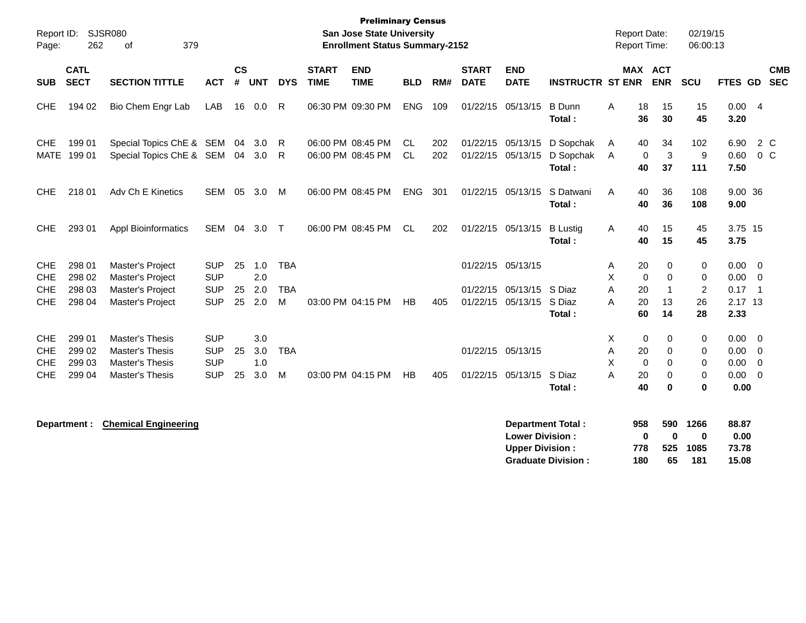| Report ID:<br>Page:                                  | 262                                  | SJSR080<br>379<br>of                                                         |                                                      |                |                          |                               |                             | <b>Preliminary Census</b><br><b>San Jose State University</b><br><b>Enrollment Status Summary-2152</b> |                        |            |                             |                                                           |                                  | <b>Report Date:</b><br><b>Report Time:</b> |                                                     | 02/19/15<br>06:00:13 |                                           |                                                       |                          |
|------------------------------------------------------|--------------------------------------|------------------------------------------------------------------------------|------------------------------------------------------|----------------|--------------------------|-------------------------------|-----------------------------|--------------------------------------------------------------------------------------------------------|------------------------|------------|-----------------------------|-----------------------------------------------------------|----------------------------------|--------------------------------------------|-----------------------------------------------------|----------------------|-------------------------------------------|-------------------------------------------------------|--------------------------|
| <b>SUB</b>                                           | <b>CATL</b><br><b>SECT</b>           | <b>SECTION TITTLE</b>                                                        | <b>ACT</b>                                           | <b>CS</b><br># | <b>UNT</b>               | <b>DYS</b>                    | <b>START</b><br><b>TIME</b> | <b>END</b><br><b>TIME</b>                                                                              | <b>BLD</b>             | RM#        | <b>START</b><br><b>DATE</b> | <b>END</b><br><b>DATE</b>                                 | <b>INSTRUCTR ST ENR</b>          |                                            | <b>MAX ACT</b><br><b>ENR</b>                        | SCU                  | FTES GD                                   |                                                       | <b>CMB</b><br><b>SEC</b> |
| <b>CHE</b>                                           | 194 02                               | Bio Chem Engr Lab                                                            | <b>LAB</b>                                           | 16             | 0.0                      | $\mathsf{R}$                  |                             | 06:30 PM 09:30 PM                                                                                      | <b>ENG</b>             | 109        |                             | 01/22/15 05/13/15                                         | <b>B</b> Dunn<br>Total:          | 18<br>A<br>36                              | 15<br>30                                            | 15<br>45             | 0.004<br>3.20                             |                                                       |                          |
| <b>CHE</b><br><b>MATE</b>                            | 199 01<br>199 01                     | Special Topics ChE & SEM<br>Special Topics ChE & SEM                         |                                                      | 04             | 3.0<br>04 3.0            | -R<br>R                       |                             | 06:00 PM 08:45 PM<br>06:00 PM 08:45 PM                                                                 | <b>CL</b><br><b>CL</b> | 202<br>202 |                             | 01/22/15 05/13/15<br>01/22/15 05/13/15                    | D Sopchak<br>D Sopchak<br>Total: | 40<br>A<br>A<br>40                         | 34<br>3<br>0<br>37                                  | 102<br>$9\,$<br>111  | 6.90<br>0.60<br>7.50                      | 2 C<br>0 <sup>o</sup>                                 |                          |
| <b>CHE</b>                                           | 218 01                               | Adv Ch E Kinetics                                                            | <b>SEM</b>                                           | 05             | 3.0                      | M                             |                             | 06:00 PM 08:45 PM                                                                                      | <b>ENG</b>             | 301        |                             | 01/22/15 05/13/15                                         | S Datwani<br>Total:              | 40<br>A<br>40                              | 36<br>36                                            | 108<br>108           | 9.00 36<br>9.00                           |                                                       |                          |
| <b>CHE</b>                                           | 293 01                               | <b>Appl Bioinformatics</b>                                                   | SEM                                                  |                | 04 3.0                   | $\top$                        |                             | 06:00 PM 08:45 PM                                                                                      | <b>CL</b>              | 202        |                             | 01/22/15 05/13/15                                         | <b>B</b> Lustig<br>Total:        | 40<br>Α<br>40                              | 15<br>15                                            | 45<br>45             | 3.75 15<br>3.75                           |                                                       |                          |
| <b>CHE</b><br><b>CHE</b><br><b>CHE</b><br><b>CHE</b> | 298 01<br>298 02<br>298 03<br>298 04 | Master's Project<br>Master's Project<br>Master's Project<br>Master's Project | <b>SUP</b><br><b>SUP</b><br><b>SUP</b><br><b>SUP</b> | 25<br>25<br>25 | 1.0<br>2.0<br>2.0<br>2.0 | <b>TBA</b><br><b>TBA</b><br>M |                             | 03:00 PM 04:15 PM                                                                                      | HB                     | 405        | 01/22/15                    | 01/22/15 05/13/15<br>05/13/15<br>01/22/15 05/13/15 S Diaz | S Diaz                           | 20<br>A<br>X<br>A<br>20<br>20<br>A         | 0<br>$\Omega$<br>$\mathbf{0}$<br>$\mathbf{1}$<br>13 | 0<br>0<br>2<br>26    | $0.00 \quad 0$<br>0.00<br>0.17<br>2.17 13 | $\overline{\mathbf{0}}$<br>$\overline{\phantom{0}}$ 1 |                          |
| <b>CHE</b><br><b>CHE</b>                             | 299 01<br>299 02                     | <b>Master's Thesis</b><br><b>Master's Thesis</b>                             | <b>SUP</b><br><b>SUP</b>                             | 25             | 3.0<br>3.0               | <b>TBA</b>                    |                             |                                                                                                        |                        |            |                             | 01/22/15 05/13/15                                         | Total:                           | 60<br>X<br>Α<br>20                         | 14<br>$\mathbf 0$<br>0<br>0                         | 28<br>0<br>0         | 2.33<br>0.00<br>0.00                      | $\overline{0}$<br>0                                   |                          |
| <b>CHE</b><br><b>CHE</b>                             | 299 03<br>299 04                     | <b>Master's Thesis</b><br><b>Master's Thesis</b>                             | <b>SUP</b><br><b>SUP</b>                             | 25             | 1.0<br>3.0               | м                             |                             | 03:00 PM 04:15 PM                                                                                      | HB                     | 405        |                             | 01/22/15 05/13/15                                         | S Diaz<br>Total:                 | X<br>A<br>20<br>40                         | $\mathbf 0$<br>$\Omega$<br>$\Omega$<br>$\bf{0}$     | 0<br>0<br>0          | 0.00<br>0.00<br>0.00                      | $\overline{0}$<br>$\Omega$                            |                          |
|                                                      |                                      |                                                                              |                                                      |                |                          |                               |                             |                                                                                                        |                        |            |                             |                                                           |                                  |                                            |                                                     |                      |                                           |                                                       |                          |

| epartment : |  | <b>Chemical Engineering</b> |
|-------------|--|-----------------------------|
|-------------|--|-----------------------------|

| <b>Department:</b> | <b>Chemical Engineering</b> | Department Total:         | 958 | 590 | 1266 | 88.87 |
|--------------------|-----------------------------|---------------------------|-----|-----|------|-------|
|                    |                             | <b>Lower Division:</b>    |     |     |      | 0.00  |
|                    |                             | <b>Upper Division:</b>    | 778 | 525 | 1085 | 73.78 |
|                    |                             | <b>Graduate Division:</b> | 180 | 65  | 181  | 15.08 |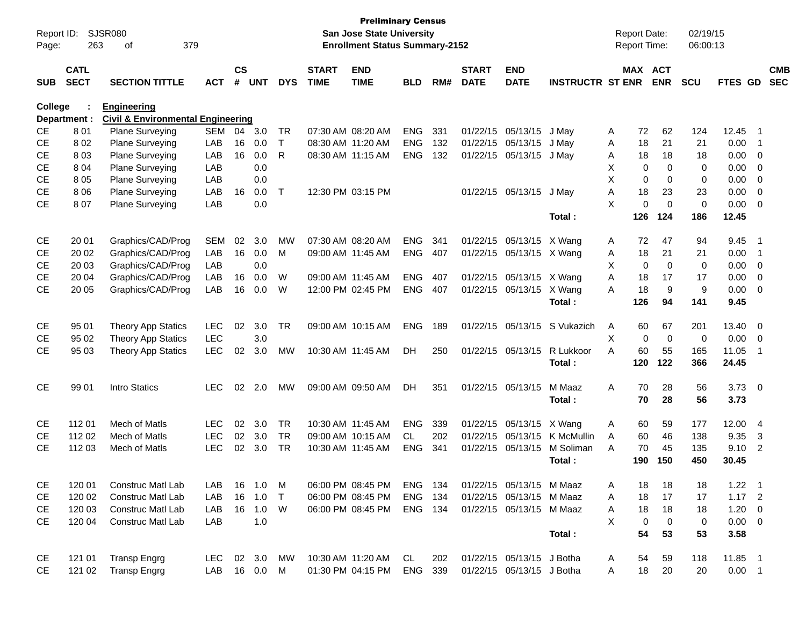| Report ID:     |              | <b>SJSR080</b>                               |            |               |            |              |              | <b>Preliminary Census</b><br><b>San Jose State University</b> |            |     |              |                           |                         | <b>Report Date:</b> |                         | 02/19/15    |                |                          |            |
|----------------|--------------|----------------------------------------------|------------|---------------|------------|--------------|--------------|---------------------------------------------------------------|------------|-----|--------------|---------------------------|-------------------------|---------------------|-------------------------|-------------|----------------|--------------------------|------------|
| Page:          | 263          | 379<br>οf                                    |            |               |            |              |              | <b>Enrollment Status Summary-2152</b>                         |            |     |              |                           |                         | Report Time:        |                         | 06:00:13    |                |                          |            |
|                | <b>CATL</b>  |                                              |            | $\mathsf{cs}$ |            |              | <b>START</b> | <b>END</b>                                                    |            |     | <b>START</b> | <b>END</b>                |                         |                     | MAX ACT                 |             |                |                          | <b>CMB</b> |
| <b>SUB</b>     | <b>SECT</b>  | <b>SECTION TITTLE</b>                        | <b>ACT</b> | #             | <b>UNT</b> | <b>DYS</b>   | <b>TIME</b>  | <b>TIME</b>                                                   | <b>BLD</b> | RM# | <b>DATE</b>  | <b>DATE</b>               | <b>INSTRUCTR ST ENR</b> |                     | <b>ENR</b>              | <b>SCU</b>  | FTES GD        |                          | <b>SEC</b> |
| <b>College</b> |              | <b>Engineering</b>                           |            |               |            |              |              |                                                               |            |     |              |                           |                         |                     |                         |             |                |                          |            |
|                | Department : | <b>Civil &amp; Environmental Engineering</b> |            |               |            |              |              |                                                               |            |     |              |                           |                         |                     |                         |             |                |                          |            |
| <b>CE</b>      | 801          | Plane Surveying                              | <b>SEM</b> | 04            | 3.0        | <b>TR</b>    |              | 07:30 AM 08:20 AM                                             | <b>ENG</b> | 331 | 01/22/15     | 05/13/15                  | J May                   | A                   | 62<br>72                | 124         | 12.45          | - 1                      |            |
| <b>CE</b>      | 802          | Plane Surveying                              | LAB        | 16            | 0.0        | T.           |              | 08:30 AM 11:20 AM                                             | <b>ENG</b> | 132 | 01/22/15     | 05/13/15                  | J May                   | A                   | 18<br>21                | 21          | 0.00           | $\overline{1}$           |            |
| <b>CE</b>      | 8 0 3        | Plane Surveying                              | LAB        | 16            | 0.0        | R            |              | 08:30 AM 11:15 AM                                             | <b>ENG</b> | 132 | 01/22/15     | 05/13/15                  | J May                   | Α                   | 18<br>18                | 18          | 0.00           | 0                        |            |
| <b>CE</b>      | 8 0 4        | Plane Surveying                              | LAB        |               | 0.0        |              |              |                                                               |            |     |              |                           |                         | х                   | $\mathbf 0$<br>0        | 0           | 0.00           | $\mathbf 0$              |            |
| <b>CE</b>      | 8 0 5        | Plane Surveying                              | LAB        |               | 0.0        |              |              |                                                               |            |     |              |                           |                         | X                   | $\mathbf 0$<br>0        | 0           | 0.00           | $\mathbf 0$              |            |
| <b>CE</b>      | 8 0 6        | Plane Surveying                              | LAB        | 16            | 0.0        | $\mathsf{T}$ |              | 12:30 PM 03:15 PM                                             |            |     | 01/22/15     | 05/13/15                  | J May                   | A                   | 18<br>23                | 23          | 0.00           | $\mathbf 0$              |            |
| <b>CE</b>      | 807          | Plane Surveying                              | LAB        |               | 0.0        |              |              |                                                               |            |     |              |                           |                         | X                   | $\mathbf 0$<br>$\Omega$ | $\mathbf 0$ | 0.00           | $\mathbf 0$              |            |
|                |              |                                              |            |               |            |              |              |                                                               |            |     |              |                           | Total:                  | 126                 | 124                     | 186         | 12.45          |                          |            |
| CE             | 20 01        | Graphics/CAD/Prog                            | <b>SEM</b> | 02            | 3.0        | MW           |              | 07:30 AM 08:20 AM                                             | <b>ENG</b> | 341 | 01/22/15     | 05/13/15                  | X Wang                  | Α                   | 72<br>47                | 94          | 9.45           | -1                       |            |
| <b>CE</b>      | 20 02        | Graphics/CAD/Prog                            | LAB        | 16            | 0.0        | M            |              | 09:00 AM 11:45 AM                                             | <b>ENG</b> | 407 | 01/22/15     | 05/13/15                  | X Wang                  | Α                   | 18<br>21                | 21          | 0.00           | $\overline{1}$           |            |
| <b>CE</b>      | 20 03        | Graphics/CAD/Prog                            | LAB        |               | 0.0        |              |              |                                                               |            |     |              |                           |                         | X                   | $\mathbf 0$<br>0        | 0           | 0.00           | $\mathbf 0$              |            |
| <b>CE</b>      | 20 04        | Graphics/CAD/Prog                            | LAB        | 16            | 0.0        | W            |              | 09:00 AM 11:45 AM                                             | <b>ENG</b> | 407 | 01/22/15     | 05/13/15                  | X Wang                  | A                   | 18<br>17                | 17          | 0.00           | $\mathbf 0$              |            |
| <b>CE</b>      | 20 05        | Graphics/CAD/Prog                            | LAB        | 16            | 0.0        | W            |              | 12:00 PM 02:45 PM                                             | <b>ENG</b> | 407 | 01/22/15     | 05/13/15                  | X Wang                  | A                   | 9<br>18                 | 9           | 0.00           | $\mathbf 0$              |            |
|                |              |                                              |            |               |            |              |              |                                                               |            |     |              |                           | Total:                  | 126                 | 94                      | 141         | 9.45           |                          |            |
| <b>CE</b>      | 95 01        | <b>Theory App Statics</b>                    | <b>LEC</b> | 02            | 3.0        | <b>TR</b>    |              | 09:00 AM 10:15 AM                                             | <b>ENG</b> | 189 | 01/22/15     | 05/13/15                  | S Vukazich              | Α                   | 60<br>67                | 201         | 13.40          | - 0                      |            |
| <b>CE</b>      | 95 02        | <b>Theory App Statics</b>                    | <b>LEC</b> |               | 3.0        |              |              |                                                               |            |     |              |                           |                         | X                   | $\mathbf 0$<br>0        | 0           | 0.00           | 0                        |            |
| <b>CE</b>      | 95 03        | <b>Theory App Statics</b>                    | <b>LEC</b> | 02            | 3.0        | MW           |              | 10:30 AM 11:45 AM                                             | <b>DH</b>  | 250 | 01/22/15     | 05/13/15                  | R Lukkoor               | A                   | 60<br>55                | 165         | 11.05          | $\overline{1}$           |            |
|                |              |                                              |            |               |            |              |              |                                                               |            |     |              |                           | Total:                  | 120                 | 122                     | 366         | 24.45          |                          |            |
| <b>CE</b>      | 99 01        | Intro Statics                                | <b>LEC</b> | 02            | 2.0        | MW           |              | 09:00 AM 09:50 AM                                             | DH         | 351 | 01/22/15     | 05/13/15                  | M Maaz                  | A                   | 70<br>28                | 56          | $3.73 \quad 0$ |                          |            |
|                |              |                                              |            |               |            |              |              |                                                               |            |     |              |                           | Total:                  |                     | 70<br>28                | 56          | 3.73           |                          |            |
| CЕ             | 112 01       | Mech of Matls                                | <b>LEC</b> | 02            | 3.0        | <b>TR</b>    |              | 10:30 AM 11:45 AM                                             | <b>ENG</b> | 339 | 01/22/15     | 05/13/15                  | X Wang                  | Α                   | 59<br>60                | 177         | 12.00          | 4                        |            |
| <b>CE</b>      | 112 02       | Mech of Matls                                | <b>LEC</b> | 02            | 3.0        | <b>TR</b>    |              | 09:00 AM 10:15 AM                                             | CL.        | 202 | 01/22/15     | 05/13/15                  | K McMullin              | Α                   | 60<br>46                | 138         | 9.35           | 3                        |            |
| <b>CE</b>      | 112 03       | Mech of Matls                                | <b>LEC</b> | 02            | 3.0        | <b>TR</b>    |              | 10:30 AM 11:45 AM                                             | <b>ENG</b> | 341 | 01/22/15     | 05/13/15                  | M Soliman               | A                   | 70<br>45                | 135         | 9.10           | $\overline{2}$           |            |
|                |              |                                              |            |               |            |              |              |                                                               |            |     |              |                           | Total:                  | 190                 | 150                     | 450         | 30.45          |                          |            |
| CE             | 120 01       | Construc Matl Lab                            | LAB        | 16            | 1.0        | M            |              | 06:00 PM 08:45 PM                                             | ENG        | 134 |              | 01/22/15 05/13/15 M Maaz  |                         | A                   | 18<br>18                | 18          | 1.22           | - 1                      |            |
| CE             | 120 02       | Construc Matl Lab                            | LAB        | 16            | 1.0        | $\top$       |              | 06:00 PM 08:45 PM                                             | <b>ENG</b> | 134 |              | 01/22/15 05/13/15 M Maaz  |                         | Α                   | 17<br>18                | 17          | $1.17$ 2       |                          |            |
| CE             | 120 03       | Construc Matl Lab                            | LAB        |               | 16 1.0     | W            |              | 06:00 PM 08:45 PM                                             | ENG 134    |     |              | 01/22/15 05/13/15 M Maaz  |                         | Α                   | 18<br>18                | 18          | 1.20           | $\overline{\phantom{0}}$ |            |
| CE             | 120 04       | Construc Matl Lab                            | LAB        |               | 1.0        |              |              |                                                               |            |     |              |                           |                         | Χ                   | $\mathbf 0$<br>0        | 0           | $0.00 \t 0$    |                          |            |
|                |              |                                              |            |               |            |              |              |                                                               |            |     |              |                           | Total:                  |                     | 54<br>53                | 53          | 3.58           |                          |            |
| CE             | 121 01       | <b>Transp Engrg</b>                          | LEC.       |               | 02 3.0     | MW           |              | 10:30 AM 11:20 AM                                             | CL         | 202 |              | 01/22/15 05/13/15 J Botha |                         | A                   | 59<br>54                | 118         | 11.85 1        |                          |            |
| CE             | 121 02       | <b>Transp Engrg</b>                          | LAB        |               | 16  0.0  M |              |              | 01:30 PM 04:15 PM                                             | ENG        | 339 |              | 01/22/15 05/13/15 J Botha |                         | A                   | 18<br>20                | 20          | $0.00$ 1       |                          |            |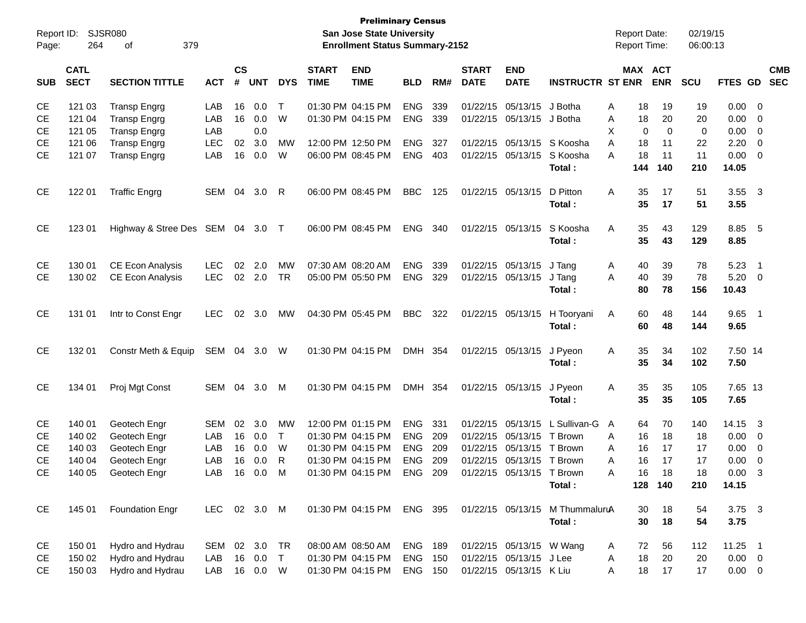| Report ID:<br>Page: | 264                        | SJSR080<br>379<br>оf           |              |                    |            |            |                             | <b>Preliminary Census</b><br><b>San Jose State University</b><br><b>Enrollment Status Summary-2152</b> |                |     |                             |                           |                                 |   | <b>Report Date:</b><br><b>Report Time:</b> |             | 02/19/15<br>06:00:13 |                |                            |                          |
|---------------------|----------------------------|--------------------------------|--------------|--------------------|------------|------------|-----------------------------|--------------------------------------------------------------------------------------------------------|----------------|-----|-----------------------------|---------------------------|---------------------------------|---|--------------------------------------------|-------------|----------------------|----------------|----------------------------|--------------------------|
| <b>SUB</b>          | <b>CATL</b><br><b>SECT</b> | <b>SECTION TITTLE</b>          | <b>ACT</b>   | $\mathsf{cs}$<br># | <b>UNT</b> | <b>DYS</b> | <b>START</b><br><b>TIME</b> | <b>END</b><br><b>TIME</b>                                                                              | <b>BLD</b>     | RM# | <b>START</b><br><b>DATE</b> | <b>END</b><br><b>DATE</b> | <b>INSTRUCTR ST ENR</b>         |   | MAX ACT                                    | <b>ENR</b>  | <b>SCU</b>           | <b>FTES GD</b> |                            | <b>CMB</b><br><b>SEC</b> |
| <b>CE</b>           | 121 03                     | <b>Transp Engrg</b>            | LAB          | 16                 | 0.0        | Т          |                             | 01:30 PM 04:15 PM                                                                                      | <b>ENG</b>     | 339 |                             | 01/22/15 05/13/15         | J Botha                         | A | 18                                         | 19          | 19                   | 0.00           | - 0                        |                          |
| <b>CE</b>           | 121 04                     | <b>Transp Engrg</b>            | LAB          | 16                 | 0.0        | W          |                             | 01:30 PM 04:15 PM                                                                                      | <b>ENG</b>     | 339 |                             | 01/22/15 05/13/15         | J Botha                         | Α | 18                                         | 20          | 20                   | 0.00           | 0                          |                          |
| <b>CE</b>           | 121 05                     | <b>Transp Engrg</b>            | LAB          |                    | 0.0        |            |                             |                                                                                                        |                |     |                             |                           |                                 | X | 0                                          | $\mathbf 0$ | $\mathbf 0$          | 0.00           | 0                          |                          |
| <b>CE</b>           | 121 06                     | <b>Transp Engrg</b>            | <b>LEC</b>   | 02                 | 3.0        | <b>MW</b>  |                             | 12:00 PM 12:50 PM                                                                                      | <b>ENG</b>     | 327 |                             | 01/22/15 05/13/15         | S Koosha                        | A | 18                                         | 11          | 22                   | 2.20           | 0                          |                          |
| <b>CE</b>           | 121 07                     | <b>Transp Engrg</b>            | LAB          | 16                 | 0.0        | W          |                             | 06:00 PM 08:45 PM                                                                                      | <b>ENG</b>     | 403 |                             | 01/22/15 05/13/15         | S Koosha                        | A | 18                                         | 11          | 11                   | 0.00           | $\overline{0}$             |                          |
|                     |                            |                                |              |                    |            |            |                             |                                                                                                        |                |     |                             |                           | Total:                          |   | 144                                        | 140         | 210                  | 14.05          |                            |                          |
| <b>CE</b>           | 122 01                     | <b>Traffic Engrg</b>           | SEM          |                    | 04 3.0     | -R         |                             | 06:00 PM 08:45 PM                                                                                      | <b>BBC</b>     | 125 |                             | 01/22/15 05/13/15         | D Pitton                        | A | 35                                         | 17          | 51                   | 3.55           | $\overline{\mathbf{3}}$    |                          |
|                     |                            |                                |              |                    |            |            |                             |                                                                                                        |                |     |                             |                           | Total:                          |   | 35                                         | 17          | 51                   | 3.55           |                            |                          |
| <b>CE</b>           | 123 01                     | Highway & Stree Des SEM 04 3.0 |              |                    |            | $\top$     |                             | 06:00 PM 08:45 PM                                                                                      | <b>ENG</b>     | 340 |                             | 01/22/15 05/13/15         | S Koosha                        | A | 35                                         | 43          | 129                  | 8.85 5         |                            |                          |
|                     |                            |                                |              |                    |            |            |                             |                                                                                                        |                |     |                             |                           | Total:                          |   | 35                                         | 43          | 129                  | 8.85           |                            |                          |
| <b>CE</b>           | 130 01                     | <b>CE Econ Analysis</b>        | <b>LEC</b>   | 02                 | 2.0        | <b>MW</b>  |                             | 07:30 AM 08:20 AM                                                                                      | <b>ENG</b>     | 339 |                             | 01/22/15 05/13/15         | J Tang                          | A | 40                                         | 39          | 78                   | 5.23           | $\overline{\phantom{0}}$ 1 |                          |
| <b>CE</b>           | 130 02                     | CE Econ Analysis               | <b>LEC</b>   |                    | 02 2.0     | <b>TR</b>  |                             | 05:00 PM 05:50 PM                                                                                      | <b>ENG</b>     | 329 |                             | 01/22/15 05/13/15         | J Tang                          | A | 40                                         | 39          | 78                   | 5.20           | $\overline{\mathbf{0}}$    |                          |
|                     |                            |                                |              |                    |            |            |                             |                                                                                                        |                |     |                             |                           | Total:                          |   | 80                                         | 78          | 156                  | 10.43          |                            |                          |
| <b>CE</b>           | 131 01                     | Intr to Const Engr             | <b>LEC</b>   |                    | 02 3.0     | МW         |                             | 04:30 PM 05:45 PM                                                                                      | <b>BBC</b>     | 322 |                             | 01/22/15 05/13/15         | H Tooryani                      | A | 60                                         | 48          | 144                  | $9.65$ 1       |                            |                          |
|                     |                            |                                |              |                    |            |            |                             |                                                                                                        |                |     |                             |                           | Total:                          |   | 60                                         | 48          | 144                  | 9.65           |                            |                          |
| <b>CE</b>           | 132 01                     | Constr Meth & Equip            | SEM 04 3.0   |                    |            | W          |                             | 01:30 PM 04:15 PM                                                                                      | DMH 354        |     |                             | 01/22/15 05/13/15         | J Pyeon                         | A | 35                                         | 34          | 102                  | 7.50 14        |                            |                          |
|                     |                            |                                |              |                    |            |            |                             |                                                                                                        |                |     |                             |                           | Total:                          |   | 35                                         | 34          | 102                  | 7.50           |                            |                          |
| <b>CE</b>           | 134 01                     | Proj Mgt Const                 | SEM          |                    | 04 3.0     | M          |                             | 01:30 PM 04:15 PM                                                                                      | DMH 354        |     |                             | 01/22/15 05/13/15         | J Pyeon                         | A | 35                                         | 35          | 105                  | 7.65 13        |                            |                          |
|                     |                            |                                |              |                    |            |            |                             |                                                                                                        |                |     |                             |                           | Total:                          |   | 35                                         | 35          | 105                  | 7.65           |                            |                          |
| <b>CE</b>           | 140 01                     | Geotech Engr                   | <b>SEM</b>   | 02                 | 3.0        | <b>MW</b>  |                             | 12:00 PM 01:15 PM                                                                                      | <b>ENG</b>     | 331 | 01/22/15                    | 05/13/15                  | L Sullivan-G                    | A | 64                                         | 70          | 140                  | 14.15          | $\overline{\mathbf{3}}$    |                          |
| <b>CE</b>           | 140 02                     | Geotech Engr                   | LAB          | 16                 | 0.0        | T          |                             | 01:30 PM 04:15 PM                                                                                      | <b>ENG</b>     | 209 |                             | 01/22/15 05/13/15         | T Brown                         | A | 16                                         | 18          | 18                   | 0.00           | 0                          |                          |
| <b>CE</b>           | 140 03                     | Geotech Engr                   | LAB          | 16                 | 0.0        | W          |                             | 01:30 PM 04:15 PM                                                                                      | <b>ENG</b>     | 209 | 01/22/15                    | 05/13/15                  | T Brown                         | A | 16                                         | 17          | 17                   | 0.00           | 0                          |                          |
| <b>CE</b>           | 140 04                     | Geotech Engr                   | LAB          | 16                 | 0.0        | R          |                             | 01:30 PM 04:15 PM                                                                                      | <b>ENG</b>     | 209 |                             | 01/22/15 05/13/15 T Brown |                                 | A | 16                                         | 17          | 17                   | 0.00           | 0                          |                          |
| CE                  | 140 05                     | Geotech Engr                   | LAB          |                    | 16  0.0    | M          |                             | 01:30 PM 04:15 PM                                                                                      | ENG            | 209 |                             | 01/22/15 05/13/15 T Brown |                                 | A | 16                                         | 18          | 18                   | 0.00           | $\mathbf{3}$               |                          |
|                     |                            |                                |              |                    |            |            |                             |                                                                                                        |                |     |                             |                           | Total:                          |   |                                            | 128 140     | 210                  | 14.15          |                            |                          |
| CE                  | 145 01                     | <b>Foundation Engr</b>         | LEC 02 3.0 M |                    |            |            |                             | 01:30 PM 04:15 PM                                                                                      | ENG 395        |     |                             |                           | 01/22/15 05/13/15 M ThummaluruA |   | 30                                         | 18          | 54                   | $3.75 \quad 3$ |                            |                          |
|                     |                            |                                |              |                    |            |            |                             |                                                                                                        |                |     |                             |                           | Total:                          |   | 30                                         | 18          | 54                   | 3.75           |                            |                          |
| CE                  | 150 01                     | Hydro and Hydrau               | SEM          |                    | 02 3.0     | TR         |                             | 08:00 AM 08:50 AM                                                                                      | <b>ENG 189</b> |     |                             | 01/22/15 05/13/15 W Wang  |                                 | A | 72                                         | 56          | 112                  | $11.25$ 1      |                            |                          |
| CE                  | 150 02                     | Hydro and Hydrau               | LAB          | 16                 | 0.0        | $\top$     |                             | 01:30 PM 04:15 PM                                                                                      | ENG 150        |     |                             | 01/22/15 05/13/15 J Lee   |                                 | A | 18                                         | 20          | 20                   | $0.00 \t 0$    |                            |                          |
| <b>CE</b>           | 150 03                     | Hydro and Hydrau               | LAB          |                    | 16  0.0  W |            |                             | 01:30 PM 04:15 PM                                                                                      | ENG 150        |     |                             | 01/22/15 05/13/15 K Liu   |                                 | A | 18                                         | 17          | 17                   | $0.00 \t 0$    |                            |                          |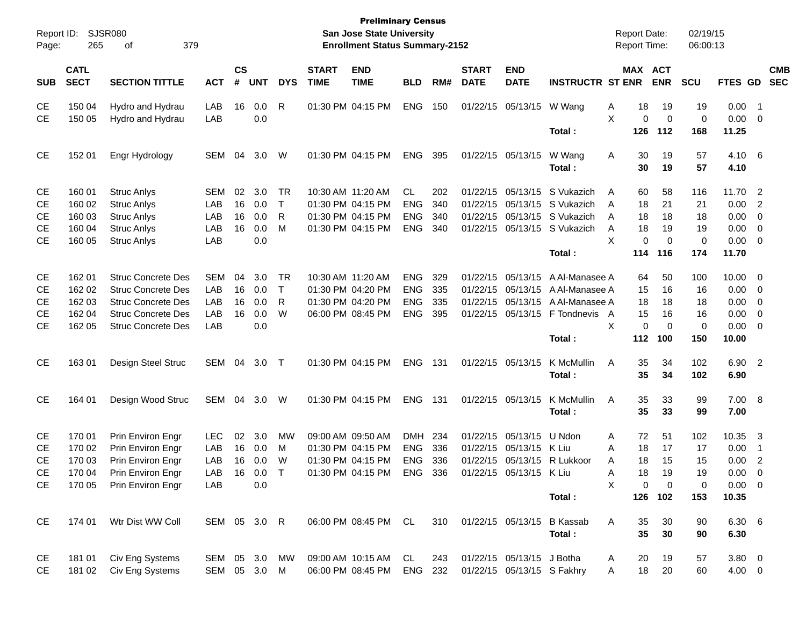| Report ID:<br>Page: | 265                        | SJSR080<br>379<br>οf                 |               |                    |            |              |                             | <b>Preliminary Census</b><br>San Jose State University<br><b>Enrollment Status Summary-2152</b> |            |       |                             |                            |                                  |        | <b>Report Date:</b><br><b>Report Time:</b> |                   | 02/19/15<br>06:00:13 |                |                                |                          |
|---------------------|----------------------------|--------------------------------------|---------------|--------------------|------------|--------------|-----------------------------|-------------------------------------------------------------------------------------------------|------------|-------|-----------------------------|----------------------------|----------------------------------|--------|--------------------------------------------|-------------------|----------------------|----------------|--------------------------------|--------------------------|
| <b>SUB</b>          | <b>CATL</b><br><b>SECT</b> | <b>SECTION TITTLE</b>                | <b>ACT</b>    | $\mathsf{cs}$<br># | <b>UNT</b> | <b>DYS</b>   | <b>START</b><br><b>TIME</b> | <b>END</b><br><b>TIME</b>                                                                       | <b>BLD</b> | RM#   | <b>START</b><br><b>DATE</b> | <b>END</b><br><b>DATE</b>  | <b>INSTRUCTR ST ENR</b>          |        | MAX ACT                                    | <b>ENR</b>        | <b>SCU</b>           | FTES GD        |                                | <b>CMB</b><br><b>SEC</b> |
| CЕ<br><b>CE</b>     | 150 04<br>150 05           | Hydro and Hydrau<br>Hydro and Hydrau | LAB<br>LAB    | 16                 | 0.0<br>0.0 | R            |                             | 01:30 PM 04:15 PM                                                                               | <b>ENG</b> | 150   |                             | 01/22/15 05/13/15          | W Wang                           | Α<br>X | 18<br>0                                    | 19<br>$\mathbf 0$ | 19<br>0              | 0.00<br>0.00   | - 1<br>$\overline{\mathbf{0}}$ |                          |
|                     |                            |                                      |               |                    |            |              |                             |                                                                                                 |            |       |                             |                            | Total:                           |        | 126                                        | 112               | 168                  | 11.25          |                                |                          |
| <b>CE</b>           | 152 01                     | Engr Hydrology                       | SEM           | 04                 | 3.0        | W            |                             | 01:30 PM 04:15 PM                                                                               | <b>ENG</b> | 395   |                             | 01/22/15 05/13/15          | W Wang<br>Total:                 | Α      | 30<br>30                                   | 19<br>19          | 57<br>57             | 4.10 6<br>4.10 |                                |                          |
| CЕ                  | 160 01                     | <b>Struc Anlys</b>                   | <b>SEM</b>    | 02                 | 3.0        | TR           |                             | 10:30 AM 11:20 AM                                                                               | CL.        | 202   |                             | 01/22/15 05/13/15          | S Vukazich                       | A      | 60                                         | 58                | 116                  | 11.70          | $\overline{\phantom{0}}^2$     |                          |
| <b>CE</b>           | 160 02                     | <b>Struc Anlys</b>                   | LAB           | 16                 | 0.0        | $\top$       |                             | 01:30 PM 04:15 PM                                                                               | <b>ENG</b> | 340   |                             |                            | 01/22/15 05/13/15 S Vukazich     | A      | 18                                         | 21                | 21                   | 0.00           | $\overline{2}$                 |                          |
| <b>CE</b>           | 160 03                     | <b>Struc Anlys</b>                   | LAB           | 16                 | 0.0        | R            |                             | 01:30 PM 04:15 PM                                                                               | <b>ENG</b> | 340   |                             |                            | 01/22/15 05/13/15 S Vukazich     | A      | 18                                         | 18                | 18                   | 0.00           | $\mathbf 0$                    |                          |
| <b>CE</b>           | 160 04                     | <b>Struc Anlys</b>                   | LAB           | 16                 | 0.0        | M            |                             | 01:30 PM 04:15 PM                                                                               | <b>ENG</b> | 340   |                             |                            | 01/22/15 05/13/15 S Vukazich     | A      | 18                                         | 19                | 19                   | 0.00           | $\overline{0}$                 |                          |
| <b>CE</b>           | 160 05                     | <b>Struc Anlys</b>                   | LAB           |                    | 0.0        |              |                             |                                                                                                 |            |       |                             |                            |                                  | X.     | 0                                          | 0                 | 0                    | 0.00           | 0                              |                          |
|                     |                            |                                      |               |                    |            |              |                             |                                                                                                 |            |       |                             |                            | Total:                           |        | 114                                        | 116               | 174                  | 11.70          |                                |                          |
| CЕ                  | 162 01                     | <b>Struc Concrete Des</b>            | <b>SEM</b>    | 04                 | 3.0        | TR           |                             | 10:30 AM 11:20 AM                                                                               | <b>ENG</b> | 329   |                             | 01/22/15 05/13/15          | A Al-Manasee A                   |        | 64                                         | 50                | 100                  | 10.00          | $\overline{\mathbf{0}}$        |                          |
| <b>CE</b>           | 162 02                     | <b>Struc Concrete Des</b>            | LAB           | 16                 | 0.0        | $\mathsf{T}$ |                             | 01:30 PM 04:20 PM                                                                               | <b>ENG</b> | 335   |                             | 01/22/15 05/13/15          | A Al-Manasee A                   |        | 15                                         | 16                | 16                   | 0.00           | - 0                            |                          |
| <b>CE</b>           | 162 03                     | <b>Struc Concrete Des</b>            | LAB           | 16                 | 0.0        | R            |                             | 01:30 PM 04:20 PM                                                                               | <b>ENG</b> | 335   |                             |                            | 01/22/15 05/13/15 A Al-Manasee A |        | 18                                         | 18                | 18                   | 0.00           | 0                              |                          |
| <b>CE</b>           | 162 04                     | <b>Struc Concrete Des</b>            | LAB           | 16                 | 0.0        | W            |                             | 06:00 PM 08:45 PM                                                                               | <b>ENG</b> | 395   |                             |                            | 01/22/15 05/13/15 F Tondnevis A  |        | 15                                         | 16                | 16                   | 0.00           | 0                              |                          |
| <b>CE</b>           | 162 05                     | <b>Struc Concrete Des</b>            | LAB           |                    | 0.0        |              |                             |                                                                                                 |            |       |                             |                            |                                  | X      | $\mathbf 0$                                | 0                 | 0                    | 0.00           | 0                              |                          |
|                     |                            |                                      |               |                    |            |              |                             |                                                                                                 |            |       |                             |                            | Total:                           |        | 112                                        | 100               | 150                  | 10.00          |                                |                          |
| <b>CE</b>           | 163 01                     | Design Steel Struc                   | SEM           | 04                 | 3.0        | $\top$       |                             | 01:30 PM 04:15 PM                                                                               | <b>ENG</b> | 131   |                             | 01/22/15 05/13/15          | K McMullin                       | Α      | 35                                         | 34                | 102                  | 6.90 2         |                                |                          |
|                     |                            |                                      |               |                    |            |              |                             |                                                                                                 |            |       |                             |                            | Total:                           |        | 35                                         | 34                | 102                  | 6.90           |                                |                          |
| <b>CE</b>           | 164 01                     | Design Wood Struc                    | SEM           | 04                 | 3.0        | W            |                             | 01:30 PM 04:15 PM                                                                               | <b>ENG</b> | - 131 |                             | 01/22/15 05/13/15          | K McMullin                       | Α      | 35                                         | 33                | 99                   | 7.00 8         |                                |                          |
|                     |                            |                                      |               |                    |            |              |                             |                                                                                                 |            |       |                             |                            | Total :                          |        | 35                                         | 33                | 99                   | 7.00           |                                |                          |
| CE                  | 170 01                     | Prin Environ Engr                    | <b>LEC</b>    | 02                 | 3.0        | MW           |                             | 09:00 AM 09:50 AM                                                                               | DMH        | 234   |                             | 01/22/15 05/13/15 U Ndon   |                                  | Α      | 72                                         | 51                | 102                  | 10.35          | $\mathbf{3}$                   |                          |
| <b>CE</b>           | 170 02                     | Prin Environ Engr                    | LAB           | 16                 | 0.0        | M            |                             | 01:30 PM 04:15 PM                                                                               | <b>ENG</b> | 336   |                             | 01/22/15 05/13/15 K Liu    |                                  | Α      | 18                                         | 17                | 17                   | 0.00           | -1                             |                          |
| <b>CE</b>           | 170 03                     | Prin Environ Engr                    | LAB           | 16                 | 0.0        | W            |                             | 01:30 PM 04:15 PM                                                                               | <b>ENG</b> | 336   |                             |                            | 01/22/15 05/13/15 R Lukkoor      | Α      | 18                                         | 15                | 15                   | 0.00           | $\overline{c}$                 |                          |
| <b>CE</b>           | 170 04                     | Prin Environ Engr                    | LAB           | 16                 | 0.0        | Т            |                             | 01:30 PM 04:15 PM                                                                               | ENG        | 336   |                             | 01/22/15 05/13/15 K Liu    |                                  | А      | 18                                         | 19                | 19                   | 0.00           | $\Omega$                       |                          |
| <b>CE</b>           |                            | 170 05 Prin Environ Engr             | LAB           |                    | 0.0        |              |                             |                                                                                                 |            |       |                             |                            |                                  | X      | 0                                          | 0                 | 0                    | $0.00 \t 0$    |                                |                          |
|                     |                            |                                      |               |                    |            |              |                             |                                                                                                 |            |       |                             |                            | Total:                           |        |                                            | 126 102           | 153                  | 10.35          |                                |                          |
| CE                  | 174 01                     | Wtr Dist WW Coll                     | SEM 05 3.0 R  |                    |            |              |                             | 06:00 PM 08:45 PM CL                                                                            |            |       |                             |                            | 310 01/22/15 05/13/15 B Kassab   | A      | 35                                         | 30                | 90                   | 6.30 6         |                                |                          |
|                     |                            |                                      |               |                    |            |              |                             |                                                                                                 |            |       |                             |                            | Total:                           |        | 35                                         | 30                | 90                   | 6.30           |                                |                          |
| CE                  | 181 01                     | Civ Eng Systems                      | SEM 05 3.0 MW |                    |            |              |                             | 09:00 AM 10:15 AM                                                                               | CL         | 243   |                             | 01/22/15 05/13/15 J Botha  |                                  | A      | 20                                         | 19                | 57                   | $3.80 \ 0$     |                                |                          |
| <b>CE</b>           | 181 02                     | Civ Eng Systems                      | SEM 05 3.0 M  |                    |            |              |                             | 06:00 PM 08:45 PM                                                                               | ENG 232    |       |                             | 01/22/15 05/13/15 S Fakhry |                                  | A      | 18                                         | 20                | 60                   | 4.00 0         |                                |                          |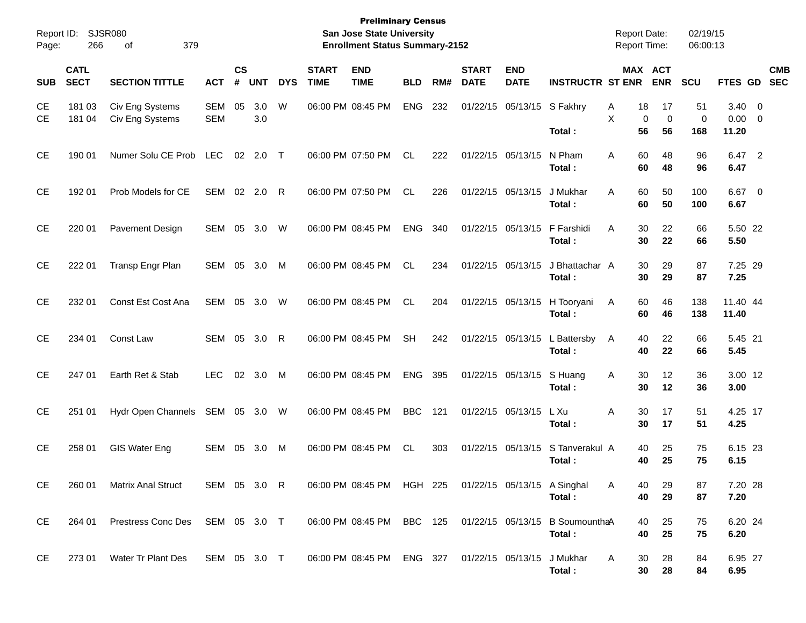| Report ID:<br>Page: | 266                        | <b>SJSR080</b><br>379<br>οf        |                   |                    |            |            |                             | <b>Preliminary Census</b><br><b>San Jose State University</b><br><b>Enrollment Status Summary-2152</b> |            |     |                             |                           |                                                                     | <b>Report Date:</b><br><b>Report Time:</b> |                              | 02/19/15<br>06:00:13     |                             |                         |                          |
|---------------------|----------------------------|------------------------------------|-------------------|--------------------|------------|------------|-----------------------------|--------------------------------------------------------------------------------------------------------|------------|-----|-----------------------------|---------------------------|---------------------------------------------------------------------|--------------------------------------------|------------------------------|--------------------------|-----------------------------|-------------------------|--------------------------|
| <b>SUB</b>          | <b>CATL</b><br><b>SECT</b> | <b>SECTION TITTLE</b>              | <b>ACT</b>        | $\mathsf{cs}$<br># | <b>UNT</b> | <b>DYS</b> | <b>START</b><br><b>TIME</b> | <b>END</b><br><b>TIME</b>                                                                              | <b>BLD</b> | RM# | <b>START</b><br><b>DATE</b> | <b>END</b><br><b>DATE</b> | <b>INSTRUCTR ST ENR</b>                                             |                                            | <b>MAX ACT</b><br><b>ENR</b> | <b>SCU</b>               | <b>FTES GD</b>              |                         | <b>CMB</b><br><b>SEC</b> |
| СE<br><b>CE</b>     | 181 03<br>181 04           | Civ Eng Systems<br>Civ Eng Systems | SEM<br><b>SEM</b> | 05                 | 3.0<br>3.0 | W          |                             | 06:00 PM 08:45 PM                                                                                      | <b>ENG</b> | 232 |                             | 01/22/15 05/13/15         | S Fakhry<br>Total:                                                  | Α<br>18<br>X<br>0<br>56                    | 17<br>$\mathbf 0$<br>56      | 51<br>$\mathbf 0$<br>168 | $3.40 \ 0$<br>0.00<br>11.20 | $\overline{\mathbf{0}}$ |                          |
| <b>CE</b>           | 190 01                     | Numer Solu CE Prob                 | <b>LEC</b>        | 02                 | 2.0        | $\top$     |                             | 06:00 PM 07:50 PM                                                                                      | CL.        | 222 |                             | 01/22/15 05/13/15         | N Pham<br>Total:                                                    | 60<br>A<br>60                              | 48<br>48                     | 96<br>96                 | 6.47 2<br>6.47              |                         |                          |
| <b>CE</b>           | 192 01                     | Prob Models for CE                 | <b>SEM</b>        |                    | 02 2.0     | R          |                             | 06:00 PM 07:50 PM                                                                                      | CL.        | 226 |                             | 01/22/15 05/13/15         | J Mukhar<br>Total:                                                  | 60<br>A<br>60                              | 50<br>50                     | 100<br>100               | $6.67$ 0<br>6.67            |                         |                          |
| <b>CE</b>           | 220 01                     | Pavement Design                    | <b>SEM</b>        | 05                 | 3.0        | W          |                             | 06:00 PM 08:45 PM                                                                                      | <b>ENG</b> | 340 |                             | 01/22/15 05/13/15         | F Farshidi<br>Total:                                                | 30<br>A<br>30                              | 22<br>22                     | 66<br>66                 | 5.50 22<br>5.50             |                         |                          |
| <b>CE</b>           | 222 01                     | Transp Engr Plan                   | <b>SEM</b>        | 05                 | 3.0        | M          |                             | 06:00 PM 08:45 PM                                                                                      | <b>CL</b>  | 234 |                             | 01/22/15 05/13/15         | J Bhattachar A<br>Total:                                            | 30<br>30                                   | 29<br>29                     | 87<br>87                 | 7.25 29<br>7.25             |                         |                          |
| <b>CE</b>           | 232 01                     | Const Est Cost Ana                 | <b>SEM</b>        | 05                 | 3.0        | W          |                             | 06:00 PM 08:45 PM                                                                                      | <b>CL</b>  | 204 |                             | 01/22/15 05/13/15         | H Tooryani<br>Total:                                                | 60<br>Α<br>60                              | 46<br>46                     | 138<br>138               | 11.40 44<br>11.40           |                         |                          |
| <b>CE</b>           | 234 01                     | Const Law                          | SEM               | 05                 | 3.0        | R          |                             | 06:00 PM 08:45 PM                                                                                      | <b>SH</b>  | 242 |                             | 01/22/15 05/13/15         | L Battersby<br>Total:                                               | 40<br>A<br>40                              | 22<br>22                     | 66<br>66                 | 5.45 21<br>5.45             |                         |                          |
| <b>CE</b>           | 247 01                     | Earth Ret & Stab                   | <b>LEC</b>        | 02                 | 3.0        | M          |                             | 06:00 PM 08:45 PM                                                                                      | <b>ENG</b> | 395 |                             | 01/22/15 05/13/15         | S Huang<br>Total:                                                   | 30<br>Α<br>30                              | 12<br>12                     | 36<br>36                 | 3.00 12<br>3.00             |                         |                          |
| <b>CE</b>           | 251 01                     | Hydr Open Channels                 | SEM               | 05                 | 3.0        | W          |                             | 06:00 PM 08:45 PM                                                                                      | <b>BBC</b> | 121 |                             | 01/22/15 05/13/15         | L Xu<br>Total:                                                      | 30<br>Α<br>30                              | 17<br>17                     | 51<br>51                 | 4.25 17<br>4.25             |                         |                          |
| <b>CE</b>           | 258 01                     | GIS Water Eng                      | SEM               | 05                 | 3.0        | M          |                             | 06:00 PM 08:45 PM                                                                                      | CL         | 303 |                             | 01/22/15 05/13/15         | S Tanverakul A<br>Total:                                            | 40<br>40                                   | 25<br>25                     | 75<br>75                 | 6.15 23<br>6.15             |                         |                          |
| CE                  | 260 01                     | <b>Matrix Anal Struct</b>          | SEM 05 3.0 R      |                    |            |            |                             | 06:00 PM 08:45 PM HGH 225                                                                              |            |     |                             |                           | 01/22/15 05/13/15 A Singhal<br>Total:                               | 40<br>A<br>40                              | 29<br>29                     | 87<br>87                 | 7.20 28<br>7.20             |                         |                          |
| CE                  | 264 01                     | Prestress Conc Des SEM 05 3.0 T    |                   |                    |            |            |                             |                                                                                                        |            |     |                             |                           | 06:00 PM 08:45 PM BBC 125 01/22/15 05/13/15 B SoumounthaA<br>Total: | 40<br>40                                   | 25<br>25                     | 75<br>75                 | 6.20 24<br>6.20             |                         |                          |
| CE                  | 273 01                     | Water Tr Plant Des                 | SEM 05 3.0 T      |                    |            |            |                             | 06:00 PM 08:45 PM ENG 327 01/22/15 05/13/15 J Mukhar                                                   |            |     |                             |                           | Total:                                                              | A<br>30<br>30                              | 28<br>28                     | 84<br>84                 | 6.95 27<br>6.95             |                         |                          |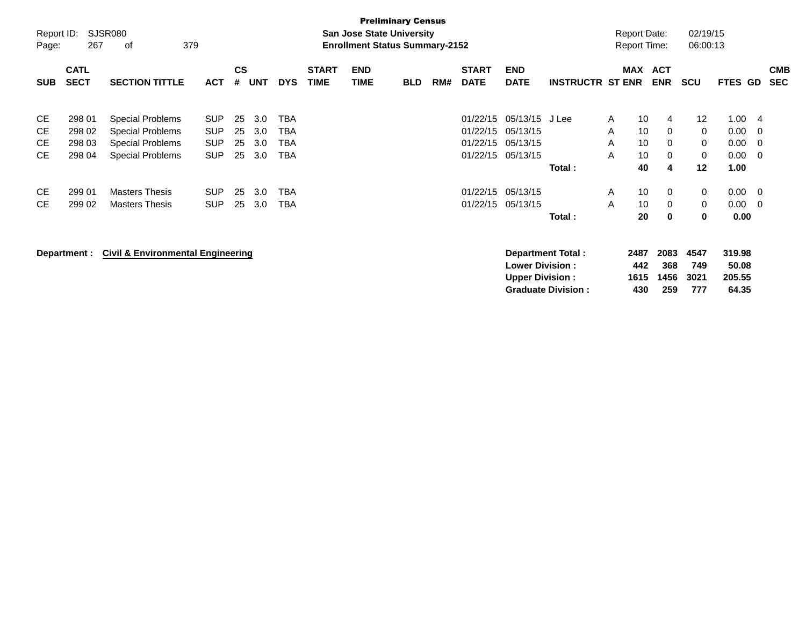|                     |                            |                                              |            |                |            |            |                             |                                                                           | <b>Preliminary Census</b> |     |                             |                           |                           |   |                                            |                          |                      |         |     |                          |
|---------------------|----------------------------|----------------------------------------------|------------|----------------|------------|------------|-----------------------------|---------------------------------------------------------------------------|---------------------------|-----|-----------------------------|---------------------------|---------------------------|---|--------------------------------------------|--------------------------|----------------------|---------|-----|--------------------------|
| Report ID:<br>Page: | 267                        | SJSR080<br>379<br>оf                         |            |                |            |            |                             | <b>San Jose State University</b><br><b>Enrollment Status Summary-2152</b> |                           |     |                             |                           |                           |   | <b>Report Date:</b><br><b>Report Time:</b> |                          | 02/19/15<br>06:00:13 |         |     |                          |
| <b>SUB</b>          | <b>CATL</b><br><b>SECT</b> | <b>SECTION TITTLE</b>                        | <b>ACT</b> | <b>CS</b><br># | <b>UNT</b> | <b>DYS</b> | <b>START</b><br><b>TIME</b> | <b>END</b><br><b>TIME</b>                                                 | <b>BLD</b>                | RM# | <b>START</b><br><b>DATE</b> | <b>END</b><br><b>DATE</b> | <b>INSTRUCTR ST ENR</b>   |   | <b>MAX</b>                                 | <b>ACT</b><br><b>ENR</b> | <b>SCU</b>           | FTES GD |     | <b>CMB</b><br><b>SEC</b> |
| <b>CE</b>           | 298 01                     | Special Problems                             | <b>SUP</b> | 25             | 3.0        | TBA        |                             |                                                                           |                           |     | 01/22/15                    | 05/13/15 J Lee            |                           | A | 10                                         | 4                        | 12                   | 1.00    | -4  |                          |
| СE                  | 298 02                     | <b>Special Problems</b>                      | <b>SUP</b> | 25             | 3.0        | TBA        |                             |                                                                           |                           |     | 01/22/15                    | 05/13/15                  |                           | A | 10                                         | 0                        | $\mathbf 0$          | 0.00    | - 0 |                          |
| <b>CE</b>           | 298 03                     | Special Problems                             | <b>SUP</b> | 25             | 3.0        | TBA        |                             |                                                                           |                           |     | 01/22/15                    | 05/13/15                  |                           | A | 10                                         | 0                        | 0                    | 0.00    | - 0 |                          |
| <b>CE</b>           | 298 04                     | <b>Special Problems</b>                      | <b>SUP</b> | 25             | 3.0        | TBA        |                             |                                                                           |                           |     |                             | 01/22/15 05/13/15         |                           | A | 10                                         | 0                        | 0                    | 0.00    | - 0 |                          |
|                     |                            |                                              |            |                |            |            |                             |                                                                           |                           |     |                             |                           | Total:                    |   | 40                                         | 4                        | 12                   | 1.00    |     |                          |
| <b>CE</b>           | 299 01                     | <b>Masters Thesis</b>                        | <b>SUP</b> | 25             | 3.0        | <b>TBA</b> |                             |                                                                           |                           |     | 01/22/15                    | 05/13/15                  |                           | A | 10                                         | 0                        | 0                    | 0.00    | - 0 |                          |
| <b>CE</b>           | 299 02                     | <b>Masters Thesis</b>                        | <b>SUP</b> | 25             | 3.0        | TBA        |                             |                                                                           |                           |     | 01/22/15                    | 05/13/15                  |                           | A | 10                                         | 0                        | 0                    | 0.00    | - 0 |                          |
|                     |                            |                                              |            |                |            |            |                             |                                                                           |                           |     |                             |                           | Total:                    |   | 20                                         | 0                        | 0                    | 0.00    |     |                          |
|                     | Department :               | <b>Civil &amp; Environmental Engineering</b> |            |                |            |            |                             |                                                                           |                           |     |                             |                           | <b>Department Total:</b>  |   | 2487                                       | 2083                     | 4547                 | 319.98  |     |                          |
|                     |                            |                                              |            |                |            |            |                             |                                                                           |                           |     |                             | <b>Lower Division:</b>    |                           |   | 442                                        | 368                      | 749                  | 50.08   |     |                          |
|                     |                            |                                              |            |                |            |            |                             |                                                                           |                           |     |                             | <b>Upper Division:</b>    |                           |   | 1615                                       | 1456                     | 3021                 | 205.55  |     |                          |
|                     |                            |                                              |            |                |            |            |                             |                                                                           |                           |     |                             |                           | <b>Graduate Division:</b> |   | 430                                        | 259                      | 777                  | 64.35   |     |                          |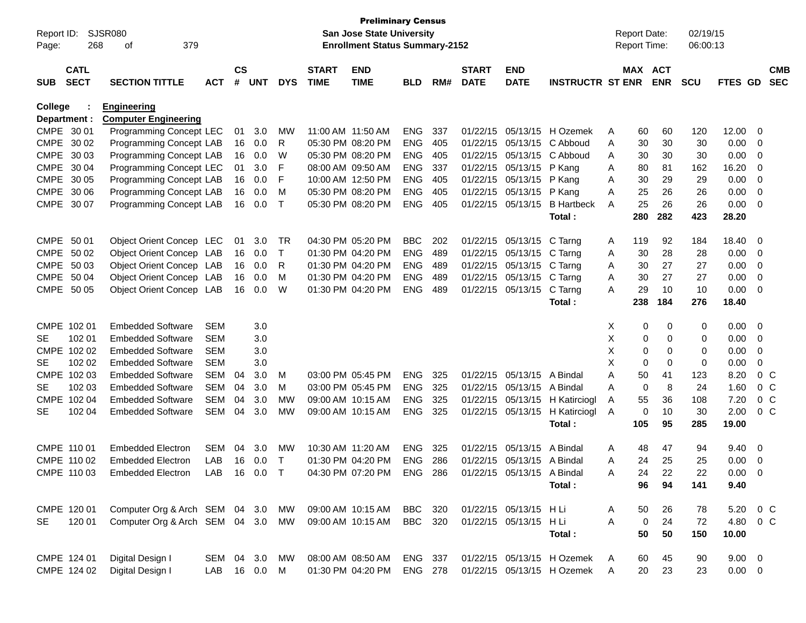| Report ID:<br>Page: | 268                        | <b>SJSR080</b><br>379<br>οf                                                  |            |                    |            |             |                             | <b>Preliminary Census</b><br>San Jose State University<br><b>Enrollment Status Summary-2152</b> |                |     |                             |                            |                            |              | <b>Report Date:</b><br>Report Time: |            | 02/19/15<br>06:00:13 |             |                |                          |
|---------------------|----------------------------|------------------------------------------------------------------------------|------------|--------------------|------------|-------------|-----------------------------|-------------------------------------------------------------------------------------------------|----------------|-----|-----------------------------|----------------------------|----------------------------|--------------|-------------------------------------|------------|----------------------|-------------|----------------|--------------------------|
| <b>SUB</b>          | <b>CATL</b><br><b>SECT</b> | <b>SECTION TITTLE</b>                                                        | <b>ACT</b> | $\mathsf{cs}$<br># | <b>UNT</b> | <b>DYS</b>  | <b>START</b><br><b>TIME</b> | <b>END</b><br><b>TIME</b>                                                                       | <b>BLD</b>     | RM# | <b>START</b><br><b>DATE</b> | <b>END</b><br><b>DATE</b>  | <b>INSTRUCTR ST ENR</b>    |              | MAX ACT                             | <b>ENR</b> | <b>SCU</b>           | FTES GD     |                | <b>CMB</b><br><b>SEC</b> |
| <b>College</b>      | Department :<br>CMPE 30 01 | <b>Engineering</b><br><b>Computer Engineering</b><br>Programming Concept LEC |            | 01                 | 3.0        | MW          |                             | 11:00 AM 11:50 AM                                                                               | <b>ENG</b>     | 337 | 01/22/15                    |                            | 05/13/15 H Ozemek          | A            | 60                                  | 60         | 120                  | 12.00       | 0              |                          |
|                     | CMPE 30 02                 | Programming Concept LAB                                                      |            | 16                 | 0.0        | R           |                             | 05:30 PM 08:20 PM                                                                               | <b>ENG</b>     | 405 | 01/22/15                    | 05/13/15                   | C Abboud                   | A            | 30                                  | 30         | 30                   | 0.00        | 0              |                          |
|                     | CMPE 30 03                 | Programming Concept LAB                                                      |            | 16                 | 0.0        | W           |                             | 05:30 PM 08:20 PM                                                                               | <b>ENG</b>     | 405 | 01/22/15                    | 05/13/15                   | C Abboud                   | A            | 30                                  | 30         | 30                   | 0.00        | 0              |                          |
|                     | CMPE 30 04                 | Programming Concept LEC                                                      |            | 01                 | 3.0        | F           |                             | 08:00 AM 09:50 AM                                                                               | <b>ENG</b>     | 337 | 01/22/15                    | 05/13/15                   | P Kang                     | A            | 80                                  | 81         | 162                  | 16.20       | 0              |                          |
|                     | CMPE 30 05                 | Programming Concept LAB                                                      |            | 16                 | 0.0        | F           |                             | 10:00 AM 12:50 PM                                                                               | <b>ENG</b>     | 405 | 01/22/15                    | 05/13/15                   | P Kang                     | Α            | 30                                  | 29         | 29                   | 0.00        | 0              |                          |
|                     | CMPE 30 06                 | Programming Concept LAB                                                      |            | 16                 | 0.0        | M           |                             | 05:30 PM 08:20 PM                                                                               | <b>ENG</b>     | 405 | 01/22/15                    | 05/13/15                   | P Kang                     | Α            | 25                                  | 26         | 26                   | 0.00        | 0              |                          |
|                     | CMPE 30 07                 | Programming Concept LAB                                                      |            | 16                 | 0.0        | Т           |                             | 05:30 PM 08:20 PM                                                                               | <b>ENG</b>     | 405 | 01/22/15                    | 05/13/15                   | <b>B</b> Hartbeck          | A            | 25                                  | 26         | 26                   | 0.00        | 0              |                          |
|                     |                            |                                                                              |            |                    |            |             |                             |                                                                                                 |                |     |                             |                            | Total:                     |              | 280                                 | 282        | 423                  | 28.20       |                |                          |
|                     | CMPE 50 01                 | Object Orient Concep LEC                                                     |            | 01                 | 3.0        | TR          |                             | 04:30 PM 05:20 PM                                                                               | <b>BBC</b>     | 202 | 01/22/15                    | 05/13/15                   | C Tarng                    | A            | 119                                 | 92         | 184                  | 18.40       | 0              |                          |
|                     | CMPE 50 02                 | Object Orient Concep LAB                                                     |            | 16                 | 0.0        | т           |                             | 01:30 PM 04:20 PM                                                                               | <b>ENG</b>     | 489 | 01/22/15                    | 05/13/15                   | C Tarng                    | A            | 30                                  | 28         | 28                   | 0.00        | 0              |                          |
|                     | CMPE 50 03                 | Object Orient Concep LAB                                                     |            | 16                 | 0.0        | R           |                             | 01:30 PM 04:20 PM                                                                               | <b>ENG</b>     | 489 | 01/22/15                    | 05/13/15                   | C Tarng                    | A            | 30                                  | 27         | 27                   | 0.00        | 0              |                          |
|                     | CMPE 50 04                 | Object Orient Concep LAB                                                     |            | 16                 | 0.0        | м           |                             | 01:30 PM 04:20 PM                                                                               | <b>ENG</b>     | 489 | 01/22/15                    | 05/13/15                   | C Tarng                    | Α            | 30                                  | 27         | 27                   | 0.00        | 0              |                          |
|                     | CMPE 50 05                 | Object Orient Concep LAB                                                     |            | 16                 | 0.0        | W           |                             | 01:30 PM 04:20 PM                                                                               | <b>ENG</b>     | 489 | 01/22/15                    | 05/13/15                   | C Tarng                    | A            | 29                                  | 10         | 10                   | 0.00        | 0              |                          |
|                     |                            |                                                                              |            |                    |            |             |                             |                                                                                                 |                |     |                             |                            | Total:                     |              | 238                                 | 184        | 276                  | 18.40       |                |                          |
|                     | CMPE 102 01                | <b>Embedded Software</b>                                                     | <b>SEM</b> |                    | 3.0        |             |                             |                                                                                                 |                |     |                             |                            |                            | Х            | 0                                   | 0          | 0                    | 0.00        | - 0            |                          |
| SE.                 | 102 01                     | Embedded Software                                                            | <b>SEM</b> |                    | 3.0        |             |                             |                                                                                                 |                |     |                             |                            |                            | X            | 0                                   | 0          | 0                    | 0.00        | 0              |                          |
|                     | CMPE 102 02                | <b>Embedded Software</b>                                                     | <b>SEM</b> |                    | 3.0        |             |                             |                                                                                                 |                |     |                             |                            |                            | X            | 0                                   | 0          | 0                    | 0.00        | 0              |                          |
| SE                  | 102 02                     | <b>Embedded Software</b>                                                     | <b>SEM</b> |                    | 3.0        |             |                             |                                                                                                 |                |     |                             |                            |                            | X            | 0                                   | 0          | 0                    | 0.00        | 0              |                          |
|                     | CMPE 102 03                | <b>Embedded Software</b>                                                     | <b>SEM</b> | 04                 | 3.0        | M           |                             | 03:00 PM 05:45 PM                                                                               | <b>ENG</b>     | 325 | 01/22/15                    | 05/13/15                   | A Bindal                   | A            | 50                                  | 41         | 123                  | 8.20        | 0 <sup>o</sup> |                          |
| SE                  | 102 03                     | <b>Embedded Software</b>                                                     | <b>SEM</b> | 04                 | 3.0        | M           |                             | 03:00 PM 05:45 PM                                                                               | <b>ENG</b>     | 325 | 01/22/15                    | 05/13/15                   | A Bindal                   | A            | 0                                   | 8          | 24                   | 1.60        | 0 <sup>o</sup> |                          |
| <b>CMPE</b>         | 102 04                     | <b>Embedded Software</b>                                                     | <b>SEM</b> | 04                 | 3.0        | МW          |                             | 09:00 AM 10:15 AM                                                                               | <b>ENG</b>     | 325 | 01/22/15                    | 05/13/15                   | H Katirciogl               | Α            | 55                                  | 36         | 108                  | 7.20        | 0 <sup>C</sup> |                          |
| <b>SE</b>           | 102 04                     | <b>Embedded Software</b>                                                     | <b>SEM</b> | 04                 | 3.0        | МW          |                             | 09:00 AM 10:15 AM                                                                               | <b>ENG</b>     | 325 | 01/22/15                    | 05/13/15                   | H Katirciogl               | Α            | 0                                   | 10         | 30                   | 2.00        | 0 <sup>o</sup> |                          |
|                     |                            |                                                                              |            |                    |            |             |                             |                                                                                                 |                |     |                             |                            | Total:                     |              | 105                                 | 95         | 285                  | 19.00       |                |                          |
|                     | CMPE 110 01                | Embedded Electron                                                            | <b>SEM</b> | 04                 | 3.0        | МW          |                             | 10:30 AM 11:20 AM                                                                               | <b>ENG</b>     | 325 | 01/22/15                    | 05/13/15                   | A Bindal                   | A            | 48                                  | 47         | 94                   | 9.40        | 0              |                          |
|                     | CMPE 110 02                | <b>Embedded Electron</b>                                                     | LAB        | 16                 | 0.0        | Т           |                             | 01:30 PM 04:20 PM                                                                               | <b>ENG</b>     | 286 | 01/22/15                    | 05/13/15                   | A Bindal                   | Α            | 24                                  | 25         | 25                   | 0.00        | 0              |                          |
|                     | CMPE 110 03                | Embedded Electron                                                            | LAB        |                    | 16  0.0    | $\mathsf T$ |                             | 04:30 PM 07:20 PM                                                                               | ENG            | 286 |                             | 01/22/15 05/13/15 A Bindal |                            | А            | 24                                  | 22         | 22                   | 0.00        | $\Omega$       |                          |
|                     |                            |                                                                              |            |                    |            |             |                             |                                                                                                 |                |     |                             |                            | Total:                     |              | 96                                  | 94         | 141                  | 9.40        |                |                          |
|                     |                            |                                                                              |            |                    |            |             |                             |                                                                                                 |                |     |                             |                            |                            |              |                                     |            |                      |             |                |                          |
|                     | CMPE 120 01                | Computer Org & Arch SEM 04 3.0                                               |            |                    |            | MW          |                             | 09:00 AM 10:15 AM                                                                               | BBC 320        |     |                             | 01/22/15 05/13/15 H Li     |                            | A            | 50                                  | 26         | 78                   | 5.20        | $0\,$ C        |                          |
| <b>SE</b>           | 120 01                     | Computer Org & Arch SEM 04 3.0                                               |            |                    |            | MW          |                             | 09:00 AM 10:15 AM                                                                               | BBC 320        |     |                             | 01/22/15 05/13/15 H Li     |                            | A            | $\mathbf 0$                         | 24         | 72                   | 4.80        | $0\,C$         |                          |
|                     |                            |                                                                              |            |                    |            |             |                             |                                                                                                 |                |     |                             |                            | Total:                     |              | 50                                  | 50         | 150                  | 10.00       |                |                          |
|                     | CMPE 124 01                | Digital Design I                                                             | SEM 04 3.0 |                    |            | МW          |                             | 08:00 AM 08:50 AM                                                                               | ENG 337        |     |                             |                            | 01/22/15 05/13/15 H Ozemek | A            | 60                                  | 45         | 90                   | $9.00 \t 0$ |                |                          |
|                     | CMPE 124 02                | Digital Design I                                                             | LAB        |                    | 16  0.0  M |             |                             | 01:30 PM 04:20 PM                                                                               | <b>ENG 278</b> |     |                             |                            | 01/22/15 05/13/15 H Ozemek | $\mathsf{A}$ | 20                                  | 23         | 23                   | $0.00 \t 0$ |                |                          |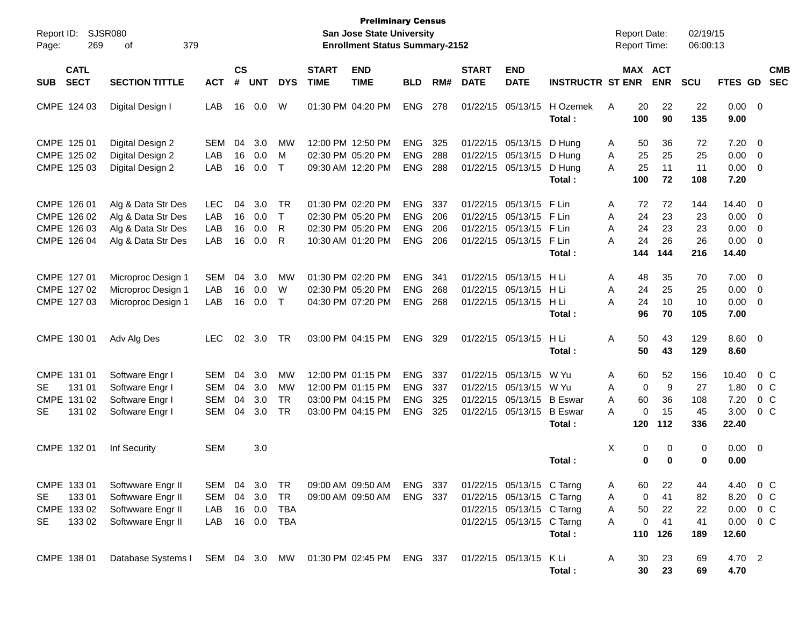| Report ID:<br>269<br>Page:                                               | <b>SJSR080</b><br>379<br>οf                                                          |                                        |                      |                             |                                           |                             | <b>Preliminary Census</b><br><b>San Jose State University</b><br><b>Enrollment Status Summary-2152</b> |                                                      |                          |                             |                                                                                                                  |                                                            |                  |                                  | <b>Report Date:</b><br>Report Time: | 02/19/15<br>06:00:13          |                                        |                                                                      |  |
|--------------------------------------------------------------------------|--------------------------------------------------------------------------------------|----------------------------------------|----------------------|-----------------------------|-------------------------------------------|-----------------------------|--------------------------------------------------------------------------------------------------------|------------------------------------------------------|--------------------------|-----------------------------|------------------------------------------------------------------------------------------------------------------|------------------------------------------------------------|------------------|----------------------------------|-------------------------------------|-------------------------------|----------------------------------------|----------------------------------------------------------------------|--|
| <b>CATL</b><br><b>SECT</b><br><b>SUB</b>                                 | <b>SECTION TITTLE</b>                                                                | <b>ACT</b>                             | <b>CS</b><br>#       | <b>UNT</b>                  | <b>DYS</b>                                | <b>START</b><br><b>TIME</b> | <b>END</b><br><b>TIME</b>                                                                              | <b>BLD</b>                                           | RM#                      | <b>START</b><br><b>DATE</b> | <b>END</b><br><b>DATE</b>                                                                                        | <b>INSTRUCTR ST ENR</b>                                    |                  |                                  | MAX ACT<br><b>ENR</b>               | SCU                           | FTES GD                                | <b>CMB</b><br><b>SEC</b>                                             |  |
| CMPE 124 03                                                              | Digital Design I                                                                     | LAB                                    | 16                   | 0.0                         | W                                         |                             | 01:30 PM 04:20 PM                                                                                      | <b>ENG</b>                                           | 278                      |                             | 01/22/15 05/13/15                                                                                                | H Ozemek<br>Total:                                         | A                | 20<br>100                        | 22<br>90                            | 22<br>135                     | $0.00 \t 0$<br>9.00                    |                                                                      |  |
| CMPE 125 01<br>CMPE 125 02<br>CMPE 125 03                                | Digital Design 2<br>Digital Design 2<br>Digital Design 2                             | SEM<br>LAB<br>LAB                      | 04<br>16<br>16       | 3.0<br>0.0<br>0.0           | МW<br>М<br>$\mathsf{T}$                   |                             | 12:00 PM 12:50 PM<br>02:30 PM 05:20 PM<br>09:30 AM 12:20 PM                                            | <b>ENG</b><br><b>ENG</b><br><b>ENG</b>               | 325<br>288<br>288        |                             | 01/22/15 05/13/15<br>01/22/15 05/13/15<br>01/22/15 05/13/15                                                      | D Hung<br>D Hung<br>D Hung<br>Total:                       | A<br>A<br>A      | 50<br>25<br>25<br>100            | 36<br>25<br>11<br>72                | 72<br>25<br>11<br>108         | 7.20<br>0.00<br>0.00<br>7.20           | $\overline{\mathbf{0}}$<br>$\overline{0}$<br>$\overline{0}$          |  |
| CMPE 126 01<br>CMPE 126 02<br>CMPE 126 03<br>CMPE 126 04                 | Alg & Data Str Des<br>Alg & Data Str Des<br>Alg & Data Str Des<br>Alg & Data Str Des | <b>LEC</b><br>LAB<br>LAB<br>LAB        | 04<br>16<br>16<br>16 | 3.0<br>0.0<br>0.0<br>0.0    | TR<br>$\top$<br>R<br>R                    |                             | 01:30 PM 02:20 PM<br>02:30 PM 05:20 PM<br>02:30 PM 05:20 PM<br>10:30 AM 01:20 PM                       | <b>ENG</b><br><b>ENG</b><br><b>ENG</b><br><b>ENG</b> | 337<br>206<br>206<br>206 |                             | 01/22/15 05/13/15<br>01/22/15 05/13/15<br>01/22/15 05/13/15<br>01/22/15 05/13/15                                 | F Lin<br>F Lin<br>F Lin<br>F Lin<br>Total:                 | Α<br>A<br>A<br>A | 72<br>24<br>24<br>24<br>144      | 72<br>23<br>23<br>26<br>144         | 144<br>23<br>23<br>26<br>216  | 14.40<br>0.00<br>0.00<br>0.00<br>14.40 | - 0<br>0<br>$\mathbf 0$<br>0                                         |  |
| CMPE 127 01<br>CMPE 127 02<br>CMPE 127 03                                | Microproc Design 1<br>Microproc Design 1<br>Microproc Design 1                       | <b>SEM</b><br>LAB<br>LAB               | 04<br>16<br>16       | 3.0<br>0.0<br>0.0           | MW<br>W<br>$\mathsf{T}$                   |                             | 01:30 PM 02:20 PM<br>02:30 PM 05:20 PM<br>04:30 PM 07:20 PM                                            | <b>ENG</b><br><b>ENG</b><br><b>ENG</b>               | 341<br>268<br>268        |                             | 01/22/15 05/13/15<br>01/22/15 05/13/15<br>01/22/15 05/13/15                                                      | H Li<br>HLi<br>H Li<br>Total:                              | A<br>A<br>A      | 48<br>24<br>24<br>96             | 35<br>25<br>10<br>70                | 70<br>25<br>10<br>105         | 7.00<br>0.00<br>0.00<br>7.00           | $\overline{\mathbf{0}}$<br>$\overline{0}$<br>$\overline{\mathbf{0}}$ |  |
| CMPE 130 01                                                              | Adv Alg Des                                                                          | <b>LEC</b>                             | 02                   | 3.0                         | TR                                        |                             | 03:00 PM 04:15 PM                                                                                      | <b>ENG</b>                                           | 329                      |                             | 01/22/15 05/13/15                                                                                                | H Li<br>Total:                                             | Α                | 50<br>50                         | 43<br>43                            | 129<br>129                    | 8.60 0<br>8.60                         |                                                                      |  |
| CMPE 131 01<br>131 01<br><b>SE</b><br>CMPE 131 02<br>131 02<br><b>SE</b> | Software Engr I<br>Software Engr I<br>Software Engr I<br>Software Engr I             | SEM<br><b>SEM</b><br><b>SEM</b><br>SEM | 04<br>04<br>04<br>04 | 3.0<br>3.0<br>3.0<br>3.0    | <b>MW</b><br>MW<br><b>TR</b><br><b>TR</b> |                             | 12:00 PM 01:15 PM<br>12:00 PM 01:15 PM<br>03:00 PM 04:15 PM<br>03:00 PM 04:15 PM                       | <b>ENG</b><br><b>ENG</b><br><b>ENG</b><br><b>ENG</b> | 337<br>337<br>325<br>325 |                             | 01/22/15 05/13/15<br>01/22/15 05/13/15<br>01/22/15 05/13/15<br>01/22/15 05/13/15                                 | W Yu<br>W Yu<br><b>B</b> Eswar<br><b>B</b> Eswar<br>Total: | A<br>A<br>A<br>A | 60<br>0<br>60<br>$\Omega$<br>120 | 52<br>9<br>36<br>15<br>112          | 156<br>27<br>108<br>45<br>336 | 10.40<br>1.80<br>7.20<br>3.00<br>22.40 | 0 <sup>C</sup><br>0 C<br>0 <sup>C</sup><br>$0\,C$                    |  |
| CMPE 132 01                                                              | Inf Security                                                                         | <b>SEM</b>                             |                      | 3.0                         |                                           |                             |                                                                                                        |                                                      |                          |                             |                                                                                                                  | Total:                                                     | X                | 0<br>$\bf{0}$                    | 0<br>0                              | 0<br>0                        | $0.00 \t 0$<br>0.00                    |                                                                      |  |
| CMPE 133 01<br>13301<br>SE<br>CMPE 133 02<br>133 02<br>SE                | Softwware Engr II<br>Softwware Engr II<br>Softwware Engr II<br>Softwware Engr II     | SEM<br>SEM<br>LAB<br>LAB               | 04<br>04<br>16       | 3.0<br>3.0<br>0.0<br>16 0.0 | TR<br><b>TR</b><br>TBA<br><b>TBA</b>      |                             | 09:00 AM 09:50 AM<br>09:00 AM 09:50 AM                                                                 | ENG 337<br>ENG 337                                   |                          |                             | 01/22/15 05/13/15 C Tarng<br>01/22/15 05/13/15 C Tarng<br>01/22/15 05/13/15 C Tarng<br>01/22/15 05/13/15 C Tarng | Total:                                                     | A<br>Α<br>Α<br>A | 60<br>0<br>50<br>0<br>110        | 22<br>41<br>22<br>41<br>126         | 44<br>82<br>22<br>41<br>189   | 4.40<br>8.20<br>0.00<br>0.00<br>12.60  | $0\,C$<br>$0\,C$<br>0 C<br>0 C                                       |  |
| CMPE 138 01                                                              | Database Systems I                                                                   |                                        |                      |                             |                                           |                             | SEM 04 3.0 MW 01:30 PM 02:45 PM ENG 337                                                                |                                                      |                          |                             | 01/22/15 05/13/15 K Li                                                                                           | Total:                                                     | A                | 30<br>30                         | 23<br>23                            | 69<br>69                      | 4.70 2<br>4.70                         |                                                                      |  |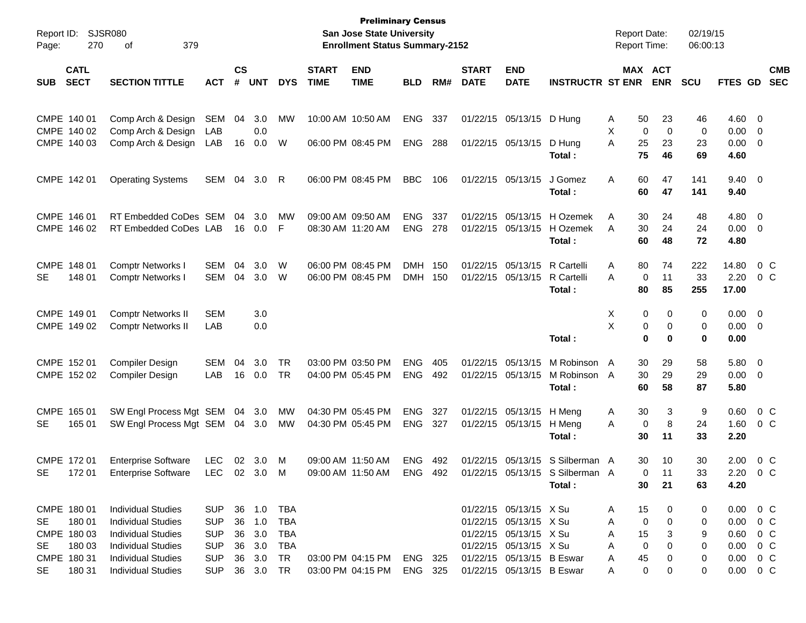| Report ID:                                                                              | <b>SJSR080</b>                                                                                                                                |                                                                    |                |                                                |                                                            |                             | <b>Preliminary Census</b><br><b>San Jose State University</b> |                          |            |                             |                                                                                                                                   |                                                            |                       | <b>Report Date:</b>                               | 02/19/15              |                                                                          |                                                                                 |                          |
|-----------------------------------------------------------------------------------------|-----------------------------------------------------------------------------------------------------------------------------------------------|--------------------------------------------------------------------|----------------|------------------------------------------------|------------------------------------------------------------|-----------------------------|---------------------------------------------------------------|--------------------------|------------|-----------------------------|-----------------------------------------------------------------------------------------------------------------------------------|------------------------------------------------------------|-----------------------|---------------------------------------------------|-----------------------|--------------------------------------------------------------------------|---------------------------------------------------------------------------------|--------------------------|
| 270<br>Page:                                                                            | 379<br>οf                                                                                                                                     |                                                                    |                |                                                |                                                            |                             | <b>Enrollment Status Summary-2152</b>                         |                          |            |                             |                                                                                                                                   |                                                            |                       | <b>Report Time:</b>                               | 06:00:13              |                                                                          |                                                                                 |                          |
| <b>CATL</b><br><b>SECT</b><br><b>SUB</b>                                                | <b>SECTION TITTLE</b>                                                                                                                         | <b>ACT</b>                                                         | <b>CS</b><br># | <b>UNT</b>                                     | <b>DYS</b>                                                 | <b>START</b><br><b>TIME</b> | <b>END</b><br><b>TIME</b>                                     | <b>BLD</b>               | RM#        | <b>START</b><br><b>DATE</b> | <b>END</b><br><b>DATE</b>                                                                                                         | <b>INSTRUCTR ST ENR</b>                                    |                       | MAX ACT<br><b>ENR</b>                             | <b>SCU</b>            | FTES GD                                                                  |                                                                                 | <b>CMB</b><br><b>SEC</b> |
| CMPE 140 01<br>CMPE 140 02<br>CMPE 140 03                                               | Comp Arch & Design<br>Comp Arch & Design<br>Comp Arch & Design                                                                                | SEM<br>LAB<br>LAB                                                  | 04<br>16       | 3.0<br>0.0<br>0.0                              | MW<br>W                                                    |                             | 10:00 AM 10:50 AM<br>06:00 PM 08:45 PM                        | <b>ENG</b><br><b>ENG</b> | 337<br>288 |                             | 01/22/15 05/13/15<br>01/22/15 05/13/15                                                                                            | D Hung<br>D Hung                                           | Α<br>Х<br>A           | 50<br>23<br>0<br>$\mathbf 0$<br>25<br>23          | 46<br>0<br>23         | 4.60<br>0.00<br>0.00                                                     | $\overline{\phantom{0}}$<br>$\overline{\mathbf{0}}$<br>$\overline{\phantom{0}}$ |                          |
| CMPE 142 01                                                                             | <b>Operating Systems</b>                                                                                                                      | SEM                                                                | 04             | 3.0                                            | R                                                          |                             | 06:00 PM 08:45 PM                                             | <b>BBC</b>               | 106        |                             | 01/22/15 05/13/15                                                                                                                 | Total:<br>J Gomez<br>Total:                                | A                     | 75<br>46<br>60<br>47<br>60<br>47                  | 69<br>141<br>141      | 4.60<br>$9.40 \quad 0$<br>9.40                                           |                                                                                 |                          |
| CMPE 146 01<br>CMPE 146 02                                                              | RT Embedded CoDes SEM<br>RT Embedded CoDes LAB                                                                                                |                                                                    | 04<br>16       | 3.0<br>0.0                                     | МW<br>F                                                    |                             | 09:00 AM 09:50 AM<br>08:30 AM 11:20 AM                        | <b>ENG</b><br><b>ENG</b> | 337<br>278 | 01/22/15                    | 05/13/15<br>01/22/15 05/13/15                                                                                                     | H Ozemek<br>H Ozemek<br>Total:                             | A<br>A                | 30<br>24<br>30<br>24<br>60<br>48                  | 48<br>24<br>72        | 4.80<br>0.00<br>4.80                                                     | $\overline{\mathbf{0}}$<br>$\overline{\phantom{0}}$                             |                          |
| CMPE 148 01<br>148 01<br>SE                                                             | <b>Comptr Networks I</b><br><b>Comptr Networks I</b>                                                                                          | SEM<br>SEM                                                         | 04<br>04       | 3.0<br>3.0                                     | W<br>W                                                     |                             | 06:00 PM 08:45 PM<br>06:00 PM 08:45 PM                        | <b>DMH</b><br><b>DMH</b> | 150<br>150 | 01/22/15                    | 05/13/15<br>01/22/15 05/13/15                                                                                                     | R Cartelli<br>R Cartelli<br>Total:                         | Α<br>A                | 80<br>74<br>0<br>11<br>80<br>85                   | 222<br>33<br>255      | 14.80<br>2.20<br>17.00                                                   |                                                                                 | $0\,C$<br>0 <sup>o</sup> |
| CMPE 149 01<br>CMPE 149 02                                                              | <b>Comptr Networks II</b><br><b>Comptr Networks II</b>                                                                                        | <b>SEM</b><br>LAB                                                  |                | 3.0<br>0.0                                     |                                                            |                             |                                                               |                          |            |                             |                                                                                                                                   | Total:                                                     | X<br>X                | 0<br>0<br>0<br>0<br>0<br>$\bf{0}$                 | 0<br>0<br>0           | 0.00<br>$0.00 \t 0$<br>0.00                                              | $\overline{\mathbf{0}}$                                                         |                          |
| CMPE 152 01<br>CMPE 152 02                                                              | <b>Compiler Design</b><br><b>Compiler Design</b>                                                                                              | SEM<br>LAB                                                         | 04<br>16       | 3.0<br>0.0                                     | <b>TR</b><br><b>TR</b>                                     |                             | 03:00 PM 03:50 PM<br>04:00 PM 05:45 PM                        | <b>ENG</b><br><b>ENG</b> | 405<br>492 |                             | 01/22/15 05/13/15<br>01/22/15 05/13/15                                                                                            | M Robinson<br>M Robinson<br>Total:                         | A<br>- A              | 30<br>29<br>30<br>29<br>60<br>58                  | 58<br>29<br>87        | 5.80<br>0.00<br>5.80                                                     | $\overline{\phantom{0}}$<br>$\overline{\phantom{0}}$                            |                          |
| CMPE 165 01<br>165 01<br><b>SE</b>                                                      | SW Engl Process Mgt SEM 04<br>SW Engl Process Mgt SEM 04 3.0                                                                                  |                                                                    |                | 3.0                                            | МW<br><b>MW</b>                                            |                             | 04:30 PM 05:45 PM<br>04:30 PM 05:45 PM                        | <b>ENG</b><br><b>ENG</b> | 327<br>327 |                             | 01/22/15 05/13/15<br>01/22/15 05/13/15                                                                                            | H Meng<br>H Meng<br>Total:                                 | A<br>A                | 30<br>3<br>8<br>0<br>30<br>11                     | 9<br>24<br>33         | 0.60<br>1.60<br>2.20                                                     |                                                                                 | $0\,C$<br>$0\,$ C        |
| CMPE 172 01<br>SE<br>17201                                                              | <b>Enterprise Software</b><br><b>Enterprise Software</b>                                                                                      | <b>LEC</b><br>LEC 02 3.0 M                                         | 02             | 3.0                                            | M                                                          |                             | 09:00 AM 11:50 AM<br>09:00 AM 11:50 AM                        | <b>ENG</b><br>ENG 492    | 492        |                             | 01/22/15 05/13/15                                                                                                                 | S Silberman A<br>01/22/15 05/13/15 S Silberman A<br>Total: |                       | 30<br>10<br>$\Omega$<br>11<br>21<br>30            | 30<br>33<br>63        | 2.00<br>2.20 0 C<br>4.20                                                 |                                                                                 | 0 C                      |
| CMPE 180 01<br>180 01<br><b>SE</b><br>CMPE 180 03<br>180 03<br><b>SE</b><br>CMPE 180 31 | <b>Individual Studies</b><br><b>Individual Studies</b><br><b>Individual Studies</b><br><b>Individual Studies</b><br><b>Individual Studies</b> | <b>SUP</b><br><b>SUP</b><br><b>SUP</b><br><b>SUP</b><br><b>SUP</b> |                | 36 1.0<br>36 1.0<br>36 3.0<br>36 3.0<br>36 3.0 | <b>TBA</b><br><b>TBA</b><br><b>TBA</b><br><b>TBA</b><br>TR |                             | 03:00 PM 04:15 PM                                             | ENG 325                  |            |                             | 01/22/15 05/13/15 X Su<br>01/22/15 05/13/15 X Su<br>01/22/15 05/13/15 X Su<br>01/22/15 05/13/15 X Su<br>01/22/15 05/13/15 B Eswar |                                                            | A<br>A<br>A<br>Α<br>A | 15<br>0<br>0<br>0<br>15<br>3<br>0<br>0<br>45<br>0 | 0<br>0<br>9<br>0<br>0 | $0.00 \t 0 C$<br>0.00<br>$0.60 \t 0 C$<br>$0.00 \t 0 C$<br>$0.00 \t 0 C$ |                                                                                 | $0\,$ C                  |
| <b>SE</b><br>180 31                                                                     | <b>Individual Studies</b>                                                                                                                     | <b>SUP</b>                                                         |                | 36 3.0                                         | <b>TR</b>                                                  |                             | 03:00 PM 04:15 PM                                             | ENG 325                  |            |                             | 01/22/15 05/13/15 B Eswar                                                                                                         |                                                            | A                     | 0<br>0                                            | 0                     | $0.00 \t 0 C$                                                            |                                                                                 |                          |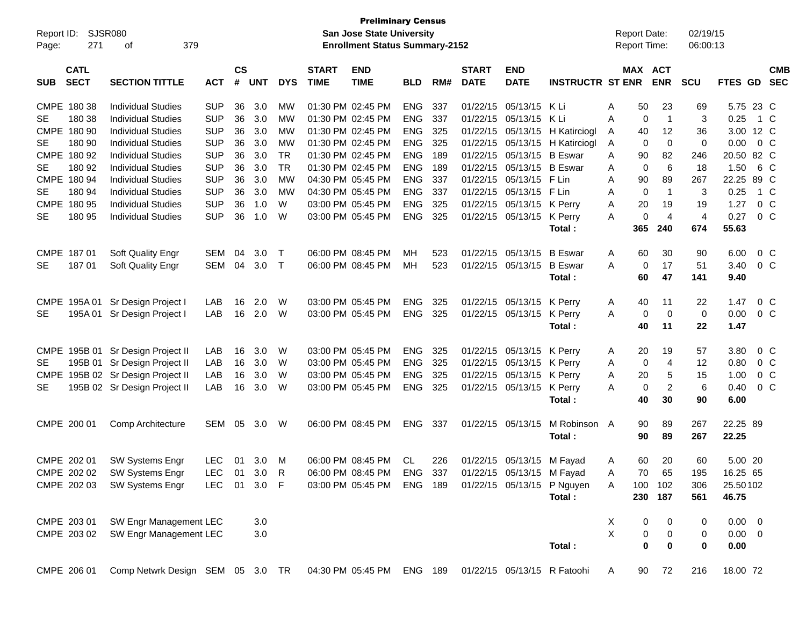| Report ID:<br>Page: | 271                        | SJSR080<br>379<br>оf              |            |                |                  |            |                             | <b>Preliminary Census</b><br>San Jose State University<br><b>Enrollment Status Summary-2152</b> |            |      |                             |                           |                             | <b>Report Date:</b><br>Report Time: |                       | 02/19/15<br>06:00:13  |                |                |                          |
|---------------------|----------------------------|-----------------------------------|------------|----------------|------------------|------------|-----------------------------|-------------------------------------------------------------------------------------------------|------------|------|-----------------------------|---------------------------|-----------------------------|-------------------------------------|-----------------------|-----------------------|----------------|----------------|--------------------------|
| <b>SUB</b>          | <b>CATL</b><br><b>SECT</b> | <b>SECTION TITTLE</b>             | <b>ACT</b> | <b>CS</b><br># | <b>UNT</b>       | <b>DYS</b> | <b>START</b><br><b>TIME</b> | <b>END</b><br><b>TIME</b>                                                                       | <b>BLD</b> | RM#  | <b>START</b><br><b>DATE</b> | <b>END</b><br><b>DATE</b> | <b>INSTRUCTR ST ENR</b>     | MAX ACT                             | <b>ENR</b>            | <b>SCU</b>            | <b>FTES GD</b> |                | <b>CMB</b><br><b>SEC</b> |
|                     | CMPE 180 38                | <b>Individual Studies</b>         | <b>SUP</b> | 36             | 3.0              | MW         |                             | 01:30 PM 02:45 PM                                                                               | <b>ENG</b> | 337  | 01/22/15                    | 05/13/15 K Li             |                             | 50<br>Α                             | 23                    | 69                    | 5.75 23 C      |                |                          |
| SE.                 | 180 38                     | <b>Individual Studies</b>         | <b>SUP</b> | 36             | 3.0              | MW         |                             | 01:30 PM 02:45 PM                                                                               | <b>ENG</b> | 337  | 01/22/15                    | 05/13/15                  | K Li                        | $\mathbf 0$<br>A                    | $\mathbf{1}$          | 3                     | 0.25           | - 1 C          |                          |
|                     | CMPE 180 90                | <b>Individual Studies</b>         | <b>SUP</b> | 36             | 3.0              | MW         |                             | 01:30 PM 02:45 PM                                                                               | <b>ENG</b> | 325  | 01/22/15                    | 05/13/15                  | H Katirciogl                | 40<br>A                             | 12                    | 36                    | 3.00 12 C      |                |                          |
| SE.                 | 180 90                     | <b>Individual Studies</b>         | <b>SUP</b> | 36             | 3.0              | <b>MW</b>  |                             | 01:30 PM 02:45 PM                                                                               | <b>ENG</b> | 325  | 01/22/15                    | 05/13/15                  | H Katirciogl                | Α<br>0                              | $\mathbf 0$           | 0                     | 0.00           | $0\,$ C        |                          |
|                     | CMPE 180 92                | <b>Individual Studies</b>         | <b>SUP</b> | 36             | 3.0              | <b>TR</b>  |                             | 01:30 PM 02:45 PM                                                                               | <b>ENG</b> | 189  | 01/22/15                    | 05/13/15                  | <b>B</b> Eswar              | A<br>90                             | 82                    | 246                   | 20.50 82 C     |                |                          |
| SE                  | 180 92                     | <b>Individual Studies</b>         | <b>SUP</b> | 36             | 3.0              | <b>TR</b>  |                             | 01:30 PM 02:45 PM                                                                               | <b>ENG</b> | 189  | 01/22/15                    | 05/13/15 B Eswar          |                             | $\mathbf 0$<br>Α                    | 6                     | 18                    | 1.50           | 6 C            |                          |
|                     | CMPE 180 94                | <b>Individual Studies</b>         | <b>SUP</b> | 36             | 3.0              | <b>MW</b>  |                             | 04:30 PM 05:45 PM                                                                               | <b>ENG</b> | 337  | 01/22/15                    | 05/13/15 F Lin            |                             | A<br>90                             | 89                    | 267                   | 22.25 89 C     |                |                          |
| SE.                 | 180 94                     | <b>Individual Studies</b>         | <b>SUP</b> | 36             | 3.0              | <b>MW</b>  |                             | 04:30 PM 05:45 PM                                                                               | <b>ENG</b> | 337  |                             | 01/22/15 05/13/15 F Lin   |                             | $\mathbf 0$<br>A                    | $\mathbf{1}$          | 3                     | 0.25           | 1 C            |                          |
|                     | CMPE 180 95                | <b>Individual Studies</b>         | <b>SUP</b> | 36             | 1.0              | W          |                             | 03:00 PM 05:45 PM                                                                               | <b>ENG</b> | 325  |                             | 01/22/15 05/13/15 K Perry |                             | 20<br>Α                             | 19                    | 19                    | 1.27           | 0 <sup>o</sup> |                          |
| <b>SE</b>           | 180 95                     | <b>Individual Studies</b>         | <b>SUP</b> | 36             | 1.0              | W          |                             | 03:00 PM 05:45 PM                                                                               | <b>ENG</b> | 325  |                             | 01/22/15 05/13/15         | K Perry<br>Total:           | 0<br>A<br>365                       | $\overline{4}$<br>240 | $\overline{4}$<br>674 | 0.27<br>55.63  | $0\,C$         |                          |
|                     |                            |                                   |            |                |                  |            |                             |                                                                                                 |            |      |                             |                           |                             |                                     |                       |                       |                |                |                          |
|                     | CMPE 187 01                | Soft Quality Engr                 | <b>SEM</b> | 04             | 3.0 <sub>2</sub> | $\top$     |                             | 06:00 PM 08:45 PM                                                                               | MН         | 523  |                             | 01/22/15 05/13/15         | <b>B</b> Eswar              | 60<br>A                             | 30                    | 90                    | 6.00           | $0\,$ C        |                          |
| <b>SE</b>           | 18701                      | Soft Quality Engr                 | <b>SEM</b> | 04             | 3.0              | $\top$     |                             | 06:00 PM 08:45 PM                                                                               | МH         | 523  |                             | 01/22/15 05/13/15         | <b>B</b> Eswar              | 0<br>А                              | 17                    | 51                    | 3.40           |                | $0\,C$                   |
|                     |                            |                                   |            |                |                  |            |                             |                                                                                                 |            |      |                             |                           | Total:                      | 60                                  | 47                    | 141                   | 9.40           |                |                          |
|                     |                            |                                   |            |                |                  |            |                             |                                                                                                 |            |      |                             |                           |                             |                                     |                       |                       |                |                |                          |
|                     | CMPE 195A 01               | Sr Design Project I               | LAB        | 16             | 2.0              | W          |                             | 03:00 PM 05:45 PM                                                                               | <b>ENG</b> | 325  |                             | 01/22/15 05/13/15 K Perry |                             | 40<br>A                             | 11                    | 22                    | 1.47           | 0 C            |                          |
| SE.                 |                            | 195A 01 Sr Design Project I       | LAB        | 16             | 2.0              | W          |                             | 03:00 PM 05:45 PM                                                                               | <b>ENG</b> | 325  |                             | 01/22/15 05/13/15         | K Perry                     | A<br>0                              | $\mathbf 0$           | $\mathbf 0$           | 0.00           |                | $0\,C$                   |
|                     |                            |                                   |            |                |                  |            |                             |                                                                                                 |            |      |                             |                           | Total:                      | 40                                  | 11                    | 22                    | 1.47           |                |                          |
|                     |                            |                                   |            |                |                  |            |                             |                                                                                                 |            |      |                             |                           |                             |                                     |                       |                       |                |                |                          |
|                     |                            | CMPE 195B 01 Sr Design Project II | LAB        | 16             | 3.0              | W          |                             | 03:00 PM 05:45 PM                                                                               | <b>ENG</b> | 325  |                             | 01/22/15 05/13/15         | K Perry                     | 20<br>A                             | 19                    | 57                    | 3.80           | $0\,$ C        |                          |
| SE.                 |                            | 195B 01 Sr Design Project II      | LAB        | 16             | 3.0              | W          |                             | 03:00 PM 05:45 PM                                                                               | <b>ENG</b> | 325  |                             | 01/22/15 05/13/15         | K Perry                     | 0<br>A                              | 4                     | 12                    | 0.80           | 0 <sup>o</sup> |                          |
|                     |                            | CMPE 195B 02 Sr Design Project II | LAB        | 16             | 3.0              | W          |                             | 03:00 PM 05:45 PM                                                                               | <b>ENG</b> | 325  |                             | 01/22/15 05/13/15         | K Perry                     | 20<br>Α                             | 5                     | 15                    | 1.00           | 0 <sup>o</sup> |                          |
| <b>SE</b>           |                            | 195B 02 Sr Design Project II      | LAB        | 16             | 3.0              | W          |                             | 03:00 PM 05:45 PM                                                                               | <b>ENG</b> | 325  |                             | 01/22/15 05/13/15         | K Perry                     | 0<br>Α                              | $\overline{2}$        | 6                     | 0.40           | 0 <sup>o</sup> |                          |
|                     |                            |                                   |            |                |                  |            |                             |                                                                                                 |            |      |                             |                           | Total:                      | 40                                  | 30                    | 90                    | 6.00           |                |                          |
|                     | CMPE 200 01                | Comp Architecture                 | SEM        | 05             | 3.0              | W          |                             | 06:00 PM 08:45 PM                                                                               | <b>ENG</b> | -337 |                             | 01/22/15 05/13/15         | M Robinson A                | 90                                  | 89                    | 267                   | 22.25 89       |                |                          |
|                     |                            |                                   |            |                |                  |            |                             |                                                                                                 |            |      |                             |                           | Total:                      | 90                                  | 89                    | 267                   | 22.25          |                |                          |
|                     |                            |                                   |            |                |                  |            |                             |                                                                                                 |            |      |                             |                           |                             |                                     |                       |                       |                |                |                          |
|                     | CMPE 202 01                | <b>SW Systems Engr</b>            | <b>LEC</b> | 01             | 3.0              | M          |                             | 06:00 PM 08:45 PM                                                                               | CL         | 226  |                             | 01/22/15 05/13/15 M Fayad |                             | 60<br>A                             | 20                    | 60                    | 5.00 20        |                |                          |
|                     | CMPE 202 02                | SW Systems Engr                   | LEC.       | 01             | 3.0 R            |            |                             | 06:00 PM 08:45 PM ENG 337                                                                       |            |      |                             | 01/22/15 05/13/15 M Fayad |                             | Α<br>70                             | 65                    | 195                   | 16.25 65       |                |                          |
|                     | CMPE 202 03                | SW Systems Engr                   | <b>LEC</b> |                | 01 3.0 F         |            |                             | 03:00 PM 05:45 PM                                                                               | ENG 189    |      |                             |                           | 01/22/15 05/13/15 P Nguyen  | 100<br>A                            | 102                   | 306                   | 25.50102       |                |                          |
|                     |                            |                                   |            |                |                  |            |                             |                                                                                                 |            |      |                             |                           | Total:                      |                                     | 230 187               | 561                   | 46.75          |                |                          |
|                     |                            |                                   |            |                |                  |            |                             |                                                                                                 |            |      |                             |                           |                             |                                     |                       |                       |                |                |                          |
|                     | CMPE 203 01                | SW Engr Management LEC            |            |                | 3.0              |            |                             |                                                                                                 |            |      |                             |                           |                             | X<br>0                              | 0                     | 0                     | $0.00 \t 0$    |                |                          |
|                     | CMPE 203 02                | SW Engr Management LEC            |            |                | 3.0              |            |                             |                                                                                                 |            |      |                             |                           |                             | X<br>$\pmb{0}$                      | $\pmb{0}$             | 0                     | $0.00 \t 0$    |                |                          |
|                     |                            |                                   |            |                |                  |            |                             |                                                                                                 |            |      |                             |                           | Total:                      | $\bf{0}$                            | 0                     | 0                     | 0.00           |                |                          |
|                     |                            |                                   |            |                |                  |            |                             |                                                                                                 |            |      |                             |                           |                             |                                     |                       |                       |                |                |                          |
|                     | CMPE 206 01                | Comp Netwrk Design SEM 05 3.0 TR  |            |                |                  |            |                             | 04:30 PM 05:45 PM ENG 189                                                                       |            |      |                             |                           | 01/22/15 05/13/15 R Fatoohi | 90<br>A                             | 72                    | 216                   | 18.00 72       |                |                          |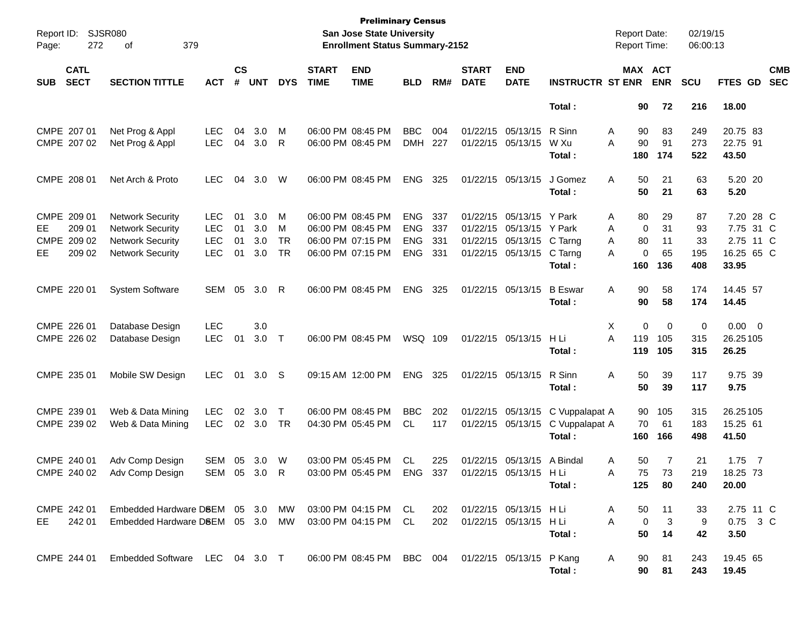| Report ID:<br>Page: | 272                        | <b>SJSR080</b><br>379<br>οf      |              |                    |            |              |                             | <b>Preliminary Census</b><br><b>San Jose State University</b><br><b>Enrollment Status Summary-2152</b> |            |     |                             |                           |                          | <b>Report Date:</b><br>Report Time: |            | 02/19/15<br>06:00:13 |                   |                          |
|---------------------|----------------------------|----------------------------------|--------------|--------------------|------------|--------------|-----------------------------|--------------------------------------------------------------------------------------------------------|------------|-----|-----------------------------|---------------------------|--------------------------|-------------------------------------|------------|----------------------|-------------------|--------------------------|
| <b>SUB</b>          | <b>CATL</b><br><b>SECT</b> | <b>SECTION TITTLE</b>            | <b>ACT</b>   | $\mathsf{cs}$<br># | <b>UNT</b> | <b>DYS</b>   | <b>START</b><br><b>TIME</b> | <b>END</b><br><b>TIME</b>                                                                              | <b>BLD</b> | RM# | <b>START</b><br><b>DATE</b> | <b>END</b><br><b>DATE</b> | <b>INSTRUCTR ST ENR</b>  | MAX ACT                             | <b>ENR</b> | <b>SCU</b>           | FTES GD           | <b>CMB</b><br><b>SEC</b> |
|                     |                            |                                  |              |                    |            |              |                             |                                                                                                        |            |     |                             |                           | Total:                   | 90                                  | 72         | 216                  | 18.00             |                          |
|                     | CMPE 207 01                | Net Prog & Appl                  | <b>LEC</b>   | 04                 | 3.0        | М            |                             | 06:00 PM 08:45 PM                                                                                      | <b>BBC</b> | 004 |                             | 01/22/15 05/13/15         | R Sinn                   | Α<br>90                             | 83         | 249                  | 20.75 83          |                          |
|                     | CMPE 207 02                | Net Prog & Appl                  | <b>LEC</b>   | 04                 | 3.0        | $\mathsf{R}$ |                             | 06:00 PM 08:45 PM                                                                                      | <b>DMH</b> | 227 |                             | 01/22/15 05/13/15         | W Xu<br>Total:           | A<br>90<br>180                      | 91<br>174  | 273<br>522           | 22.75 91<br>43.50 |                          |
|                     | CMPE 208 01                | Net Arch & Proto                 | <b>LEC</b>   | 04                 | 3.0        | W            |                             | 06:00 PM 08:45 PM                                                                                      | <b>ENG</b> | 325 |                             | 01/22/15 05/13/15         | J Gomez<br>Total:        | Α<br>50<br>50                       | 21<br>21   | 63<br>63             | 5.20 20<br>5.20   |                          |
|                     | CMPE 209 01                | <b>Network Security</b>          | <b>LEC</b>   | 01                 | 3.0        | М            |                             | 06:00 PM 08:45 PM                                                                                      | <b>ENG</b> | 337 |                             | 01/22/15 05/13/15         | Y Park                   | 80<br>Α                             | 29         | 87                   | 7.20 28 C         |                          |
| EE.                 | 209 01                     | <b>Network Security</b>          | <b>LEC</b>   | 01                 | 3.0        | М            |                             | 06:00 PM 08:45 PM                                                                                      | <b>ENG</b> | 337 |                             | 01/22/15 05/13/15         | Y Park                   | $\mathbf 0$<br>Α                    | 31         | 93                   | 7.75 31 C         |                          |
| CMPE                | 209 02                     | <b>Network Security</b>          | <b>LEC</b>   | 01                 | 3.0        | <b>TR</b>    |                             | 06:00 PM 07:15 PM                                                                                      | <b>ENG</b> | 331 |                             | 01/22/15 05/13/15         | C Tarng                  | Α<br>80                             | 11         | 33                   | 2.75 11 C         |                          |
| EE                  | 209 02                     | <b>Network Security</b>          | <b>LEC</b>   | 01                 | 3.0        | <b>TR</b>    |                             | 06:00 PM 07:15 PM                                                                                      | <b>ENG</b> | 331 |                             | 01/22/15 05/13/15         | C Tarng                  | 0<br>A                              | 65         | 195                  | 16.25 65 C        |                          |
|                     |                            |                                  |              |                    |            |              |                             |                                                                                                        |            |     |                             |                           | Total:                   | 160                                 | 136        | 408                  | 33.95             |                          |
|                     | CMPE 220 01                | <b>System Software</b>           | <b>SEM</b>   | 05                 | 3.0        | -R           |                             | 06:00 PM 08:45 PM                                                                                      | <b>ENG</b> | 325 |                             | 01/22/15 05/13/15         | <b>B</b> Eswar<br>Total: | 90<br>Α<br>90                       | 58<br>58   | 174<br>174           | 14.45 57<br>14.45 |                          |
|                     | CMPE 226 01                | Database Design                  | <b>LEC</b>   |                    | 3.0        |              |                             |                                                                                                        |            |     |                             |                           |                          | Χ<br>0                              | 0          | 0                    | $0.00 \t 0$       |                          |
|                     | CMPE 226 02                | Database Design                  | <b>LEC</b>   | 01                 | 3.0        | $\top$       |                             | 06:00 PM 08:45 PM                                                                                      | WSQ 109    |     |                             | 01/22/15 05/13/15         | H Li                     | A<br>119                            | 105        | 315                  | 26.25105          |                          |
|                     |                            |                                  |              |                    |            |              |                             |                                                                                                        |            |     |                             |                           | Total:                   | 119                                 | 105        | 315                  | 26.25             |                          |
|                     | CMPE 235 01                | Mobile SW Design                 | <b>LEC</b>   | 01                 | 3.0        | -S           |                             | 09:15 AM 12:00 PM                                                                                      | <b>ENG</b> | 325 |                             | 01/22/15 05/13/15         | R Sinn                   | 50<br>Α                             | 39         | 117                  | 9.75 39           |                          |
|                     |                            |                                  |              |                    |            |              |                             |                                                                                                        |            |     |                             |                           | Total:                   | 50                                  | 39         | 117                  | 9.75              |                          |
|                     | CMPE 239 01                | Web & Data Mining                | <b>LEC</b>   | 02                 | 3.0        | T            |                             | 06:00 PM 08:45 PM                                                                                      | <b>BBC</b> | 202 |                             | 01/22/15 05/13/15         | C Vuppalapat A           | 90                                  | 105        | 315                  | 26.25105          |                          |
|                     | CMPE 239 02                | Web & Data Mining                | <b>LEC</b>   |                    | 02 3.0     | <b>TR</b>    |                             | 04:30 PM 05:45 PM                                                                                      | CL.        | 117 |                             | 01/22/15 05/13/15         | C Vuppalapat A           | 70                                  | 61         | 183                  | 15.25 61          |                          |
|                     |                            |                                  |              |                    |            |              |                             |                                                                                                        |            |     |                             |                           | Total:                   | 160                                 | 166        | 498                  | 41.50             |                          |
|                     | CMPE 240 01                | Adv Comp Design                  | <b>SEM</b>   | 05                 | 3.0        | W            |                             | 03:00 PM 05:45 PM                                                                                      | <b>CL</b>  | 225 |                             | 01/22/15 05/13/15         | A Bindal                 | Α<br>50                             | 7          | 21                   | $1.75$ 7          |                          |
|                     |                            | CMPE 240 02 Adv Comp Design      | SEM 05 3.0 R |                    |            |              |                             | 03:00 PM 05:45 PM                                                                                      | ENG        | 337 |                             | 01/22/15 05/13/15 H Li    |                          | 75<br>A                             | 73         | 219                  | 18.25 73          |                          |
|                     |                            |                                  |              |                    |            |              |                             |                                                                                                        |            |     |                             |                           | Total:                   | 125                                 | 80         | 240                  | 20.00             |                          |
|                     | CMPE 242 01                | Embedded Hardware DSEM 05 3.0 MW |              |                    |            |              |                             | 03:00 PM 04:15 PM CL                                                                                   |            | 202 |                             | 01/22/15 05/13/15 HLi     |                          | 50<br>A                             | 11         | 33                   | 2.75 11 C         |                          |
| EE.                 | 242 01                     | Embedded Hardware D8EM 05 3.0 MW |              |                    |            |              |                             | 03:00 PM 04:15 PM CL                                                                                   |            | 202 |                             | 01/22/15 05/13/15 HLi     |                          | A<br>$\mathbf 0$                    | 3          | 9                    | 0.75 3 C          |                          |
|                     |                            |                                  |              |                    |            |              |                             |                                                                                                        |            |     |                             |                           | Total:                   | 50                                  | 14         | 42                   | 3.50              |                          |
|                     | CMPE 244 01                | Embedded Software LEC 04 3.0 T   |              |                    |            |              |                             | 06:00 PM 08:45 PM BBC 004                                                                              |            |     | 01/22/15 05/13/15 P Kang    |                           | Total:                   | A<br>90<br>90                       | 81<br>81   | 243<br>243           | 19.45 65<br>19.45 |                          |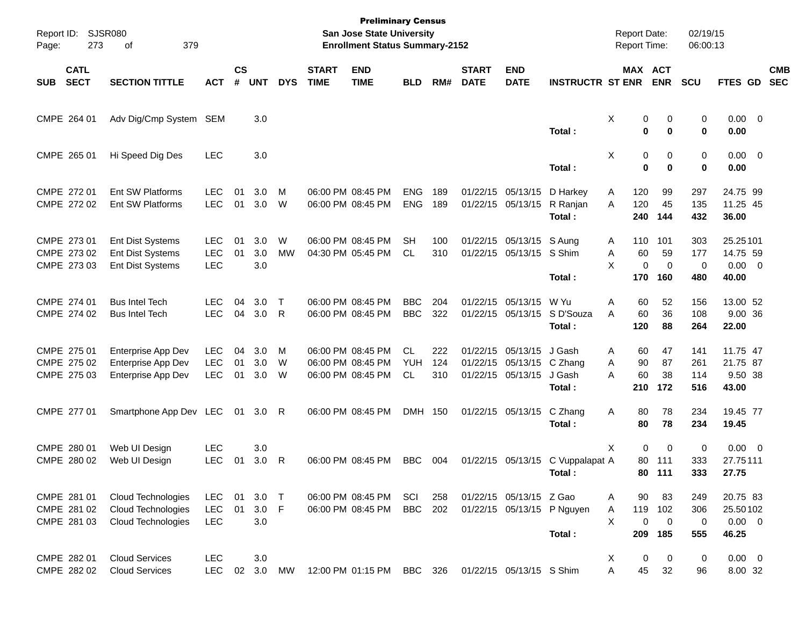| Report ID:<br>Page: | 273                                       | <b>SJSR080</b><br>379<br>of                                                   |                                        |                    |                   |                   |                             | <b>Preliminary Census</b><br><b>San Jose State University</b><br><b>Enrollment Status Summary-2152</b> |                                |                   |                             |                                                                            |                                               | <b>Report Date:</b><br>Report Time:  |                                                 | 02/19/15<br>06:00:13     |                                              |                          |
|---------------------|-------------------------------------------|-------------------------------------------------------------------------------|----------------------------------------|--------------------|-------------------|-------------------|-----------------------------|--------------------------------------------------------------------------------------------------------|--------------------------------|-------------------|-----------------------------|----------------------------------------------------------------------------|-----------------------------------------------|--------------------------------------|-------------------------------------------------|--------------------------|----------------------------------------------|--------------------------|
| <b>SUB</b>          | <b>CATL</b><br><b>SECT</b>                | <b>SECTION TITTLE</b>                                                         | <b>ACT</b>                             | $\mathsf{cs}$<br># | <b>UNT</b>        | <b>DYS</b>        | <b>START</b><br><b>TIME</b> | <b>END</b><br><b>TIME</b>                                                                              | <b>BLD</b>                     | RM#               | <b>START</b><br><b>DATE</b> | <b>END</b><br><b>DATE</b>                                                  | <b>INSTRUCTR ST ENR</b>                       |                                      | MAX ACT<br><b>ENR</b>                           | SCU                      | FTES GD                                      | <b>CMB</b><br><b>SEC</b> |
|                     | CMPE 264 01                               | Adv Dig/Cmp System SEM                                                        |                                        |                    | 3.0               |                   |                             |                                                                                                        |                                |                   |                             |                                                                            | Total:                                        | Χ                                    | 0<br>0<br>0<br>0                                | 0<br>0                   | $0.00 \t 0$<br>0.00                          |                          |
|                     | CMPE 265 01                               | Hi Speed Dig Des                                                              | <b>LEC</b>                             |                    | 3.0               |                   |                             |                                                                                                        |                                |                   |                             |                                                                            | Total:                                        | X                                    | 0<br>0<br>0<br>0                                | 0<br>0                   | $0.00 \t 0$<br>0.00                          |                          |
|                     | CMPE 272 01<br>CMPE 272 02                | Ent SW Platforms<br>Ent SW Platforms                                          | <b>LEC</b><br><b>LEC</b>               | 01<br>01           | 3.0<br>3.0        | M<br>W            |                             | 06:00 PM 08:45 PM<br>06:00 PM 08:45 PM                                                                 | <b>ENG</b><br><b>ENG</b>       | 189<br>189        |                             | 01/22/15 05/13/15<br>01/22/15 05/13/15                                     | D Harkey<br>R Ranjan<br>Total:                | 120<br>A<br>120<br>A<br>240          | 99<br>45<br>144                                 | 297<br>135<br>432        | 24.75 99<br>11.25 45<br>36.00                |                          |
|                     | CMPE 273 01<br>CMPE 273 02<br>CMPE 273 03 | <b>Ent Dist Systems</b><br><b>Ent Dist Systems</b><br><b>Ent Dist Systems</b> | <b>LEC</b><br>LEC<br><b>LEC</b>        | 01<br>01           | 3.0<br>3.0<br>3.0 | W<br><b>MW</b>    |                             | 06:00 PM 08:45 PM<br>04:30 PM 05:45 PM                                                                 | SН<br>CL                       | 100<br>310        |                             | 01/22/15 05/13/15 S Aung<br>01/22/15 05/13/15 S Shim                       | Total:                                        | 110<br>A<br>60<br>Α<br>X<br>170      | 101<br>59<br>0<br>$\mathbf 0$<br>160            | 303<br>177<br>0<br>480   | 25.25101<br>14.75 59<br>$0.00 \t 0$<br>40.00 |                          |
|                     | CMPE 274 01<br>CMPE 274 02                | <b>Bus Intel Tech</b><br><b>Bus Intel Tech</b>                                | <b>LEC</b><br><b>LEC</b>               | 04<br>04           | 3.0<br>3.0        | $\mathsf{T}$<br>R |                             | 06:00 PM 08:45 PM<br>06:00 PM 08:45 PM                                                                 | <b>BBC</b><br><b>BBC</b>       | 204<br>322        |                             | 01/22/15 05/13/15                                                          | W Yu<br>01/22/15 05/13/15 S D'Souza<br>Total: | Α<br>60<br>A<br>60<br>120            | 52<br>36<br>88                                  | 156<br>108<br>264        | 13.00 52<br>9.00 36<br>22.00                 |                          |
|                     | CMPE 275 01<br>CMPE 275 02<br>CMPE 275 03 | Enterprise App Dev<br>Enterprise App Dev<br>Enterprise App Dev                | <b>LEC</b><br><b>LEC</b><br><b>LEC</b> | 04<br>01<br>01     | 3.0<br>3.0<br>3.0 | M<br>W<br>W       |                             | 06:00 PM 08:45 PM<br>06:00 PM 08:45 PM<br>06:00 PM 08:45 PM                                            | <b>CL</b><br><b>YUH</b><br>CL. | 222<br>124<br>310 |                             | 01/22/15 05/13/15<br>01/22/15 05/13/15 C Zhang<br>01/22/15 05/13/15 J Gash | J Gash<br>Total:                              | 60<br>Α<br>90<br>Α<br>60<br>A<br>210 | 47<br>87<br>38<br>172                           | 141<br>261<br>114<br>516 | 11.75 47<br>21.75 87<br>9.50 38<br>43.00     |                          |
|                     | CMPE 277 01                               | Smartphone App Dev LEC                                                        |                                        | 01                 | 3.0               | R                 |                             | 06:00 PM 08:45 PM                                                                                      | DMH 150                        |                   |                             | 01/22/15 05/13/15                                                          | C Zhang<br>Total :                            | Α<br>80<br>80                        | 78<br>78                                        | 234<br>234               | 19.45 77<br>19.45                            |                          |
|                     | CMPE 280 01<br>CMPE 280 02                | Web UI Design<br>Web UI Design                                                | <b>LEC</b><br><b>LEC</b>               | 01                 | 3.0<br>3.0        | R                 |                             | 06:00 PM 08:45 PM                                                                                      | <b>BBC</b>                     | 004               |                             |                                                                            | 01/22/15 05/13/15 C Vuppalapat A<br>Total :   | X                                    | $\Omega$<br>$\Omega$<br>80<br>111<br>80 111     | 0<br>333<br>333          | $0.00 \t 0$<br>27.75111<br>27.75             |                          |
|                     | CMPE 281 01<br>CMPE 281 02<br>CMPE 281 03 | Cloud Technologies<br>Cloud Technologies<br>Cloud Technologies                | LEC<br><b>LEC</b><br>LEC               | 01<br>01           | 3.0<br>3.0<br>3.0 | $\top$<br>F       |                             | 06:00 PM 08:45 PM<br>06:00 PM 08:45 PM                                                                 | SCI<br><b>BBC</b>              | 258<br>202        |                             | 01/22/15 05/13/15 Z Gao                                                    | 01/22/15 05/13/15 P Nguyen<br>Total:          | 90<br>A<br>119<br>Α<br>X<br>209      | 83<br>102<br>$\pmb{0}$<br>$\overline{0}$<br>185 | 249<br>306<br>0<br>555   | 20.75 83<br>25.50102<br>$0.00 \t 0$<br>46.25 |                          |
|                     | CMPE 282 01<br>CMPE 282 02                | <b>Cloud Services</b><br><b>Cloud Services</b>                                | LEC<br><b>LEC</b>                      | 02                 | 3.0<br>3.0        | MW                |                             | 12:00 PM 01:15 PM                                                                                      | BBC 326                        |                   |                             | 01/22/15 05/13/15 S Shim                                                   |                                               | X<br>45<br>Α                         | $\pmb{0}$<br>0<br>32                            | $\pmb{0}$<br>96          | $0.00 \t 0$<br>8.00 32                       |                          |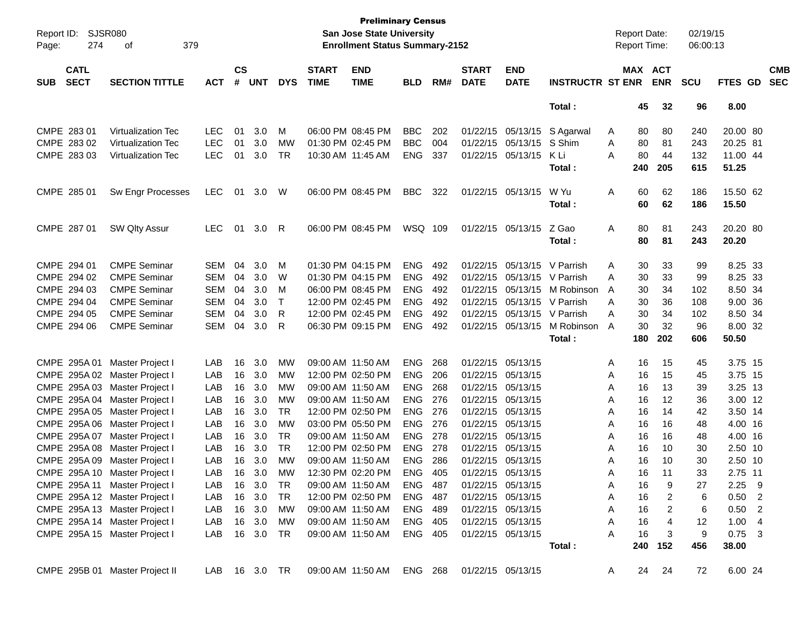| Report ID:<br>274<br>Page:               | SJSR080<br>379<br>οf           |               |                |            |            |                             | <b>Preliminary Census</b><br><b>San Jose State University</b><br><b>Enrollment Status Summary-2152</b> |                |       |                             |                           |                         |   | <b>Report Date:</b><br><b>Report Time:</b> |            | 02/19/15<br>06:00:13 |          |                          |
|------------------------------------------|--------------------------------|---------------|----------------|------------|------------|-----------------------------|--------------------------------------------------------------------------------------------------------|----------------|-------|-----------------------------|---------------------------|-------------------------|---|--------------------------------------------|------------|----------------------|----------|--------------------------|
| <b>CATL</b><br><b>SECT</b><br><b>SUB</b> | <b>SECTION TITTLE</b>          | <b>ACT</b>    | <b>CS</b><br># | <b>UNT</b> | <b>DYS</b> | <b>START</b><br><b>TIME</b> | <b>END</b><br><b>TIME</b>                                                                              | <b>BLD</b>     | RM#   | <b>START</b><br><b>DATE</b> | <b>END</b><br><b>DATE</b> | <b>INSTRUCTR ST ENR</b> |   | MAX ACT                                    | <b>ENR</b> | <b>SCU</b>           | FTES GD  | <b>CMB</b><br><b>SEC</b> |
|                                          |                                |               |                |            |            |                             |                                                                                                        |                |       |                             |                           | Total:                  |   | 45                                         | 32         | 96                   | 8.00     |                          |
| CMPE 283 01                              | Virtualization Tec             | <b>LEC</b>    | 01             | 3.0        | M          |                             | 06:00 PM 08:45 PM                                                                                      | <b>BBC</b>     | 202   |                             | 01/22/15 05/13/15         | S Agarwal               | A | 80                                         | 80         | 240                  | 20.00 80 |                          |
| CMPE 283 02                              | Virtualization Tec             | <b>LEC</b>    | 01             | 3.0        | MW         | 01:30 PM 02:45 PM           |                                                                                                        | <b>BBC</b>     | 004   | 01/22/15                    | 05/13/15                  | S Shim                  | Α | 80                                         | 81         | 243                  | 20.25 81 |                          |
| CMPE 283 03                              | Virtualization Tec             | <b>LEC</b>    | 01             | 3.0        | TR         | 10:30 AM 11:45 AM           |                                                                                                        | <b>ENG</b>     | 337   | 01/22/15                    | 05/13/15                  | K Li                    | A | 80                                         | 44         | 132                  | 11.00 44 |                          |
|                                          |                                |               |                |            |            |                             |                                                                                                        |                |       |                             |                           | Total:                  |   | 240                                        | 205        | 615                  | 51.25    |                          |
| CMPE 285 01                              | Sw Engr Processes              | LEC           | 01             | 3.0        | W          |                             | 06:00 PM 08:45 PM                                                                                      | <b>BBC</b>     | 322   | 01/22/15                    | 05/13/15                  | W Yu                    | Α | 60                                         | 62         | 186                  | 15.50 62 |                          |
|                                          |                                |               |                |            |            |                             |                                                                                                        |                |       |                             |                           | Total:                  |   | 60                                         | 62         | 186                  | 15.50    |                          |
| CMPE 287 01                              | <b>SW Qlty Assur</b>           | <b>LEC</b>    | 01             | 3.0        | R          |                             | 06:00 PM 08:45 PM                                                                                      | WSQ 109        |       | 01/22/15                    | 05/13/15                  | Z Gao                   | Α | 80                                         | 81         | 243                  | 20.20 80 |                          |
|                                          |                                |               |                |            |            |                             |                                                                                                        |                |       |                             |                           | Total:                  |   | 80                                         | 81         | 243                  | 20.20    |                          |
| CMPE 294 01                              | <b>CMPE Seminar</b>            | <b>SEM</b>    | 04             | 3.0        | M          |                             | 01:30 PM 04:15 PM                                                                                      | <b>ENG</b>     | 492   | 01/22/15                    | 05/13/15                  | V Parrish               | A | 30                                         | 33         | 99                   | 8.25 33  |                          |
| CMPE 294 02                              | <b>CMPE Seminar</b>            | <b>SEM</b>    | 04             | 3.0        | W          |                             | 01:30 PM 04:15 PM                                                                                      | <b>ENG</b>     | 492   | 01/22/15                    | 05/13/15                  | V Parrish               | A | 30                                         | 33         | 99                   | 8.25 33  |                          |
| CMPE 294 03                              | <b>CMPE Seminar</b>            | <b>SEM</b>    | 04             | 3.0        | м          |                             | 06:00 PM 08:45 PM                                                                                      | <b>ENG</b>     | 492   | 01/22/15                    | 05/13/15                  | M Robinson              | A | 30                                         | 34         | 102                  | 8.50 34  |                          |
| CMPE 294 04                              | <b>CMPE Seminar</b>            | <b>SEM</b>    | 04             | 3.0        | Τ          |                             | 12:00 PM 02:45 PM                                                                                      | <b>ENG</b>     | 492   | 01/22/15                    | 05/13/15                  | V Parrish               | A | 30                                         | 36         | 108                  | 9.00 36  |                          |
| CMPE 294 05                              | <b>CMPE Seminar</b>            | <b>SEM</b>    | 04             | 3.0        | R          |                             | 12:00 PM 02:45 PM                                                                                      | <b>ENG</b>     | 492   | 01/22/15                    | 05/13/15                  | V Parrish               | A | 30                                         | 34         | 102                  | 8.50 34  |                          |
| CMPE 294 06                              | <b>CMPE Seminar</b>            | <b>SEM</b>    | 04             | 3.0        | R          |                             | 06:30 PM 09:15 PM                                                                                      | <b>ENG</b>     | 492   | 01/22/15                    | 05/13/15                  | M Robinson              | A | 30                                         | 32         | 96                   | 8.00 32  |                          |
|                                          |                                |               |                |            |            |                             |                                                                                                        |                |       |                             |                           | Total:                  |   | 180                                        | 202        | 606                  | 50.50    |                          |
| CMPE 295A 01                             | Master Project I               | LAB           | 16             | 3.0        | MW         | 09:00 AM 11:50 AM           |                                                                                                        | <b>ENG</b>     | 268   | 01/22/15                    | 05/13/15                  |                         | A | 16                                         | 15         | 45                   | 3.75 15  |                          |
| CMPE 295A 02                             | Master Project I               | LAB           | 16             | 3.0        | <b>MW</b>  |                             | 12:00 PM 02:50 PM                                                                                      | <b>ENG</b>     | 206   | 01/22/15                    | 05/13/15                  |                         | Α | 16                                         | 15         | 45                   | 3.75 15  |                          |
| CMPE 295A 03                             | Master Project I               | LAB           | 16             | 3.0        | МW         | 09:00 AM 11:50 AM           |                                                                                                        | <b>ENG</b>     | 268   | 01/22/15                    | 05/13/15                  |                         | Α | 16                                         | 13         | 39                   | 3.25 13  |                          |
| CMPE 295A 04                             | Master Project I               | LAB           | 16             | 3.0        | МW         | 09:00 AM 11:50 AM           |                                                                                                        | <b>ENG</b>     | 276   | 01/22/15                    | 05/13/15                  |                         | Α | 16                                         | 12         | 36                   | 3.00 12  |                          |
| CMPE 295A 05                             | Master Project I               | LAB           | 16             | 3.0        | <b>TR</b>  |                             | 12:00 PM 02:50 PM                                                                                      | <b>ENG</b>     | 276   | 01/22/15                    | 05/13/15                  |                         | Α | 16                                         | 14         | 42                   | 3.50 14  |                          |
| CMPE 295A 06                             | Master Project I               | LAB           | 16             | 3.0        | МW         |                             | 03:00 PM 05:50 PM                                                                                      | <b>ENG</b>     | 276   | 01/22/15                    | 05/13/15                  |                         | Α | 16                                         | 16         | 48                   | 4.00 16  |                          |
| CMPE 295A 07                             | Master Project I               | LAB           | 16             | 3.0        | <b>TR</b>  | 09:00 AM 11:50 AM           |                                                                                                        | <b>ENG</b>     | 278   | 01/22/15                    | 05/13/15                  |                         | Α | 16                                         | 16         | 48                   | 4.00 16  |                          |
| CMPE 295A 08                             | Master Project I               | LAB           | 16             | 3.0        | <b>TR</b>  |                             | 12:00 PM 02:50 PM                                                                                      | <b>ENG</b>     | 278   | 01/22/15                    | 05/13/15                  |                         | Α | 16                                         | 10         | 30                   | 2.50 10  |                          |
| CMPE 295A 09                             | Master Project I               | LAB           | 16             | 3.0        | МW         | 09:00 AM 11:50 AM           |                                                                                                        | <b>ENG</b>     | 286   | 01/22/15                    | 05/13/15                  |                         | Α | 16                                         | 10         | 30                   | 2.50 10  |                          |
| CMPE 295A 10 Master Project I            |                                | LAB           |                | 16 3.0     | МW         |                             | 12:30 PM 02:20 PM                                                                                      | ENG 405        |       | 01/22/15 05/13/15           |                           |                         | A | 16                                         | 11         | 33                   | 2.75 11  |                          |
| CMPE 295A 11 Master Project I            |                                | LAB           |                | 16 3.0     | TR         |                             | 09:00 AM 11:50 AM                                                                                      | ENG            | - 487 | 01/22/15 05/13/15           |                           |                         | Α | 16                                         | 9          | 27                   | 2.25     | - 9                      |
| CMPE 295A 12 Master Project I            |                                | LAB           |                | 16 3.0     | TR         |                             | 12:00 PM 02:50 PM                                                                                      | <b>ENG 487</b> |       | 01/22/15 05/13/15           |                           |                         | Α | 16                                         | 2          | 6                    | 0.50     | $\overline{\phantom{0}}$ |
| CMPE 295A 13 Master Project I            |                                | LAB           |                | 16 3.0     | МW         | 09:00 AM 11:50 AM           |                                                                                                        | ENG 489        |       | 01/22/15 05/13/15           |                           |                         | Α | 16                                         | 2          | 6                    | 0.50     | $\overline{\phantom{0}}$ |
| CMPE 295A 14 Master Project I            |                                | LAB           |                | 16 3.0     | МW         | 09:00 AM 11:50 AM           |                                                                                                        | ENG 405        |       | 01/22/15 05/13/15           |                           |                         | Α | 16                                         | 4          | 12                   | 1.00     | $\overline{4}$           |
| CMPE 295A 15 Master Project I            |                                | LAB           |                | 16 3.0     | TR         |                             | 09:00 AM 11:50 AM                                                                                      | ENG 405        |       | 01/22/15 05/13/15           |                           |                         | Α | 16                                         | 3          | 9                    | $0.75$ 3 |                          |
|                                          |                                |               |                |            |            |                             |                                                                                                        |                |       |                             |                           | Total:                  |   | 240                                        | 152        | 456                  | 38.00    |                          |
|                                          | CMPE 295B 01 Master Project II | LAB 16 3.0 TR |                |            |            |                             | 09:00 AM 11:50 AM                                                                                      | ENG 268        |       | 01/22/15 05/13/15           |                           |                         | A | 24                                         | 24         | 72                   | 6.00 24  |                          |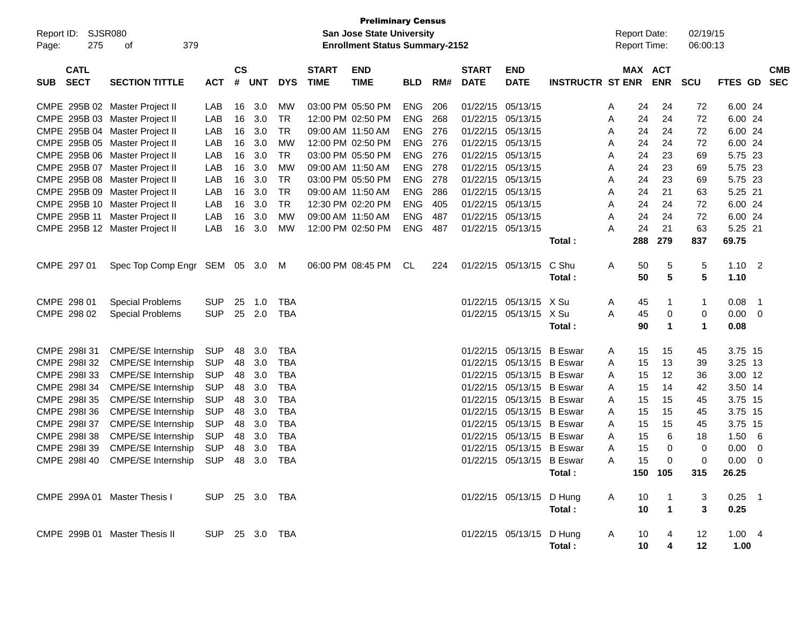| Report ID: SJSR080<br>275<br>Page:       | 379<br>οf                                                        |                |                    |            |            |                             | <b>Preliminary Census</b><br><b>San Jose State University</b><br><b>Enrollment Status Summary-2152</b> |                          |            |                             |                                        |                         |        |          | <b>Report Date:</b><br><b>Report Time:</b> | 02/19/15<br>06:00:13 |                    |                         |            |
|------------------------------------------|------------------------------------------------------------------|----------------|--------------------|------------|------------|-----------------------------|--------------------------------------------------------------------------------------------------------|--------------------------|------------|-----------------------------|----------------------------------------|-------------------------|--------|----------|--------------------------------------------|----------------------|--------------------|-------------------------|------------|
| <b>CATL</b><br><b>SECT</b><br><b>SUB</b> | <b>SECTION TITTLE</b>                                            | <b>ACT</b>     | $\mathsf{cs}$<br># | <b>UNT</b> | <b>DYS</b> | <b>START</b><br><b>TIME</b> | <b>END</b><br><b>TIME</b>                                                                              | <b>BLD</b>               | RM#        | <b>START</b><br><b>DATE</b> | <b>END</b><br><b>DATE</b>              | <b>INSTRUCTR ST ENR</b> |        |          | MAX ACT<br><b>ENR</b>                      | <b>SCU</b>           | FTES GD SEC        |                         | <b>CMB</b> |
|                                          |                                                                  |                |                    |            |            |                             |                                                                                                        |                          |            |                             |                                        |                         |        |          |                                            |                      |                    |                         |            |
|                                          | CMPE 295B 02 Master Project II<br>CMPE 295B 03 Master Project II | LAB<br>LAB     | 16<br>16           | 3.0<br>3.0 | MW<br>TR   |                             | 03:00 PM 05:50 PM<br>12:00 PM 02:50 PM                                                                 | <b>ENG</b><br><b>ENG</b> | 206<br>268 |                             | 01/22/15 05/13/15<br>01/22/15 05/13/15 |                         | A<br>A | 24<br>24 | 24<br>24                                   | 72<br>72             | 6.00 24<br>6.00 24 |                         |            |
|                                          | CMPE 295B 04 Master Project II                                   | LAB            | 16                 | 3.0        | TR         |                             | 09:00 AM 11:50 AM                                                                                      | <b>ENG</b>               | 276        |                             | 01/22/15 05/13/15                      |                         | A      | 24       | 24                                         | 72                   | 6.00 24            |                         |            |
|                                          | CMPE 295B 05 Master Project II                                   | LAB            | 16                 | 3.0        | MW         |                             | 12:00 PM 02:50 PM                                                                                      | <b>ENG</b>               | 276        |                             | 01/22/15 05/13/15                      |                         | A      | 24       | 24                                         | 72                   | 6.00 24            |                         |            |
|                                          | CMPE 295B 06 Master Project II                                   | LAB            | 16                 | 3.0        | <b>TR</b>  |                             | 03:00 PM 05:50 PM                                                                                      | <b>ENG</b>               | 276        |                             | 01/22/15 05/13/15                      |                         | A      | 24       | 23                                         | 69                   | 5.75 23            |                         |            |
|                                          | CMPE 295B 07 Master Project II                                   | LAB            | 16                 | 3.0        | MW         |                             | 09:00 AM 11:50 AM                                                                                      | <b>ENG</b>               | 278        |                             | 01/22/15 05/13/15                      |                         | A      | 24       | 23                                         | 69                   | 5.75 23            |                         |            |
|                                          | CMPE 295B 08 Master Project II                                   | LAB            | 16                 | 3.0        | <b>TR</b>  |                             | 03:00 PM 05:50 PM                                                                                      | <b>ENG</b>               | 278        |                             | 01/22/15 05/13/15                      |                         | A      | 24       | 23                                         | 69                   | 5.75 23            |                         |            |
|                                          | CMPE 295B 09 Master Project II                                   | LAB            | 16                 | 3.0        | <b>TR</b>  |                             | 09:00 AM 11:50 AM                                                                                      | <b>ENG</b>               | 286        |                             | 01/22/15 05/13/15                      |                         | A      | 24       | 21                                         | 63                   | 5.25 21            |                         |            |
|                                          | CMPE 295B 10 Master Project II                                   | LAB            | 16                 | 3.0        | <b>TR</b>  |                             | 12:30 PM 02:20 PM                                                                                      | <b>ENG</b>               | 405        |                             | 01/22/15 05/13/15                      |                         | A      | 24       | 24                                         | 72                   | 6.00 24            |                         |            |
|                                          | CMPE 295B 11 Master Project II                                   | LAB            | 16                 | 3.0        | MW         |                             | 09:00 AM 11:50 AM                                                                                      | <b>ENG</b>               | 487        |                             | 01/22/15 05/13/15                      |                         | A      | 24       | 24                                         | 72                   | 6.00 24            |                         |            |
|                                          | CMPE 295B 12 Master Project II                                   | LAB            | 16                 | 3.0        | MW         |                             | 12:00 PM 02:50 PM                                                                                      | <b>ENG</b>               | 487        |                             | 01/22/15 05/13/15                      |                         | A      | 24       | 21                                         | 63                   | 5.25 21            |                         |            |
|                                          |                                                                  |                |                    |            |            |                             |                                                                                                        |                          |            |                             |                                        | Total:                  |        | 288      | 279                                        | 837                  | 69.75              |                         |            |
|                                          |                                                                  |                |                    |            |            |                             |                                                                                                        |                          |            |                             |                                        |                         |        |          |                                            |                      |                    |                         |            |
| CMPE 297 01                              | Spec Top Comp Engr SEM 05 3.0                                    |                |                    |            | M          |                             | 06:00 PM 08:45 PM                                                                                      | CL                       | 224        |                             | 01/22/15 05/13/15                      | C Shu                   | A      | 50       | 5                                          | 5                    | $1.10$ 2           |                         |            |
|                                          |                                                                  |                |                    |            |            |                             |                                                                                                        |                          |            |                             |                                        | Total:                  |        | 50       | $5\phantom{.0}$                            | $5\phantom{.0}$      | 1.10               |                         |            |
| CMPE 298 01                              | <b>Special Problems</b>                                          | <b>SUP</b>     | 25                 | 1.0        | TBA        |                             |                                                                                                        |                          |            |                             | 01/22/15 05/13/15 X Su                 |                         | A      | 45       | 1                                          | $\mathbf{1}$         | 0.08               | - 1                     |            |
| CMPE 298 02                              | <b>Special Problems</b>                                          | <b>SUP</b>     | 25                 | 2.0        | <b>TBA</b> |                             |                                                                                                        |                          |            |                             | 01/22/15 05/13/15 X Su                 |                         | Α      | 45       | 0                                          | 0                    | $0.00 \t 0$        |                         |            |
|                                          |                                                                  |                |                    |            |            |                             |                                                                                                        |                          |            |                             |                                        | Total:                  |        | 90       | 1                                          | $\blacktriangleleft$ | 0.08               |                         |            |
|                                          |                                                                  |                |                    |            |            |                             |                                                                                                        |                          |            |                             |                                        |                         |        |          |                                            |                      |                    |                         |            |
| CMPE 298131                              | <b>CMPE/SE Internship</b>                                        | <b>SUP</b>     | 48                 | 3.0        | TBA        |                             |                                                                                                        |                          |            |                             | 01/22/15 05/13/15 B Eswar              |                         | A      | 15       | 15                                         | 45                   | 3.75 15            |                         |            |
| CMPE 2981 32                             | <b>CMPE/SE Internship</b>                                        | <b>SUP</b>     | 48                 | 3.0        | TBA        |                             |                                                                                                        |                          |            |                             | 01/22/15 05/13/15 B Eswar              |                         | A      | 15       | 13                                         | 39                   | 3.25 13            |                         |            |
| CMPE 2981 33                             | <b>CMPE/SE Internship</b>                                        | <b>SUP</b>     | 48                 | 3.0        | TBA        |                             |                                                                                                        |                          |            |                             | 01/22/15 05/13/15 B Eswar              |                         | A      | 15       | 12                                         | 36                   | 3.00 12            |                         |            |
| CMPE 298134                              | <b>CMPE/SE Internship</b>                                        | <b>SUP</b>     | 48                 | 3.0        | TBA        |                             |                                                                                                        |                          |            |                             | 01/22/15 05/13/15 B Eswar              |                         | A      | 15       | 14                                         | 42                   | 3.50 14            |                         |            |
| CMPE 2981 35                             | <b>CMPE/SE Internship</b>                                        | <b>SUP</b>     | 48                 | 3.0        | TBA        |                             |                                                                                                        |                          |            |                             | 01/22/15 05/13/15 B Eswar              |                         | A      | 15       | 15                                         | 45                   | 3.75 15            |                         |            |
| CMPE 2981 36                             | <b>CMPE/SE Internship</b>                                        | <b>SUP</b>     | 48                 | 3.0        | <b>TBA</b> |                             |                                                                                                        |                          |            |                             | 01/22/15 05/13/15 B Eswar              |                         | A      | 15       | 15                                         | 45                   | 3.75 15            |                         |            |
| CMPE 298137                              | <b>CMPE/SE Internship</b>                                        | <b>SUP</b>     | 48                 | 3.0        | TBA        |                             |                                                                                                        |                          |            |                             | 01/22/15 05/13/15 B Eswar              |                         | A      | 15       | 15                                         | 45                   | 3.75 15            |                         |            |
| CMPE 298138                              | <b>CMPE/SE Internship</b>                                        | <b>SUP</b>     | 48                 | 3.0        | TBA        |                             |                                                                                                        |                          |            |                             | 01/22/15 05/13/15 B Eswar              |                         | A      | 15       | 6                                          | 18                   | 1.50               | - 6                     |            |
| CMPE 298I 39                             | <b>CMPE/SE Internship</b>                                        | <b>SUP</b>     | 48                 | 3.0        | <b>TBA</b> |                             |                                                                                                        |                          |            |                             | 01/22/15 05/13/15 B Eswar              |                         | A      | 15       | 0                                          | 0                    | 0.00               | $\overline{\mathbf{0}}$ |            |
| CMPE 2981 40                             | <b>CMPE/SE Internship</b>                                        | <b>SUP</b>     | 48                 | 3.0        | <b>TBA</b> |                             |                                                                                                        |                          |            |                             | 01/22/15 05/13/15 B Eswar              |                         | A      | 15       | 0                                          | 0                    | 0.00               | - 0                     |            |
|                                          |                                                                  |                |                    |            |            |                             |                                                                                                        |                          |            |                             |                                        | Total:                  |        |          | 150 105                                    | 315                  | 26.25              |                         |            |
| CMPE 299A 01 Master Thesis I             |                                                                  | SUP 25 3.0 TBA |                    |            |            |                             |                                                                                                        |                          |            |                             | 01/22/15 05/13/15 D Hung               |                         | A      | 10       | $\mathbf{1}$                               | 3                    | $0.25$ 1           |                         |            |
|                                          |                                                                  |                |                    |            |            |                             |                                                                                                        |                          |            |                             |                                        | Total:                  |        | 10       | $\blacktriangleleft$                       | 3                    | 0.25               |                         |            |
|                                          |                                                                  |                |                    |            |            |                             |                                                                                                        |                          |            |                             |                                        |                         |        |          |                                            |                      |                    |                         |            |
|                                          | CMPE 299B 01 Master Thesis II                                    | SUP 25 3.0 TBA |                    |            |            |                             |                                                                                                        |                          |            |                             | 01/22/15 05/13/15 D Hung               |                         | A      | 10       | 4                                          | 12                   | 1.004              |                         |            |
|                                          |                                                                  |                |                    |            |            |                             |                                                                                                        |                          |            |                             |                                        | Total:                  |        | 10       | 4                                          | 12                   | 1.00               |                         |            |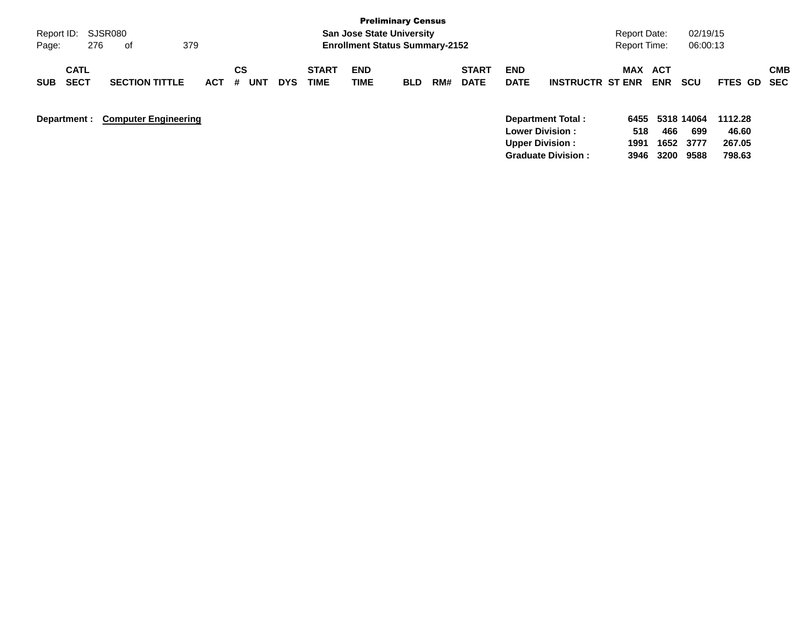|                            |                             |            |         |            |                             |                                       | <b>Preliminary Census</b> |     |                             |                           |                           |                     |                          |            |                |                          |
|----------------------------|-----------------------------|------------|---------|------------|-----------------------------|---------------------------------------|---------------------------|-----|-----------------------------|---------------------------|---------------------------|---------------------|--------------------------|------------|----------------|--------------------------|
| Report ID:                 | SJSR080                     |            |         |            |                             | <b>San Jose State University</b>      |                           |     |                             |                           |                           | Report Date:        |                          | 02/19/15   |                |                          |
| 276<br>Page:               | 379<br>. of                 |            |         |            |                             | <b>Enrollment Status Summary-2152</b> |                           |     |                             |                           |                           | <b>Report Time:</b> |                          | 06:00:13   |                |                          |
| <b>CATL</b><br><b>SECT</b> | <b>SECTION TITTLE</b>       |            | CS<br># | <b>DYS</b> | <b>START</b><br><b>TIME</b> | <b>END</b>                            |                           | RM# | <b>START</b><br><b>DATE</b> | <b>END</b><br><b>DATE</b> | <b>INSTRUCTR ST ENR</b>   | MAX                 | <b>ACT</b><br><b>ENR</b> | <b>SCU</b> | <b>FTES GD</b> | <b>CMB</b><br><b>SEC</b> |
| <b>SUB</b>                 |                             | <b>ACT</b> | UNT     |            |                             | <b>TIME</b>                           | <b>BLD</b>                |     |                             |                           |                           |                     |                          |            |                |                          |
| Department :               | <b>Computer Engineering</b> |            |         |            |                             |                                       |                           |     |                             |                           | Department Total:         | 6455                |                          | 5318 14064 | 1112.28        |                          |
|                            |                             |            |         |            |                             |                                       |                           |     |                             | <b>Lower Division:</b>    |                           | 518                 | 466                      | 699        | 46.60          |                          |
|                            |                             |            |         |            |                             |                                       |                           |     |                             | <b>Upper Division:</b>    |                           | 1991                |                          | 1652 3777  | 267.05         |                          |
|                            |                             |            |         |            |                             |                                       |                           |     |                             |                           | <b>Graduate Division:</b> | 3946                | 3200                     | 9588       | 798.63         |                          |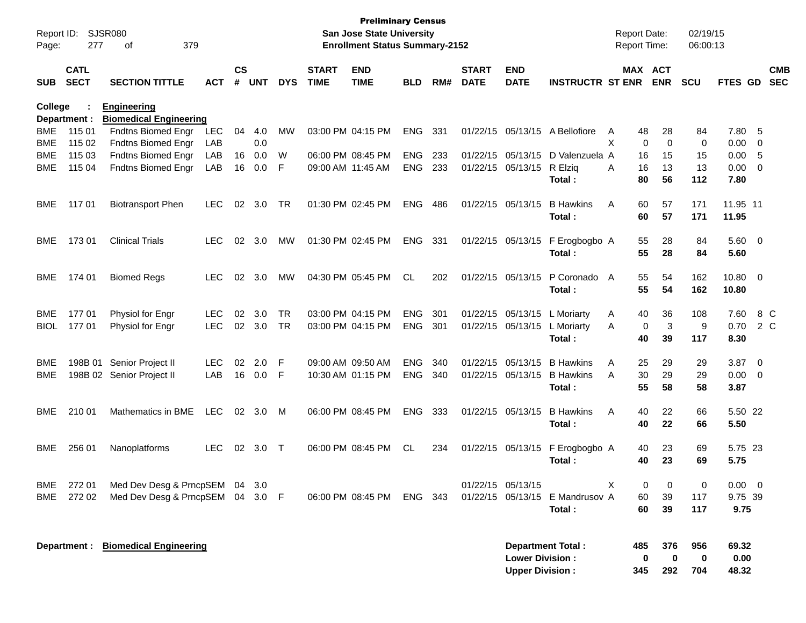| Report ID:<br>Page: | 277                        | <b>SJSR080</b><br>379<br>οf                         |            |                    |            |            |                             | <b>Preliminary Census</b><br><b>San Jose State University</b><br><b>Enrollment Status Summary-2152</b> |            |     |                             |                                                  |                            |   | <b>Report Date:</b><br><b>Report Time:</b> |                               | 02/19/15<br>06:00:13                  |                          |                          |
|---------------------|----------------------------|-----------------------------------------------------|------------|--------------------|------------|------------|-----------------------------|--------------------------------------------------------------------------------------------------------|------------|-----|-----------------------------|--------------------------------------------------|----------------------------|---|--------------------------------------------|-------------------------------|---------------------------------------|--------------------------|--------------------------|
| <b>SUB</b>          | <b>CATL</b><br><b>SECT</b> | <b>SECTION TITTLE</b>                               | <b>ACT</b> | $\mathsf{cs}$<br># | <b>UNT</b> | <b>DYS</b> | <b>START</b><br><b>TIME</b> | <b>END</b><br><b>TIME</b>                                                                              | <b>BLD</b> | RM# | <b>START</b><br><b>DATE</b> | <b>END</b><br><b>DATE</b>                        | <b>INSTRUCTR ST ENR</b>    |   | <b>MAX ACT</b><br><b>ENR</b>               | <b>SCU</b>                    | <b>FTES GD</b>                        |                          | <b>CMB</b><br><b>SEC</b> |
| <b>College</b>      | Department :               | <b>Engineering</b><br><b>Biomedical Engineering</b> |            |                    |            |            |                             |                                                                                                        |            |     |                             |                                                  |                            |   |                                            |                               |                                       |                          |                          |
| <b>BME</b>          | 115 01                     | Fndtns Biomed Engr                                  | <b>LEC</b> | 04                 | 4.0        | MW         | 03:00 PM 04:15 PM           |                                                                                                        | <b>ENG</b> | 331 | 01/22/15                    | 05/13/15                                         | A Bellofiore               | A | 48<br>28                                   | 84                            | 7.80                                  | -5                       |                          |
| <b>BME</b>          | 115 02                     | Fndtns Biomed Engr                                  | LAB        |                    | 0.0        |            |                             |                                                                                                        |            |     |                             |                                                  |                            | X | 0                                          | $\mathbf 0$                   | $\mathbf 0$<br>0.00                   | -0                       |                          |
| BME                 | 115 03                     | Fndtns Biomed Engr                                  | LAB        | 16                 | 0.0        | W          | 06:00 PM 08:45 PM           |                                                                                                        | <b>ENG</b> | 233 | 01/22/15                    | 05/13/15                                         | D Valenzuela A             |   | 15<br>16                                   | 15                            | 0.00                                  | -5                       |                          |
| BME                 | 115 04                     | Fndtns Biomed Engr                                  | LAB        | 16                 | 0.0        | F          | 09:00 AM 11:45 AM           |                                                                                                        | <b>ENG</b> | 233 |                             | 01/22/15 05/13/15                                | R Elzig<br>Total:          | A | 16<br>13<br>80<br>56                       | 13<br>112                     | 0.00<br>7.80                          | - 0                      |                          |
| <b>BME</b>          | 117 01                     | <b>Biotransport Phen</b>                            | <b>LEC</b> | 02                 | 3.0        | <b>TR</b>  | 01:30 PM 02:45 PM           |                                                                                                        | <b>ENG</b> | 486 | 01/22/15                    | 05/13/15                                         | <b>B</b> Hawkins<br>Total: | A | 60<br>57<br>57<br>60                       | 171<br>171                    | 11.95 11<br>11.95                     |                          |                          |
| BME                 | 17301                      | <b>Clinical Trials</b>                              | <b>LEC</b> | 02                 | 3.0        | MW         | 01:30 PM 02:45 PM           |                                                                                                        | <b>ENG</b> | 331 |                             | 01/22/15 05/13/15                                | F Erogbogbo A<br>Total:    |   | 55<br>28<br>55<br>28                       | 84<br>84                      | 5.60 0<br>5.60                        |                          |                          |
| BME                 | 174 01                     | <b>Biomed Regs</b>                                  | <b>LEC</b> | 02                 | 3.0        | MW         | 04:30 PM 05:45 PM           |                                                                                                        | <b>CL</b>  | 202 | 01/22/15 05/13/15           |                                                  | P Coronado<br>Total:       | A | 55<br>54<br>55<br>54                       | 162<br>162                    | 10.80<br>10.80                        | $\overline{0}$           |                          |
| <b>BME</b>          | 17701                      | Physiol for Engr                                    | <b>LEC</b> | 02                 | 3.0        | <b>TR</b>  | 03:00 PM 04:15 PM           |                                                                                                        | <b>ENG</b> | 301 | 01/22/15                    | 05/13/15                                         | L Moriarty                 | A | 36<br>40                                   | 108                           | 7.60                                  |                          | 8 C                      |
| BIOL                | 17701                      | Physiol for Engr                                    | <b>LEC</b> | 02                 | 3.0        | <b>TR</b>  | 03:00 PM 04:15 PM           |                                                                                                        | <b>ENG</b> | 301 | 01/22/15                    | 05/13/15                                         | L Moriarty                 | A | 0                                          | 3                             | 9<br>0.70                             |                          | 2 C                      |
|                     |                            |                                                     |            |                    |            |            |                             |                                                                                                        |            |     |                             |                                                  | Total:                     |   | 40<br>39                                   | 117                           | 8.30                                  |                          |                          |
| <b>BME</b>          | 198B 01                    | Senior Project II                                   | <b>LEC</b> | 02                 | 2.0        | F          | 09:00 AM 09:50 AM           |                                                                                                        | <b>ENG</b> | 340 | 01/22/15                    | 05/13/15                                         | <b>B</b> Hawkins           | A | 25<br>29                                   | 29                            | 3.87                                  | - 0                      |                          |
| <b>BME</b>          |                            | 198B 02 Senior Project II                           | LAB        | 16                 | 0.0        | F          | 10:30 AM 01:15 PM           |                                                                                                        | <b>ENG</b> | 340 |                             | 01/22/15 05/13/15                                | <b>B</b> Hawkins           | A | 30<br>29                                   | 29                            | 0.00                                  | - 0                      |                          |
|                     |                            |                                                     |            |                    |            |            |                             |                                                                                                        |            |     |                             |                                                  | Total:                     |   | 55<br>58                                   | 58                            | 3.87                                  |                          |                          |
| BME                 | 210 01                     | Mathematics in BME                                  | <b>LEC</b> | 02                 | 3.0        | M          | 06:00 PM 08:45 PM           |                                                                                                        | <b>ENG</b> | 333 | 01/22/15 05/13/15           |                                                  | <b>B</b> Hawkins           | A | 40<br>22                                   | 66                            | 5.50 22                               |                          |                          |
|                     |                            |                                                     |            |                    |            |            |                             |                                                                                                        |            |     |                             |                                                  | Total:                     |   | 40<br>22                                   | 66                            | 5.50                                  |                          |                          |
| BME.                | 256 01                     | Nanoplatforms                                       | <b>LEC</b> | 02                 | 3.0        | $\top$     |                             | 06:00 PM 08:45 PM                                                                                      | CL.        | 234 |                             | 01/22/15 05/13/15                                | F Erogbogbo A<br>Total:    |   | 23<br>40<br>23<br>40                       | 69<br>69                      | 5.75 23<br>5.75                       |                          |                          |
| BME                 | 272 01                     | Med Dev Desg & PrncpSEM 04 3.0                      |            |                    |            |            |                             |                                                                                                        |            |     | 01/22/15 05/13/15           |                                                  |                            | X | 0                                          | 0                             | 0.00<br>0                             | $\overline{\phantom{0}}$ |                          |
| BME                 | 272 02                     | Med Dev Desg & PrncpSEM 04                          |            |                    | $3.0$ F    |            |                             | 06:00 PM 08:45 PM                                                                                      | ENG 343    |     |                             | 01/22/15 05/13/15                                | E Mandrusov A              |   | 60<br>39                                   | 117                           | 9.75 39                               |                          |                          |
|                     |                            |                                                     |            |                    |            |            |                             |                                                                                                        |            |     |                             |                                                  | Total:                     |   | 60<br>39                                   | 117                           | 9.75                                  |                          |                          |
|                     | Department :               | <b>Biomedical Engineering</b>                       |            |                    |            |            |                             |                                                                                                        |            |     |                             | <b>Lower Division:</b><br><b>Upper Division:</b> | <b>Department Total:</b>   |   | 485<br>0<br>345                            | 956<br>376<br>0<br>292<br>704 | 69.32<br>$\mathbf 0$<br>0.00<br>48.32 |                          |                          |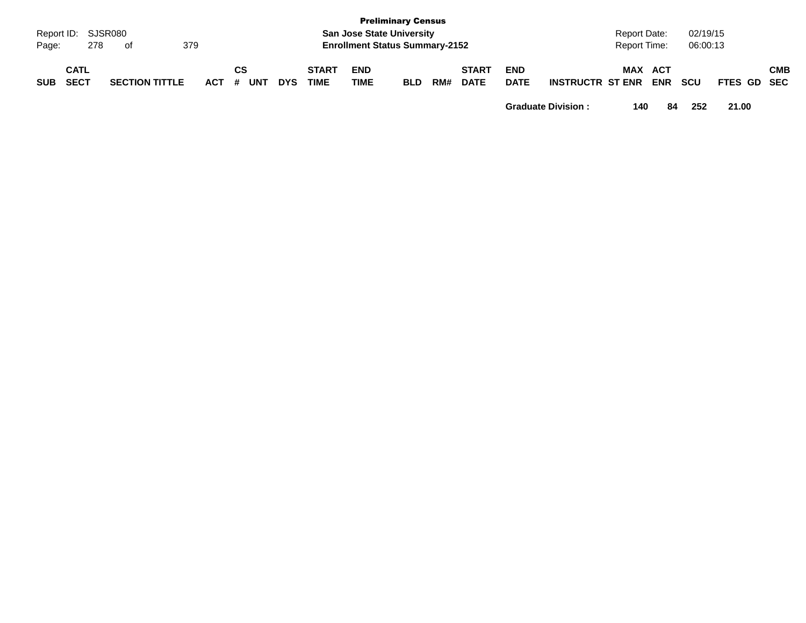| Page:      | Report ID: SJSR080<br>379<br>278<br>of |                       |  |         |           |            |                             |                           | <b>Preliminary Census</b><br><b>San Jose State University</b><br><b>Enrollment Status Summary-2152</b> |     |                             |                           |                         | <b>Report Date:</b><br>Report Time: |            | 02/19/15<br>06:00:13 |                    |            |
|------------|----------------------------------------|-----------------------|--|---------|-----------|------------|-----------------------------|---------------------------|--------------------------------------------------------------------------------------------------------|-----|-----------------------------|---------------------------|-------------------------|-------------------------------------|------------|----------------------|--------------------|------------|
| <b>SUB</b> | <b>CATL</b><br><b>SECT</b>             | <b>SECTION TITTLE</b> |  | $ACT$ # | СS<br>UNT | <b>DYS</b> | <b>START</b><br><b>TIME</b> | <b>END</b><br><b>TIME</b> | <b>BLD</b>                                                                                             | RM# | <b>START</b><br><b>DATE</b> | <b>END</b><br><b>DATE</b> | <b>INSTRUCTR ST ENR</b> | MAX ACT                             | <b>ENR</b> | <b>SCU</b>           | <b>FTES GD SEC</b> | <b>CMB</b> |

**Graduate Division : 140 84 252 21.00**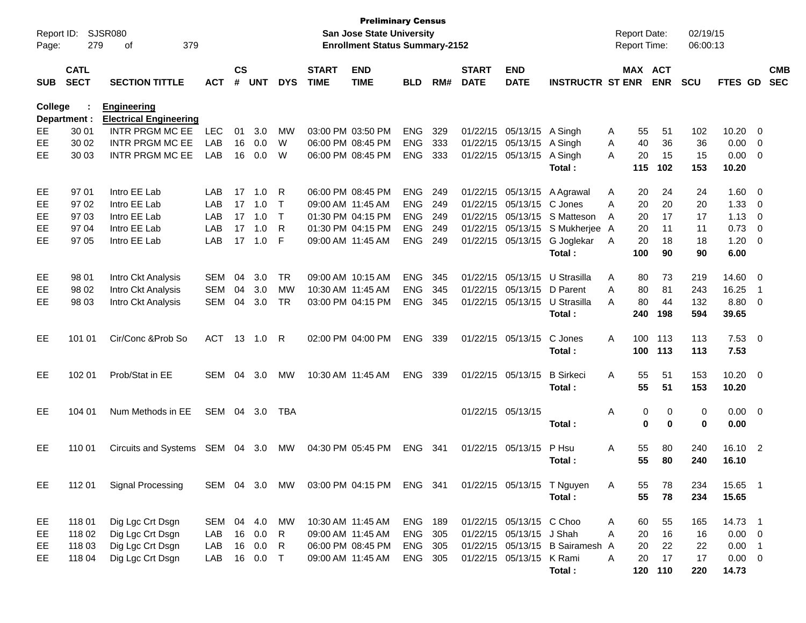| Report ID:     |                            | SJSR080                                             |               |                    |            |              |                             | <b>Preliminary Census</b><br>San Jose State University |            |     |                             |                           |                                 |   | <b>Report Date:</b> |             | 02/19/15  |                |                         |                          |
|----------------|----------------------------|-----------------------------------------------------|---------------|--------------------|------------|--------------|-----------------------------|--------------------------------------------------------|------------|-----|-----------------------------|---------------------------|---------------------------------|---|---------------------|-------------|-----------|----------------|-------------------------|--------------------------|
| Page:          | 279                        | 379<br>οf                                           |               |                    |            |              |                             | <b>Enrollment Status Summary-2152</b>                  |            |     |                             |                           |                                 |   | Report Time:        |             | 06:00:13  |                |                         |                          |
| <b>SUB</b>     | <b>CATL</b><br><b>SECT</b> | <b>SECTION TITTLE</b>                               | <b>ACT</b>    | $\mathsf{cs}$<br># | <b>UNT</b> | <b>DYS</b>   | <b>START</b><br><b>TIME</b> | <b>END</b><br><b>TIME</b>                              | <b>BLD</b> | RM# | <b>START</b><br><b>DATE</b> | <b>END</b><br><b>DATE</b> | <b>INSTRUCTR ST ENR</b>         |   | MAX ACT             | <b>ENR</b>  | SCU       | <b>FTES GD</b> |                         | <b>CMB</b><br><b>SEC</b> |
| <b>College</b> | Department :               | <b>Engineering</b><br><b>Electrical Engineering</b> |               |                    |            |              |                             |                                                        |            |     |                             |                           |                                 |   |                     |             |           |                |                         |                          |
| EE             | 30 01                      | <b>INTR PRGM MC EE</b>                              | <b>LEC</b>    | 01                 | 3.0        | <b>MW</b>    |                             | 03:00 PM 03:50 PM                                      | <b>ENG</b> | 329 | 01/22/15                    | 05/13/15                  | A Singh                         | A | 55                  | 51          | 102       | 10.20          | - 0                     |                          |
| EE             | 30 02                      | <b>INTR PRGM MC EE</b>                              | LAB           | 16                 | 0.0        | W            |                             | 06:00 PM 08:45 PM                                      | <b>ENG</b> | 333 | 01/22/15                    | 05/13/15                  | A Singh                         | A | 40                  | 36          | 36        | 0.00           | $\overline{0}$          |                          |
| EE             | 30 03                      | <b>INTR PRGM MC EE</b>                              | LAB           | 16                 | 0.0        | W            |                             | 06:00 PM 08:45 PM                                      | ENG        | 333 | 01/22/15                    | 05/13/15                  | A Singh<br>Total:               | A | 20<br>115           | 15<br>102   | 15<br>153 | 0.00<br>10.20  | $\overline{\mathbf{0}}$ |                          |
| EE             | 97 01                      | Intro EE Lab                                        | LAB           | 17                 | 1.0        | R            |                             | 06:00 PM 08:45 PM                                      | <b>ENG</b> | 249 | 01/22/15                    |                           | 05/13/15 A Agrawal              | A | 20                  | 24          | 24        | 1.60           | - 0                     |                          |
| EE             | 97 02                      | Intro EE Lab                                        | LAB           | 17                 | 1.0        | $\mathsf T$  | 09:00 AM 11:45 AM           |                                                        | <b>ENG</b> | 249 | 01/22/15                    | 05/13/15                  | C Jones                         | Α | 20                  | 20          | 20        | 1.33           | $\overline{0}$          |                          |
| EE             | 97 03                      | Intro EE Lab                                        | LAB           | 17                 | 1.0        | $\mathsf{T}$ |                             | 01:30 PM 04:15 PM                                      | ENG        | 249 | 01/22/15                    | 05/13/15                  | S Matteson                      | A | 20                  | 17          | 17        | 1.13           | $\overline{0}$          |                          |
| EE             | 97 04                      | Intro EE Lab                                        | LAB           | 17                 | 1.0        | R            |                             | 01:30 PM 04:15 PM                                      | <b>ENG</b> | 249 | 01/22/15                    | 05/13/15                  | S Mukherjee A                   |   | 20                  | 11          | 11        | 0.73           | $\overline{0}$          |                          |
| <b>EE</b>      | 97 05                      | Intro EE Lab                                        | LAB           | 17                 | 1.0        | F            | 09:00 AM 11:45 AM           |                                                        | <b>ENG</b> | 249 | 01/22/15                    | 05/13/15                  | G Joglekar                      | A | 20                  | 18          | 18        | 1.20           | $\overline{\mathbf{0}}$ |                          |
|                |                            |                                                     |               |                    |            |              |                             |                                                        |            |     |                             |                           | Total:                          |   | 100                 | 90          | 90        | 6.00           |                         |                          |
| EE             | 98 01                      | Intro Ckt Analysis                                  | <b>SEM</b>    | 04                 | 3.0        | <b>TR</b>    |                             | 09:00 AM 10:15 AM                                      | <b>ENG</b> | 345 | 01/22/15                    | 05/13/15                  | U Strasilla                     | A | 80                  | 73          | 219       | 14.60          | - 0                     |                          |
| EE             | 98 02                      | Intro Ckt Analysis                                  | <b>SEM</b>    | 04                 | 3.0        | <b>MW</b>    | 10:30 AM 11:45 AM           |                                                        | <b>ENG</b> | 345 | 01/22/15                    | 05/13/15                  | D Parent                        | A | 80                  | 81          | 243       | 16.25          | $\overline{1}$          |                          |
| EE             | 98 03                      | Intro Ckt Analysis                                  | <b>SEM</b>    | 04                 | 3.0        | <b>TR</b>    |                             | 03:00 PM 04:15 PM                                      | <b>ENG</b> | 345 | 01/22/15                    | 05/13/15                  | U Strasilla                     | Α | 80                  | 44          | 132       | 8.80           | $\overline{\mathbf{0}}$ |                          |
|                |                            |                                                     |               |                    |            |              |                             |                                                        |            |     |                             |                           | Total:                          |   | 240                 | 198         | 594       | 39.65          |                         |                          |
| EE             | 101 01                     | Cir/Conc & Prob So                                  | <b>ACT</b>    | 13                 | 1.0        | R            |                             | 02:00 PM 04:00 PM                                      | <b>ENG</b> | 339 | 01/22/15                    | 05/13/15                  | C Jones                         | A | 100                 | 113         | 113       | $7.53 \t 0$    |                         |                          |
|                |                            |                                                     |               |                    |            |              |                             |                                                        |            |     |                             |                           | Total:                          |   | 100                 | 113         | 113       | 7.53           |                         |                          |
| EE             | 102 01                     | Prob/Stat in EE                                     | SEM 04        |                    | 3.0        | <b>MW</b>    | 10:30 AM 11:45 AM           |                                                        | <b>ENG</b> | 339 |                             | 01/22/15 05/13/15         | <b>B</b> Sirkeci                | A | 55                  | 51          | 153       | $10.20 \t 0$   |                         |                          |
|                |                            |                                                     |               |                    |            |              |                             |                                                        |            |     |                             |                           | Total:                          |   | 55                  | 51          | 153       | 10.20          |                         |                          |
| EE             | 104 01                     | Num Methods in EE                                   | SEM 04        |                    | - 3.0      | TBA          |                             |                                                        |            |     |                             | 01/22/15 05/13/15         |                                 | A | 0                   | 0           | 0         | $0.00 \t 0$    |                         |                          |
|                |                            |                                                     |               |                    |            |              |                             |                                                        |            |     |                             |                           | Total:                          |   | 0                   | $\mathbf 0$ | $\bf{0}$  | 0.00           |                         |                          |
| EE             | 110 01                     | Circuits and Systems SEM 04 3.0                     |               |                    |            | МW           |                             | 04:30 PM 05:45 PM                                      | <b>ENG</b> | 341 |                             | 01/22/15 05/13/15         | P Hsu                           | A | 55                  | 80          | 240       | 16.10 2        |                         |                          |
|                |                            |                                                     |               |                    |            |              |                             |                                                        |            |     |                             |                           | Total:                          |   | 55                  | 80          | 240       | 16.10          |                         |                          |
| EE             | 112 01                     | <b>Signal Processing</b>                            | SEM 04 3.0 MW |                    |            |              |                             | 03:00 PM 04:15 PM ENG 341                              |            |     |                             |                           | 01/22/15 05/13/15 T Nguyen      | A | 55                  | 78          | 234       | 15.65 1        |                         |                          |
|                |                            |                                                     |               |                    |            |              |                             |                                                        |            |     |                             |                           | Total:                          |   | 55                  | 78          | 234       | 15.65          |                         |                          |
| EE             | 118 01                     | Dig Lgc Crt Dsgn                                    | SEM 04 4.0    |                    |            | MW           |                             | 10:30 AM 11:45 AM                                      | ENG 189    |     |                             | 01/22/15 05/13/15 C Choo  |                                 | Α | 60                  | 55          | 165       | 14.73 1        |                         |                          |
| EE             | 118 02                     | Dig Lgc Crt Dsgn                                    | LAB           | 16                 | 0.0        | R            |                             | 09:00 AM 11:45 AM                                      | ENG        | 305 |                             | 01/22/15 05/13/15 J Shah  |                                 | A | 20                  | 16          | 16        | $0.00 \t 0$    |                         |                          |
| EE             | 118 03                     | Dig Lgc Crt Dsgn                                    | LAB           |                    | 16 0.0     | $\mathsf{R}$ |                             | 06:00 PM 08:45 PM                                      | ENG 305    |     |                             |                           | 01/22/15 05/13/15 B Sairamesh A |   | 20                  | 22          | 22        | $0.00$ 1       |                         |                          |
| EE             | 118 04                     | Dig Lgc Crt Dsgn                                    | LAB           |                    | 16 0.0     | $\top$       |                             | 09:00 AM 11:45 AM                                      | ENG 305    |     |                             | 01/22/15 05/13/15 K Rami  |                                 | Α | 20                  | 17          | 17        | $0.00 \t 0$    |                         |                          |
|                |                            |                                                     |               |                    |            |              |                             |                                                        |            |     |                             |                           | Total:                          |   | 120                 | 110         | 220       | 14.73          |                         |                          |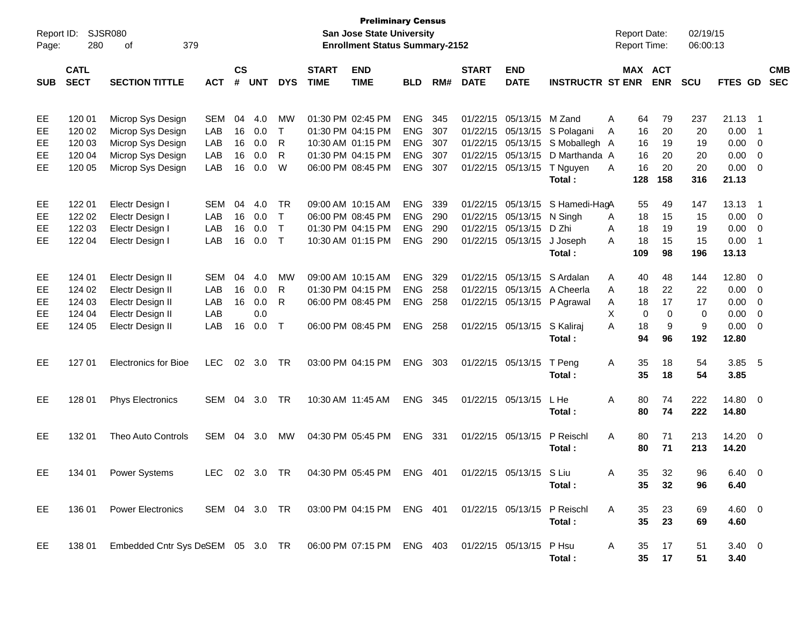| Report ID:<br>Page: | 280                        | SJSR080<br>379<br>оf                                                                |               |                |            |              |                             | <b>Preliminary Census</b><br><b>San Jose State University</b><br><b>Enrollment Status Summary-2152</b> |            |     |                             |                           |                             |   | <b>Report Date:</b><br><b>Report Time:</b> |             | 02/19/15<br>06:00:13 |                |                            |                          |
|---------------------|----------------------------|-------------------------------------------------------------------------------------|---------------|----------------|------------|--------------|-----------------------------|--------------------------------------------------------------------------------------------------------|------------|-----|-----------------------------|---------------------------|-----------------------------|---|--------------------------------------------|-------------|----------------------|----------------|----------------------------|--------------------------|
| <b>SUB</b>          | <b>CATL</b><br><b>SECT</b> | <b>SECTION TITTLE</b>                                                               | <b>ACT</b>    | <b>CS</b><br># | <b>UNT</b> | <b>DYS</b>   | <b>START</b><br><b>TIME</b> | <b>END</b><br><b>TIME</b>                                                                              | <b>BLD</b> | RM# | <b>START</b><br><b>DATE</b> | <b>END</b><br><b>DATE</b> | <b>INSTRUCTR ST ENR</b>     |   | <b>MAX ACT</b>                             | <b>ENR</b>  | <b>SCU</b>           | FTES GD        |                            | <b>CMB</b><br><b>SEC</b> |
|                     |                            |                                                                                     |               |                |            |              |                             |                                                                                                        |            |     |                             |                           |                             |   |                                            |             |                      |                |                            |                          |
| EE                  | 120 01                     | Microp Sys Design                                                                   | <b>SEM</b>    | 04             | 4.0        | <b>MW</b>    |                             | 01:30 PM 02:45 PM                                                                                      | <b>ENG</b> | 345 | 01/22/15                    | 05/13/15                  | M Zand                      | A | 64                                         | 79          | 237                  | 21.13          | - 1                        |                          |
| EE                  | 120 02                     | Microp Sys Design                                                                   | LAB           | 16             | 0.0        | $\top$       |                             | 01:30 PM 04:15 PM                                                                                      | ENG        | 307 | 01/22/15                    | 05/13/15                  | S Polagani                  | A | 16                                         | 20          | 20                   | 0.00           | - 1                        |                          |
| EE                  | 120 03                     | Microp Sys Design                                                                   | LAB           | 16             | 0.0        | R            |                             | 10:30 AM 01:15 PM                                                                                      | ENG        | 307 | 01/22/15                    | 05/13/15                  | S Moballegh A               |   | 16                                         | 19          | 19                   | 0.00           | - 0                        |                          |
| EE                  | 120 04                     | Microp Sys Design                                                                   | LAB           | 16             | 0.0        | R            |                             | 01:30 PM 04:15 PM                                                                                      | <b>ENG</b> | 307 | 01/22/15                    | 05/13/15                  | D Marthanda A               |   | 16                                         | 20          | 20                   | 0.00           | - 0                        |                          |
| EE                  | 120 05                     | Microp Sys Design                                                                   | LAB           | 16             | 0.0        | W            |                             | 06:00 PM 08:45 PM                                                                                      | <b>ENG</b> | 307 |                             | 01/22/15 05/13/15         | T Nguyen                    | A | 16                                         | 20          | 20                   | 0.00           | - 0                        |                          |
|                     |                            |                                                                                     |               |                |            |              |                             |                                                                                                        |            |     |                             |                           | Total:                      |   | 128                                        | 158         | 316                  | 21.13          |                            |                          |
| EE                  | 122 01                     | Electr Design I                                                                     | <b>SEM</b>    | 04             | 4.0        | TR           |                             | 09:00 AM 10:15 AM                                                                                      | <b>ENG</b> | 339 |                             | 01/22/15 05/13/15         | S Hamedi-HagA               |   | 55                                         | 49          | 147                  | 13.13          | - 1                        |                          |
| EE                  | 122 02                     | Electr Design I                                                                     | LAB           | 16             | 0.0        | $\mathsf{T}$ |                             | 06:00 PM 08:45 PM                                                                                      | ENG        | 290 | 01/22/15                    | 05/13/15                  | N Singh                     | A | 18                                         | 15          | 15                   | 0.00           | - 0                        |                          |
| EE                  | 122 03                     | Electr Design I                                                                     | LAB           | 16             | 0.0        | $\mathsf{T}$ |                             | 01:30 PM 04:15 PM                                                                                      | ENG        | 290 | 01/22/15                    | 05/13/15                  | D Zhi                       | A | 18                                         | 19          | 19                   | 0.00           | $\overline{0}$             |                          |
| EE                  | 122 04                     | Electr Design I                                                                     | LAB           | 16             | 0.0        | $\top$       |                             | 10:30 AM 01:15 PM                                                                                      | <b>ENG</b> | 290 |                             | 01/22/15 05/13/15         | J Joseph                    | A | 18                                         | 15          | 15                   | 0.00           | $\overline{\phantom{0}}$ 1 |                          |
|                     |                            |                                                                                     |               |                |            |              |                             |                                                                                                        |            |     |                             |                           | Total:                      |   | 109                                        | 98          | 196                  | 13.13          |                            |                          |
| EE                  | 124 01                     | Electr Design II                                                                    | <b>SEM</b>    | 04             | 4.0        | MW           |                             | 09:00 AM 10:15 AM                                                                                      | <b>ENG</b> | 329 | 01/22/15                    | 05/13/15                  | S Ardalan                   | A | 40                                         | 48          | 144                  | 12.80          | - 0                        |                          |
| EE                  | 124 02                     | Electr Design II                                                                    | LAB           | 16             | 0.0        | R            |                             | 01:30 PM 04:15 PM                                                                                      | ENG        | 258 | 01/22/15                    | 05/13/15                  | A Cheerla                   | A | 18                                         | 22          | 22                   | 0.00           | - 0                        |                          |
| EE                  | 124 03                     | Electr Design II                                                                    | LAB           | 16             | 0.0        | R            |                             | 06:00 PM 08:45 PM                                                                                      | <b>ENG</b> | 258 |                             |                           | 01/22/15 05/13/15 P Agrawal | Α | 18                                         | 17          | 17                   | 0.00           | - 0                        |                          |
| EE                  | 124 04                     | Electr Design II                                                                    | LAB           |                | 0.0        |              |                             |                                                                                                        |            |     |                             |                           |                             | X | $\mathbf 0$                                | $\mathbf 0$ | 0                    | 0.00           | - 0                        |                          |
| EE                  | 124 05                     | Electr Design II                                                                    | LAB           | 16             | 0.0        | $\top$       |                             | 06:00 PM 08:45 PM                                                                                      | <b>ENG</b> | 258 |                             | 01/22/15 05/13/15         | S Kaliraj                   | A | 18                                         | 9           | 9                    | 0.00           | - 0                        |                          |
|                     |                            |                                                                                     |               |                |            |              |                             |                                                                                                        |            |     |                             |                           | Total:                      |   | 94                                         | 96          | 192                  | 12.80          |                            |                          |
| EE                  | 127 01                     | <b>Electronics for Bioe</b>                                                         | <b>LEC</b>    | 02             | 3.0        | <b>TR</b>    |                             | 03:00 PM 04:15 PM                                                                                      | <b>ENG</b> | 303 |                             | 01/22/15 05/13/15         | T Peng                      | Α | 35                                         | 18          | 54                   | 3.85           | $-5$                       |                          |
|                     |                            |                                                                                     |               |                |            |              |                             |                                                                                                        |            |     |                             |                           | Total:                      |   | 35                                         | 18          | 54                   | 3.85           |                            |                          |
| EE                  | 128 01                     | <b>Phys Electronics</b>                                                             | SEM           | 04             | 3.0        | TR           |                             | 10:30 AM 11:45 AM                                                                                      | ENG        | 345 |                             | 01/22/15 05/13/15         | L He                        | A | 80                                         | 74          | 222                  | 14.80 0        |                            |                          |
|                     |                            |                                                                                     |               |                |            |              |                             |                                                                                                        |            |     |                             |                           | Total:                      |   | 80                                         | 74          | 222                  | 14.80          |                            |                          |
|                     |                            |                                                                                     |               |                |            |              |                             |                                                                                                        |            |     |                             |                           |                             |   |                                            |             |                      |                |                            |                          |
| EE                  | 132 01                     | Theo Auto Controls                                                                  | SEM           | 04             | 3.0        | <b>MW</b>    |                             | 04:30 PM 05:45 PM                                                                                      | <b>ENG</b> | 331 |                             | 01/22/15 05/13/15         | P Reischl                   | A | 80                                         | 71          | 213                  | 14.20 0        |                            |                          |
|                     |                            |                                                                                     |               |                |            |              |                             |                                                                                                        |            |     |                             |                           | Total:                      |   | 80                                         | 71          | 213                  | 14.20          |                            |                          |
| EE                  |                            | 134 01 Power Systems                                                                | LEC 02 3.0 TR |                |            |              |                             | 04:30 PM 05:45 PM ENG 401                                                                              |            |     |                             | 01/22/15 05/13/15 S Liu   |                             | A | 35                                         | 32          | 96                   | 6.40 0         |                            |                          |
|                     |                            |                                                                                     |               |                |            |              |                             |                                                                                                        |            |     |                             |                           | Total:                      |   | 35                                         | 32          | 96                   | 6.40           |                            |                          |
| EE                  | 136 01                     | <b>Power Electronics</b>                                                            |               |                |            |              |                             | SEM 04 3.0 TR 03:00 PM 04:15 PM ENG 401 01/22/15 05/13/15 P Reischl                                    |            |     |                             |                           |                             | A | 35                                         | 23          | 69                   | $4.60 \ 0$     |                            |                          |
|                     |                            |                                                                                     |               |                |            |              |                             |                                                                                                        |            |     |                             |                           | Total:                      |   | 35                                         | 23          | 69                   | 4.60           |                            |                          |
|                     |                            |                                                                                     |               |                |            |              |                             |                                                                                                        |            |     |                             |                           |                             |   |                                            |             |                      |                |                            |                          |
| EE                  | 138 01                     | Embedded Cntr Sys DeSEM 05 3.0 TR 06:00 PM 07:15 PM ENG 403 01/22/15 05/13/15 P Hsu |               |                |            |              |                             |                                                                                                        |            |     |                             |                           |                             | A | 35                                         | 17          | 51                   | $3.40 \quad 0$ |                            |                          |
|                     |                            |                                                                                     |               |                |            |              |                             |                                                                                                        |            |     |                             |                           | Total:                      |   | 35                                         | 17          | 51                   | 3.40           |                            |                          |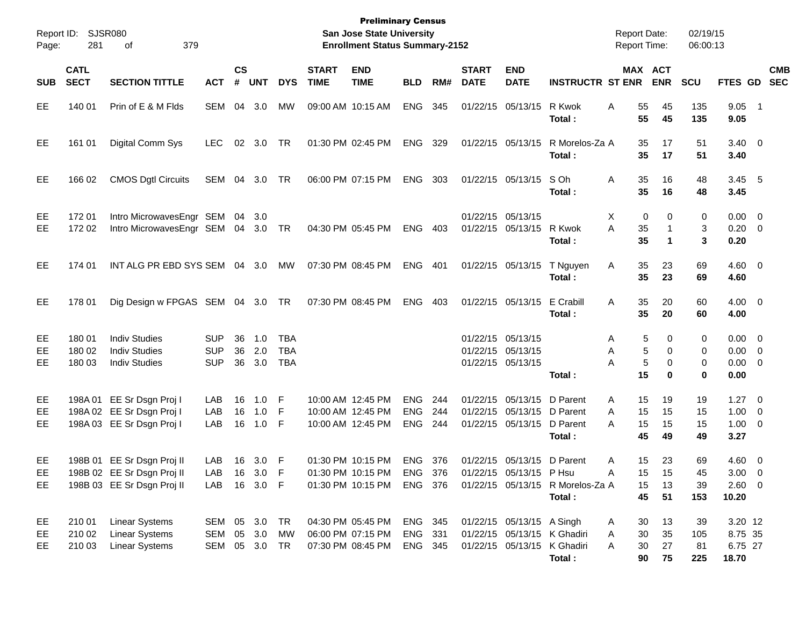| Page:            | Report ID: SJSR080<br>281  | 379<br>οf                                                                              |                                              |                |                   |                                        |                             | <b>Preliminary Census</b><br>San Jose State University<br><b>Enrollment Status Summary-2152</b> |                                        |                     |                                        |                                                                                        |                                                                      | <b>Report Date:</b><br><b>Report Time:</b>  |                         | 02/19/15<br>06:00:13   |                                                   |                           |  |
|------------------|----------------------------|----------------------------------------------------------------------------------------|----------------------------------------------|----------------|-------------------|----------------------------------------|-----------------------------|-------------------------------------------------------------------------------------------------|----------------------------------------|---------------------|----------------------------------------|----------------------------------------------------------------------------------------|----------------------------------------------------------------------|---------------------------------------------|-------------------------|------------------------|---------------------------------------------------|---------------------------|--|
| <b>SUB</b>       | <b>CATL</b><br><b>SECT</b> | <b>SECTION TITTLE</b>                                                                  | <b>ACT</b>                                   | <b>CS</b><br># | <b>UNT</b>        | <b>DYS</b>                             | <b>START</b><br><b>TIME</b> | <b>END</b><br><b>TIME</b>                                                                       | <b>BLD</b>                             | RM#                 | <b>START</b><br><b>DATE</b>            | <b>END</b><br><b>DATE</b>                                                              | <b>INSTRUCTR ST ENR</b>                                              |                                             | MAX ACT<br><b>ENR</b>   | <b>SCU</b>             |                                                   | <b>CMB</b><br>FTES GD SEC |  |
| EE               | 140 01                     | Prin of E & M Flds                                                                     | SEM 04                                       |                | 3.0               | <b>MW</b>                              |                             | 09:00 AM 10:15 AM                                                                               | <b>ENG</b>                             | 345                 |                                        | 01/22/15 05/13/15                                                                      | R Kwok<br>Total:                                                     | A<br>55<br>55                               | 45<br>45                | 135<br>135             | $9.05$ 1<br>9.05                                  |                           |  |
| EE               | 161 01                     | Digital Comm Sys                                                                       | LEC.                                         |                | 02 3.0            | TR                                     |                             | 01:30 PM 02:45 PM                                                                               | ENG                                    | 329                 |                                        | 01/22/15 05/13/15                                                                      | R Morelos-Za A<br>Total :                                            | 35<br>35                                    | 17<br>17                | 51<br>51               | $3.40 \ 0$<br>3.40                                |                           |  |
| <b>EE</b>        | 166 02                     | <b>CMOS Dgtl Circuits</b>                                                              | SEM 04 3.0                                   |                |                   | TR                                     |                             | 06:00 PM 07:15 PM                                                                               | ENG                                    | 303                 |                                        | 01/22/15 05/13/15                                                                      | S Oh<br>Total :                                                      | Α<br>35<br>35                               | 16<br>16                | 48<br>48               | $3.45$ 5<br>3.45                                  |                           |  |
| EE<br><b>EE</b>  | 17201<br>172 02            | Intro MicrowavesEngr SEM<br>Intro MicrowavesEngr SEM 04 3.0 TR                         |                                              | 04             | -3.0              |                                        |                             | 04:30 PM 05:45 PM                                                                               | <b>ENG</b>                             | 403                 | 01/22/15 05/13/15                      | 01/22/15 05/13/15                                                                      | R Kwok<br>Total:                                                     | X<br>0<br>A<br>35<br>35                     | 0<br>$\mathbf 1$<br>1   | 0<br>3<br>3            | $0.00 \t 0$<br>$0.20 \ 0$<br>0.20                 |                           |  |
| <b>EE</b>        | 174 01                     | INT ALG PR EBD SYS SEM 04 3.0                                                          |                                              |                |                   | MW                                     |                             | 07:30 PM 08:45 PM                                                                               | <b>ENG</b>                             | - 401               | 01/22/15 05/13/15                      |                                                                                        | T Nguyen<br>Total:                                                   | Α<br>35<br>35                               | 23<br>23                | 69<br>69               | $4.60 \ 0$<br>4.60                                |                           |  |
| EE               | 178 01                     | Dig Design w FPGAS SEM 04 3.0 TR                                                       |                                              |                |                   |                                        |                             | 07:30 PM 08:45 PM                                                                               | <b>ENG</b>                             | 403                 |                                        | 01/22/15 05/13/15                                                                      | E Crabill<br>Total :                                                 | 35<br>A<br>35                               | 20<br>20                | 60<br>60               | $4.00 \ 0$<br>4.00                                |                           |  |
| EE<br>EE<br>EE   | 180 01<br>180 02<br>180 03 | <b>Indiv Studies</b><br><b>Indiv Studies</b><br><b>Indiv Studies</b>                   | <b>SUP</b><br><b>SUP</b><br><b>SUP</b>       | 36<br>36<br>36 | 1.0<br>2.0<br>3.0 | <b>TBA</b><br><b>TBA</b><br><b>TBA</b> |                             |                                                                                                 |                                        |                     | 01/22/15 05/13/15<br>01/22/15 05/13/15 | 01/22/15 05/13/15                                                                      | Total:                                                               | 5<br>A<br>5<br>A<br>5<br>А<br>15            | 0<br>0<br>0<br>$\bf{0}$ | 0<br>0<br>0<br>0       | $0.00 \t 0$<br>$0.00 \t 0$<br>$0.00 \t 0$<br>0.00 |                           |  |
| EE.<br>EE<br>EE  |                            | 198A 01 EE Sr Dsgn Proj I<br>198A 02 EE Sr Dsgn Proj I<br>198A 03 EE Sr Dsgn Proj I    | LAB<br>LAB<br>LAB                            | 16<br>16<br>16 | 1.0<br>1.0<br>1.0 | F<br>F<br>F                            |                             | 10:00 AM 12:45 PM<br>10:00 AM 12:45 PM<br>10:00 AM 12:45 PM                                     | <b>ENG</b><br><b>ENG</b><br><b>ENG</b> | 244<br>244<br>- 244 |                                        | 01/22/15 05/13/15 D Parent<br>01/22/15 05/13/15 D Parent<br>01/22/15 05/13/15 D Parent | Total :                                                              | 15<br>A<br>15<br>A<br>15<br>A<br>45         | 19<br>15<br>15<br>49    | 19<br>15<br>15<br>49   | $1.27 \t 0$<br>$1.00 \t 0$<br>$1.00 \t 0$<br>3.27 |                           |  |
| EE<br>EE.<br>EE. |                            | 198B 01 EE Sr Dsgn Proj II<br>198B 02 EE Sr Dsgn Proj II<br>198B 03 EE Sr Dsgn Proj II | LAB<br>LAB<br>LAB 16 3.0 F                   | 16             | 3.0<br>16 3.0     | F<br>F                                 |                             | 01:30 PM 10:15 PM<br>01:30 PM 10:15 PM                                                          | <b>ENG</b>                             | 376<br>ENG 376      |                                        | 01/22/15 05/13/15 D Parent<br>01/22/15 05/13/15 P Hsu                                  | 01:30 PM 10:15 PM ENG 376 01/22/15 05/13/15 R Morelos-Za A<br>Total: | 15<br>Α<br>15 <sub>1</sub><br>A<br>15<br>45 | 23<br>15<br>13<br>51    | 69<br>45<br>39<br>153  | 4.60 0<br>$3.00 \ 0$<br>2.60 0<br>10.20           |                           |  |
| EE<br>EE<br>EE.  | 210 01<br>210 02<br>210 03 | <b>Linear Systems</b><br><b>Linear Systems</b><br><b>Linear Systems</b>                | SEM 05 3.0 TR<br>SEM 05 3.0<br>SEM 05 3.0 TR |                |                   | MW                                     |                             | 04:30 PM 05:45 PM<br>06:00 PM 07:15 PM<br>07:30 PM 08:45 PM                                     | ENG 345<br>ENG 331<br>ENG 345          |                     |                                        | 01/22/15 05/13/15 A Singh                                                              | 01/22/15 05/13/15 K Ghadiri<br>01/22/15 05/13/15 K Ghadiri<br>Total: | 30<br>A<br>30<br>A<br>30<br>A<br>90         | 13<br>35<br>27<br>75    | 39<br>105<br>81<br>225 | 3.20 12<br>8.75 35<br>6.75 27<br>18.70            |                           |  |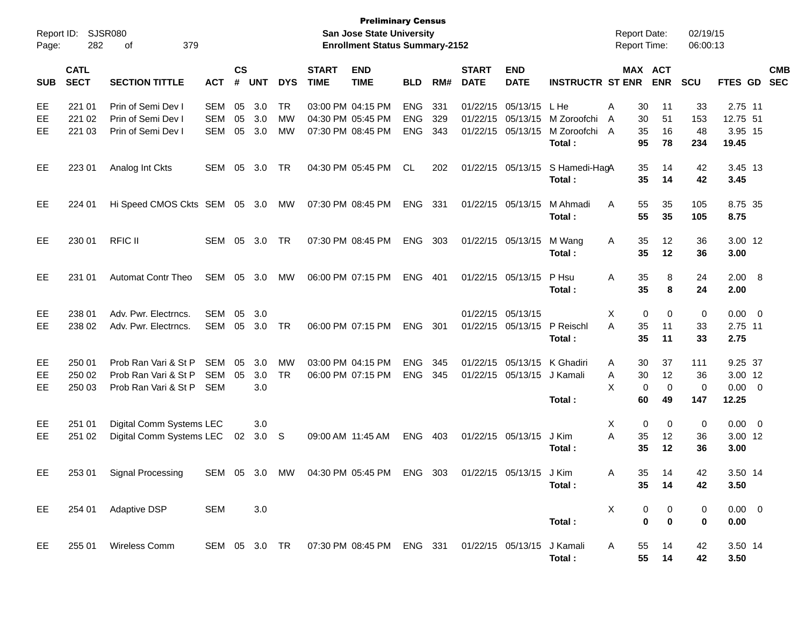| Report ID:<br>Page: | 282                        | SJSR080<br>379<br>οf                                                 |                          |                |                         |                       |                             | <b>Preliminary Census</b><br><b>San Jose State University</b><br><b>Enrollment Status Summary-2152</b> |                                        |                   |                                  |                                        |                                                | <b>Report Date:</b><br><b>Report Time:</b> |                                    | 02/19/15<br>06:00:13            |                                         |                          |
|---------------------|----------------------------|----------------------------------------------------------------------|--------------------------|----------------|-------------------------|-----------------------|-----------------------------|--------------------------------------------------------------------------------------------------------|----------------------------------------|-------------------|----------------------------------|----------------------------------------|------------------------------------------------|--------------------------------------------|------------------------------------|---------------------------------|-----------------------------------------|--------------------------|
| <b>SUB</b>          | <b>CATL</b><br><b>SECT</b> | <b>SECTION TITTLE</b>                                                | <b>ACT</b>               | <b>CS</b><br># | <b>UNT</b>              | <b>DYS</b>            | <b>START</b><br><b>TIME</b> | <b>END</b><br><b>TIME</b>                                                                              | <b>BLD</b>                             | RM#               | <b>START</b><br><b>DATE</b>      | <b>END</b><br><b>DATE</b>              | <b>INSTRUCTR ST ENR</b>                        |                                            | MAX ACT<br><b>ENR</b>              | <b>SCU</b>                      | FTES GD                                 | <b>CMB</b><br><b>SEC</b> |
| EE<br>EE<br>EЕ      | 221 01<br>221 02<br>221 03 | Prin of Semi Dev I<br>Prin of Semi Dev I<br>Prin of Semi Dev I       | SEM<br>SEM<br>SEM        | 05<br>05<br>05 | 3.0<br>3.0<br>3.0       | <b>TR</b><br>MW<br>MW |                             | 03:00 PM 04:15 PM<br>04:30 PM 05:45 PM<br>07:30 PM 08:45 PM                                            | <b>ENG</b><br><b>ENG</b><br><b>ENG</b> | 331<br>329<br>343 | 01/22/15<br>01/22/15<br>01/22/15 | 05/13/15<br>05/13/15<br>05/13/15       | L He<br>M Zoroofchi<br>M Zoroofchi A<br>Total: | 30<br>Α<br>30<br>A<br>35<br>95             | 11<br>51<br>16<br>78               | 33<br>153<br>48<br>234          | 2.75 11<br>12.75 51<br>3.95 15<br>19.45 |                          |
| EE                  | 223 01                     | Analog Int Ckts                                                      | SEM                      | 05             | 3.0                     | <b>TR</b>             |                             | 04:30 PM 05:45 PM                                                                                      | CL.                                    | 202               |                                  | 01/22/15 05/13/15                      | S Hamedi-HagA<br>Total:                        | 35<br>35                                   | 14<br>14                           | 42<br>42                        | 3.45 13<br>3.45                         |                          |
| EE                  | 224 01                     | Hi Speed CMOS Ckts SEM 05 3.0                                        |                          |                |                         | MW                    |                             | 07:30 PM 08:45 PM                                                                                      | <b>ENG</b>                             | 331               |                                  | 01/22/15 05/13/15                      | M Ahmadi<br>Total:                             | 55<br>A<br>55                              | 35<br>35                           | 105<br>105                      | 8.75 35<br>8.75                         |                          |
| EE                  | 230 01                     | <b>RFIC II</b>                                                       | <b>SEM</b>               | 05             | 3.0                     | <b>TR</b>             |                             | 07:30 PM 08:45 PM                                                                                      | <b>ENG</b>                             | 303               |                                  | 01/22/15 05/13/15                      | M Wang<br>Total:                               | 35<br>A<br>35                              | 12<br>12                           | 36<br>36                        | 3.00 12<br>3.00                         |                          |
| EE                  | 231 01                     | <b>Automat Contr Theo</b>                                            | SEM                      | 05             | 3.0                     | MW                    |                             | 06:00 PM 07:15 PM                                                                                      | <b>ENG</b>                             | 401               |                                  | 01/22/15 05/13/15                      | P Hsu<br>Total:                                | 35<br>Α<br>35                              | 8<br>8                             | 24<br>24                        | 2.00 8<br>2.00                          |                          |
| EE<br>EE            | 238 01<br>238 02           | Adv. Pwr. Electrncs.<br>Adv. Pwr. Electrncs.                         | <b>SEM</b><br>SEM        | 05<br>05       | 3.0<br>3.0              | TR                    |                             | 06:00 PM 07:15 PM                                                                                      | <b>ENG</b>                             | 301               |                                  | 01/22/15 05/13/15<br>01/22/15 05/13/15 | P Reischl<br>Total:                            | X<br>35<br>A<br>35                         | 0<br>0<br>11<br>11                 | 0<br>33<br>33                   | 0.00<br>2.75 11<br>2.75                 | $\overline{\phantom{0}}$ |
| EE<br>EE<br>EE      | 250 01<br>250 02<br>250 03 | Prob Ran Vari & St P<br>Prob Ran Vari & St P<br>Prob Ran Vari & St P | SEM<br>SEM<br><b>SEM</b> | 05<br>05       | 3.0<br>3.0<br>3.0       | MW<br><b>TR</b>       |                             | 03:00 PM 04:15 PM<br>06:00 PM 07:15 PM                                                                 | <b>ENG</b><br><b>ENG</b>               | 345<br>345        | 01/22/15                         | 05/13/15<br>01/22/15 05/13/15          | K Ghadiri<br>J Kamali<br>Total:                | 30<br>A<br>30<br>Α<br>X<br>60              | 37<br>12<br>0<br>$\mathbf 0$<br>49 | 111<br>36<br>$\mathbf 0$<br>147 | 9.25 37<br>3.00 12<br>0.00<br>12.25     | $\overline{\phantom{0}}$ |
| EE<br>EE            | 251 01<br>251 02           | Digital Comm Systems LEC<br>Digital Comm Systems LEC                 |                          | 02             | 3.0<br>3.0 <sub>5</sub> |                       |                             | 09:00 AM 11:45 AM                                                                                      | <b>ENG</b>                             | 403               |                                  | 01/22/15 05/13/15                      | J Kim<br>Total:                                | Χ<br>A<br>35<br>35                         | 0<br>0<br>12<br>12                 | 0<br>36<br>36                   | 0.00<br>3.00 12<br>3.00                 | $\overline{\phantom{0}}$ |
| EE                  |                            | 253 01 Signal Processing                                             |                          |                |                         |                       |                             | SEM 05 3.0 MW 04:30 PM 05:45 PM                                                                        | ENG                                    | 303               |                                  | 01/22/15 05/13/15 J Kim                | Total:                                         | A<br>35                                    | 35 -<br>14<br>14                   | 42<br>42                        | 3.50 14<br>3.50                         |                          |
| EE                  |                            | 254 01 Adaptive DSP                                                  | <b>SEM</b>               |                | 3.0                     |                       |                             |                                                                                                        |                                        |                   |                                  |                                        | Total:                                         | X                                          | 0<br>0<br>0<br>0                   | 0<br>0                          | $0.00 \t 0$<br>0.00                     |                          |
| EE                  |                            | 255 01 Wireless Comm                                                 |                          |                |                         |                       |                             | SEM 05 3.0 TR  07:30 PM 08:45 PM  ENG  331  01/22/15  05/13/15  J Kamali                               |                                        |                   |                                  |                                        | Total:                                         | A<br>55<br>55                              | 14<br>14                           | 42<br>42                        | 3.50 14<br>3.50                         |                          |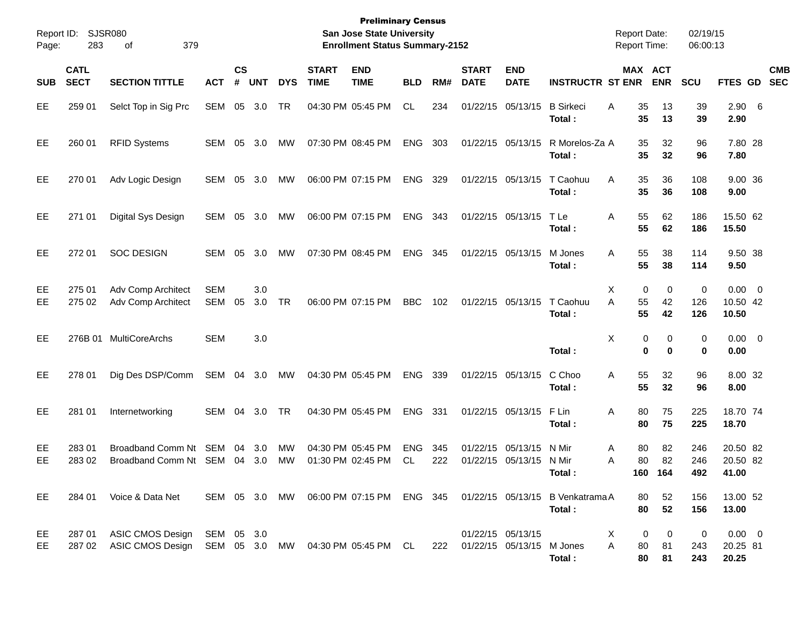| Report ID:<br>Page: | 283                        | <b>SJSR080</b><br>379<br>οf                                                        |                          |                    |            |            |                             | <b>Preliminary Census</b><br>San Jose State University<br><b>Enrollment Status Summary-2152</b> |                   |            |                               |                                        |                                                                                    | <b>Report Date:</b><br><b>Report Time:</b> |                       | 02/19/15<br>06:00:13 |                                  |                          |
|---------------------|----------------------------|------------------------------------------------------------------------------------|--------------------------|--------------------|------------|------------|-----------------------------|-------------------------------------------------------------------------------------------------|-------------------|------------|-------------------------------|----------------------------------------|------------------------------------------------------------------------------------|--------------------------------------------|-----------------------|----------------------|----------------------------------|--------------------------|
| <b>SUB</b>          | <b>CATL</b><br><b>SECT</b> | <b>SECTION TITTLE</b>                                                              | <b>ACT</b>               | $\mathsf{cs}$<br># | <b>UNT</b> | <b>DYS</b> | <b>START</b><br><b>TIME</b> | <b>END</b><br><b>TIME</b>                                                                       | <b>BLD</b>        | RM#        | <b>START</b><br><b>DATE</b>   | <b>END</b><br><b>DATE</b>              | <b>INSTRUCTR ST ENR</b>                                                            |                                            | MAX ACT<br><b>ENR</b> | <b>SCU</b>           | <b>FTES GD</b>                   | <b>CMB</b><br><b>SEC</b> |
| EE                  | 259 01                     | Selct Top in Sig Prc                                                               | SEM                      | 05                 | 3.0        | TR         |                             | 04:30 PM 05:45 PM                                                                               | CL                | 234        |                               | 01/22/15 05/13/15                      | <b>B</b> Sirkeci<br>Total:                                                         | Α<br>35<br>35                              | 13<br>13              | 39<br>39             | $2.90\quad 6$<br>2.90            |                          |
| EE                  | 260 01                     | <b>RFID Systems</b>                                                                | SEM                      | 05                 | 3.0        | МW         |                             | 07:30 PM 08:45 PM                                                                               | <b>ENG</b>        | 303        |                               | 01/22/15 05/13/15                      | R Morelos-Za A<br>Total:                                                           | 35<br>35                                   | 32<br>32              | 96<br>96             | 7.80 28<br>7.80                  |                          |
| EE                  | 270 01                     | Adv Logic Design                                                                   | SEM                      | 05                 | 3.0        | МW         |                             | 06:00 PM 07:15 PM                                                                               | <b>ENG</b>        | 329        |                               | 01/22/15 05/13/15                      | T Caohuu<br>Total:                                                                 | Α<br>35<br>35                              | 36<br>36              | 108<br>108           | 9.00 36<br>9.00                  |                          |
| EE                  | 271 01                     | <b>Digital Sys Design</b>                                                          | SEM                      | 05                 | 3.0        | МW         |                             | 06:00 PM 07:15 PM                                                                               | <b>ENG</b>        | 343        |                               | 01/22/15 05/13/15                      | T Le<br>Total:                                                                     | 55<br>Α<br>55                              | 62<br>62              | 186<br>186           | 15.50 62<br>15.50                |                          |
| EE                  | 272 01                     | <b>SOC DESIGN</b>                                                                  | SEM                      | 05                 | 3.0        | МW         |                             | 07:30 PM 08:45 PM                                                                               | <b>ENG</b>        | 345        |                               | 01/22/15 05/13/15                      | M Jones<br>Total:                                                                  | 55<br>A<br>55                              | 38<br>38              | 114<br>114           | 9.50 38<br>9.50                  |                          |
| EE<br>EE            | 275 01<br>275 02           | Adv Comp Architect<br>Adv Comp Architect                                           | <b>SEM</b><br><b>SEM</b> | 05                 | 3.0<br>3.0 | TR         |                             | 06:00 PM 07:15 PM                                                                               | <b>BBC</b>        | 102        |                               | 01/22/15 05/13/15                      | T Caohuu<br>Total:                                                                 | Х<br>0<br>55<br>A<br>55                    | 0<br>42<br>42         | 0<br>126<br>126      | $0.00 \t 0$<br>10.50 42<br>10.50 |                          |
| EE                  |                            | 276B 01 MultiCoreArchs                                                             | <b>SEM</b>               |                    | 3.0        |            |                             |                                                                                                 |                   |            |                               |                                        | Total:                                                                             | X<br>0<br>0                                | 0<br>$\bf{0}$         | 0<br>0               | $0.00 \t 0$<br>0.00              |                          |
| EE                  | 278 01                     | Dig Des DSP/Comm                                                                   | SEM                      | 04                 | 3.0        | MW         |                             | 04:30 PM 05:45 PM                                                                               | <b>ENG</b>        | 339        |                               | 01/22/15 05/13/15                      | C Choo<br>Total:                                                                   | 55<br>Α<br>55                              | 32<br>32              | 96<br>96             | 8.00 32<br>8.00                  |                          |
| EE                  | 281 01                     | Internetworking                                                                    | SEM                      | 04                 | 3.0        | TR         |                             | 04:30 PM 05:45 PM                                                                               | <b>ENG</b>        | 331        |                               | 01/22/15 05/13/15                      | F Lin<br>Total:                                                                    | 80<br>Α<br>80                              | 75<br>75              | 225<br>225           | 18.70 74<br>18.70                |                          |
| EE<br>EE            | 28301<br>28302             | Broadband Comm Nt<br>Broadband Comm Nt SEM                                         | SEM                      | 04<br>04           | 3.0<br>3.0 | МW<br>МW   |                             | 04:30 PM 05:45 PM<br>01:30 PM 02:45 PM                                                          | <b>ENG</b><br>CL. | 345<br>222 |                               | 01/22/15 05/13/15<br>01/22/15 05/13/15 | N Mir<br>N Mir<br>Total :                                                          | 80<br>A<br>80<br>A                         | 82<br>82<br>160 164   | 246<br>246<br>492    | 20.50 82<br>20.50 82<br>41.00    |                          |
| EE                  | 284 01                     | Voice & Data Net                                                                   |                          |                    |            |            |                             |                                                                                                 |                   |            |                               |                                        | SEM 05 3.0 MW 06:00 PM 07:15 PM ENG 345 01/22/15 05/13/15 B Venkatrama A<br>Total: | 80<br>80                                   | 52<br>52              | 156<br>156           | 13.00 52<br>13.00                |                          |
| EE,<br>EE           | 287 01<br>287 02           | ASIC CMOS Design SEM 05 3.0<br>ASIC CMOS Design SEM 05 3.0 MW 04:30 PM 05:45 PM CL |                          |                    |            |            |                             |                                                                                                 |                   |            | 222 01/22/15 05/13/15 M Jones | 01/22/15 05/13/15                      | Total:                                                                             | 0<br>X<br>A<br>80<br>80                    | 0<br>81<br>81         | 0<br>243<br>243      | $0.00 \t 0$<br>20.25 81<br>20.25 |                          |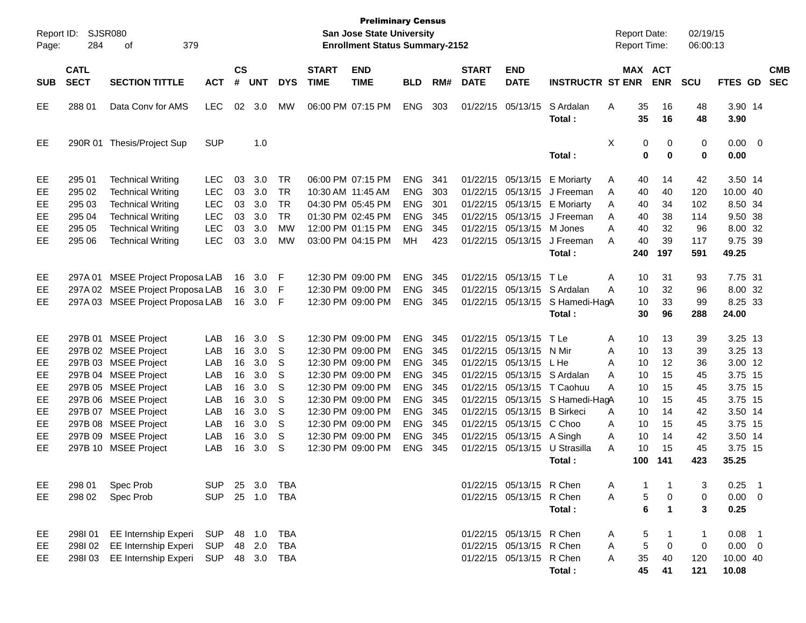| Page:      | Report ID: SJSR080<br>284  | 379<br>οf                        |            |                    |            |            |                             | <b>Preliminary Census</b><br><b>San Jose State University</b><br><b>Enrollment Status Summary-2152</b> |            |     |                             |                             |                                 |   | <b>Report Date:</b><br><b>Report Time:</b> |                       | 02/19/15<br>06:00:13 |                     |                          |
|------------|----------------------------|----------------------------------|------------|--------------------|------------|------------|-----------------------------|--------------------------------------------------------------------------------------------------------|------------|-----|-----------------------------|-----------------------------|---------------------------------|---|--------------------------------------------|-----------------------|----------------------|---------------------|--------------------------|
| <b>SUB</b> | <b>CATL</b><br><b>SECT</b> | <b>SECTION TITTLE</b>            | <b>ACT</b> | $\mathsf{cs}$<br># | <b>UNT</b> | <b>DYS</b> | <b>START</b><br><b>TIME</b> | <b>END</b><br><b>TIME</b>                                                                              | <b>BLD</b> | RM# | <b>START</b><br><b>DATE</b> | <b>END</b><br><b>DATE</b>   | <b>INSTRUCTR ST ENR</b>         |   |                                            | MAX ACT<br><b>ENR</b> | <b>SCU</b>           | FTES GD             | <b>CMB</b><br><b>SEC</b> |
| EE         | 288 01                     | Data Cony for AMS                | <b>LEC</b> | 02                 | 3.0        | MW         |                             | 06:00 PM 07:15 PM                                                                                      | <b>ENG</b> | 303 |                             | 01/22/15 05/13/15           | S Ardalan<br>Total :            | Α | 35<br>35                                   | 16<br>16              | 48<br>48             | 3.90 14<br>3.90     |                          |
| EE.        |                            | 290R 01 Thesis/Project Sup       | <b>SUP</b> |                    | 1.0        |            |                             |                                                                                                        |            |     |                             |                             | Total :                         | X | 0<br>0                                     | $\mathbf 0$<br>0      | 0<br>0               | $0.00 \t 0$<br>0.00 |                          |
| EE         | 295 01                     | <b>Technical Writing</b>         | <b>LEC</b> | 03                 | 3.0        | <b>TR</b>  |                             | 06:00 PM 07:15 PM                                                                                      | <b>ENG</b> | 341 |                             |                             | 01/22/15 05/13/15 E Moriarty    | A | 40                                         | 14                    | 42                   | 3.50 14             |                          |
| EE         | 295 02                     | <b>Technical Writing</b>         | <b>LEC</b> | 03                 | 3.0        | <b>TR</b>  |                             | 10:30 AM 11:45 AM                                                                                      | <b>ENG</b> | 303 |                             |                             | 01/22/15 05/13/15 J Freeman     | A | 40                                         | 40                    | 120                  | 10.00 40            |                          |
| EE         | 295 03                     | <b>Technical Writing</b>         | <b>LEC</b> | 03                 | 3.0        | <b>TR</b>  |                             | 04:30 PM 05:45 PM                                                                                      | <b>ENG</b> | 301 |                             |                             | 01/22/15 05/13/15 E Moriarty    | A | 40                                         | 34                    | 102                  | 8.50 34             |                          |
| EE         | 295 04                     | <b>Technical Writing</b>         | <b>LEC</b> | 03                 | 3.0        | <b>TR</b>  |                             | 01:30 PM 02:45 PM                                                                                      | <b>ENG</b> | 345 |                             |                             | 01/22/15 05/13/15 J Freeman     | A | 40                                         | 38                    | 114                  | 9.50 38             |                          |
| EE         | 295 05                     | <b>Technical Writing</b>         | <b>LEC</b> | 03                 | 3.0        | <b>MW</b>  |                             | 12:00 PM 01:15 PM                                                                                      | <b>ENG</b> | 345 |                             | 01/22/15 05/13/15 M Jones   |                                 | A | 40                                         | 32                    | 96                   | 8.00 32             |                          |
| EE.        | 295 06                     | <b>Technical Writing</b>         | <b>LEC</b> | 03                 | 3.0        | <b>MW</b>  |                             | 03:00 PM 04:15 PM                                                                                      | <b>MH</b>  | 423 |                             | 01/22/15 05/13/15           | J Freeman                       | A | 40                                         | 39                    | 117                  | 9.75 39             |                          |
|            |                            |                                  |            |                    |            |            |                             |                                                                                                        |            |     |                             |                             | Total:                          |   | 240                                        | 197                   | 591                  | 49.25               |                          |
| EE         | 297A01                     | <b>MSEE Project Proposa LAB</b>  |            | 16                 | 3.0        | F          |                             | 12:30 PM 09:00 PM                                                                                      | <b>ENG</b> | 345 |                             | 01/22/15 05/13/15           | T Le                            | Α | 10                                         | 31                    | 93                   | 7.75 31             |                          |
| EE         | 297A 02                    | <b>MSEE Project Proposa LAB</b>  |            | 16                 | 3.0        | F          |                             | 12:30 PM 09:00 PM                                                                                      | <b>ENG</b> | 345 |                             |                             | 01/22/15 05/13/15 S Ardalan     | A | 10                                         | 32                    | 96                   | 8.00 32             |                          |
| EE.        |                            | 297A 03 MSEE Project Proposa LAB |            | 16                 | 3.0        | F          |                             | 12:30 PM 09:00 PM                                                                                      | <b>ENG</b> | 345 |                             |                             | 01/22/15 05/13/15 S Hamedi-HagA |   | 10                                         | 33                    | 99                   | 8.25 33             |                          |
|            |                            |                                  |            |                    |            |            |                             |                                                                                                        |            |     |                             |                             | Total:                          |   | 30                                         | 96                    | 288                  | 24.00               |                          |
|            |                            |                                  |            |                    |            |            |                             |                                                                                                        |            |     |                             |                             |                                 |   |                                            |                       |                      |                     |                          |
| EE         | 297B 01                    | <b>MSEE Project</b>              | LAB        | 16                 | 3.0        | S          |                             | 12:30 PM 09:00 PM                                                                                      | <b>ENG</b> | 345 |                             | 01/22/15 05/13/15           | TLe                             | A | 10                                         | 13                    | 39                   | 3.25 13             |                          |
| EE         |                            | 297B 02 MSEE Project             | LAB        | 16                 | 3.0        | S          |                             | 12:30 PM 09:00 PM                                                                                      | <b>ENG</b> | 345 |                             | 01/22/15 05/13/15 N Mir     |                                 | A | 10                                         | 13                    | 39                   | 3.25 13             |                          |
| EE         |                            | 297B 03 MSEE Project             | LAB        | 16                 | 3.0        | S          |                             | 12:30 PM 09:00 PM                                                                                      | <b>ENG</b> | 345 |                             | 01/22/15 05/13/15           | L He                            | A | 10                                         | $12 \,$               | 36                   | 3.00 12             |                          |
| EE         |                            | 297B 04 MSEE Project             | LAB        | 16                 | 3.0        | S          |                             | 12:30 PM 09:00 PM                                                                                      | <b>ENG</b> | 345 |                             |                             | 01/22/15 05/13/15 S Ardalan     | A | 10                                         | 15                    | 45                   | 3.75 15             |                          |
| EE         |                            | 297B 05 MSEE Project             | LAB        | 16                 | 3.0        | S          |                             | 12:30 PM 09:00 PM                                                                                      | <b>ENG</b> | 345 |                             |                             | 01/22/15 05/13/15 T Caohuu      | A | 10                                         | 15                    | 45                   | 3.75 15             |                          |
| EE         |                            | 297B 06 MSEE Project             | LAB        | 16                 | 3.0        | S          |                             | 12:30 PM 09:00 PM                                                                                      | <b>ENG</b> | 345 |                             |                             | 01/22/15 05/13/15 S Hamedi-HagA |   | 10                                         | 15                    | 45                   | 3.75 15             |                          |
| EE         | 297B 07                    | <b>MSEE Project</b>              | LAB        | 16                 | 3.0        | S          |                             | 12:30 PM 09:00 PM                                                                                      | <b>ENG</b> | 345 |                             | 01/22/15 05/13/15 B Sirkeci |                                 | A | 10                                         | 14                    | 42                   | 3.50 14             |                          |
| EE         |                            | 297B 08 MSEE Project             | LAB        | 16                 | 3.0        | S          |                             | 12:30 PM 09:00 PM                                                                                      | <b>ENG</b> | 345 |                             | 01/22/15 05/13/15 C Choo    |                                 | A | 10                                         | 15                    | 45                   | 3.75 15             |                          |
| EE         |                            | 297B 09 MSEE Project             | LAB        | 16                 | 3.0        | S          |                             | 12:30 PM 09:00 PM                                                                                      | <b>ENG</b> | 345 |                             | 01/22/15 05/13/15 A Singh   |                                 | A | 10                                         | 14                    | 42                   | 3.50 14             |                          |
| EE         |                            | 297B 10 MSEE Project             | LAB        | 16                 | 3.0        | S          |                             | 12:30 PM 09:00 PM                                                                                      | <b>ENG</b> | 345 |                             | 01/22/15 05/13/15           | U Strasilla                     | A | 10                                         | 15                    | 45                   | 3.75 15             |                          |
|            |                            |                                  |            |                    |            |            |                             |                                                                                                        |            |     |                             |                             | Total :                         |   | 100                                        | 141                   | 423                  | 35.25               |                          |
|            |                            |                                  |            |                    |            |            |                             |                                                                                                        |            |     |                             |                             |                                 |   |                                            |                       |                      |                     |                          |
| EE         | 298 01                     | Spec Prob                        | <b>SUP</b> |                    | 25 3.0     | TBA        |                             |                                                                                                        |            |     |                             | 01/22/15 05/13/15 R Chen    |                                 | Α | -1                                         |                       | 3                    | $0.25$ 1            |                          |
| EE         | 298 02                     | Spec Prob                        | <b>SUP</b> |                    | 25 1.0     | <b>TBA</b> |                             |                                                                                                        |            |     |                             | 01/22/15 05/13/15 R Chen    |                                 | Α | 5                                          | 0                     | 0                    | $0.00 \t 0$         |                          |
|            |                            |                                  |            |                    |            |            |                             |                                                                                                        |            |     |                             |                             | Total:                          |   | 6                                          | $\mathbf 1$           | 3                    | 0.25                |                          |
| EE         | 298101                     | EE Internship Experi             | <b>SUP</b> |                    | 48 1.0     | TBA        |                             |                                                                                                        |            |     |                             | 01/22/15 05/13/15 R Chen    |                                 | A | 5                                          |                       | $\mathbf{1}$         | $0.08$ 1            |                          |
| EE         | 298102                     | EE Internship Experi             | <b>SUP</b> |                    | 48 2.0     | <b>TBA</b> |                             |                                                                                                        |            |     |                             | 01/22/15 05/13/15 R Chen    |                                 | Α | 5                                          | 0                     | 0                    | $0.00 \t 0$         |                          |
| EE         |                            | 298I 03 EE Internship Experi     | SUP 48 3.0 |                    |            | TBA        |                             |                                                                                                        |            |     |                             | 01/22/15 05/13/15 R Chen    |                                 | A | 35                                         | 40                    | 120                  | 10.00 40            |                          |
|            |                            |                                  |            |                    |            |            |                             |                                                                                                        |            |     |                             |                             | Total:                          |   | 45                                         | 41                    | 121                  | 10.08               |                          |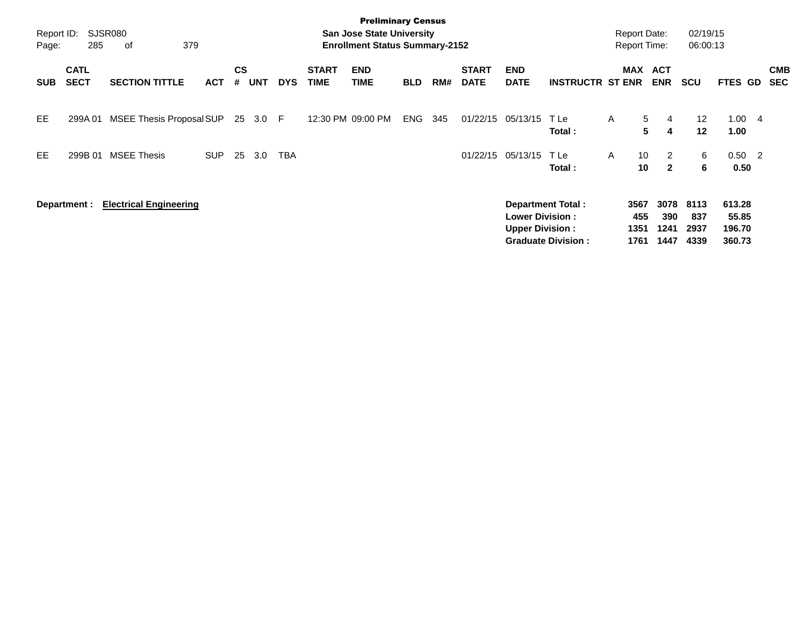| Report ID:<br>Page: | 285                        | SJSR080<br>379<br>оf          |            |                    |            |            |                             | <b>Preliminary Census</b><br><b>San Jose State University</b><br><b>Enrollment Status Summary-2152</b> |            |     |                             |                                                  |                                                       |   | <b>Report Date:</b><br><b>Report Time:</b> |                                  | 02/19/15<br>06:00:13        |                                     |                |                          |
|---------------------|----------------------------|-------------------------------|------------|--------------------|------------|------------|-----------------------------|--------------------------------------------------------------------------------------------------------|------------|-----|-----------------------------|--------------------------------------------------|-------------------------------------------------------|---|--------------------------------------------|----------------------------------|-----------------------------|-------------------------------------|----------------|--------------------------|
| <b>SUB</b>          | <b>CATL</b><br><b>SECT</b> | <b>SECTION TITTLE</b>         | <b>ACT</b> | $\mathsf{cs}$<br># | <b>UNT</b> | <b>DYS</b> | <b>START</b><br><b>TIME</b> | <b>END</b><br><b>TIME</b>                                                                              | <b>BLD</b> | RM# | <b>START</b><br><b>DATE</b> | <b>END</b><br><b>DATE</b>                        | <b>INSTRUCTR ST ENR</b>                               |   | MAX                                        | <b>ACT</b><br><b>ENR</b>         | <b>SCU</b>                  | FTES GD                             |                | <b>CMB</b><br><b>SEC</b> |
| <b>EE</b>           | 299A 01                    | MSEE Thesis Proposal SUP      |            |                    | 25 3.0     | - F        |                             | 12:30 PM 09:00 PM                                                                                      | <b>ENG</b> | 345 | 01/22/15                    | 05/13/15                                         | T Le<br>Total:                                        | A | $5\overline{)}$<br>5                       | 4<br>4                           | 12<br>12                    | 1.00<br>1.00                        | $\overline{4}$ |                          |
| EE.                 | 299B 01                    | <b>MSEE Thesis</b>            | <b>SUP</b> | 25                 | 3.0        | TBA        |                             |                                                                                                        |            |     | 01/22/15                    | 05/13/15                                         | T Le<br>Total:                                        | A | 10<br>10                                   | $\overline{2}$<br>$\overline{2}$ | 6<br>6                      | $0.50 \quad 2$<br>0.50              |                |                          |
|                     | Department :               | <b>Electrical Engineering</b> |            |                    |            |            |                             |                                                                                                        |            |     |                             | <b>Lower Division:</b><br><b>Upper Division:</b> | <b>Department Total:</b><br><b>Graduate Division:</b> |   | 3567<br>455<br>1351<br>1761                | 3078<br>390<br>1241<br>1447      | 8113<br>837<br>2937<br>4339 | 613.28<br>55.85<br>196.70<br>360.73 |                |                          |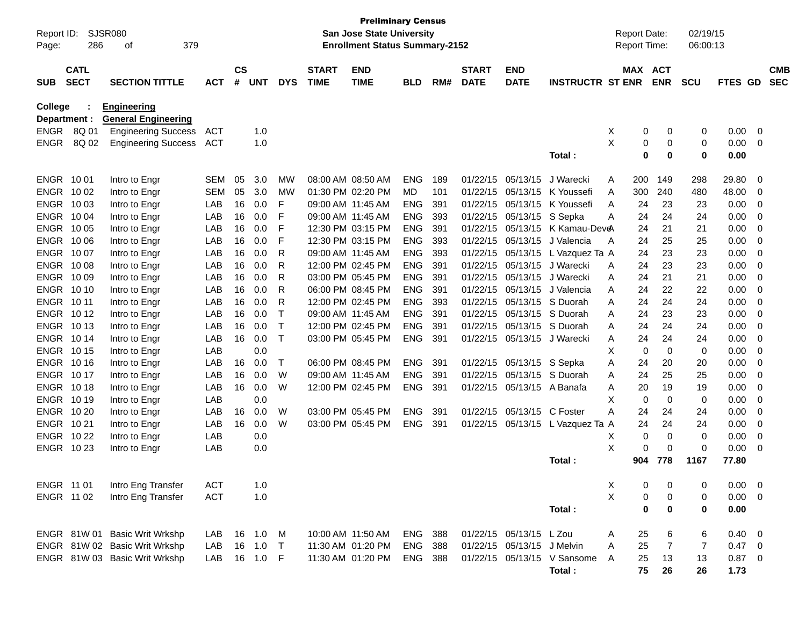| Report ID:<br>Page: | 286                        | SJSR080<br>379<br>οf          |            |                    |            |            |                             | <b>Preliminary Census</b><br><b>San Jose State University</b><br><b>Enrollment Status Summary-2152</b> |            |     |                             |                            |                             |                | <b>Report Date:</b><br><b>Report Time:</b> |                | 02/19/15<br>06:00:13 |                |     |                          |
|---------------------|----------------------------|-------------------------------|------------|--------------------|------------|------------|-----------------------------|--------------------------------------------------------------------------------------------------------|------------|-----|-----------------------------|----------------------------|-----------------------------|----------------|--------------------------------------------|----------------|----------------------|----------------|-----|--------------------------|
| <b>SUB</b>          | <b>CATL</b><br><b>SECT</b> | <b>SECTION TITTLE</b>         | <b>ACT</b> | $\mathsf{cs}$<br># | <b>UNT</b> | <b>DYS</b> | <b>START</b><br><b>TIME</b> | <b>END</b><br><b>TIME</b>                                                                              | <b>BLD</b> | RM# | <b>START</b><br><b>DATE</b> | <b>END</b><br><b>DATE</b>  | <b>INSTRUCTR ST ENR</b>     |                | MAX ACT                                    | <b>ENR</b>     | <b>SCU</b>           | FTES GD        |     | <b>CMB</b><br><b>SEC</b> |
| <b>College</b>      |                            | <b>Engineering</b>            |            |                    |            |            |                             |                                                                                                        |            |     |                             |                            |                             |                |                                            |                |                      |                |     |                          |
| Department :        |                            | <b>General Engineering</b>    |            |                    |            |            |                             |                                                                                                        |            |     |                             |                            |                             |                |                                            |                |                      |                |     |                          |
| ENGR                | 8Q 01                      | <b>Engineering Success</b>    | ACT        |                    | 1.0        |            |                             |                                                                                                        |            |     |                             |                            |                             | X              | 0                                          | 0              | 0                    | 0.00           | - 0 |                          |
| <b>ENGR</b>         | 8Q 02                      | <b>Engineering Success</b>    | ACT        |                    | 1.0        |            |                             |                                                                                                        |            |     |                             |                            | Total:                      | X              | 0<br>0                                     | 0<br>0         | 0<br>0               | 0.00<br>0.00   | - 0 |                          |
| ENGR 1001           |                            | Intro to Engr                 | SEM        | 05                 | 3.0        | МW         |                             | 08:00 AM 08:50 AM                                                                                      | <b>ENG</b> | 189 | 01/22/15                    | 05/13/15                   | J Warecki                   | A              | 200                                        | 149            | 298                  | 29.80          | 0   |                          |
| ENGR 1002           |                            | Intro to Engr                 | <b>SEM</b> | 05                 | 3.0        | МW         |                             | 01:30 PM 02:20 PM                                                                                      | MD         | 101 | 01/22/15                    | 05/13/15                   | K Youssefi                  | Α              | 300                                        | 240            | 480                  | 48.00          | 0   |                          |
| ENGR 1003           |                            | Intro to Engr                 | LAB        | 16                 | 0.0        | F          |                             | 09:00 AM 11:45 AM                                                                                      | <b>ENG</b> | 391 | 01/22/15                    | 05/13/15                   | K Youssefi                  | A              | 24                                         | 23             | 23                   | 0.00           | 0   |                          |
| ENGR 1004           |                            | Intro to Engr                 | LAB        | 16                 | 0.0        | F          |                             | 09:00 AM 11:45 AM                                                                                      | <b>ENG</b> | 393 | 01/22/15                    | 05/13/15                   | S Sepka                     | A              | 24                                         | 24             | 24                   | 0.00           | 0   |                          |
| ENGR 1005           |                            | Intro to Engr                 | LAB        | 16                 | 0.0        | F          |                             | 12:30 PM 03:15 PM                                                                                      | <b>ENG</b> | 391 | 01/22/15                    | 05/13/15                   | K Kamau-Dev <del>e</del> A  |                | 24                                         | 21             | 21                   | 0.00           | 0   |                          |
| ENGR 1006           |                            | Intro to Engr                 | LAB        | 16                 | 0.0        | F          |                             | 12:30 PM 03:15 PM                                                                                      | <b>ENG</b> | 393 | 01/22/15                    | 05/13/15                   | J Valencia                  | A              | 24                                         | 25             | 25                   | 0.00           | 0   |                          |
| ENGR 1007           |                            | Intro to Engr                 | LAB        | 16                 | 0.0        | R          |                             | 09:00 AM 11:45 AM                                                                                      | <b>ENG</b> | 393 | 01/22/15                    | 05/13/15                   | L Vazquez Ta A              |                | 24                                         | 23             | 23                   | 0.00           | 0   |                          |
| <b>ENGR 1008</b>    |                            | Intro to Engr                 | LAB        | 16                 | 0.0        | R          |                             | 12:00 PM 02:45 PM                                                                                      | <b>ENG</b> | 391 | 01/22/15                    | 05/13/15                   | J Warecki                   | A              | 24                                         | 23             | 23                   | 0.00           | 0   |                          |
| ENGR 10 09          |                            | Intro to Engr                 | LAB        | 16                 | 0.0        | R          |                             | 03:00 PM 05:45 PM                                                                                      | <b>ENG</b> | 391 | 01/22/15                    | 05/13/15                   | J Warecki                   | A              | 24                                         | 21             | 21                   | 0.00           | 0   |                          |
| ENGR 1010           |                            | Intro to Engr                 | LAB        | 16                 | 0.0        | R          |                             | 06:00 PM 08:45 PM                                                                                      | <b>ENG</b> | 391 | 01/22/15                    | 05/13/15                   | J Valencia                  | A              | 24                                         | 22             | 22                   | 0.00           | 0   |                          |
| ENGR 1011           |                            | Intro to Engr                 | LAB        | 16                 | 0.0        | R          |                             | 12:00 PM 02:45 PM                                                                                      | <b>ENG</b> | 393 | 01/22/15                    | 05/13/15                   | S Duorah                    | A              | 24                                         | 24             | 24                   | 0.00           | 0   |                          |
| <b>ENGR 1012</b>    |                            | Intro to Engr                 | LAB        | 16                 | 0.0        |            |                             | 09:00 AM 11:45 AM                                                                                      | <b>ENG</b> | 391 | 01/22/15                    |                            | 05/13/15 S Duorah           | A              | 24                                         | 23             | 23                   | 0.00           | 0   |                          |
| <b>ENGR 1013</b>    |                            | Intro to Engr                 | LAB        | 16                 | 0.0        | Т          |                             | 12:00 PM 02:45 PM                                                                                      | <b>ENG</b> | 391 | 01/22/15                    |                            | 05/13/15 S Duorah           | A              | 24                                         | 24             | 24                   | 0.00           | 0   |                          |
| ENGR 1014           |                            | Intro to Engr                 | LAB        | 16                 | 0.0        | Т          |                             | 03:00 PM 05:45 PM                                                                                      | <b>ENG</b> | 391 | 01/22/15                    |                            | 05/13/15 J Warecki          | A              | 24                                         | 24             | 24                   | 0.00           | 0   |                          |
| <b>ENGR 1015</b>    |                            | Intro to Engr                 | LAB        |                    | 0.0        |            |                             |                                                                                                        |            |     |                             |                            |                             | х              | 0                                          | 0              | 0                    | 0.00           | 0   |                          |
| <b>ENGR 1016</b>    |                            | Intro to Engr                 | LAB        | 16                 | 0.0        | т          |                             | 06:00 PM 08:45 PM                                                                                      | <b>ENG</b> | 391 | 01/22/15                    | 05/13/15 S Sepka           |                             | Α              | 24                                         | 20             | 20                   | 0.00           | 0   |                          |
| ENGR 1017           |                            | Intro to Engr                 | LAB        | 16                 | 0.0        | W          |                             | 09:00 AM 11:45 AM                                                                                      | <b>ENG</b> | 391 | 01/22/15                    | 05/13/15                   | S Duorah                    | A              | 24                                         | 25             | 25                   | 0.00           | 0   |                          |
| <b>ENGR 1018</b>    |                            | Intro to Engr                 | LAB        | 16                 | 0.0        | W          |                             | 12:00 PM 02:45 PM                                                                                      | <b>ENG</b> | 391 | 01/22/15                    |                            | 05/13/15 A Banafa           | Α              | 20                                         | 19             | 19                   | 0.00           | 0   |                          |
| ENGR 1019           |                            | Intro to Engr                 | LAB        |                    | 0.0        |            |                             |                                                                                                        |            |     |                             |                            |                             | х              | 0                                          | $\mathbf 0$    | 0                    | 0.00           | 0   |                          |
| <b>ENGR 1020</b>    |                            | Intro to Engr                 | LAB        | 16                 | 0.0        | W          |                             | 03:00 PM 05:45 PM                                                                                      | <b>ENG</b> | 391 | 01/22/15                    | 05/13/15                   | C Foster                    | А              | 24                                         | 24             | 24                   | 0.00           | 0   |                          |
| ENGR 1021           |                            | Intro to Engr                 | LAB        | 16                 | 0.0        | W          |                             | 03:00 PM 05:45 PM                                                                                      | <b>ENG</b> | 391 | 01/22/15                    | 05/13/15                   | L Vazquez Ta A              |                | 24                                         | 24             | 24                   | 0.00           | 0   |                          |
| <b>ENGR 1022</b>    |                            | Intro to Engr                 | LAB        |                    | 0.0        |            |                             |                                                                                                        |            |     |                             |                            |                             | Χ              | 0                                          | $\mathbf 0$    | 0                    | 0.00           | 0   |                          |
| ENGR 1023           |                            | Intro to Engr                 | LAB        |                    | 0.0        |            |                             |                                                                                                        |            |     |                             |                            |                             | X              | 0                                          | 0              | $\mathbf 0$          | 0.00           | 0   |                          |
|                     |                            |                               |            |                    |            |            |                             |                                                                                                        |            |     |                             |                            | Total:                      |                | 904                                        | 778            | 1167                 | 77.80          |     |                          |
| ENGR 11 01          |                            | Intro Eng Transfer            | <b>ACT</b> |                    | 1.0        |            |                             |                                                                                                        |            |     |                             |                            |                             | X              | 0                                          | 0              | 0                    | $0.00 \t 0$    |     |                          |
| ENGR 11 02          |                            | Intro Eng Transfer            | <b>ACT</b> |                    | 1.0        |            |                             |                                                                                                        |            |     |                             |                            |                             | $\pmb{\times}$ | 0                                          | 0              | 0                    | $0.00 \t 0$    |     |                          |
|                     |                            |                               |            |                    |            |            |                             |                                                                                                        |            |     |                             |                            | Total:                      |                | $\pmb{0}$                                  | $\bf{0}$       | 0                    | 0.00           |     |                          |
|                     |                            | ENGR 81W 01 Basic Writ Wrkshp | LAB        |                    | 16 1.0     | M          |                             | 10:00 AM 11:50 AM                                                                                      | <b>ENG</b> | 388 |                             | 01/22/15 05/13/15 L Zou    |                             | Α              | 25                                         | 6              | 6                    | $0.40 \quad 0$ |     |                          |
|                     |                            | ENGR 81W 02 Basic Writ Wrkshp | LAB        | 16                 | 1.0        | $\top$     |                             | 11:30 AM 01:20 PM                                                                                      | <b>ENG</b> | 388 |                             | 01/22/15 05/13/15 J Melvin |                             | A              | 25                                         | $\overline{7}$ | $\overline{7}$       | 0.47 0         |     |                          |
|                     |                            | ENGR 81W 03 Basic Writ Wrkshp | LAB        |                    | 16 1.0 F   |            |                             | 11:30 AM 01:20 PM                                                                                      | ENG        | 388 |                             |                            | 01/22/15 05/13/15 V Sansome | A              | 25                                         | 13             | 13                   | $0.87$ 0       |     |                          |
|                     |                            |                               |            |                    |            |            |                             |                                                                                                        |            |     |                             |                            | Total:                      |                | 75                                         | 26             | 26                   | 1.73           |     |                          |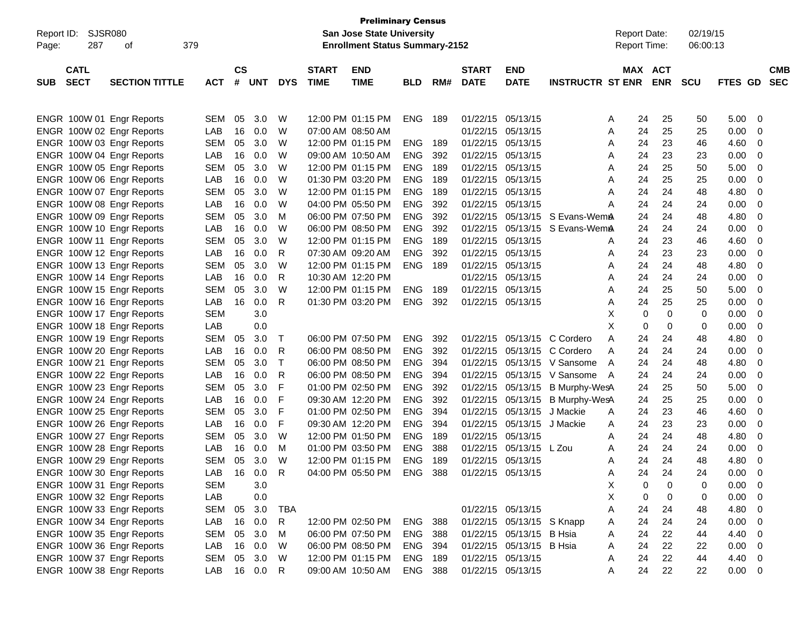| SJSR080<br>Report ID:                                                                                                                         |                                                      | <b>San Jose State University</b> | <b>Preliminary Census</b>       |                       |                                                                                                       |                                                             | Report Date:                                                       |                                 | 02/19/15                                                    |                                                                                                        |                                                                    |                                                    |                            |                            |                                                                                                               |                          |
|-----------------------------------------------------------------------------------------------------------------------------------------------|------------------------------------------------------|----------------------------------|---------------------------------|-----------------------|-------------------------------------------------------------------------------------------------------|-------------------------------------------------------------|--------------------------------------------------------------------|---------------------------------|-------------------------------------------------------------|--------------------------------------------------------------------------------------------------------|--------------------------------------------------------------------|----------------------------------------------------|----------------------------|----------------------------|---------------------------------------------------------------------------------------------------------------|--------------------------|
| 287<br>379<br>Page:<br>οf                                                                                                                     |                                                      |                                  |                                 |                       |                                                                                                       | <b>Enrollment Status Summary-2152</b>                       |                                                                    |                                 |                                                             |                                                                                                        |                                                                    | Report Time:                                       |                            | 06:00:13                   |                                                                                                               |                          |
| <b>CATL</b><br><b>SECT</b><br><b>SECTION TITTLE</b><br><b>SUB</b>                                                                             | <b>ACT</b>                                           | $\mathsf{cs}$<br>#               | <b>UNT</b>                      | <b>DYS</b>            | <b>START</b><br><b>TIME</b>                                                                           | <b>END</b><br><b>TIME</b>                                   | <b>BLD</b>                                                         | RM#                             | <b>START</b><br><b>DATE</b>                                 | <b>END</b><br><b>DATE</b>                                                                              | <b>INSTRUCTR ST ENR</b>                                            | MAX ACT                                            | <b>ENR</b>                 | <b>SCU</b>                 | FTES GD                                                                                                       | <b>CMB</b><br><b>SEC</b> |
| ENGR 100W 01 Engr Reports<br>ENGR 100W 02 Engr Reports<br>ENGR 100W 03 Engr Reports<br>ENGR 100W 04 Engr Reports                              | <b>SEM</b><br>LAB<br><b>SEM</b><br>LAB               | 05<br>16<br>05<br>16             | 3.0<br>0.0<br>3.0<br>0.0        | W<br>W<br>W<br>W      | 12:00 PM 01:15 PM<br>07:00 AM 08:50 AM<br>09:00 AM 10:50 AM                                           | 12:00 PM 01:15 PM                                           | <b>ENG</b><br><b>ENG</b><br><b>ENG</b>                             | 189<br>189<br>392               | 01/22/15<br>01/22/15<br>01/22/15<br>01/22/15                | 05/13/15<br>05/13/15<br>05/13/15<br>05/13/15                                                           |                                                                    | 24<br>Α<br>24<br>Α<br>24<br>Α<br>24<br>Α           | 25<br>25<br>23<br>23       | 50<br>25<br>46<br>23       | 5.00<br>0<br>0.00<br>0<br>4.60<br>0<br>0.00<br>0                                                              |                          |
| ENGR 100W 05 Engr Reports<br>ENGR 100W 06 Engr Reports<br>ENGR 100W 07 Engr Reports<br>ENGR 100W 08 Engr Reports<br>ENGR 100W 09 Engr Reports | <b>SEM</b><br>LAB<br><b>SEM</b><br>LAB<br><b>SEM</b> | 05<br>16<br>05<br>16<br>05       | 3.0<br>0.0<br>3.0<br>0.0<br>3.0 | W<br>W<br>W<br>W<br>М | 01:30 PM 03:20 PM<br>04:00 PM 05:50 PM<br>06:00 PM 07:50 PM                                           | 12:00 PM 01:15 PM<br>12:00 PM 01:15 PM                      | <b>ENG</b><br><b>ENG</b><br><b>ENG</b><br><b>ENG</b><br><b>ENG</b> | 189<br>189<br>189<br>392<br>392 | 01/22/15<br>01/22/15<br>01/22/15<br>01/22/15<br>01/22/15    | 05/13/15<br>05/13/15<br>05/13/15<br>05/13/15<br>05/13/15                                               | S Evans-Wem <b>A</b>                                               | 24<br>Α<br>24<br>Α<br>24<br>Α<br>24<br>Α<br>24     | 25<br>25<br>24<br>24<br>24 | 50<br>25<br>48<br>24<br>48 | 5.00<br>0<br>0.00<br>0<br>4.80<br>0<br>0.00<br>0<br>4.80<br>0                                                 |                          |
| ENGR 100W 10 Engr Reports<br>ENGR 100W 11 Engr Reports<br>ENGR 100W 12 Engr Reports<br>ENGR 100W 13 Engr Reports                              | LAB<br><b>SEM</b><br>LAB<br><b>SEM</b>               | 16<br>05<br>16<br>05             | 0.0<br>3.0<br>0.0<br>3.0        | W<br>W<br>R<br>W      | 06:00 PM 08:50 PM<br>07:30 AM 09:20 AM                                                                | 12:00 PM 01:15 PM<br>12:00 PM 01:15 PM                      | <b>ENG</b><br><b>ENG</b><br><b>ENG</b><br><b>ENG</b>               | 392<br>189<br>392<br>189        | 01/22/15<br>01/22/15<br>01/22/15<br>01/22/15                | 05/13/15<br>05/13/15<br>05/13/15<br>05/13/15                                                           | S Evans-WemA                                                       | 24<br>24<br>Α<br>24<br>Α<br>24<br>Α                | 24<br>23<br>23<br>24       | 24<br>46<br>23<br>48       | 0.00<br>0<br>4.60<br>0<br>0.00<br>0<br>4.80<br>0                                                              |                          |
| ENGR 100W 14 Engr Reports<br>ENGR 100W 15 Engr Reports<br>ENGR 100W 16 Engr Reports<br>ENGR 100W 17 Engr Reports<br>ENGR 100W 18 Engr Reports | LAB<br><b>SEM</b><br>LAB<br><b>SEM</b><br>LAB        | 16<br>05<br>16                   | 0.0<br>3.0<br>0.0<br>3.0<br>0.0 | R<br>W<br>R           | 10:30 AM 12:20 PM<br>01:30 PM 03:20 PM                                                                | 12:00 PM 01:15 PM                                           | <b>ENG</b><br><b>ENG</b>                                           | 189<br>392                      | 01/22/15 05/13/15<br>01/22/15 05/13/15<br>01/22/15 05/13/15 |                                                                                                        |                                                                    | 24<br>Α<br>24<br>Α<br>24<br>Α<br>X<br>0<br>X<br>0  | 24<br>25<br>25<br>0<br>0   | 24<br>50<br>25<br>0<br>0   | 0.00<br>0<br>5.00<br>0<br>0.00<br>0<br>0.00<br>0<br>0.00<br>0                                                 |                          |
| ENGR 100W 19 Engr Reports<br>ENGR 100W 20 Engr Reports<br>ENGR 100W 21 Engr Reports<br>ENGR 100W 22 Engr Reports                              | <b>SEM</b><br>LAB<br><b>SEM</b><br>LAB               | 05<br>16<br>05<br>16             | 3.0<br>0.0<br>3.0<br>0.0        | Т<br>R<br>Т<br>R      | 06:00 PM 07:50 PM<br>06:00 PM 08:50 PM<br>06:00 PM 08:50 PM<br>06:00 PM 08:50 PM                      |                                                             | <b>ENG</b><br><b>ENG</b><br><b>ENG</b><br><b>ENG</b>               | 392<br>392<br>394<br>394        | 01/22/15<br>01/22/15<br>01/22/15<br>01/22/15                | 05/13/15<br>05/13/15                                                                                   | C Cordero<br>C Cordero<br>05/13/15 V Sansome<br>05/13/15 V Sansome | 24<br>Α<br>24<br>Α<br>24<br>A<br>24<br>A           | 24<br>24<br>24<br>24       | 48<br>24<br>48<br>24       | 4.80<br>0<br>0.00<br>0<br>4.80<br>0<br>0.00<br>0                                                              |                          |
| ENGR 100W 23 Engr Reports<br>ENGR 100W 24 Engr Reports<br>ENGR 100W 25 Engr Reports<br>ENGR 100W 26 Engr Reports<br>ENGR 100W 27 Engr Reports | <b>SEM</b><br>LAB<br><b>SEM</b><br>LAB<br><b>SEM</b> | 05<br>16<br>05<br>16<br>05       | 3.0<br>0.0<br>3.0<br>0.0<br>3.0 | F<br>F<br>F<br>F<br>W | 01:00 PM 02:50 PM<br>09:30 AM 12:20 PM<br>01:00 PM 02:50 PM<br>09:30 AM 12:20 PM<br>12:00 PM 01:50 PM |                                                             | <b>ENG</b><br><b>ENG</b><br><b>ENG</b><br><b>ENG</b><br><b>ENG</b> | 392<br>392<br>394<br>394<br>189 | 01/22/15<br>01/22/15<br>01/22/15<br>01/22/15<br>01/22/15    | 05/13/15<br>05/13/15<br>05/13/15<br>05/13/15<br>05/13/15                                               | B Murphy-WesA<br>B Murphy-WesA<br>J Mackie<br>J Mackie             | 24<br>24<br>24<br>Α<br>24<br>A<br>24<br>Α          | 25<br>25<br>23<br>23<br>24 | 50<br>25<br>46<br>23<br>48 | 5.00<br>0<br>0.00<br>0<br>4.60<br>0<br>0.00<br>0<br>4.80<br>0                                                 |                          |
| ENGR 100W 28 Engr Reports<br>ENGR 100W 29 Engr Reports<br>ENGR 100W 30 Engr Reports<br>ENGR 100W 31 Engr Reports                              | LAB<br><b>SEM</b><br>LAB<br><b>SEM</b>               | 16<br>05<br>16                   | 0.0<br>3.0<br>0.0<br>3.0        | M<br>W<br>R           | 01:00 PM 03:50 PM                                                                                     | 12:00 PM 01:15 PM<br>04:00 PM 05:50 PM ENG 388              | <b>ENG</b><br><b>ENG</b>                                           | 388<br>189                      | 01/22/15<br>01/22/15 05/13/15<br>01/22/15 05/13/15          | 05/13/15 L Zou                                                                                         |                                                                    | 24<br>Α<br>24<br>A<br>24<br>Α<br>X<br>0            | 24<br>24<br>24<br>0        | 24<br>48<br>24<br>0        | 0.00<br>0<br>4.80<br>0<br>0.00<br>$\overline{\mathbf{0}}$<br>0.00<br>$\overline{0}$                           |                          |
| ENGR 100W 32 Engr Reports<br>ENGR 100W 33 Engr Reports<br>ENGR 100W 34 Engr Reports<br>ENGR 100W 35 Engr Reports<br>ENGR 100W 36 Engr Reports | LAB<br>SEM<br>LAB<br>SEM<br>LAB                      | 05<br>16<br>05<br>16             | 0.0<br>3.0<br>0.0<br>3.0<br>0.0 | TBA<br>R<br>м<br>W    |                                                                                                       | 12:00 PM 02:50 PM<br>06:00 PM 07:50 PM<br>06:00 PM 08:50 PM | ENG<br><b>ENG 388</b><br>ENG 394                                   | 388                             |                                                             | 01/22/15 05/13/15<br>01/22/15 05/13/15 S Knapp<br>01/22/15 05/13/15 B Hsia<br>01/22/15 05/13/15 B Hsia |                                                                    | X<br>0<br>24<br>A<br>24<br>A<br>24<br>A<br>24<br>A | 0<br>24<br>24<br>22<br>22  | 0<br>48<br>24<br>44<br>22  | 0.00<br>$\overline{0}$<br>4.80<br>$\mathbf{0}$<br>0.00<br>$\mathbf{0}$<br>4.40<br>$\mathbf{0}$<br>0.00<br>- 0 |                          |
| ENGR 100W 37 Engr Reports<br>ENGR 100W 38 Engr Reports                                                                                        | SEM<br>LAB                                           | 05                               | 3.0<br>16  0.0  R               | W                     |                                                                                                       | 12:00 PM 01:15 PM<br>09:00 AM 10:50 AM                      | <b>ENG 189</b><br>ENG 388                                          |                                 | 01/22/15 05/13/15                                           | 01/22/15 05/13/15                                                                                      |                                                                    | 24<br>A<br>24<br>A                                 | 22<br>22                   | 44<br>22                   | 4.40<br>- 0<br>$0.00 \t 0$                                                                                    |                          |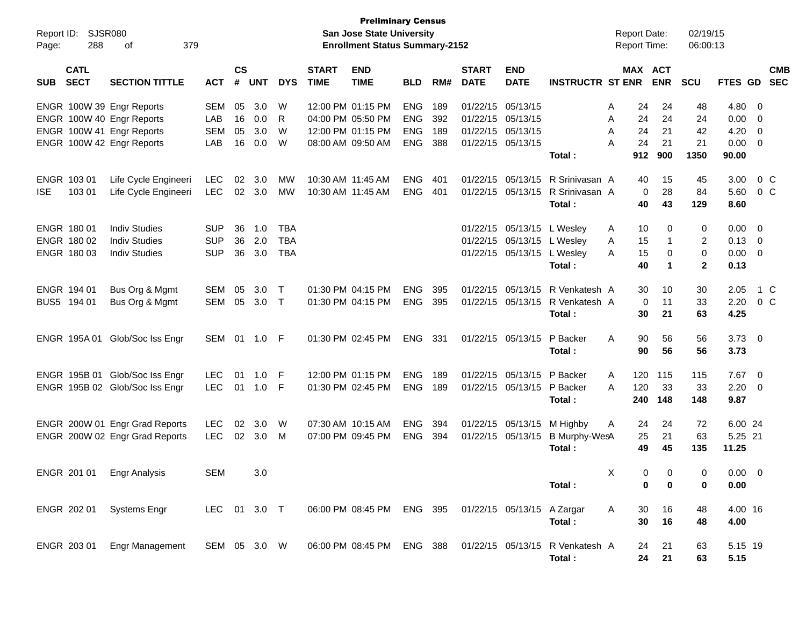| Report ID:<br>Page: | <b>SJSR080</b><br>288      | 379<br>οf                                                                                                        |                                        |                      |                          |                                        |                                        | <b>Preliminary Census</b><br>San Jose State University<br><b>Enrollment Status Summary-2152</b> |                                               |                          |                                                                                  |                                                                               |                                            | <b>Report Date:</b><br><b>Report Time:</b>      |                                       | 02/19/15<br>06:00:13                  |                                       |                                                                                      |                   |
|---------------------|----------------------------|------------------------------------------------------------------------------------------------------------------|----------------------------------------|----------------------|--------------------------|----------------------------------------|----------------------------------------|-------------------------------------------------------------------------------------------------|-----------------------------------------------|--------------------------|----------------------------------------------------------------------------------|-------------------------------------------------------------------------------|--------------------------------------------|-------------------------------------------------|---------------------------------------|---------------------------------------|---------------------------------------|--------------------------------------------------------------------------------------|-------------------|
| <b>SUB</b>          | <b>CATL</b><br><b>SECT</b> | <b>SECTION TITTLE</b>                                                                                            | <b>ACT</b>                             | $\mathsf{cs}$<br>#   | <b>UNT</b>               | <b>DYS</b>                             | <b>START</b><br><b>TIME</b>            | <b>END</b><br><b>TIME</b>                                                                       | <b>BLD</b>                                    | RM#                      | <b>START</b><br><b>DATE</b>                                                      | <b>END</b><br><b>DATE</b>                                                     | <b>INSTRUCTR ST ENR</b>                    | MAX ACT                                         | <b>ENR</b>                            | <b>SCU</b>                            | FTES GD SEC                           |                                                                                      | <b>CMB</b>        |
|                     |                            | ENGR 100W 39 Engr Reports<br>ENGR 100W 40 Engr Reports<br>ENGR 100W 41 Engr Reports<br>ENGR 100W 42 Engr Reports | <b>SEM</b><br>LAB<br><b>SEM</b><br>LAB | 05<br>16<br>05<br>16 | 3.0<br>0.0<br>3.0<br>0.0 | W<br>R<br>W<br>W                       |                                        | 12:00 PM 01:15 PM<br>04:00 PM 05:50 PM<br>12:00 PM 01:15 PM<br>08:00 AM 09:50 AM                | <b>ENG</b><br>ENG<br><b>ENG</b><br><b>ENG</b> | 189<br>392<br>189<br>388 | 01/22/15 05/13/15<br>01/22/15 05/13/15<br>01/22/15 05/13/15<br>01/22/15 05/13/15 |                                                                               | Total:                                     | 24<br>Α<br>24<br>A<br>24<br>A<br>24<br>Α<br>912 | 24<br>24<br>21<br>21<br>900           | 48<br>24<br>42<br>21<br>1350          | 4.80<br>0.00<br>4.20<br>0.00<br>90.00 | $\overline{\mathbf{0}}$<br>- 0<br>$\overline{\mathbf{0}}$<br>$\overline{\mathbf{0}}$ |                   |
| <b>ISE</b>          | ENGR 103 01<br>103 01      | Life Cycle Engineeri<br>Life Cycle Engineeri                                                                     | <b>LEC</b><br><b>LEC</b>               | 02<br>02             | 3.0<br>3.0               | МW<br>MW                               | 10:30 AM 11:45 AM<br>10:30 AM 11:45 AM |                                                                                                 | <b>ENG</b><br><b>ENG</b>                      | 401<br>401               | 01/22/15                                                                         | 05/13/15<br>01/22/15 05/13/15                                                 | R Srinivasan A<br>R Srinivasan A<br>Total: | 40<br>0<br>40                                   | 15<br>28<br>43                        | 45<br>84<br>129                       | 3.00<br>5.60<br>8.60                  |                                                                                      | $0\,C$<br>$0\,$ C |
| ENGR 180 01         | ENGR 180 02<br>ENGR 180 03 | <b>Indiv Studies</b><br><b>Indiv Studies</b><br><b>Indiv Studies</b>                                             | <b>SUP</b><br><b>SUP</b><br><b>SUP</b> | 36<br>36<br>36       | 1.0<br>2.0<br>3.0        | <b>TBA</b><br><b>TBA</b><br><b>TBA</b> |                                        |                                                                                                 |                                               |                          |                                                                                  | 01/22/15 05/13/15 L Wesley<br>01/22/15 05/13/15<br>01/22/15 05/13/15 L Wesley | L Wesley<br>Total:                         | Α<br>10<br>15<br>A<br>15<br>A<br>40             | 0<br>-1<br>0<br>$\mathbf 1$           | 0<br>2<br>$\mathbf 0$<br>$\mathbf{2}$ | 0.00<br>0.13<br>0.00<br>0.13          | - 0<br>$\overline{\mathbf{0}}$<br>$\overline{\mathbf{0}}$                            |                   |
|                     | ENGR 194 01<br>BUS5 194 01 | Bus Org & Mgmt<br>Bus Org & Mgmt                                                                                 | SEM<br>SEM                             | 05<br>05             | 3.0<br>3.0               | $\top$<br>$\top$                       |                                        | 01:30 PM 04:15 PM<br>01:30 PM 04:15 PM                                                          | <b>ENG</b><br><b>ENG</b>                      | 395<br>395               |                                                                                  | 01/22/15 05/13/15<br>01/22/15 05/13/15                                        | R Venkatesh A<br>R Venkatesh A<br>Total:   | 30<br>0<br>30                                   | 10<br>11<br>21                        | 30<br>33<br>63                        | 2.05<br>2.20<br>4.25                  | $0\,C$                                                                               | 1 C               |
|                     |                            | ENGR 195A 01 Glob/Soc Iss Engr                                                                                   | SEM 01 1.0 F                           |                      |                          |                                        |                                        | 01:30 PM 02:45 PM                                                                               | ENG                                           | 331                      |                                                                                  | 01/22/15 05/13/15                                                             | P Backer<br>Total:                         | 90<br>A<br>90                                   | 56<br>56                              | 56<br>56                              | $3.73 \quad 0$<br>3.73                |                                                                                      |                   |
|                     |                            | ENGR 195B 01 Glob/Soc Iss Engr<br>ENGR 195B 02 Glob/Soc Iss Engr                                                 | <b>LEC</b><br><b>LEC</b>               | 01<br>01             | 1.0<br>1.0               | -F<br>-F                               |                                        | 12:00 PM 01:15 PM<br>01:30 PM 02:45 PM                                                          | <b>ENG</b><br><b>ENG</b>                      | 189<br>189               |                                                                                  | 01/22/15 05/13/15<br>01/22/15 05/13/15                                        | P Backer<br>P Backer<br>Total:             | 120<br>A<br>120<br>Α<br>240                     | 115<br>33<br>148                      | 115<br>33<br>148                      | 7.67<br>2.20<br>9.87                  | $\overline{\mathbf{0}}$<br>$\overline{\mathbf{0}}$                                   |                   |
|                     |                            | ENGR 200W 01 Engr Grad Reports<br>ENGR 200W 02 Engr Grad Reports                                                 | <b>LEC</b><br><b>LEC</b>               | 02<br>02             | 3.0<br>3.0               | W<br>M                                 |                                        | 07:30 AM 10:15 AM<br>07:00 PM 09:45 PM                                                          | <b>ENG</b><br><b>ENG</b>                      | 394<br>394               |                                                                                  | 01/22/15 05/13/15<br>01/22/15 05/13/15                                        | M Highby<br>B Murphy-WesA<br>Total:        | 24<br>A<br>25<br>49                             | 24<br>21<br>45                        | 72<br>63<br>135                       | 6.00 24<br>5.25 21<br>11.25           |                                                                                      |                   |
|                     |                            | ENGR 201 01 Engr Analysis                                                                                        | <b>SEM</b>                             |                      | 3.0                      |                                        |                                        |                                                                                                 |                                               |                          |                                                                                  |                                                                               | Total:                                     | $\times$<br>0                                   | $\overline{0}$<br>$\overline{0}$<br>0 | $\overline{0}$<br>0                   | $0.00 \t 0$<br>0.00                   |                                                                                      |                   |
|                     |                            | ENGR 202 01 Systems Engr                                                                                         | LEC 01 3.0 T                           |                      |                          |                                        |                                        | 06:00 PM 08:45 PM ENG 395                                                                       |                                               |                          |                                                                                  | 01/22/15 05/13/15 A Zargar                                                    | Total:                                     | A<br>30<br>30                                   | 16<br>16                              | 48<br>48                              | 4.00 16<br>4.00                       |                                                                                      |                   |
|                     | ENGR 203 01                | Engr Management                                                                                                  | SEM 05 3.0 W                           |                      |                          |                                        |                                        | 06:00 PM 08:45 PM ENG 388                                                                       |                                               |                          |                                                                                  |                                                                               | 01/22/15 05/13/15 R Venkatesh A<br>Total:  | 24<br>24                                        | 21<br>21                              | 63<br>63                              | 5.15 19<br>5.15                       |                                                                                      |                   |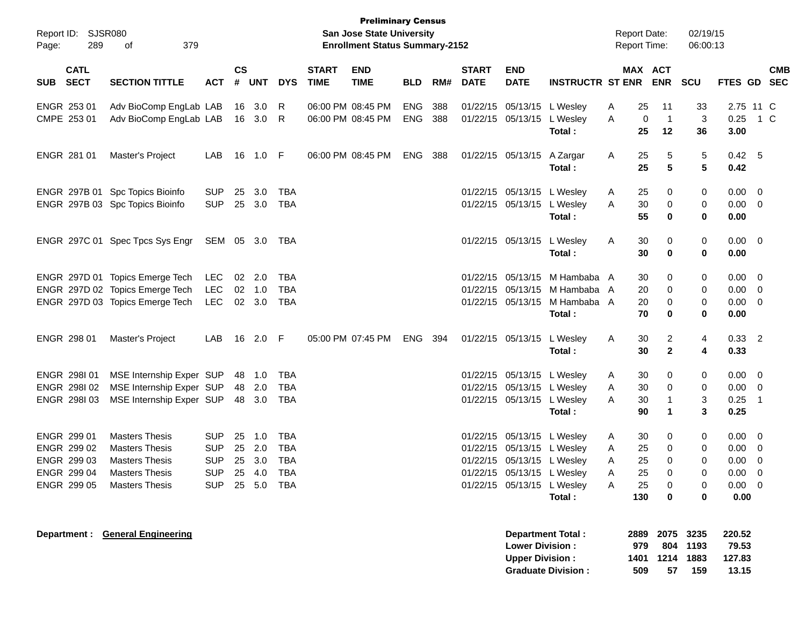| Report ID: SJSR080<br>289<br>Page:       | 379<br>οf                        |            |                                      |          |                |                             | <b>Preliminary Census</b><br><b>San Jose State University</b><br><b>Enrollment Status Summary-2152</b> |            |       |                             |                                                  |                                                       |   | <b>Report Date:</b><br><b>Report Time:</b> |                   | 02/19/15<br>06:00:13                 |                                    |            |
|------------------------------------------|----------------------------------|------------|--------------------------------------|----------|----------------|-----------------------------|--------------------------------------------------------------------------------------------------------|------------|-------|-----------------------------|--------------------------------------------------|-------------------------------------------------------|---|--------------------------------------------|-------------------|--------------------------------------|------------------------------------|------------|
| <b>CATL</b><br><b>SECT</b><br><b>SUB</b> | <b>SECTION TITTLE</b>            | <b>ACT</b> | $\mathbf{c}\mathbf{s}$<br>$\pmb{\#}$ | UNT      | <b>DYS</b>     | <b>START</b><br><b>TIME</b> | <b>END</b><br><b>TIME</b>                                                                              | <b>BLD</b> | RM#   | <b>START</b><br><b>DATE</b> | <b>END</b><br><b>DATE</b>                        | <b>INSTRUCTR ST ENR ENR</b>                           |   | MAX ACT                                    |                   | <b>SCU</b>                           | FTES GD SEC                        | <b>CMB</b> |
| ENGR 253 01                              | Adv BioComp EngLab LAB           |            |                                      | 16 3.0   | R              |                             | 06:00 PM 08:45 PM                                                                                      | <b>ENG</b> | 388   |                             | 01/22/15 05/13/15 L Wesley                       |                                                       | A | 25                                         | 11                | 33                                   | 2.75 11 C                          |            |
| CMPE 253 01                              | Adv BioComp EngLab LAB           |            |                                      | 16 3.0 R |                |                             | 06:00 PM 08:45 PM                                                                                      | <b>ENG</b> | 388   |                             | 01/22/15 05/13/15 L Wesley                       | Total:                                                | A | 0<br>25                                    | $\mathbf 1$<br>12 | 3<br>36                              | $0.25$ 1 C<br>3.00                 |            |
| ENGR 281 01                              | Master's Project                 | LAB        | 16                                   | 1.0 F    |                |                             | 06:00 PM 08:45 PM                                                                                      | ENG        | 388   |                             | 01/22/15 05/13/15 A Zargar                       | Total:                                                | A | 25<br>25                                   | 5<br>5            | 5<br>5                               | $0.42\quad 5$<br>0.42              |            |
|                                          | ENGR 297B 01 Spc Topics Bioinfo  | <b>SUP</b> | 25                                   | 3.0      | TBA            |                             |                                                                                                        |            |       |                             | 01/22/15 05/13/15 L Wesley                       |                                                       | A | 25                                         | 0                 | 0                                    | $0.00 \t 0$                        |            |
|                                          | ENGR 297B 03 Spc Topics Bioinfo  | <b>SUP</b> |                                      | 25 3.0   | <b>TBA</b>     |                             |                                                                                                        |            |       |                             | 01/22/15 05/13/15 L Wesley                       | Total:                                                | A | 30<br>55                                   | 0<br>0            | 0<br>0                               | $0.00 \t 0$<br>0.00                |            |
|                                          | ENGR 297C 01 Spec Tpcs Sys Engr  | SEM 05 3.0 |                                      |          | TBA            |                             |                                                                                                        |            |       |                             | 01/22/15 05/13/15 L Wesley                       | Total:                                                | A | 30<br>30                                   | 0<br>0            | 0<br>0                               | $0.00 \t 0$<br>0.00                |            |
|                                          | ENGR 297D 01 Topics Emerge Tech  | LEC        |                                      | 02 2.0   | TBA            |                             |                                                                                                        |            |       |                             |                                                  | 01/22/15 05/13/15 M Hambaba A                         |   | 30                                         | 0                 | 0                                    | $0.00 \t 0$                        |            |
|                                          | ENGR 297D 02 Topics Emerge Tech  | LEC        |                                      | $02$ 1.0 | TBA            |                             |                                                                                                        |            |       |                             |                                                  | 01/22/15 05/13/15 M Hambaba A                         |   | 20                                         | 0                 | 0                                    | $0.00 \t 0$                        |            |
|                                          | ENGR 297D 03 Topics Emerge Tech  | LEC        |                                      | 02 3.0   | <b>TBA</b>     |                             |                                                                                                        |            |       |                             | 01/22/15 05/13/15                                | M Hambaba A<br>Total:                                 |   | 20<br>70                                   | 0<br>0            | 0<br>0                               | $0.00 \t 0$<br>0.00                |            |
| ENGR 298 01                              | Master's Project                 | LAB        | 16                                   | 2.0 F    |                |                             | 05:00 PM 07:45 PM                                                                                      | <b>ENG</b> | - 394 |                             | 01/22/15 05/13/15 L Wesley                       | Total:                                                | A | 30<br>30                                   | 2<br>$\mathbf{2}$ | 4<br>4                               | $0.33$ 2<br>0.33                   |            |
| ENGR 298101                              | MSE Internship Exper SUP         |            |                                      | 48 1.0   | TBA            |                             |                                                                                                        |            |       |                             | 01/22/15 05/13/15 L Wesley                       |                                                       | A | 30                                         | 0                 | 0                                    | $0.00 \t 0$                        |            |
| ENGR 298102                              | MSE Internship Exper SUP         |            |                                      | 48 2.0   | TBA            |                             |                                                                                                        |            |       |                             | 01/22/15 05/13/15 L Wesley                       |                                                       | A | 30                                         | 0                 | 0                                    | $0.00 \t 0$                        |            |
| ENGR 298103                              | MSE Internship Exper SUP         |            |                                      | 48 3.0   | TBA            |                             |                                                                                                        |            |       |                             | 01/22/15 05/13/15 L Wesley                       | Total:                                                | A | 30<br>90                                   | -1<br>1           | 3<br>3                               | $0.25$ 1<br>0.25                   |            |
| ENGR 299 01                              | <b>Masters Thesis</b>            | <b>SUP</b> |                                      | 25 1.0   | <b>TBA</b>     |                             |                                                                                                        |            |       |                             | 01/22/15 05/13/15 L Wesley                       |                                                       | A | 30                                         | 0                 | 0                                    | $0.00 \t 0$                        |            |
| ENGR 299 02                              | <b>Masters Thesis</b>            | <b>SUP</b> | 25                                   | 2.0      | TBA            |                             |                                                                                                        |            |       |                             | 01/22/15 05/13/15 L Wesley                       |                                                       | A | 25                                         | 0                 | 0                                    | $0.00 \t 0$                        |            |
| ENGR 299 03                              | <b>Masters Thesis</b>            | <b>SUP</b> |                                      | 25 3.0   | <b>TBA</b>     |                             |                                                                                                        |            |       |                             | 01/22/15 05/13/15 L Wesley                       |                                                       | Α | 25                                         | 0                 | 0                                    | $0.00 \t 0$                        |            |
| ENGR 299 04                              | <b>Masters Thesis</b>            | <b>SUP</b> |                                      | 25 4.0   | <b>TBA</b>     |                             |                                                                                                        |            |       |                             |                                                  | 01/22/15 05/13/15 L Wesley                            | Α | 25                                         | 0                 | 0                                    | $0.00 \t 0$                        |            |
| ENGR 299 05                              | <b>Masters Thesis</b>            |            |                                      |          | SUP 25 5.0 TBA |                             |                                                                                                        |            |       |                             | 01/22/15 05/13/15 L Wesley                       | Total:                                                | A | 25<br>130                                  | 0<br>0            | 0<br>0                               | $0.00 \t 0$<br>0.00                |            |
|                                          | Department : General Engineering |            |                                      |          |                |                             |                                                                                                        |            |       |                             | <b>Lower Division:</b><br><b>Upper Division:</b> | <b>Department Total:</b><br><b>Graduate Division:</b> |   | 2889<br>979<br>1401<br>509                 | 1214<br>57        | 2075 3235<br>804 1193<br>1883<br>159 | 220.52<br>79.53<br>127.83<br>13.15 |            |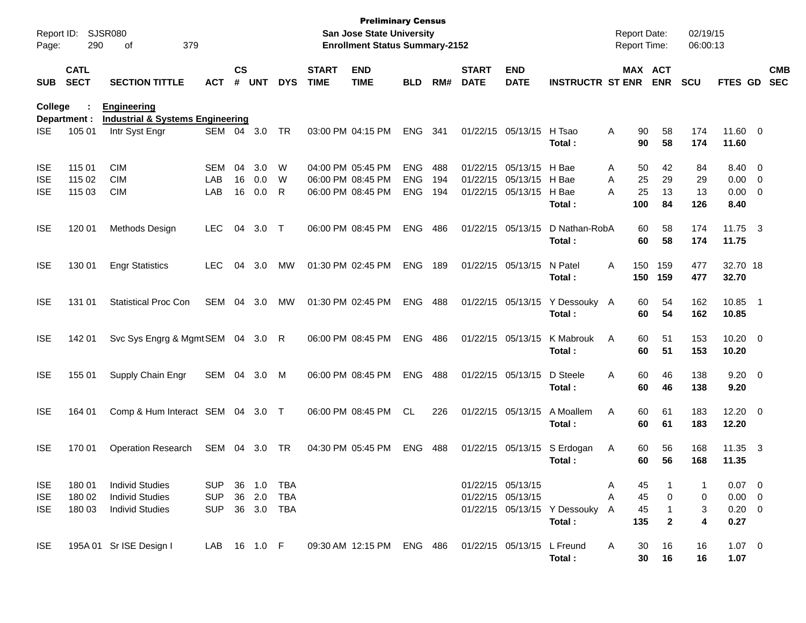| Report ID:<br>Page: | 290                        | <b>SJSR080</b><br>379<br>of                            |              |                    |            |            |                             | <b>Preliminary Census</b><br>San Jose State University<br><b>Enrollment Status Summary-2152</b> |            |     |                             |                            |                                | <b>Report Date:</b><br><b>Report Time:</b> |            | 02/19/15<br>06:00:13 |                       |                          |                          |
|---------------------|----------------------------|--------------------------------------------------------|--------------|--------------------|------------|------------|-----------------------------|-------------------------------------------------------------------------------------------------|------------|-----|-----------------------------|----------------------------|--------------------------------|--------------------------------------------|------------|----------------------|-----------------------|--------------------------|--------------------------|
| <b>SUB</b>          | <b>CATL</b><br><b>SECT</b> | <b>SECTION TITTLE</b>                                  | <b>ACT</b>   | $\mathsf{cs}$<br># | <b>UNT</b> | <b>DYS</b> | <b>START</b><br><b>TIME</b> | <b>END</b><br><b>TIME</b>                                                                       | <b>BLD</b> | RM# | <b>START</b><br><b>DATE</b> | <b>END</b><br><b>DATE</b>  | <b>INSTRUCTR ST ENR</b>        | MAX ACT                                    | <b>ENR</b> | <b>SCU</b>           | FTES GD               |                          | <b>CMB</b><br><b>SEC</b> |
| College             | Department :               | <b>Engineering</b><br>Industrial & Systems Engineering |              |                    |            |            |                             |                                                                                                 |            |     |                             |                            |                                |                                            |            |                      |                       |                          |                          |
| <b>ISE</b>          | 105 01                     | Intr Syst Engr                                         | SEM          |                    | 04 3.0     | TR         |                             | 03:00 PM 04:15 PM                                                                               | <b>ENG</b> | 341 |                             | 01/22/15 05/13/15          | H Tsao<br>Total:               | Α<br>90<br>90                              | 58<br>58   | 174<br>174           | 11.60 0<br>11.60      |                          |                          |
| <b>ISE</b>          | 115 01                     | <b>CIM</b>                                             | SEM          | 04                 | 3.0        | W          |                             | 04:00 PM 05:45 PM                                                                               | <b>ENG</b> | 488 |                             | 01/22/15 05/13/15          | H Bae                          | 50<br>Α                                    | 42         | 84                   | 8.40 0                |                          |                          |
| <b>ISE</b>          | 115 02                     | <b>CIM</b>                                             | LAB          | 16                 | 0.0        | W          |                             | 06:00 PM 08:45 PM                                                                               | <b>ENG</b> | 194 |                             | 01/22/15 05/13/15          | H Bae                          | 25<br>A                                    | 29         | 29                   | 0.00                  | $\overline{\phantom{0}}$ |                          |
| <b>ISE</b>          | 115 03                     | <b>CIM</b>                                             | LAB          | 16                 | 0.0        | R          |                             | 06:00 PM 08:45 PM                                                                               | <b>ENG</b> | 194 |                             | 01/22/15 05/13/15          | H Bae<br>Total:                | A<br>25<br>100                             | 13<br>84   | 13<br>126            | 0.00<br>8.40          | $\overline{\phantom{0}}$ |                          |
| <b>ISE</b>          | 120 01                     | Methods Design                                         | <b>LEC</b>   | 04                 | 3.0        | $\top$     |                             | 06:00 PM 08:45 PM                                                                               | <b>ENG</b> | 486 |                             | 01/22/15 05/13/15          | D Nathan-RobA<br>Total:        | 60<br>60                                   | 58<br>58   | 174<br>174           | 11.75<br>11.75        | $\overline{\mathbf{3}}$  |                          |
| <b>ISE</b>          | 130 01                     | <b>Engr Statistics</b>                                 | LEC          | 04                 | 3.0        | MW         |                             | 01:30 PM 02:45 PM                                                                               | <b>ENG</b> | 189 |                             | 01/22/15 05/13/15          | N Patel<br>Total:              | 150<br>A<br>150                            | 159<br>159 | 477<br>477           | 32.70 18<br>32.70     |                          |                          |
| <b>ISE</b>          | 131 01                     | <b>Statistical Proc Con</b>                            | <b>SEM</b>   | 04                 | 3.0        | MW         |                             | 01:30 PM 02:45 PM                                                                               | <b>ENG</b> | 488 |                             | 01/22/15 05/13/15          | Y Dessouky A<br>Total:         | 60<br>60                                   | 54<br>54   | 162<br>162           | 10.85<br>10.85        | $\blacksquare$ 1         |                          |
| <b>ISE</b>          | 142 01                     | Svc Sys Engrg & Mgmt SEM                               |              |                    | 04 3.0 R   |            |                             | 06:00 PM 08:45 PM                                                                               | <b>ENG</b> | 486 |                             | 01/22/15 05/13/15          | K Mabrouk<br>Total:            | Α<br>60<br>60                              | 51<br>51   | 153<br>153           | $10.20 \t 0$<br>10.20 |                          |                          |
| <b>ISE</b>          | 155 01                     | Supply Chain Engr                                      | SEM          | 04                 | 3.0        | M          |                             | 06:00 PM 08:45 PM                                                                               | <b>ENG</b> | 488 |                             | 01/22/15 05/13/15          | D Steele<br>Total:             | 60<br>A<br>60                              | 46<br>46   | 138<br>138           | $9.20 \ 0$<br>9.20    |                          |                          |
| <b>ISE</b>          | 164 01                     | Comp & Hum Interact SEM 04 3.0 T                       |              |                    |            |            |                             | 06:00 PM 08:45 PM                                                                               | <b>CL</b>  | 226 |                             | 01/22/15 05/13/15          | A Moallem<br>Total:            | Α<br>60<br>60                              | 61<br>61   | 183<br>183           | $12.20 \t 0$<br>12.20 |                          |                          |
| <b>ISE</b>          | 170 01                     | <b>Operation Research</b>                              | SEM          | 04                 | 3.0        | TR         |                             | 04:30 PM 05:45 PM                                                                               | <b>ENG</b> | 488 |                             | 01/22/15 05/13/15          | S Erdogan<br>Total:            | Α<br>60<br>60                              | 56<br>56   | 168<br>168           | 11.35<br>11.35        | $\overline{\mathbf{3}}$  |                          |
| <b>ISE</b>          | 180 01                     | <b>Individ Studies</b>                                 | <b>SUP</b>   |                    | 36 1.0     | TBA        |                             |                                                                                                 |            |     |                             | 01/22/15 05/13/15          |                                | 45<br>Α                                    |            | 1                    | $0.07 \quad 0$        |                          |                          |
| <b>ISE</b>          | 180 02                     | <b>Individ Studies</b>                                 | <b>SUP</b>   | 36                 | 2.0        | TBA        |                             |                                                                                                 |            |     |                             | 01/22/15 05/13/15          |                                | 45<br>Α                                    | 0          | 0                    | $0.00 \t 0$           |                          |                          |
| <b>ISE</b>          | 180 03                     | <b>Individ Studies</b>                                 | <b>SUP</b>   |                    | 36 3.0 TBA |            |                             |                                                                                                 |            |     |                             |                            | 01/22/15 05/13/15 Y Dessouky A | 45                                         | 1          | 3                    | $0.20 \ 0$            |                          |                          |
|                     |                            |                                                        |              |                    |            |            |                             |                                                                                                 |            |     |                             |                            | Total:                         | 135                                        | 2          | 4                    | 0.27                  |                          |                          |
| <b>ISE</b>          |                            | 195A 01 Sr ISE Design I                                | LAB 16 1.0 F |                    |            |            |                             | 09:30 AM 12:15 PM ENG 486                                                                       |            |     |                             | 01/22/15 05/13/15 L Freund | Total:                         | A<br>30<br>30                              | 16<br>16   | 16<br>16             | $1.07 \t 0$<br>1.07   |                          |                          |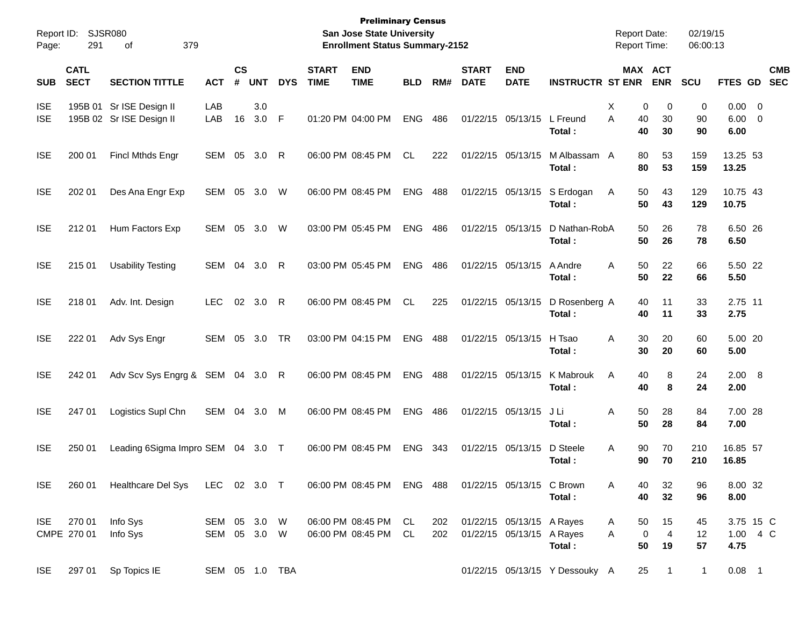| Report ID:<br>Page:      | 291                        | SJSR080<br>379<br>οf                                 |                              |                    |               |              |                             | <b>Preliminary Census</b><br><b>San Jose State University</b><br><b>Enrollment Status Summary-2152</b> |            |            |                             |                                                        |                                | <b>Report Date:</b><br><b>Report Time:</b> |                                         | 02/19/15<br>06:00:13 |                             |                          |  |
|--------------------------|----------------------------|------------------------------------------------------|------------------------------|--------------------|---------------|--------------|-----------------------------|--------------------------------------------------------------------------------------------------------|------------|------------|-----------------------------|--------------------------------------------------------|--------------------------------|--------------------------------------------|-----------------------------------------|----------------------|-----------------------------|--------------------------|--|
| <b>SUB</b>               | <b>CATL</b><br><b>SECT</b> | <b>SECTION TITTLE</b>                                | <b>ACT</b>                   | $\mathsf{cs}$<br># | <b>UNT</b>    | <b>DYS</b>   | <b>START</b><br><b>TIME</b> | <b>END</b><br><b>TIME</b>                                                                              | <b>BLD</b> | RM#        | <b>START</b><br><b>DATE</b> | <b>END</b><br><b>DATE</b>                              | <b>INSTRUCTR ST ENR</b>        |                                            | MAX ACT<br><b>ENR</b>                   | <b>SCU</b>           | FTES GD                     | <b>CMB</b><br><b>SEC</b> |  |
| <b>ISE</b><br><b>ISE</b> |                            | 195B 01 Sr ISE Design II<br>195B 02 Sr ISE Design II | LAB<br>LAB                   | 16                 | 3.0<br>3.0    | F            |                             | 01:20 PM 04:00 PM                                                                                      | <b>ENG</b> | 486        |                             | 01/22/15 05/13/15                                      | L Freund<br>Total:             | Χ<br>A<br>40<br>40                         | 0<br>$\mathbf 0$<br>30<br>30            | 0<br>90<br>90        | $0.00 \t 0$<br>6.00<br>6.00 | $\overline{0}$           |  |
| <b>ISE</b>               | 200 01                     | <b>Fincl Mthds Engr</b>                              | SEM                          | 05                 | 3.0           | R            |                             | 06:00 PM 08:45 PM                                                                                      | <b>CL</b>  | 222        |                             | 01/22/15 05/13/15                                      | M Albassam<br>Total:           | 80<br>- A<br>80                            | 53<br>53                                | 159<br>159           | 13.25 53<br>13.25           |                          |  |
| <b>ISE</b>               | 202 01                     | Des Ana Engr Exp                                     | <b>SEM</b>                   | 05                 | 3.0           | W            |                             | 06:00 PM 08:45 PM                                                                                      | <b>ENG</b> | 488        |                             | 01/22/15 05/13/15                                      | S Erdogan<br>Total:            | 50<br>Α<br>50                              | 43<br>43                                | 129<br>129           | 10.75 43<br>10.75           |                          |  |
| <b>ISE</b>               | 212 01                     | Hum Factors Exp                                      | SEM                          | 05                 | 3.0           | W            |                             | 03:00 PM 05:45 PM                                                                                      | <b>ENG</b> | 486        |                             | 01/22/15 05/13/15                                      | D Nathan-RobA<br>Total:        | 50<br>50                                   | 26<br>26                                | 78<br>78             | 6.50 26<br>6.50             |                          |  |
| <b>ISE</b>               | 215 01                     | <b>Usability Testing</b>                             | SEM                          | 04                 | 3.0           | $\mathsf{R}$ |                             | 03:00 PM 05:45 PM                                                                                      | <b>ENG</b> | 486        |                             | 01/22/15 05/13/15                                      | A Andre<br>Total:              | A<br>50<br>50                              | 22<br>22                                | 66<br>66             | 5.50 22<br>5.50             |                          |  |
| <b>ISE</b>               | 218 01                     | Adv. Int. Design                                     | <b>LEC</b>                   | 02                 | 3.0           | $\mathsf{R}$ |                             | 06:00 PM 08:45 PM                                                                                      | CL.        | 225        |                             | 01/22/15 05/13/15                                      | D Rosenberg A<br>Total:        | 40<br>40                                   | 11<br>11                                | 33<br>33             | 2.75 11<br>2.75             |                          |  |
| <b>ISE</b>               | 222 01                     | Adv Sys Engr                                         | SEM                          | 05                 | 3.0           | TR           |                             | 03:00 PM 04:15 PM                                                                                      | <b>ENG</b> | 488        |                             | 01/22/15 05/13/15                                      | H Tsao<br>Total:               | A<br>30<br>30                              | 20<br>20                                | 60<br>60             | 5.00 20<br>5.00             |                          |  |
| <b>ISE</b>               | 242 01                     | Adv Scv Sys Engrg & SEM 04                           |                              |                    | $3.0 \quad R$ |              |                             | 06:00 PM 08:45 PM                                                                                      | <b>ENG</b> | 488        |                             | 01/22/15 05/13/15                                      | K Mabrouk<br>Total:            | A<br>40<br>40                              | 8<br>8                                  | 24<br>24             | 2.00 8<br>2.00              |                          |  |
| <b>ISE</b>               | 247 01                     | Logistics Supl Chn                                   | SEM                          | 04                 | 3.0           | M            |                             | 06:00 PM 08:45 PM                                                                                      | <b>ENG</b> | 486        |                             | 01/22/15 05/13/15                                      | J Li<br>Total:                 | A<br>50<br>50                              | 28<br>28                                | 84<br>84             | 7.00 28<br>7.00             |                          |  |
| <b>ISE</b>               | 250 01                     | Leading 6Sigma Impro SEM 04                          |                              |                    | $3.0$ T       |              |                             | 06:00 PM 08:45 PM                                                                                      | <b>ENG</b> | 343        |                             | 01/22/15 05/13/15                                      | D Steele<br>Total:             | A<br>90<br>90                              | 70<br>70                                | 210<br>210           | 16.85 57<br>16.85           |                          |  |
| <b>ISE</b>               | 260 01                     | Healthcare Del Sys                                   | LEC 02 3.0 T                 |                    |               |              |                             | 06:00 PM 08:45 PM ENG 488                                                                              |            |            | 01/22/15 05/13/15 C Brown   |                                                        | Total:                         | 40<br>A<br>40                              | 32<br>32                                | 96<br>96             | 8.00 32<br>8.00             |                          |  |
| ISE.                     | 270 01<br>CMPE 270 01      | Info Sys<br>Info Sys                                 | SEM 05 3.0 W<br>SEM 05 3.0 W |                    |               |              |                             | 06:00 PM 08:45 PM CL<br>06:00 PM 08:45 PM CL                                                           |            | 202<br>202 |                             | 01/22/15 05/13/15 A Rayes<br>01/22/15 05/13/15 A Rayes | Total:                         | 50<br>A<br>A<br>50                         | 15<br>$\pmb{0}$<br>$\overline{4}$<br>19 | 45<br>12<br>57       | 4.75                        | 3.75 15 C<br>1.00 4 C    |  |
| ISE                      | 297 01                     | Sp Topics IE                                         | SEM 05 1.0 TBA               |                    |               |              |                             |                                                                                                        |            |            |                             |                                                        | 01/22/15 05/13/15 Y Dessouky A | 25                                         | $\overline{1}$                          | $\mathbf{1}$         | $0.08$ 1                    |                          |  |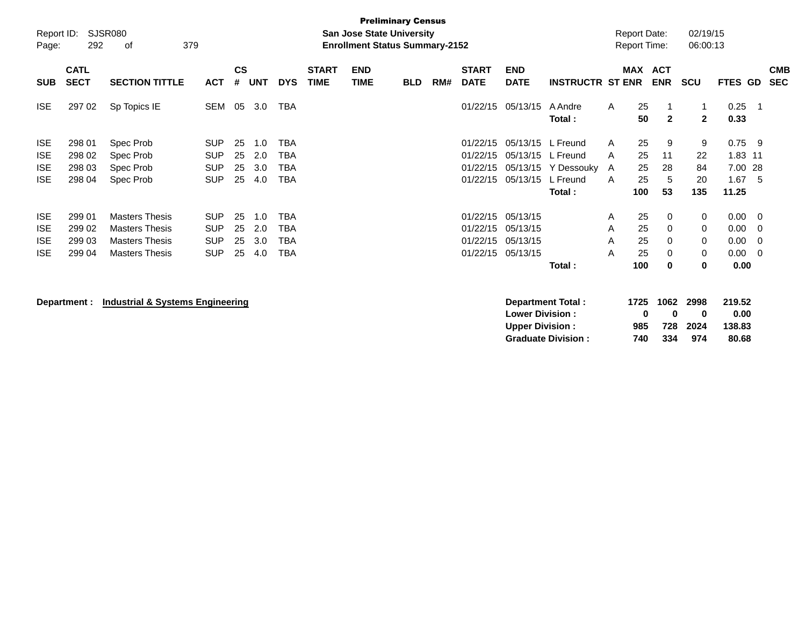| Report ID:<br>Page: | 292                        | <b>SJSR080</b><br>379<br>оf                 |            |                    |            |            |                             | <b>Preliminary Census</b><br><b>San Jose State University</b><br><b>Enrollment Status Summary-2152</b> |            |     |                             |                           |                         |   | <b>Report Date:</b><br><b>Report Time:</b> |                          | 02/19/15<br>06:00:13 |              |     |                          |
|---------------------|----------------------------|---------------------------------------------|------------|--------------------|------------|------------|-----------------------------|--------------------------------------------------------------------------------------------------------|------------|-----|-----------------------------|---------------------------|-------------------------|---|--------------------------------------------|--------------------------|----------------------|--------------|-----|--------------------------|
| <b>SUB</b>          | <b>CATL</b><br><b>SECT</b> | <b>SECTION TITTLE</b>                       | <b>ACT</b> | $\mathsf{cs}$<br># | <b>UNT</b> | <b>DYS</b> | <b>START</b><br><b>TIME</b> | <b>END</b><br><b>TIME</b>                                                                              | <b>BLD</b> | RM# | <b>START</b><br><b>DATE</b> | <b>END</b><br><b>DATE</b> | <b>INSTRUCTR ST ENR</b> |   | MAX                                        | <b>ACT</b><br><b>ENR</b> | <b>SCU</b>           | FTES GD      |     | <b>CMB</b><br><b>SEC</b> |
| <b>ISE</b>          | 297 02                     | Sp Topics IE                                | SEM        | 05                 | 3.0        | <b>TBA</b> |                             |                                                                                                        |            |     | 01/22/15                    | 05/13/15                  | A Andre<br>Total:       | A | 25<br>50                                   | -1<br>$\mathbf{2}$       | 1<br>$\mathbf{2}$    | 0.25<br>0.33 | - 1 |                          |
| <b>ISE</b>          | 298 01                     | Spec Prob                                   | <b>SUP</b> | 25                 | 1.0        | TBA        |                             |                                                                                                        |            |     | 01/22/15                    | 05/13/15                  | L Freund                | A | 25                                         | 9                        | 9                    | 0.75         | - 9 |                          |
| <b>ISE</b>          | 298 02                     | Spec Prob                                   | <b>SUP</b> | 25                 | 2.0        | <b>TBA</b> |                             |                                                                                                        |            |     | 01/22/15                    | 05/13/15                  | L Freund                | A | 25                                         | 11                       | 22                   | 1.83         | -11 |                          |
| <b>ISE</b>          | 298 03                     | Spec Prob                                   | <b>SUP</b> | 25                 | 3.0        | TBA        |                             |                                                                                                        |            |     | 01/22/15                    | 05/13/15                  | Y Dessouky              | A | 25                                         | 28                       | 84                   | 7.00         | -28 |                          |
| <b>ISE</b>          | 298 04                     | Spec Prob                                   | <b>SUP</b> | 25                 | 4.0        | TBA        |                             |                                                                                                        |            |     | 01/22/15                    | 05/13/15                  | L Freund                | A | 25                                         | 5                        | 20                   | 1.67         | -5  |                          |
|                     |                            |                                             |            |                    |            |            |                             |                                                                                                        |            |     |                             |                           | Total:                  |   | 100                                        | 53                       | 135                  | 11.25        |     |                          |
| <b>ISE</b>          | 299 01                     | <b>Masters Thesis</b>                       | <b>SUP</b> | 25                 | 1.0        | <b>TBA</b> |                             |                                                                                                        |            |     | 01/22/15                    | 05/13/15                  |                         | A | 25                                         | 0                        | 0                    | 0.00         | - 0 |                          |
| <b>ISE</b>          | 299 02                     | <b>Masters Thesis</b>                       | <b>SUP</b> | 25                 | 2.0        | <b>TBA</b> |                             |                                                                                                        |            |     | 01/22/15                    | 05/13/15                  |                         | A | 25                                         | 0                        | 0                    | 0.00         | 0   |                          |
| <b>ISE</b>          | 299 03                     | <b>Masters Thesis</b>                       | <b>SUP</b> | 25                 | 3.0        | <b>TBA</b> |                             |                                                                                                        |            |     | 01/22/15                    | 05/13/15                  |                         | A | 25                                         | 0                        | 0                    | 0.00         | 0   |                          |
| <b>ISE</b>          | 299 04                     | <b>Masters Thesis</b>                       | <b>SUP</b> | 25                 | 4.0        | TBA        |                             |                                                                                                        |            |     | 01/22/15                    | 05/13/15                  |                         | A | 25                                         | 0                        | $\mathbf 0$          | 0.00         | - 0 |                          |
|                     |                            |                                             |            |                    |            |            |                             |                                                                                                        |            |     |                             |                           | Total:                  |   | 100                                        | 0                        | 0                    | 0.00         |     |                          |
|                     | Department :               | <b>Industrial &amp; Systems Engineering</b> |            |                    |            |            |                             |                                                                                                        |            |     |                             |                           | Department Total:       |   | 1725                                       | 1062                     | 2998                 | 219.52       |     |                          |

**Lower Division : 0 0 0 0.00 Upper Division : 985 728 2024 138.83 Graduate Division :**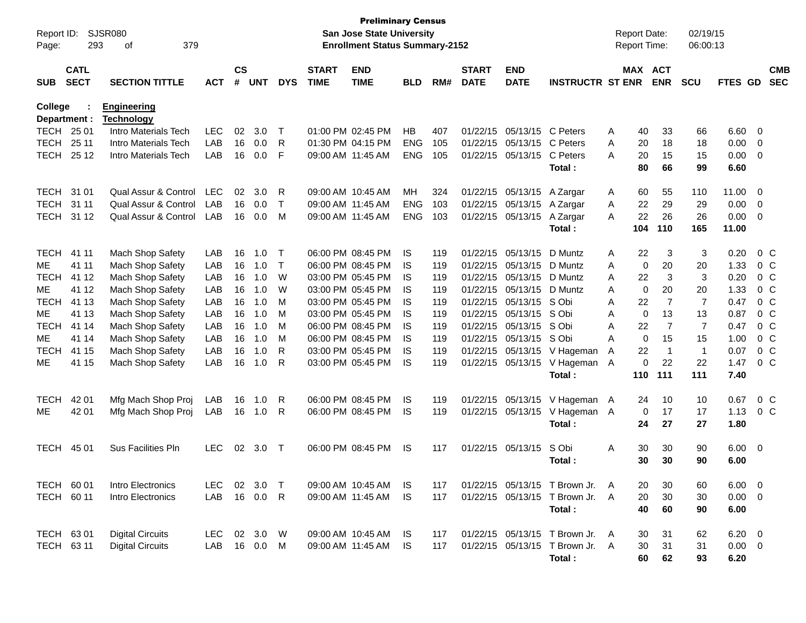| Report ID:<br>Page: | 293<br><b>CATL</b> | SJSR080<br>379<br>οf                    |            | $\mathsf{cs}$ |            |              | <b>START</b>      | <b>Preliminary Census</b><br>San Jose State University<br><b>Enrollment Status Summary-2152</b><br><b>END</b> |            |     | <b>START</b> | <b>END</b>        |                                 |   | <b>Report Date:</b><br>Report Time:<br>MAX ACT |                | 02/19/15<br>06:00:13 |                |                          | <b>CMB</b> |
|---------------------|--------------------|-----------------------------------------|------------|---------------|------------|--------------|-------------------|---------------------------------------------------------------------------------------------------------------|------------|-----|--------------|-------------------|---------------------------------|---|------------------------------------------------|----------------|----------------------|----------------|--------------------------|------------|
| <b>SUB</b>          | <b>SECT</b>        | <b>SECTION TITTLE</b>                   | <b>ACT</b> | #             | <b>UNT</b> | <b>DYS</b>   | <b>TIME</b>       | <b>TIME</b>                                                                                                   | <b>BLD</b> | RM# | <b>DATE</b>  | <b>DATE</b>       | <b>INSTRUCTR ST ENR</b>         |   |                                                | <b>ENR</b>     | SCU                  | FTES GD        |                          | <b>SEC</b> |
| College             | Department :       | <b>Engineering</b><br><b>Technology</b> |            |               |            |              |                   |                                                                                                               |            |     |              |                   |                                 |   |                                                |                |                      |                |                          |            |
|                     | TECH 25 01         | Intro Materials Tech                    | <b>LEC</b> | 02            | 3.0        | $\top$       |                   | 01:00 PM 02:45 PM                                                                                             | <b>HB</b>  | 407 | 01/22/15     | 05/13/15          | C Peters                        | A | 40                                             | 33             | 66                   | 6.60           | - 0                      |            |
| <b>TECH</b>         | 25 11              | Intro Materials Tech                    | LAB        | 16            | 0.0        | R            |                   | 01:30 PM 04:15 PM                                                                                             | <b>ENG</b> | 105 | 01/22/15     | 05/13/15          | C Peters                        | A | 20                                             | 18             | 18                   | 0.00           | 0                        |            |
| <b>TECH</b>         | 25 12              | Intro Materials Tech                    | LAB        | 16            | 0.0        | F            | 09:00 AM 11:45 AM |                                                                                                               | <b>ENG</b> | 105 | 01/22/15     | 05/13/15          | C Peters                        | A | 20                                             | 15             | 15                   | 0.00           | - 0                      |            |
|                     |                    |                                         |            |               |            |              |                   |                                                                                                               |            |     |              |                   | Total:                          |   | 80                                             | 66             | 99                   | 6.60           |                          |            |
| <b>TECH</b>         | 31 01              | Qual Assur & Control                    | <b>LEC</b> | 02            | 3.0        | R            |                   | 09:00 AM 10:45 AM                                                                                             | MН         | 324 | 01/22/15     | 05/13/15          | A Zargar                        | Α | 60                                             | 55             | 110                  | 11.00          | 0                        |            |
| <b>TECH</b>         | 31 11              | Qual Assur & Control                    | LAB        | 16            | 0.0        | $\mathsf{T}$ |                   | 09:00 AM 11:45 AM                                                                                             | <b>ENG</b> | 103 | 01/22/15     | 05/13/15          | A Zargar                        | Α | 22                                             | 29             | 29                   | 0.00           | 0                        |            |
| <b>TECH</b>         | 31 12              | Qual Assur & Control                    | LAB        | 16            | 0.0        | M            | 09:00 AM 11:45 AM |                                                                                                               | <b>ENG</b> | 103 | 01/22/15     | 05/13/15          | A Zargar                        | A | 22                                             | 26             | 26                   | 0.00           | - 0                      |            |
|                     |                    |                                         |            |               |            |              |                   |                                                                                                               |            |     |              |                   | Total:                          |   | 104                                            | 110            | 165                  | 11.00          |                          |            |
| <b>TECH</b>         | 41 11              | Mach Shop Safety                        | LAB        | 16            | 1.0        | $\top$       |                   | 06:00 PM 08:45 PM                                                                                             | IS.        | 119 | 01/22/15     | 05/13/15          | D Muntz                         | Α | 22                                             | 3              | 3                    | 0.20           | 0 <sup>C</sup>           |            |
| <b>ME</b>           | 41 11              | Mach Shop Safety                        | LAB        | 16            | 1.0        | $\mathsf{T}$ |                   | 06:00 PM 08:45 PM                                                                                             | IS         | 119 | 01/22/15     | 05/13/15          | D Muntz                         | A | $\mathbf 0$                                    | 20             | 20                   | 1.33           | 0 <sup>C</sup>           |            |
| <b>TECH</b>         | 41 12              | Mach Shop Safety                        | LAB        | 16            | 1.0        | W            |                   | 03:00 PM 05:45 PM                                                                                             | IS         | 119 | 01/22/15     | 05/13/15          | D Muntz                         | A | 22                                             | 3              | 3                    | 0.20           | 0 <sup>C</sup>           |            |
| <b>ME</b>           | 41 12              | Mach Shop Safety                        | LAB        | 16            | 1.0        | W            |                   | 03:00 PM 05:45 PM                                                                                             | IS         | 119 | 01/22/15     | 05/13/15          | D Muntz                         | A | $\mathbf 0$                                    | 20             | 20                   | 1.33           | 0 <sup>o</sup>           |            |
| <b>TECH</b>         | 41 13              | Mach Shop Safety                        | LAB        | 16            | 1.0        | M            |                   | 03:00 PM 05:45 PM                                                                                             | IS         | 119 | 01/22/15     | 05/13/15          | S Obi                           | A | 22                                             | $\overline{7}$ | $\overline{7}$       | 0.47           | 0 <sup>o</sup>           |            |
| <b>ME</b>           | 41 13              | Mach Shop Safety                        | LAB        | 16            | 1.0        | M            |                   | 03:00 PM 05:45 PM                                                                                             | IS         | 119 | 01/22/15     | 05/13/15          | S Obi                           | A | $\mathbf 0$                                    | 13             | 13                   | 0.87           | 0 <sup>o</sup>           |            |
| <b>TECH</b>         | 41 14              | Mach Shop Safety                        | LAB        | 16            | 1.0        | M            |                   | 06:00 PM 08:45 PM                                                                                             | IS         | 119 | 01/22/15     | 05/13/15          | S Obi                           | A | 22                                             | $\overline{7}$ | $\overline{7}$       | 0.47           | 0 <sup>o</sup>           |            |
| <b>ME</b>           | 41 14              | Mach Shop Safety                        | LAB        | 16            | 1.0        | M            |                   | 06:00 PM 08:45 PM                                                                                             | IS         | 119 | 01/22/15     | 05/13/15          | S Obi                           | A | $\mathbf 0$                                    | 15             | 15                   | 1.00           | 0 <sub>C</sub>           |            |
| <b>TECH</b>         | 41 15              | Mach Shop Safety                        | LAB        | 16            | 1.0        | R            |                   | 03:00 PM 05:45 PM                                                                                             | IS         | 119 | 01/22/15     |                   | 05/13/15 V Hageman              | Α | 22                                             | $\overline{1}$ | $\mathbf{1}$         | 0.07           | $0\,C$                   |            |
| ME                  | 41 15              | Mach Shop Safety                        | LAB        | 16            | 1.0        | R            |                   | 03:00 PM 05:45 PM                                                                                             | <b>IS</b>  | 119 |              |                   | 01/22/15 05/13/15 V Hageman A   |   | 0                                              | 22             | 22                   | 1.47           | 0 <sup>o</sup>           |            |
|                     |                    |                                         |            |               |            |              |                   |                                                                                                               |            |     |              |                   | Total:                          |   | 110                                            | 111            | 111                  | 7.40           |                          |            |
| <b>TECH</b>         | 42 01              | Mfg Mach Shop Proj                      | LAB        | 16            | 1.0        | R            |                   | 06:00 PM 08:45 PM                                                                                             | IS.        | 119 | 01/22/15     | 05/13/15          | V Hageman A                     |   | 24                                             | 10             | 10                   | 0.67           | 0 <sup>C</sup>           |            |
| ME                  | 42 01              | Mfg Mach Shop Proj                      | LAB        | 16            | 1.0        | R            |                   | 06:00 PM 08:45 PM                                                                                             | <b>IS</b>  | 119 |              | 01/22/15 05/13/15 | V Hageman A                     |   | 0                                              | 17             | 17                   | 1.13           | 0 <sup>C</sup>           |            |
|                     |                    |                                         |            |               |            |              |                   |                                                                                                               |            |     |              |                   | Total:                          |   | 24                                             | 27             | 27                   | 1.80           |                          |            |
| <b>TECH</b>         | 45 01              | Sus Facilities Pln                      | <b>LEC</b> | 02            | 3.0        | $\top$       |                   | 06:00 PM 08:45 PM                                                                                             | IS.        | 117 |              | 01/22/15 05/13/15 | S Obi                           | A | 30                                             | 30             | 90                   | 6.00           | - 0                      |            |
|                     |                    |                                         |            |               |            |              |                   |                                                                                                               |            |     |              |                   | Total:                          |   | 30                                             | 30             | 90                   | 6.00           |                          |            |
| TECH 60 01          |                    | Intro Electronics                       | <b>LEC</b> |               | 02 3.0     | $\top$       |                   | 09:00 AM 10:45 AM                                                                                             | - IS       | 117 |              |                   | 01/22/15 05/13/15 T Brown Jr. A |   | 20                                             | 30             | 60                   | 6.00           | $\overline{\mathbf{0}}$  |            |
|                     | TECH 60 11         | Intro Electronics                       | LAB        |               | 16 0.0     | $\mathsf{R}$ |                   | 09:00 AM 11:45 AM                                                                                             | <b>IS</b>  | 117 |              |                   | 01/22/15 05/13/15 T Brown Jr. A |   | 20                                             | 30             | 30                   | 0.00           | $\overline{\phantom{0}}$ |            |
|                     |                    |                                         |            |               |            |              |                   |                                                                                                               |            |     |              |                   | Total:                          |   | 40                                             | 60             | 90                   | 6.00           |                          |            |
|                     | TECH 63 01         | <b>Digital Circuits</b>                 | LEC        |               | 02 3.0     | W            |                   | 09:00 AM 10:45 AM                                                                                             | - IS       | 117 |              |                   | 01/22/15 05/13/15 T Brown Jr. A |   | 30                                             | 31             | 62                   | $6.20 \quad 0$ |                          |            |
|                     | TECH 63 11         | <b>Digital Circuits</b>                 | LAB        |               | 16 0.0     | M            |                   | 09:00 AM 11:45 AM                                                                                             | <b>IS</b>  | 117 |              |                   | 01/22/15 05/13/15 T Brown Jr. A |   | 30                                             | 31             | 31                   | $0.00 \t 0$    |                          |            |
|                     |                    |                                         |            |               |            |              |                   |                                                                                                               |            |     |              |                   | Total:                          |   | 60                                             | 62             | 93                   | 6.20           |                          |            |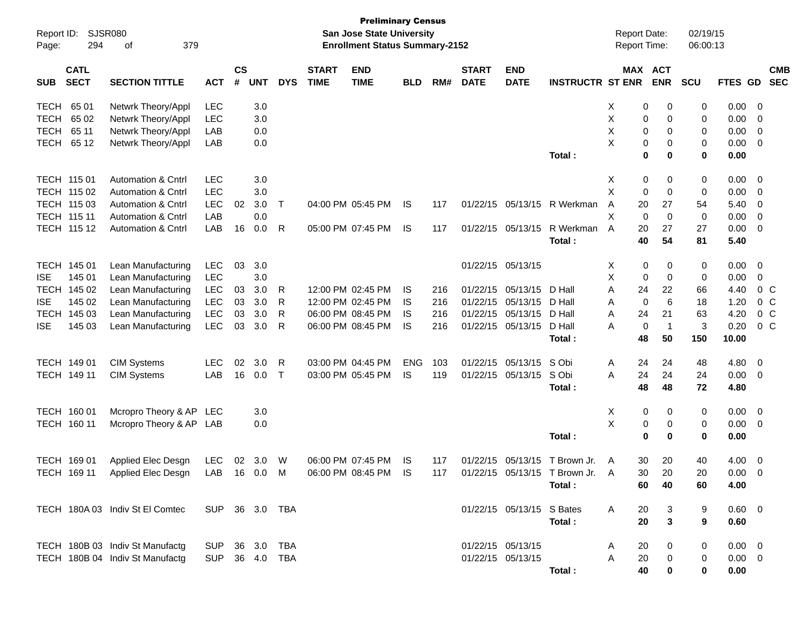| Report ID:<br>Page: | <b>SJSR080</b><br>294      | 379<br>οf                                                        |                |                    |            |              |                             | <b>Preliminary Census</b><br>San Jose State University<br><b>Enrollment Status Summary-2152</b> |            |     |                             |                           |                                 | <b>Report Date:</b><br>Report Time: |             |                       | 02/19/15<br>06:00:13 |                |                         |                          |
|---------------------|----------------------------|------------------------------------------------------------------|----------------|--------------------|------------|--------------|-----------------------------|-------------------------------------------------------------------------------------------------|------------|-----|-----------------------------|---------------------------|---------------------------------|-------------------------------------|-------------|-----------------------|----------------------|----------------|-------------------------|--------------------------|
| <b>SUB</b>          | <b>CATL</b><br><b>SECT</b> | <b>SECTION TITTLE</b>                                            | <b>ACT</b>     | $\mathsf{cs}$<br># | <b>UNT</b> | <b>DYS</b>   | <b>START</b><br><b>TIME</b> | <b>END</b><br><b>TIME</b>                                                                       | <b>BLD</b> | RM# | <b>START</b><br><b>DATE</b> | <b>END</b><br><b>DATE</b> | <b>INSTRUCTR ST ENR</b>         |                                     |             | MAX ACT<br><b>ENR</b> | SCU                  | <b>FTES GD</b> |                         | <b>CMB</b><br><b>SEC</b> |
| <b>TECH</b>         | 65 01                      | Netwrk Theory/Appl                                               | <b>LEC</b>     |                    | 3.0        |              |                             |                                                                                                 |            |     |                             |                           |                                 | Х                                   | 0           | 0                     | 0                    | 0.00           | - 0                     |                          |
| <b>TECH</b>         | 65 02                      | Netwrk Theory/Appl                                               | <b>LEC</b>     |                    | 3.0        |              |                             |                                                                                                 |            |     |                             |                           |                                 | Χ                                   | 0           | 0                     | 0                    | 0.00           | $\mathbf 0$             |                          |
| <b>TECH</b>         | 65 11                      | Netwrk Theory/Appl                                               | LAB            |                    | 0.0        |              |                             |                                                                                                 |            |     |                             |                           |                                 | X                                   | $\mathbf 0$ | 0                     | 0                    | 0.00           | $\overline{0}$          |                          |
| <b>TECH</b>         | 65 12                      | Netwrk Theory/Appl                                               | LAB            |                    | 0.0        |              |                             |                                                                                                 |            |     |                             |                           |                                 | X                                   | 0           | 0                     | 0                    | 0.00           | $\overline{0}$          |                          |
|                     |                            |                                                                  |                |                    |            |              |                             |                                                                                                 |            |     |                             |                           | Total:                          |                                     | 0           | 0                     | $\mathbf 0$          | 0.00           |                         |                          |
|                     | TECH 115 01                | <b>Automation &amp; Cntrl</b>                                    | <b>LEC</b>     |                    | 3.0        |              |                             |                                                                                                 |            |     |                             |                           |                                 | Χ                                   | 0           | 0                     | 0                    | 0.00           | $\overline{0}$          |                          |
|                     | TECH 115 02                | Automation & Cntrl                                               | <b>LEC</b>     |                    | 3.0        |              |                             |                                                                                                 |            |     |                             |                           |                                 | X                                   | $\mathbf 0$ | 0                     | 0                    | 0.00           | $\overline{0}$          |                          |
|                     | TECH 115 03                | <b>Automation &amp; Cntrl</b>                                    | <b>LEC</b>     | 02                 | 3.0        | Т            |                             | 04:00 PM 05:45 PM                                                                               | IS         | 117 |                             | 01/22/15 05/13/15         | R Werkman                       | Α                                   | 20          | 27                    | 54                   | 5.40           | $\overline{0}$          |                          |
|                     | TECH 115 11                | <b>Automation &amp; Cntrl</b>                                    | LAB            |                    | 0.0        |              |                             |                                                                                                 |            |     |                             |                           |                                 | X                                   | $\mathbf 0$ | $\mathbf 0$           | 0                    | 0.00           | $\overline{0}$          |                          |
|                     | <b>TECH 11512</b>          | <b>Automation &amp; Cntrl</b>                                    | LAB            | 16                 | 0.0        | R            |                             | 05:00 PM 07:45 PM                                                                               | IS         | 117 |                             | 01/22/15 05/13/15         | R Werkman                       | A                                   | 20          | 27                    | 27                   | 0.00           | 0                       |                          |
|                     |                            |                                                                  |                |                    |            |              |                             |                                                                                                 |            |     |                             |                           | Total:                          |                                     | 40          | 54                    | 81                   | 5.40           |                         |                          |
|                     | TECH 145 01                | Lean Manufacturing                                               | <b>LEC</b>     | 03                 | 3.0        |              |                             |                                                                                                 |            |     |                             | 01/22/15 05/13/15         |                                 | Х                                   | 0           | 0                     | 0                    | 0.00           | 0                       |                          |
| <b>ISE</b>          | 145 01                     | Lean Manufacturing                                               | <b>LEC</b>     |                    | 3.0        |              |                             |                                                                                                 |            |     |                             |                           |                                 | X                                   | 0           | 0                     | 0                    | 0.00           | 0                       |                          |
| <b>TECH</b>         | 145 02                     | Lean Manufacturing                                               | <b>LEC</b>     | 03                 | 3.0        | R            |                             | 12:00 PM 02:45 PM                                                                               | IS         | 216 | 01/22/15                    | 05/13/15                  | D Hall                          | Α                                   | 24          | 22                    | 66                   | 4.40           | $0\,$ C                 |                          |
| <b>ISE</b>          | 145 02                     | Lean Manufacturing                                               | <b>LEC</b>     | 03                 | 3.0        | R            |                             | 12:00 PM 02:45 PM                                                                               | IS         | 216 |                             | 01/22/15 05/13/15         | D Hall                          | A                                   | $\mathbf 0$ | 6                     | 18                   | 1.20           | 0 <sup>C</sup>          |                          |
| <b>TECH</b>         | 145 03                     | Lean Manufacturing                                               | <b>LEC</b>     | 03                 | 3.0        | R            |                             | 06:00 PM 08:45 PM                                                                               | IS         | 216 |                             | 01/22/15 05/13/15         | D Hall                          | A                                   | 24          | 21                    | 63                   | 4.20           | 0 <sup>C</sup>          |                          |
| <b>ISE</b>          | 145 03                     | Lean Manufacturing                                               | <b>LEC</b>     | 03                 | 3.0        | R            |                             | 06:00 PM 08:45 PM                                                                               | IS         | 216 |                             | 01/22/15 05/13/15         | D Hall                          | А                                   | $\mathbf 0$ | $\overline{1}$        | 3                    | 0.20           | 0 <sup>C</sup>          |                          |
|                     |                            |                                                                  |                |                    |            |              |                             |                                                                                                 |            |     |                             |                           | Total:                          |                                     | 48          | 50                    | 150                  | 10.00          |                         |                          |
|                     | TECH 149 01                | <b>CIM Systems</b>                                               | <b>LEC</b>     | 02                 | 3.0        | R            |                             | 03:00 PM 04:45 PM                                                                               | <b>ENG</b> | 103 |                             | 01/22/15 05/13/15         | S Obi                           | Α                                   | 24          | 24                    | 48                   | 4.80           | $\overline{0}$          |                          |
|                     | TECH 149 11                | <b>CIM Systems</b>                                               | LAB            | 16                 | 0.0        | $\mathsf{T}$ |                             | 03:00 PM 05:45 PM                                                                               | IS         | 119 |                             | 01/22/15 05/13/15         | S Obi                           | A                                   | 24          | 24                    | 24                   | 0.00           | $\overline{\mathbf{0}}$ |                          |
|                     |                            |                                                                  |                |                    |            |              |                             |                                                                                                 |            |     |                             |                           | Total:                          |                                     | 48          | 48                    | 72                   | 4.80           |                         |                          |
|                     | TECH 160 01                | Mcropro Theory & AP                                              | <b>LEC</b>     |                    | 3.0        |              |                             |                                                                                                 |            |     |                             |                           |                                 | Х                                   | 0           | 0                     | 0                    | 0.00           | $\overline{\mathbf{0}}$ |                          |
|                     | TECH 160 11                | Mcropro Theory & AP LAB                                          |                |                    | 0.0        |              |                             |                                                                                                 |            |     |                             |                           |                                 | X                                   | 0           | 0                     | 0                    | 0.00           | $\overline{0}$          |                          |
|                     |                            |                                                                  |                |                    |            |              |                             |                                                                                                 |            |     |                             |                           | Total:                          |                                     | 0           | 0                     | 0                    | 0.00           |                         |                          |
|                     | TECH 169 01                | Applied Elec Desgn                                               | <b>LEC</b>     | 02                 | 3.0        | W            |                             | 06:00 PM 07:45 PM                                                                               | IS         | 117 |                             |                           | 01/22/15 05/13/15 T Brown Jr.   | A                                   | 30          | 20                    | 40                   | 4.00           | $\overline{0}$          |                          |
|                     |                            | TECH 169 11 Applied Elec Desgn LAB 16 0.0 M 06:00 PM 08:45 PM IS |                |                    |            |              |                             |                                                                                                 |            | 117 |                             |                           | 01/22/15 05/13/15 T Brown Jr. A |                                     | 30          | 20                    | 20                   | $0.00 \t 0$    |                         |                          |
|                     |                            |                                                                  |                |                    |            |              |                             |                                                                                                 |            |     |                             |                           | Total:                          |                                     | 60          | 40                    | 60                   | 4.00           |                         |                          |
|                     |                            | TECH 180A 03 Indiv St El Comtec                                  | SUP 36 3.0 TBA |                    |            |              |                             |                                                                                                 |            |     |                             | 01/22/15 05/13/15 S Bates |                                 | A                                   | 20          | 3                     | 9                    | 0.60 0         |                         |                          |
|                     |                            |                                                                  |                |                    |            |              |                             |                                                                                                 |            |     |                             |                           | Total:                          |                                     | 20          | $\mathbf{3}$          | 9                    | 0.60           |                         |                          |
|                     |                            | TECH 180B 03 Indiv St Manufactg                                  | SUP 36 3.0 TBA |                    |            |              |                             |                                                                                                 |            |     |                             | 01/22/15 05/13/15         |                                 | A                                   | 20          | 0                     | 0                    | $0.00 \quad 0$ |                         |                          |
|                     |                            | TECH 180B 04 Indiv St Manufactg                                  | SUP 36 4.0 TBA |                    |            |              |                             |                                                                                                 |            |     |                             | 01/22/15 05/13/15         |                                 | A                                   | 20          | 0                     | 0                    | $0.00 \quad 0$ |                         |                          |
|                     |                            |                                                                  |                |                    |            |              |                             |                                                                                                 |            |     |                             |                           | Total :                         |                                     | 40          | 0                     | 0                    | 0.00           |                         |                          |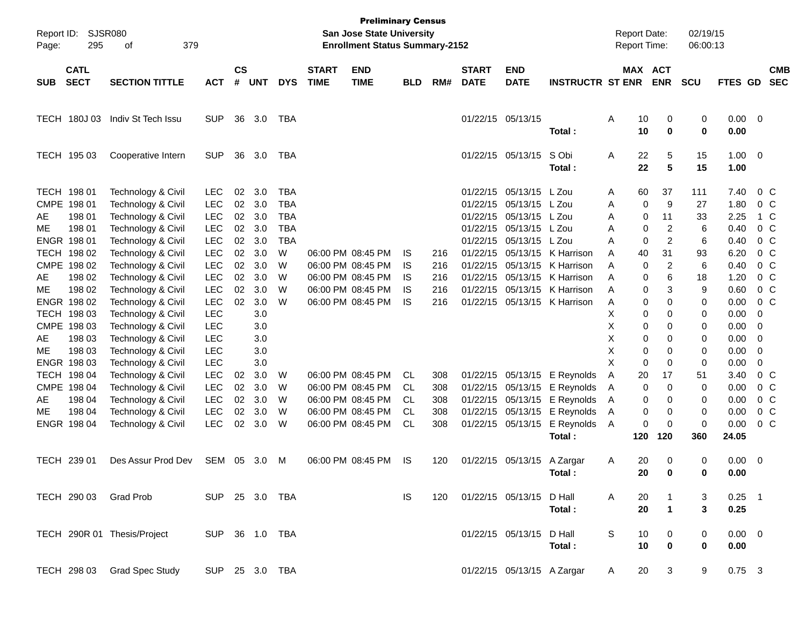| Report ID:<br>Page: | <b>SJSR080</b><br>295      | 379<br>of                   |                |                    |            |            |                             | <b>Preliminary Census</b><br><b>San Jose State University</b><br><b>Enrollment Status Summary-2152</b> |            |     |                             |                            |                              |              |          | <b>Report Date:</b><br><b>Report Time:</b> | 02/19/15<br>06:00:13 |              |                |                          |
|---------------------|----------------------------|-----------------------------|----------------|--------------------|------------|------------|-----------------------------|--------------------------------------------------------------------------------------------------------|------------|-----|-----------------------------|----------------------------|------------------------------|--------------|----------|--------------------------------------------|----------------------|--------------|----------------|--------------------------|
| <b>SUB</b>          | <b>CATL</b><br><b>SECT</b> | <b>SECTION TITTLE</b>       | <b>ACT</b>     | $\mathsf{cs}$<br># | <b>UNT</b> | <b>DYS</b> | <b>START</b><br><b>TIME</b> | <b>END</b><br><b>TIME</b>                                                                              | <b>BLD</b> | RM# | <b>START</b><br><b>DATE</b> | <b>END</b><br><b>DATE</b>  | <b>INSTRUCTR ST ENR</b>      |              |          | MAX ACT<br><b>ENR</b>                      | <b>SCU</b>           | FTES GD      |                | <b>CMB</b><br><b>SEC</b> |
|                     |                            |                             |                |                    |            |            |                             |                                                                                                        |            |     |                             |                            |                              |              |          |                                            |                      |              |                |                          |
|                     | TECH 180J 03               | Indiv St Tech Issu          | <b>SUP</b>     | 36                 | 3.0        | TBA        |                             |                                                                                                        |            |     | 01/22/15 05/13/15           |                            | Total:                       | Α            | 10<br>10 | 0<br>$\mathbf 0$                           | 0<br>0               | 0.00<br>0.00 | - 0            |                          |
|                     | TECH 195 03                | Cooperative Intern          | <b>SUP</b>     | 36                 | 3.0        | TBA        |                             |                                                                                                        |            |     |                             | 01/22/15 05/13/15          | S Obi                        | Α            | 22       | 5                                          | 15                   | 1.00         | $\overline{0}$ |                          |
|                     |                            |                             |                |                    |            |            |                             |                                                                                                        |            |     |                             |                            | Total:                       |              | 22       | 5                                          | 15                   | 1.00         |                |                          |
|                     | TECH 198 01                | Technology & Civil          | <b>LEC</b>     | 02                 | 3.0        | <b>TBA</b> |                             |                                                                                                        |            |     | 01/22/15                    | 05/13/15 L Zou             |                              | A            | 60       | 37                                         | 111                  | 7.40         |                | $0\,C$                   |
|                     | CMPE 198 01                | Technology & Civil          | <b>LEC</b>     | 02 <sub>o</sub>    | 3.0        | <b>TBA</b> |                             |                                                                                                        |            |     | 01/22/15                    | 05/13/15 L Zou             |                              | A            | 0        | 9                                          | 27                   | 1.80         |                | $0\,C$                   |
| AE                  | 198 01                     | Technology & Civil          | <b>LEC</b>     | 02                 | 3.0        | <b>TBA</b> |                             |                                                                                                        |            |     | 01/22/15                    | 05/13/15 L Zou             |                              | A            | 0        | 11                                         | 33                   | 2.25         |                | 1 C                      |
| МE                  | 198 01                     | Technology & Civil          | <b>LEC</b>     | $02\,$             | 3.0        | <b>TBA</b> |                             |                                                                                                        |            |     | 01/22/15                    | 05/13/15 L Zou             |                              | A            | 0        | $\overline{2}$                             | 6                    | 0.40         |                | 0 <sup>o</sup>           |
|                     | ENGR 198 01                | Technology & Civil          | <b>LEC</b>     | 02                 | 3.0        | <b>TBA</b> |                             |                                                                                                        |            |     | 01/22/15                    | 05/13/15 L Zou             |                              | A            | 0        | $\overline{c}$                             | 6                    | 0.40         |                | 0 <sup>o</sup>           |
| <b>TECH</b>         | 198 02                     | Technology & Civil          | LEC            | 02                 | 3.0        | W          |                             | 06:00 PM 08:45 PM                                                                                      | IS.        | 216 | 01/22/15                    | 05/13/15                   | K Harrison                   | A            | 40       | 31                                         | 93                   | 6.20         |                | 0 <sup>o</sup>           |
| <b>CMPE</b>         | 198 02                     | Technology & Civil          | LEC            | 02                 | 3.0        | W          |                             | 06:00 PM 08:45 PM                                                                                      | IS.        | 216 | 01/22/15                    | 05/13/15                   | K Harrison                   | Α            | 0        | $\overline{c}$                             | 6                    | 0.40         |                | 0 <sup>o</sup>           |
| AE                  | 198 02                     | Technology & Civil          | <b>LEC</b>     | 02                 | 3.0        | W          |                             | 06:00 PM 08:45 PM                                                                                      | IS.        | 216 | 01/22/15                    | 05/13/15                   | K Harrison                   | A            | 0        | 6                                          | 18                   | 1.20         |                | 0 <sup>o</sup>           |
| МE                  | 198 02                     | Technology & Civil          | <b>LEC</b>     | 02                 | 3.0        | W          |                             | 06:00 PM 08:45 PM                                                                                      | IS.        | 216 | 01/22/15                    | 05/13/15                   | K Harrison                   | A            | 0        | 3                                          | 9                    | 0.60         |                | 0 <sup>o</sup>           |
|                     | ENGR 198 02                | Technology & Civil          | <b>LEC</b>     | 02                 | 3.0        | W          |                             | 06:00 PM 08:45 PM                                                                                      | <b>IS</b>  | 216 | 01/22/15                    |                            | 05/13/15 K Harrison          | A            | 0        | 0                                          | 0                    | 0.00         |                | 0 <sup>o</sup>           |
|                     | TECH 198 03                | Technology & Civil          | <b>LEC</b>     |                    | 3.0        |            |                             |                                                                                                        |            |     |                             |                            |                              | X            | 0        | 0                                          | 0                    | 0.00         | 0              |                          |
| CMPE                | 198 03                     | Technology & Civil          | <b>LEC</b>     |                    | 3.0        |            |                             |                                                                                                        |            |     |                             |                            |                              | Х            | 0        | 0                                          | 0                    | 0.00         | 0              |                          |
| AE                  | 198 03                     | Technology & Civil          | <b>LEC</b>     |                    | 3.0        |            |                             |                                                                                                        |            |     |                             |                            |                              | Х            | 0        | 0                                          | 0                    | 0.00         | 0              |                          |
| МE                  | 198 03                     | Technology & Civil          | <b>LEC</b>     |                    | 3.0        |            |                             |                                                                                                        |            |     |                             |                            |                              | X            | 0        | 0                                          | 0                    | 0.00         | 0              |                          |
|                     | ENGR 198 03                | Technology & Civil          | <b>LEC</b>     |                    | 3.0        |            |                             |                                                                                                        |            |     |                             |                            |                              | X            | 0        | $\mathbf 0$                                | 0                    | 0.00         | 0              |                          |
|                     | TECH 198 04                | Technology & Civil          | LEC            | 02                 | 3.0        | W          |                             | 06:00 PM 08:45 PM                                                                                      | CL         | 308 |                             |                            | 01/22/15 05/13/15 E Reynolds | Α            | 20       | 17                                         | 51                   | 3.40         |                | 0 <sup>o</sup>           |
| CMPE                | 198 04                     | Technology & Civil          | LEC            | 02                 | 3.0        | W          |                             | 06:00 PM 08:45 PM                                                                                      | CL         | 308 | 01/22/15                    | 05/13/15                   | E Reynolds                   | Α            | 0        | $\mathbf 0$                                | 0                    | 0.00         |                | 0 <sup>o</sup>           |
| AE                  | 198 04                     | Technology & Civil          | <b>LEC</b>     | 02                 | 3.0        | W          |                             | 06:00 PM 08:45 PM                                                                                      | CL         | 308 | 01/22/15                    | 05/13/15                   | E Reynolds                   | A            | 0        | 0                                          | 0                    | 0.00         |                | 0 <sup>o</sup>           |
| МE                  | 198 04                     | Technology & Civil          | LEC            | 02                 | 3.0        | W          |                             | 06:00 PM 08:45 PM                                                                                      | CL         | 308 |                             | 01/22/15 05/13/15          | E Reynolds                   | Α            | 0        | 0                                          | 0                    | 0.00         |                | 0 <sup>o</sup>           |
|                     | ENGR 198 04                | Technology & Civil          | <b>LEC</b>     | 02                 | 3.0        | W          |                             | 06:00 PM 08:45 PM                                                                                      | CL         | 308 |                             | 01/22/15 05/13/15          | E Reynolds                   | Α            | 0        | 0                                          | $\mathbf 0$          | 0.00         |                | 0 <sup>o</sup>           |
|                     |                            |                             |                |                    |            |            |                             |                                                                                                        |            |     |                             |                            | Total:                       |              | 120      | 120                                        | 360                  | 24.05        |                |                          |
|                     | TECH 239 01                | Des Assur Prod Dev          | SEM 05         |                    | 3.0        | M          |                             | 06:00 PM 08:45 PM                                                                                      | IS.        | 120 |                             | 01/22/15 05/13/15          | A Zargar                     | Α            | 20       | 0                                          | 0                    | 0.00         | $\overline{0}$ |                          |
|                     |                            |                             |                |                    |            |            |                             |                                                                                                        |            |     |                             |                            | Total:                       |              | 20       | 0                                          | 0                    | 0.00         |                |                          |
|                     |                            | TECH 290 03 Grad Prob       | SUP 25 3.0 TBA |                    |            |            |                             |                                                                                                        | IS.        | 120 | 01/22/15 05/13/15 D Hall    |                            |                              | A            | 20       |                                            | 3                    | $0.25$ 1     |                |                          |
|                     |                            |                             |                |                    |            |            |                             |                                                                                                        |            |     |                             |                            | Total:                       |              | 20       | $\mathbf{1}$                               | 3                    | 0.25         |                |                          |
|                     |                            | TECH 290R 01 Thesis/Project | SUP 36 1.0 TBA |                    |            |            |                             |                                                                                                        |            |     |                             | 01/22/15 05/13/15 D Hall   |                              | S            | 10       | 0                                          | 0                    | $0.00 \t 0$  |                |                          |
|                     |                            |                             |                |                    |            |            |                             |                                                                                                        |            |     |                             |                            | Total:                       |              | 10       | 0                                          | 0                    | 0.00         |                |                          |
|                     |                            | TECH 298 03 Grad Spec Study | SUP 25 3.0 TBA |                    |            |            |                             |                                                                                                        |            |     |                             | 01/22/15 05/13/15 A Zargar |                              | $\mathsf{A}$ | 20       | 3                                          | 9                    | $0.75$ 3     |                |                          |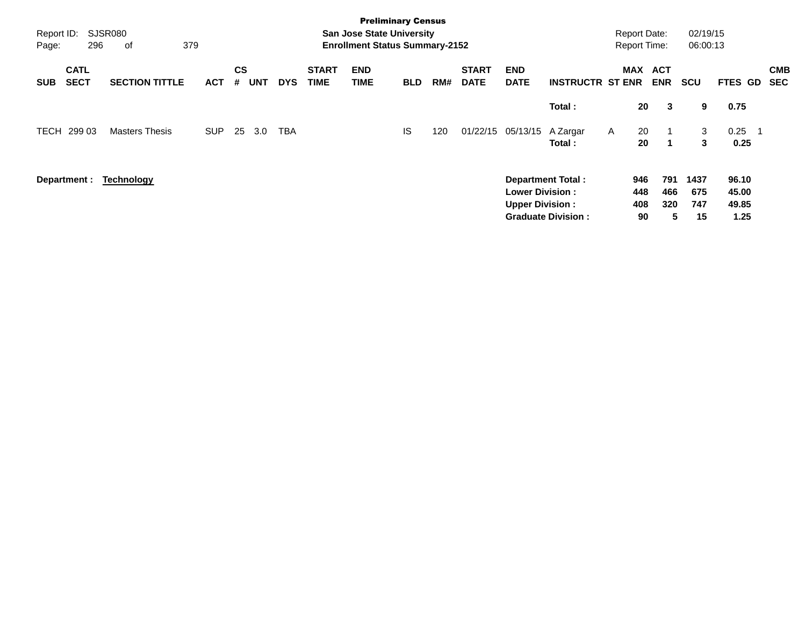| Report ID:<br>Page: | 296                        | SJSR080<br>379<br>οf  |            |                |            |            |                             | <b>Preliminary Census</b><br><b>San Jose State University</b><br><b>Enrollment Status Summary-2152</b> |            |     |                             |                                                  |                                                       | <b>Report Date:</b><br><b>Report Time:</b> |                          | 02/19/15<br>06:00:13     |                                 |                          |
|---------------------|----------------------------|-----------------------|------------|----------------|------------|------------|-----------------------------|--------------------------------------------------------------------------------------------------------|------------|-----|-----------------------------|--------------------------------------------------|-------------------------------------------------------|--------------------------------------------|--------------------------|--------------------------|---------------------------------|--------------------------|
| <b>SUB</b>          | <b>CATL</b><br><b>SECT</b> | <b>SECTION TITTLE</b> | <b>ACT</b> | <b>CS</b><br># | <b>UNT</b> | <b>DYS</b> | <b>START</b><br><b>TIME</b> | <b>END</b><br><b>TIME</b>                                                                              | <b>BLD</b> | RM# | <b>START</b><br><b>DATE</b> | <b>END</b><br><b>DATE</b>                        | <b>INSTRUCTR ST ENR</b>                               | <b>MAX</b>                                 | <b>ACT</b><br><b>ENR</b> | <b>SCU</b>               | FTES GD                         | <b>CMB</b><br><b>SEC</b> |
|                     |                            |                       |            |                |            |            |                             |                                                                                                        |            |     |                             |                                                  | Total:                                                | 20                                         | 3                        | 9                        | 0.75                            |                          |
| TECH                | 299 03                     | <b>Masters Thesis</b> | <b>SUP</b> | 25             | 3.0        | TBA        |                             |                                                                                                        | IS         | 120 | 01/22/15                    | 05/13/15 A Zargar                                | Total:                                                | 20<br>$\mathsf{A}$<br>20                   | -1                       | 3<br>3                   | 0.25<br>0.25                    |                          |
|                     | Department :               | <b>Technology</b>     |            |                |            |            |                             |                                                                                                        |            |     |                             | <b>Lower Division:</b><br><b>Upper Division:</b> | <b>Department Total:</b><br><b>Graduate Division:</b> | 946<br>448<br>408<br>90                    | 791<br>466<br>320<br>5   | 1437<br>675<br>747<br>15 | 96.10<br>45.00<br>49.85<br>1.25 |                          |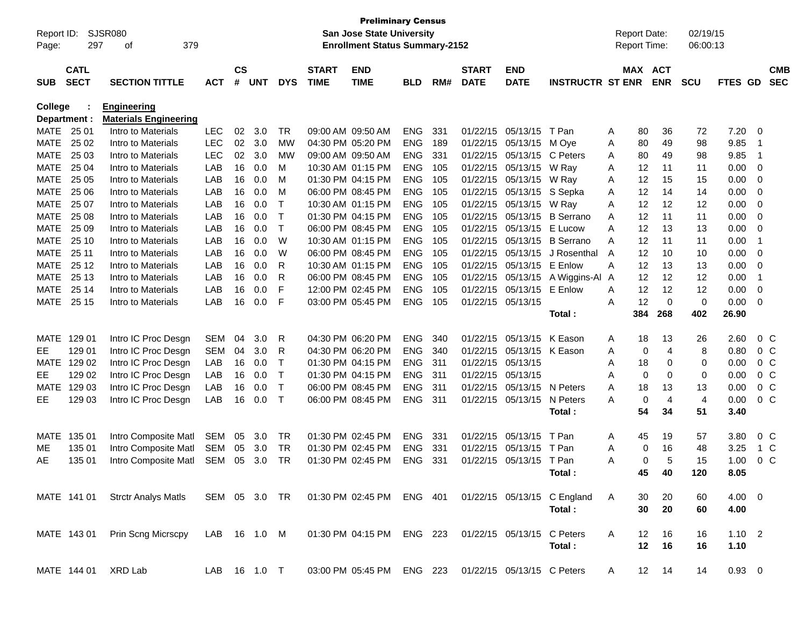| Report ID:  |              | <b>SJSR080</b>               |              |               |            |               |              | <b>Preliminary Census</b><br><b>San Jose State University</b> |            |     |                            |                            |                                                       |   | <b>Report Date:</b> |            | 02/19/15    |             |                |                |
|-------------|--------------|------------------------------|--------------|---------------|------------|---------------|--------------|---------------------------------------------------------------|------------|-----|----------------------------|----------------------------|-------------------------------------------------------|---|---------------------|------------|-------------|-------------|----------------|----------------|
| Page:       | 297          | 379<br>οf                    |              |               |            |               |              | <b>Enrollment Status Summary-2152</b>                         |            |     |                            |                            |                                                       |   | <b>Report Time:</b> |            | 06:00:13    |             |                |                |
|             |              |                              |              |               |            |               |              |                                                               |            |     |                            |                            |                                                       |   |                     |            |             |             |                |                |
|             | <b>CATL</b>  |                              |              | $\mathsf{cs}$ |            |               | <b>START</b> | <b>END</b>                                                    |            |     | <b>START</b>               | <b>END</b>                 |                                                       |   | <b>MAX ACT</b>      |            |             |             |                | <b>CMB</b>     |
| <b>SUB</b>  | <b>SECT</b>  | <b>SECTION TITTLE</b>        | <b>ACT</b>   | #             | <b>UNT</b> | <b>DYS</b>    | <b>TIME</b>  | <b>TIME</b>                                                   | <b>BLD</b> | RM# | <b>DATE</b>                | <b>DATE</b>                | <b>INSTRUCTR ST ENR</b>                               |   |                     | <b>ENR</b> | <b>SCU</b>  | FTES GD     |                | <b>SEC</b>     |
| College     |              | <b>Engineering</b>           |              |               |            |               |              |                                                               |            |     |                            |                            |                                                       |   |                     |            |             |             |                |                |
|             | Department : | <b>Materials Engineering</b> |              |               |            |               |              |                                                               |            |     |                            |                            |                                                       |   |                     |            |             |             |                |                |
| MATE        | 25 01        | Intro to Materials           | <b>LEC</b>   | 02            | 3.0        | <b>TR</b>     |              | 09:00 AM 09:50 AM                                             | <b>ENG</b> | 331 | 01/22/15                   | 05/13/15                   | T Pan                                                 | A | 80                  | 36         | 72          | 7.20        | 0              |                |
| <b>MATE</b> | 25 02        | Intro to Materials           | <b>LEC</b>   | 02            | 3.0        | <b>MW</b>     |              | 04:30 PM 05:20 PM                                             | <b>ENG</b> | 189 | 01/22/15                   | 05/13/15                   | M Ove                                                 | A | 80                  | 49         | 98          | 9.85        | $\overline{1}$ |                |
| <b>MATE</b> | 25 03        | Intro to Materials           | <b>LEC</b>   | 02            | 3.0        | <b>MW</b>     |              | 09:00 AM 09:50 AM                                             | <b>ENG</b> | 331 | 01/22/15                   | 05/13/15                   | C Peters                                              | A | 80                  | 49         | 98          | 9.85        | $\overline{1}$ |                |
| <b>MATE</b> | 25 04        | Intro to Materials           | LAB          | 16            | 0.0        | M             |              | 10:30 AM 01:15 PM                                             | <b>ENG</b> | 105 | 01/22/15                   | 05/13/15                   | W Ray                                                 | A | 12                  | 11         | 11          | 0.00        | 0              |                |
| <b>MATE</b> | 25 05        | Intro to Materials           | LAB          | 16            | 0.0        | M             |              | 01:30 PM 04:15 PM                                             | <b>ENG</b> | 105 | 01/22/15                   | 05/13/15                   | W Ray                                                 | A | 12                  | 15         | 15          | 0.00        | 0              |                |
| <b>MATE</b> | 25 06        | Intro to Materials           | LAB          | 16            | 0.0        | M             |              | 06:00 PM 08:45 PM                                             | <b>ENG</b> | 105 | 01/22/15                   |                            | 05/13/15 S Sepka                                      | A | 12                  | 14         | 14          | 0.00        | 0              |                |
| <b>MATE</b> | 25 07        | Intro to Materials           | LAB          | 16            | 0.0        | т             |              | 10:30 AM 01:15 PM                                             | <b>ENG</b> | 105 | 01/22/15                   | 05/13/15                   | W Ray                                                 | A | 12                  | 12         | 12          | 0.00        | 0              |                |
| <b>MATE</b> | 25 08        | Intro to Materials           | LAB          | 16            | 0.0        | т             |              | 01:30 PM 04:15 PM                                             | <b>ENG</b> | 105 | 01/22/15                   | 05/13/15                   | <b>B</b> Serrano                                      | A | 12                  | 11         | 11          | 0.00        | 0              |                |
| <b>MATE</b> | 25 09        | Intro to Materials           | LAB          | 16            | 0.0        | т             |              | 06:00 PM 08:45 PM                                             | <b>ENG</b> | 105 | 01/22/15                   | 05/13/15                   | E Lucow                                               | A | 12                  | 13         | 13          | 0.00        | 0              |                |
| <b>MATE</b> | 25 10        | Intro to Materials           | LAB          | 16            | 0.0        | W             |              | 10:30 AM 01:15 PM                                             | <b>ENG</b> | 105 | 01/22/15                   | 05/13/15                   | <b>B</b> Serrano                                      | A | 12                  | 11         | 11          | 0.00        | $\overline{1}$ |                |
| <b>MATE</b> | 25 11        | Intro to Materials           | LAB          | 16            | 0.0        | W             |              | 06:00 PM 08:45 PM                                             | <b>ENG</b> | 105 | 01/22/15                   | 05/13/15                   | J Rosenthal                                           | A | 12                  | 10         | 10          | 0.00        | 0              |                |
| <b>MATE</b> | 25 12        | Intro to Materials           | LAB          | 16            | 0.0        | R             |              | 10:30 AM 01:15 PM                                             | <b>ENG</b> | 105 | 01/22/15                   | 05/13/15                   | E Enlow                                               | A | 12                  | 13         | 13          | 0.00        | 0              |                |
| <b>MATE</b> | 25 13        | Intro to Materials           | LAB          | 16            | 0.0        | R             |              | 06:00 PM 08:45 PM                                             | <b>ENG</b> | 105 | 01/22/15                   | 05/13/15                   | A Wiggins-Al A                                        |   | 12                  | 12         | 12          | 0.00        | $\overline{1}$ |                |
| <b>MATE</b> | 25 14        | Intro to Materials           | LAB          | 16            | 0.0        | F             |              | 12:00 PM 02:45 PM                                             | <b>ENG</b> | 105 | 01/22/15                   | 05/13/15                   | E Enlow                                               | A | 12                  | 12         | 12          | 0.00        | 0              |                |
| MATE        | 25 15        | Intro to Materials           | LAB          | 16            | 0.0        | F             |              | 03:00 PM 05:45 PM                                             | <b>ENG</b> | 105 | 01/22/15                   | 05/13/15                   |                                                       | A | 12                  | 0          | $\mathbf 0$ | 0.00        | 0              |                |
|             |              |                              |              |               |            |               |              |                                                               |            |     |                            |                            | Total:                                                |   | 384                 | 268        | 402         | 26.90       |                |                |
| <b>MATE</b> | 129 01       | Intro IC Proc Desgn          | <b>SEM</b>   | 04            | 3.0        | R             |              | 04:30 PM 06:20 PM                                             | <b>ENG</b> | 340 | 01/22/15                   | 05/13/15                   | K Eason                                               | Α | 18                  | 13         | 26          | 2.60        |                | 0 <sup>C</sup> |
| EЕ          | 129 01       | Intro IC Proc Desgn          | <b>SEM</b>   | 04            | 3.0        | R             |              | 04:30 PM 06:20 PM                                             | <b>ENG</b> | 340 | 01/22/15                   |                            | 05/13/15 K Eason                                      | A | 0                   | 4          | 8           | 0.80        |                | $0\,C$         |
| <b>MATE</b> | 129 02       | Intro IC Proc Desgn          | LAB          | 16            | 0.0        | т             |              | 01:30 PM 04:15 PM                                             | <b>ENG</b> | 311 | 01/22/15                   | 05/13/15                   |                                                       | A | 18                  | 0          | 0           | 0.00        |                | 0 <sup>C</sup> |
| EЕ          | 129 02       | Intro IC Proc Desgn          | LAB          | 16            | 0.0        | Т             |              | 01:30 PM 04:15 PM                                             | <b>ENG</b> | 311 | 01/22/15                   | 05/13/15                   |                                                       | A | 0                   | 0          | $\mathbf 0$ | 0.00        |                | 0 <sup>C</sup> |
| <b>MATE</b> | 129 03       | Intro IC Proc Desgn          | LAB          | 16            | 0.0        | Т             |              | 06:00 PM 08:45 PM                                             | <b>ENG</b> | 311 | 01/22/15                   | 05/13/15                   | N Peters                                              | A | 18                  | 13         | 13          | 0.00        |                | 0 <sup>C</sup> |
| EE.         | 129 03       | Intro IC Proc Desgn          | LAB          | 16            | 0.0        | $\top$        |              | 06:00 PM 08:45 PM                                             | <b>ENG</b> | 311 | 01/22/15                   | 05/13/15                   | N Peters                                              | A | 0                   | 4          | 4           | 0.00        |                | 0 <sup>C</sup> |
|             |              |                              |              |               |            |               |              |                                                               |            |     |                            |                            | Total:                                                |   | 54                  | 34         | 51          | 3.40        |                |                |
| MATE        | 135 01       | Intro Composite Matl         | SEM          | 05            | 3.0        | <b>TR</b>     |              | 01:30 PM 02:45 PM                                             | <b>ENG</b> | 331 | 01/22/15                   | 05/13/15                   | T Pan                                                 | Α | 45                  | 19         | 57          | 3.80        |                | $0\,C$         |
| ME          | 135 01       | Intro Composite Matl         | <b>SEM</b>   | 05            | 3.0        | <b>TR</b>     |              | 01:30 PM 02:45 PM                                             | <b>ENG</b> | 331 | 01/22/15                   | 05/13/15                   | T Pan                                                 | A | 0                   | 16         | 48          | 3.25        |                | $1\,C$         |
| AE          | 135 01       | Intro Composite Matl         | SEM          | 05            | 3.0        | <b>TR</b>     |              | 01:30 PM 02:45 PM                                             | <b>ENG</b> | 331 | 01/22/15                   | 05/13/15                   | T Pan                                                 | A | 0                   | 5          | 15          | 1.00        |                | 0 <sup>C</sup> |
|             |              |                              |              |               |            |               |              |                                                               |            |     |                            |                            | Total:                                                |   | 45                  | 40         | 120         | 8.05        |                |                |
|             | MATE 141 01  | <b>Strctr Analys Matls</b>   |              |               |            | SEM 05 3.0 TR |              |                                                               |            |     |                            |                            | 01:30 PM 02:45 PM ENG 401 01/22/15 05/13/15 C England | A | 30                  | 20         | 60          | $4.00 \ 0$  |                |                |
|             |              |                              |              |               |            |               |              |                                                               |            |     |                            |                            | Total:                                                |   | 30                  | 20         | 60          | 4.00        |                |                |
|             | MATE 143 01  | Prin Scng Micrscpy           | LAB 16 1.0 M |               |            |               |              | 01:30 PM 04:15 PM                                             | ENG 223    |     |                            | 01/22/15 05/13/15 C Peters |                                                       | A | 12                  | 16         | 16          | $1.10 \t 2$ |                |                |
|             |              |                              |              |               |            |               |              |                                                               |            |     |                            |                            | Total:                                                |   | 12                  | 16         | 16          | 1.10        |                |                |
|             | MATE 144 01  | XRD Lab                      | LAB 16 1.0 T |               |            |               |              | 03:00 PM 05:45 PM                                             | ENG 223    |     | 01/22/15 05/13/15 C Peters |                            |                                                       | A |                     | 12 14      | 14          | $0.93 \ 0$  |                |                |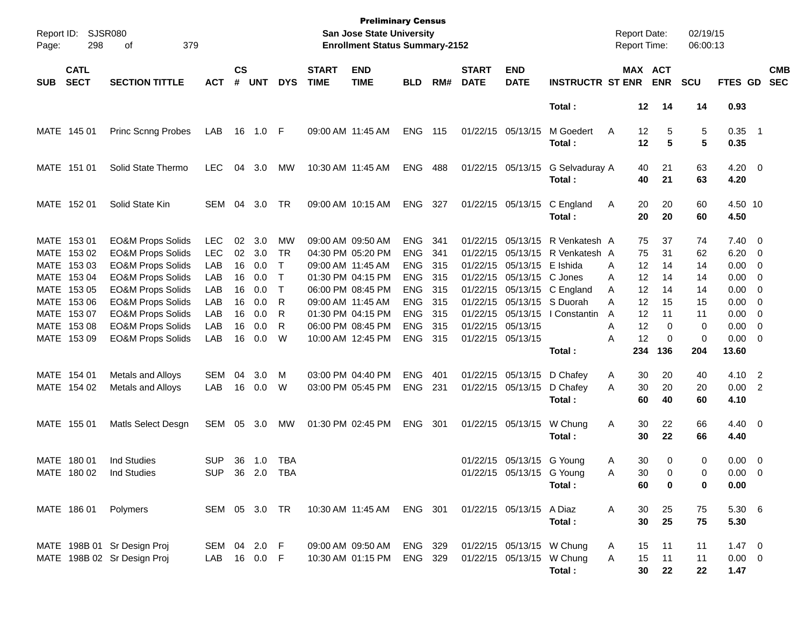| Report ID:<br>Page: | <b>SJSR080</b><br>298                                    | 379<br>οf                                                                                                                    |                                 |                      |                          |                                        |                             | <b>Preliminary Census</b><br>San Jose State University<br><b>Enrollment Status Summary-2152</b> |                                                      |                            |                             |                                                                     |                                                         | <b>Report Date:</b><br><b>Report Time:</b> |                         | 02/19/15<br>06:00:13 |                                                          |                          |
|---------------------|----------------------------------------------------------|------------------------------------------------------------------------------------------------------------------------------|---------------------------------|----------------------|--------------------------|----------------------------------------|-----------------------------|-------------------------------------------------------------------------------------------------|------------------------------------------------------|----------------------------|-----------------------------|---------------------------------------------------------------------|---------------------------------------------------------|--------------------------------------------|-------------------------|----------------------|----------------------------------------------------------|--------------------------|
| <b>SUB</b>          | <b>CATL</b><br><b>SECT</b>                               | <b>SECTION TITTLE</b>                                                                                                        | <b>ACT</b>                      | $\mathsf{cs}$<br>#   | <b>UNT</b>               | <b>DYS</b>                             | <b>START</b><br><b>TIME</b> | <b>END</b><br><b>TIME</b>                                                                       | <b>BLD</b>                                           | RM#                        | <b>START</b><br><b>DATE</b> | <b>END</b><br><b>DATE</b>                                           | <b>INSTRUCTR ST ENR</b>                                 | MAX ACT                                    | <b>ENR</b>              | <b>SCU</b>           | <b>FTES GD</b>                                           | <b>CMB</b><br><b>SEC</b> |
|                     |                                                          |                                                                                                                              |                                 |                      |                          |                                        |                             |                                                                                                 |                                                      |                            |                             |                                                                     | Total:                                                  | $12 \,$                                    | 14                      | 14                   | 0.93                                                     |                          |
|                     | MATE 145 01                                              | <b>Princ Scnng Probes</b>                                                                                                    | LAB                             | 16                   | 1.0 F                    |                                        | 09:00 AM 11:45 AM           |                                                                                                 | <b>ENG</b>                                           | 115                        |                             | 01/22/15 05/13/15                                                   | M Goedert<br>Total:                                     | 12<br>A<br>12                              | 5<br>5                  | 5<br>5               | $0.35$ 1<br>0.35                                         |                          |
|                     | MATE 151 01                                              | Solid State Thermo                                                                                                           | <b>LEC</b>                      | 04                   | 3.0                      | МW                                     |                             | 10:30 AM 11:45 AM                                                                               | ENG                                                  | 488                        |                             | 01/22/15 05/13/15                                                   | G Selvaduray A<br>Total:                                | 40<br>40                                   | 21<br>21                | 63<br>63             | $4.20 \ 0$<br>4.20                                       |                          |
|                     | MATE 152 01                                              | Solid State Kin                                                                                                              | <b>SEM</b>                      | 04                   | 3.0                      | TR                                     |                             | 09:00 AM 10:15 AM                                                                               | ENG                                                  | 327                        |                             | 01/22/15 05/13/15                                                   | C England<br>Total:                                     | 20<br>A<br>20                              | 20<br>20                | 60<br>60             | 4.50 10<br>4.50                                          |                          |
|                     | MATE 153 01<br>MATE 153 02<br>MATE 153 03                | <b>EO&amp;M Props Solids</b><br><b>EO&amp;M Props Solids</b><br><b>EO&amp;M Props Solids</b>                                 | <b>LEC</b><br><b>LEC</b><br>LAB | 02<br>02<br>16       | 3.0<br>3.0<br>0.0        | MW<br>TR<br>$\mathsf{T}$               |                             | 09:00 AM 09:50 AM<br>04:30 PM 05:20 PM<br>09:00 AM 11:45 AM                                     | <b>ENG</b><br><b>ENG</b><br><b>ENG</b>               | 341<br>341<br>315          |                             | 01/22/15 05/13/15<br>01/22/15 05/13/15<br>01/22/15 05/13/15         | R Venkatesh A<br>R Venkatesh A<br>E Ishida              | 75<br>75<br>12<br>A                        | 37<br>31<br>14          | 74<br>62<br>14       | $7.40 \quad 0$<br>$6.20 \quad 0$<br>$0.00 \t 0$          |                          |
|                     | MATE 153 04<br>MATE 153 05<br>MATE 153 06<br>MATE 153 07 | <b>EO&amp;M Props Solids</b><br><b>EO&amp;M Props Solids</b><br><b>EO&amp;M Props Solids</b><br><b>EO&amp;M Props Solids</b> | LAB<br>LAB<br>LAB<br>LAB        | 16<br>16<br>16<br>16 | 0.0<br>0.0<br>0.0<br>0.0 | $\mathsf{T}$<br>$\mathsf{T}$<br>R<br>R |                             | 01:30 PM 04:15 PM<br>06:00 PM 08:45 PM<br>09:00 AM 11:45 AM<br>01:30 PM 04:15 PM                | <b>ENG</b><br><b>ENG</b><br><b>ENG</b><br><b>ENG</b> | - 315<br>315<br>315<br>315 |                             | 01/22/15 05/13/15 C Jones<br>01/22/15 05/13/15<br>01/22/15 05/13/15 | 01/22/15 05/13/15 C England<br>S Duorah<br>I Constantin | 12<br>A<br>12<br>A<br>12<br>Α<br>12<br>A   | 14<br>14<br>15<br>11    | 14<br>14<br>15<br>11 | $0.00 \t 0$<br>$0.00 \t 0$<br>$0.00 \t 0$<br>$0.00 \t 0$ |                          |
|                     | MATE 153 08<br>MATE 153 09                               | <b>EO&amp;M Props Solids</b><br><b>EO&amp;M Props Solids</b>                                                                 | LAB<br>LAB                      | 16<br>16             | 0.0<br>0.0               | R<br>W                                 |                             | 06:00 PM 08:45 PM<br>10:00 AM 12:45 PM                                                          | <b>ENG</b><br><b>ENG</b>                             | 315<br>- 315               |                             | 01/22/15 05/13/15<br>01/22/15 05/13/15                              | Total:                                                  | 12<br>A<br>12<br>Α<br>234                  | 0<br>$\mathbf 0$<br>136 | 0<br>0<br>204        | $0.00 \t 0$<br>$0.00 \t 0$<br>13.60                      |                          |
|                     | MATE 154 01<br>MATE 154 02                               | Metals and Alloys<br>Metals and Alloys                                                                                       | <b>SEM</b><br>LAB               | 04<br>16             | 3.0<br>0.0               | M<br>W                                 |                             | 03:00 PM 04:40 PM<br>03:00 PM 05:45 PM                                                          | <b>ENG</b><br><b>ENG</b>                             | 401<br>231                 |                             | 01/22/15 05/13/15<br>01/22/15 05/13/15                              | D Chafey<br>D Chafey<br>Total:                          | 30<br>A<br>30<br>A<br>60                   | 20<br>20<br>40          | 40<br>20<br>60       | 4.10 2<br>$0.00$ 2<br>4.10                               |                          |
|                     | MATE 155 01                                              | Matls Select Desgn                                                                                                           | SEM                             | 05                   | 3.0                      | МW                                     | 01:30 PM 02:45 PM           |                                                                                                 | <b>ENG</b>                                           | 301                        |                             | 01/22/15 05/13/15                                                   | W Chung<br>Total:                                       | 30<br>Α<br>30                              | 22<br>22                | 66<br>66             | $4.40 \ 0$<br>4.40                                       |                          |
|                     | MATE 180 01<br>MATE 180 02                               | <b>Ind Studies</b><br>Ind Studies                                                                                            | <b>SUP</b><br><b>SUP</b>        | 36                   | 1.0<br>36 2.0 TBA        | TBA                                    |                             |                                                                                                 |                                                      |                            |                             | 01/22/15 05/13/15 G Young<br>01/22/15 05/13/15 G Young              | Total:                                                  | 30<br>A<br>30<br>A<br>60                   | 0<br>$\Omega$<br>0      | 0<br>$\Omega$<br>0   | $0.00 \t 0$<br>$0.00 \quad 0$<br>0.00                    |                          |
|                     |                                                          | MATE 186 01 Polymers                                                                                                         | SEM 05 3.0 TR                   |                      |                          |                                        |                             | 10:30 AM 11:45 AM ENG 301                                                                       |                                                      |                            |                             | 01/22/15 05/13/15 A Diaz                                            | Total:                                                  | A<br>30<br>30                              | 25<br>25                | 75<br>75             | 5.30 6<br>5.30                                           |                          |
|                     |                                                          | MATE 198B 01 Sr Design Proj<br>MATE 198B 02 Sr Design Proj                                                                   | SEM 04 2.0 F<br>LAB 16 0.0 F    |                      |                          |                                        |                             | 09:00 AM 09:50 AM<br>10:30 AM 01:15 PM                                                          | ENG 329<br>ENG 329                                   |                            |                             | 01/22/15 05/13/15 W Chung<br>01/22/15 05/13/15 W Chung              | Total:                                                  | 15<br>A<br>15<br>Α<br>30                   | 11<br>11<br>22          | 11<br>11<br>22       | $1.47 \t 0$<br>$0.00 \t 0$<br>1.47                       |                          |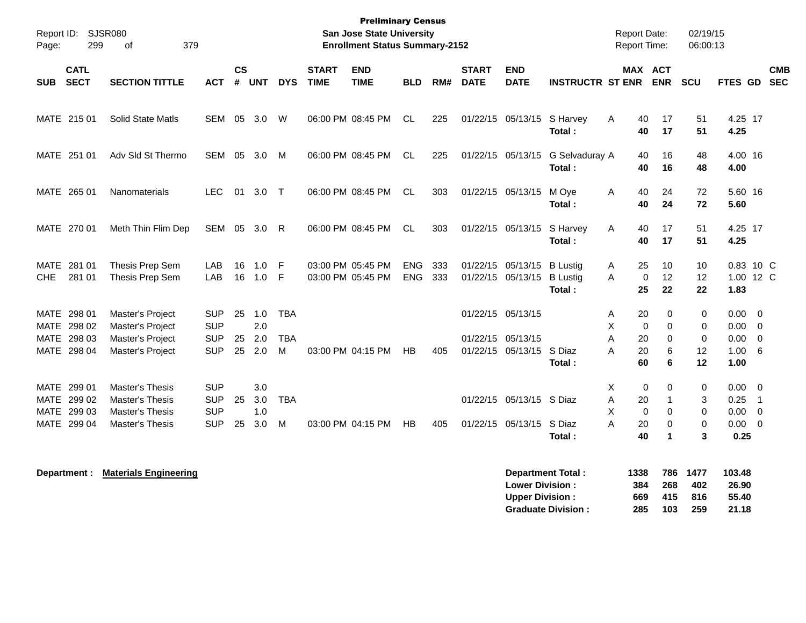| Page:                              | Report ID: SJSR080<br>299                                | 379<br>0f                                                                                     |                                                      |                |                          |                               |                             | <b>Preliminary Census</b><br><b>San Jose State University</b><br><b>Enrollment Status Summary-2152</b> |                   |            |                             |                                               |                                              | <b>Report Date:</b><br><b>Report Time:</b>                       |                                                                     | 02/19/15<br>06:00:13            |                                                |                                                               |
|------------------------------------|----------------------------------------------------------|-----------------------------------------------------------------------------------------------|------------------------------------------------------|----------------|--------------------------|-------------------------------|-----------------------------|--------------------------------------------------------------------------------------------------------|-------------------|------------|-----------------------------|-----------------------------------------------|----------------------------------------------|------------------------------------------------------------------|---------------------------------------------------------------------|---------------------------------|------------------------------------------------|---------------------------------------------------------------|
| <b>SUB</b>                         | <b>CATL</b><br><b>SECT</b>                               | <b>SECTION TITTLE</b>                                                                         | <b>ACT</b>                                           | <b>CS</b><br># | <b>UNT</b>               | <b>DYS</b>                    | <b>START</b><br><b>TIME</b> | <b>END</b><br><b>TIME</b>                                                                              | <b>BLD</b>        | RM#        | <b>START</b><br><b>DATE</b> | <b>END</b><br><b>DATE</b>                     | <b>INSTRUCTR ST ENR</b>                      | MAX ACT                                                          | <b>ENR</b>                                                          | SCU                             | FTES GD                                        | <b>CMB</b><br><b>SEC</b>                                      |
|                                    | MATE 215 01                                              | <b>Solid State Matls</b>                                                                      | <b>SEM</b>                                           |                | 05 3.0                   | W                             |                             | 06:00 PM 08:45 PM                                                                                      | <b>CL</b>         | 225        |                             | 01/22/15 05/13/15                             | S Harvey<br>Total:                           | 40<br>A<br>40                                                    | 17<br>17                                                            | 51<br>51                        | 4.25 17<br>4.25                                |                                                               |
|                                    | MATE 251 01                                              | Adv Sld St Thermo                                                                             | <b>SEM</b>                                           |                | 05 3.0                   | M                             |                             | 06:00 PM 08:45 PM                                                                                      | <b>CL</b>         | 225        |                             | 01/22/15 05/13/15                             | G Selvaduray A<br>Total:                     | 40<br>40                                                         | 16<br>16                                                            | 48<br>48                        | 4.00 16<br>4.00                                |                                                               |
|                                    | MATE 265 01                                              | Nanomaterials                                                                                 | <b>LEC</b>                                           | 01             | 3.0                      | $\top$                        |                             | 06:00 PM 08:45 PM                                                                                      | <b>CL</b>         | 303        |                             | 01/22/15 05/13/15                             | M Oye<br>Total:                              | 40<br>A<br>40                                                    | 24<br>24                                                            | 72<br>72                        | 5.60 16<br>5.60                                |                                                               |
|                                    | MATE 270 01                                              | Meth Thin Flim Dep                                                                            | SEM                                                  |                | 05 3.0                   | R                             |                             | 06:00 PM 08:45 PM                                                                                      | <b>CL</b>         | 303        |                             | 01/22/15 05/13/15                             | S Harvey<br>Total:                           | A<br>40<br>40                                                    | 17<br>17                                                            | 51<br>51                        | 4.25 17<br>4.25                                |                                                               |
| <b>MATE</b><br><b>CHE</b>          | 281 01<br>281 01                                         | Thesis Prep Sem<br>Thesis Prep Sem                                                            | LAB<br>LAB                                           | 16<br>16       | 1.0<br>1.0               | -F<br>-F                      |                             | 03:00 PM 05:45 PM<br>03:00 PM 05:45 PM                                                                 | <b>ENG</b><br>ENG | 333<br>333 |                             | 01/22/15 05/13/15<br>01/22/15 05/13/15        | <b>B</b> Lustig<br><b>B</b> Lustig<br>Total: | 25<br>Α<br>A<br>0<br>25                                          | 10<br>12<br>22                                                      | 10<br>12<br>22                  | 1.83                                           | 0.83 10 C<br>1.00 12 C                                        |
| MATE<br><b>MATE</b><br><b>MATE</b> | 298 01<br>298 02<br>298 03<br>MATE 298 04                | Master's Project<br>Master's Project<br>Master's Project<br>Master's Project                  | <b>SUP</b><br><b>SUP</b><br><b>SUP</b><br><b>SUP</b> | 25<br>25<br>25 | 1.0<br>2.0<br>2.0<br>2.0 | <b>TBA</b><br><b>TBA</b><br>M |                             | 03:00 PM 04:15 PM                                                                                      | <b>HB</b>         | 405        | 01/22/15 05/13/15           | 01/22/15 05/13/15<br>01/22/15 05/13/15 S Diaz | Total:                                       | 20<br>Α<br>X<br>$\mathbf 0$<br>A<br>20<br>A<br>20<br>60          | 0<br>$\Omega$<br>$\mathbf 0$<br>6<br>6                              | 0<br>0<br>0<br>12<br>12         | 0.00<br>0.00<br>0.00<br>1.00<br>1.00           | $\overline{\mathbf{0}}$<br>$\overline{0}$<br>$\mathbf 0$<br>6 |
|                                    | MATE 299 01<br>MATE 299 02<br>MATE 299 03<br>MATE 299 04 | <b>Master's Thesis</b><br><b>Master's Thesis</b><br>Master's Thesis<br><b>Master's Thesis</b> | <b>SUP</b><br><b>SUP</b><br><b>SUP</b><br><b>SUP</b> | 25<br>25       | 3.0<br>3.0<br>1.0<br>3.0 | <b>TBA</b><br>M               |                             | 03:00 PM 04:15 PM                                                                                      | <b>HB</b>         | 405        |                             | 01/22/15 05/13/15 S Diaz<br>01/22/15 05/13/15 | S Diaz<br>Total:                             | Χ<br>$\mathbf 0$<br>A<br>20<br>X<br>$\mathbf 0$<br>A<br>20<br>40 | $\Omega$<br>1<br>$\mathbf 0$<br>$\mathbf 0$<br>$\blacktriangleleft$ | 0<br>3<br>0<br>$\mathbf 0$<br>3 | $0.00 \quad 0$<br>0.25<br>0.00<br>0.00<br>0.25 | $\overline{1}$<br>$\overline{0}$<br>$\overline{\mathbf{0}}$   |

| Department: | <b>Materials Engineering</b> | Department Total:         | 1338 | 786 | 1477 | 103.48 |
|-------------|------------------------------|---------------------------|------|-----|------|--------|
|             |                              | <b>Lower Division:</b>    | 384  | 268 | 402  | 26.90  |
|             |                              | <b>Upper Division:</b>    | 669  | 415 | 816  | 55.40  |
|             |                              | <b>Graduate Division:</b> | 285  | 103 | 259  | 21.18  |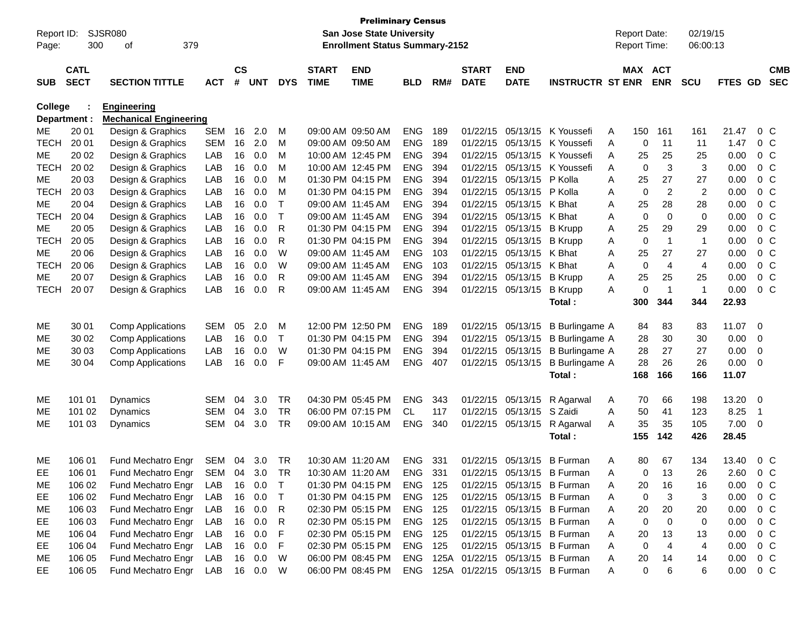| <b>Preliminary Census</b><br><b>Report Date:</b> |                                                                                                                               |                               |            |               |            |            |              |                   |            |     |              |                   |                                     |              |          |                |                      |         |    |                |
|--------------------------------------------------|-------------------------------------------------------------------------------------------------------------------------------|-------------------------------|------------|---------------|------------|------------|--------------|-------------------|------------|-----|--------------|-------------------|-------------------------------------|--------------|----------|----------------|----------------------|---------|----|----------------|
| Page:                                            | <b>SJSR080</b><br>Report ID:<br><b>San Jose State University</b><br>379<br><b>Enrollment Status Summary-2152</b><br>300<br>οf |                               |            |               |            |            |              |                   |            |     |              |                   |                                     | Report Time: |          |                | 02/19/15<br>06:00:13 |         |    |                |
|                                                  |                                                                                                                               |                               |            |               |            |            |              |                   |            |     |              |                   |                                     |              |          |                |                      |         |    |                |
|                                                  | <b>CATL</b>                                                                                                                   |                               |            | $\mathsf{cs}$ |            |            | <b>START</b> | <b>END</b>        |            |     | <b>START</b> | <b>END</b>        |                                     |              | MAX ACT  |                |                      |         |    | <b>CMB</b>     |
| <b>SUB</b>                                       | <b>SECT</b>                                                                                                                   | <b>SECTION TITTLE</b>         | <b>ACT</b> | $\pmb{\#}$    | <b>UNT</b> | <b>DYS</b> | <b>TIME</b>  | <b>TIME</b>       | <b>BLD</b> | RM# | <b>DATE</b>  | <b>DATE</b>       | <b>INSTRUCTR ST ENR</b>             |              |          | <b>ENR</b>     | <b>SCU</b>           | FTES GD |    | <b>SEC</b>     |
| College                                          |                                                                                                                               | <b>Engineering</b>            |            |               |            |            |              |                   |            |     |              |                   |                                     |              |          |                |                      |         |    |                |
|                                                  | Department :                                                                                                                  | <b>Mechanical Engineering</b> |            |               |            |            |              |                   |            |     |              |                   |                                     |              |          |                |                      |         |    |                |
| МE                                               | 20 01                                                                                                                         | Design & Graphics             | <b>SEM</b> | 16            | 2.0        | M          |              | 09:00 AM 09:50 AM | <b>ENG</b> | 189 | 01/22/15     | 05/13/15          | K Youssefi                          | A            | 150      | 161            | 161                  | 21.47   |    | $0\,C$         |
| <b>TECH</b>                                      | 20 01                                                                                                                         | Design & Graphics             | <b>SEM</b> | 16            | 2.0        | M          |              | 09:00 AM 09:50 AM | <b>ENG</b> | 189 | 01/22/15     | 05/13/15          | K Youssefi                          | A            | 0        | 11             | 11                   | 1.47    |    | $0\,C$         |
| МE                                               | 20 02                                                                                                                         | Design & Graphics             | LAB        | 16            | 0.0        | M          |              | 10:00 AM 12:45 PM | <b>ENG</b> | 394 | 01/22/15     | 05/13/15          | K Youssefi                          | A            | 25       | 25             | 25                   | 0.00    |    | $0\,C$         |
| <b>TECH</b>                                      | 20 02                                                                                                                         | Design & Graphics             | LAB        | 16            | 0.0        | M          |              | 10:00 AM 12:45 PM | <b>ENG</b> | 394 | 01/22/15     | 05/13/15          | K Youssefi                          | A            | 0        | 3              | 3                    | 0.00    |    | 0 <sup>C</sup> |
| МE                                               | 20 03                                                                                                                         | Design & Graphics             | LAB        | 16            | 0.0        | M          |              | 01:30 PM 04:15 PM | <b>ENG</b> | 394 | 01/22/15     | 05/13/15          | P Kolla                             | A            | 25       | 27             | 27                   | 0.00    |    | 0 <sup>C</sup> |
| <b>TECH</b>                                      | 20 03                                                                                                                         | Design & Graphics             | LAB        | 16            | 0.0        | M          |              | 01:30 PM 04:15 PM | <b>ENG</b> | 394 | 01/22/15     | 05/13/15          | P Kolla                             | A            | 0        | $\overline{2}$ | 2                    | 0.00    |    | 0 <sup>C</sup> |
| МE                                               | 20 04                                                                                                                         | Design & Graphics             | LAB        | 16            | 0.0        | т          |              | 09:00 AM 11:45 AM | <b>ENG</b> | 394 | 01/22/15     | 05/13/15          | K Bhat                              | Α            | 25       | 28             | 28                   | 0.00    |    | 0 <sup>C</sup> |
| <b>TECH</b>                                      | 20 04                                                                                                                         | Design & Graphics             | LAB        | 16            | 0.0        | Τ          |              | 09:00 AM 11:45 AM | <b>ENG</b> | 394 | 01/22/15     | 05/13/15          | K Bhat                              | Α            | 0        | $\mathbf 0$    | 0                    | 0.00    |    | 0 <sup>C</sup> |
| МE                                               | 20 05                                                                                                                         | Design & Graphics             | LAB        | 16            | 0.0        | R          |              | 01:30 PM 04:15 PM | <b>ENG</b> | 394 | 01/22/15     | 05/13/15          | <b>B</b> Krupp                      | Α            | 25       | 29             | 29                   | 0.00    |    | 0 <sup>C</sup> |
| <b>TECH</b>                                      | 20 05                                                                                                                         | Design & Graphics             | LAB        | 16            | 0.0        | R          |              | 01:30 PM 04:15 PM | <b>ENG</b> | 394 | 01/22/15     | 05/13/15          | <b>B</b> Krupp                      | Α            | 0        | $\overline{1}$ | $\mathbf{1}$         | 0.00    |    | 0 <sup>C</sup> |
| МE                                               | 20 06                                                                                                                         | Design & Graphics             | LAB        | 16            | 0.0        | W          |              | 09:00 AM 11:45 AM | <b>ENG</b> | 103 | 01/22/15     | 05/13/15          | K Bhat                              | A            | 25       | 27             | 27                   | 0.00    |    | 0 <sup>C</sup> |
| <b>TECH</b>                                      | 20 06                                                                                                                         | Design & Graphics             | LAB        | 16            | 0.0        | W          |              | 09:00 AM 11:45 AM | <b>ENG</b> | 103 | 01/22/15     | 05/13/15          | K Bhat                              | A            | 0        | $\overline{4}$ | 4                    | 0.00    |    | 0 <sup>C</sup> |
| МE                                               | 20 07                                                                                                                         | Design & Graphics             | LAB        | 16            | 0.0        | R          |              | 09:00 AM 11:45 AM | <b>ENG</b> | 394 | 01/22/15     | 05/13/15          | <b>B</b> Krupp                      | Α            | 25       | 25             | 25                   | 0.00    |    | 0 <sup>C</sup> |
| <b>TECH</b>                                      | 20 07                                                                                                                         | Design & Graphics             | LAB        | 16            | 0.0        | R          |              | 09:00 AM 11:45 AM | <b>ENG</b> | 394 | 01/22/15     | 05/13/15          | <b>B</b> Krupp                      | A            | 0        | $\overline{1}$ | $\mathbf{1}$         | 0.00    |    | $0\,C$         |
|                                                  |                                                                                                                               |                               |            |               |            |            |              |                   |            |     |              |                   | Total:                              |              | 300      | 344            | 344                  | 22.93   |    |                |
| ME                                               | 30 01                                                                                                                         | <b>Comp Applications</b>      | <b>SEM</b> | 05            | 2.0        | M          |              | 12:00 PM 12:50 PM | <b>ENG</b> | 189 |              | 01/22/15 05/13/15 | <b>B</b> Burlingame A               |              | 84       | 83             | 83                   | 11.07   | 0  |                |
| MЕ                                               | 30 02                                                                                                                         | <b>Comp Applications</b>      | LAB        | 16            | 0.0        | Τ          |              | 01:30 PM 04:15 PM | <b>ENG</b> | 394 |              | 01/22/15 05/13/15 | <b>B</b> Burlingame A               |              | 28       | 30             | 30                   | 0.00    | 0  |                |
| ME                                               | 30 03                                                                                                                         | <b>Comp Applications</b>      | LAB        | 16            | 0.0        | W          |              | 01:30 PM 04:15 PM | <b>ENG</b> | 394 |              | 01/22/15 05/13/15 | <b>B</b> Burlingame A               |              | 28       | 27             | 27                   | 0.00    | 0  |                |
| ME                                               | 30 04                                                                                                                         | <b>Comp Applications</b>      | LAB        | 16            | 0.0        | F          |              | 09:00 AM 11:45 AM | <b>ENG</b> | 407 |              | 01/22/15 05/13/15 | <b>B</b> Burlingame A               |              | 28       | 26             | 26                   | 0.00    | 0  |                |
|                                                  |                                                                                                                               |                               |            |               |            |            |              |                   |            |     |              |                   | Total:                              |              | 168      | 166            | 166                  | 11.07   |    |                |
| ME                                               | 101 01                                                                                                                        | Dynamics                      | SEM        | 04            | 3.0        | <b>TR</b>  |              | 04:30 PM 05:45 PM | <b>ENG</b> | 343 |              | 01/22/15 05/13/15 | R Agarwal                           | A            | 70       | 66             | 198                  | 13.20   | 0  |                |
| MЕ                                               | 101 02                                                                                                                        | <b>Dynamics</b>               | <b>SEM</b> | 04            | 3.0        | <b>TR</b>  |              | 06:00 PM 07:15 PM | CL.        | 117 | 01/22/15     | 05/13/15          | S Zaidi                             | A            | 50       | 41             | 123                  | 8.25    | -1 |                |
| ME                                               | 101 03                                                                                                                        | Dynamics                      | <b>SEM</b> | 04            | 3.0        | <b>TR</b>  |              | 09:00 AM 10:15 AM | <b>ENG</b> | 340 |              | 01/22/15 05/13/15 | R Agarwal                           | A            | 35       | 35             | 105                  | 7.00    | 0  |                |
|                                                  |                                                                                                                               |                               |            |               |            |            |              |                   |            |     |              |                   | Total:                              |              | 155      | 142            | 426                  | 28.45   |    |                |
|                                                  |                                                                                                                               |                               |            |               |            |            |              |                   |            |     |              |                   |                                     |              |          |                |                      |         |    |                |
| ME                                               | 106 01                                                                                                                        | Fund Mechatro Engr            | <b>SEM</b> | 04            | 3.0        | <b>TR</b>  |              | 10:30 AM 11:20 AM | <b>ENG</b> | 331 | 01/22/15     | 05/13/15          | <b>B</b> Furman                     | Α            | 80       | 67             | 134                  | 13.40   |    | 0 <sup>C</sup> |
| EE                                               | 106 01                                                                                                                        | Fund Mechatro Engr SEM 04 3.0 |            |               |            | TR         |              | 10:30 AM 11:20 AM | ENG.       | 331 |              |                   | 01/22/15 05/13/15 B Furman          | А            | $\Omega$ | 13             | 26                   | 2.60    |    | $0 \, C$       |
| ME                                               | 106 02                                                                                                                        | Fund Mechatro Engr            | LAB        |               | 16 0.0     | Τ          |              | 01:30 PM 04:15 PM | ENG 125    |     |              |                   | 01/22/15 05/13/15 B Furman          | A            | 20       | 16             | 16                   | 0.00    |    | $0\,$ C        |
| EE.                                              | 106 02                                                                                                                        | Fund Mechatro Engr            | LAB        | 16            | 0.0        | Τ          |              | 01:30 PM 04:15 PM | ENG 125    |     |              | 01/22/15 05/13/15 | <b>B</b> Furman                     | A            | 0        | 3              | 3                    | 0.00    |    | $0\,C$         |
| ME                                               | 106 03                                                                                                                        | Fund Mechatro Engr            | LAB        |               | 16 0.0     | R          |              | 02:30 PM 05:15 PM | ENG 125    |     |              |                   | 01/22/15 05/13/15 B Furman          | A            | 20       | 20             | 20                   | 0.00    |    | $0\,C$         |
| EE                                               | 106 03                                                                                                                        | Fund Mechatro Engr            | LAB        | 16            | 0.0        | R          |              | 02:30 PM 05:15 PM | ENG 125    |     |              |                   | 01/22/15 05/13/15 B Furman          | A            | 0        | 0              | 0                    | 0.00    |    | $0\,C$         |
| ME                                               | 106 04                                                                                                                        | Fund Mechatro Engr            | LAB        | 16            | 0.0        | F          |              | 02:30 PM 05:15 PM | ENG 125    |     |              |                   | 01/22/15 05/13/15 B Furman          | A            | 20       | 13             | 13                   | 0.00    |    | $0\,C$         |
| EE                                               | 106 04                                                                                                                        | Fund Mechatro Engr            | LAB        |               | 16 0.0     | F          |              | 02:30 PM 05:15 PM | ENG 125    |     |              |                   | 01/22/15 05/13/15 B Furman          | Α            | 0        | $\overline{4}$ | 4                    | 0.00    |    | $0\,C$         |
| ME                                               | 106 05                                                                                                                        | Fund Mechatro Engr            | LAB        |               | 16 0.0     | W          |              | 06:00 PM 08:45 PM |            |     |              |                   | ENG 125A 01/22/15 05/13/15 B Furman | A            | 20       | 14             | 14                   | 0.00    |    | 0 C            |
| EE                                               | 106 05                                                                                                                        | Fund Mechatro Engr            | LAB        |               | 16 0.0     | W          |              | 06:00 PM 08:45 PM |            |     |              |                   | ENG 125A 01/22/15 05/13/15 B Furman | Α            | 0        | 6              | 6                    | 0.00    |    | $0\,C$         |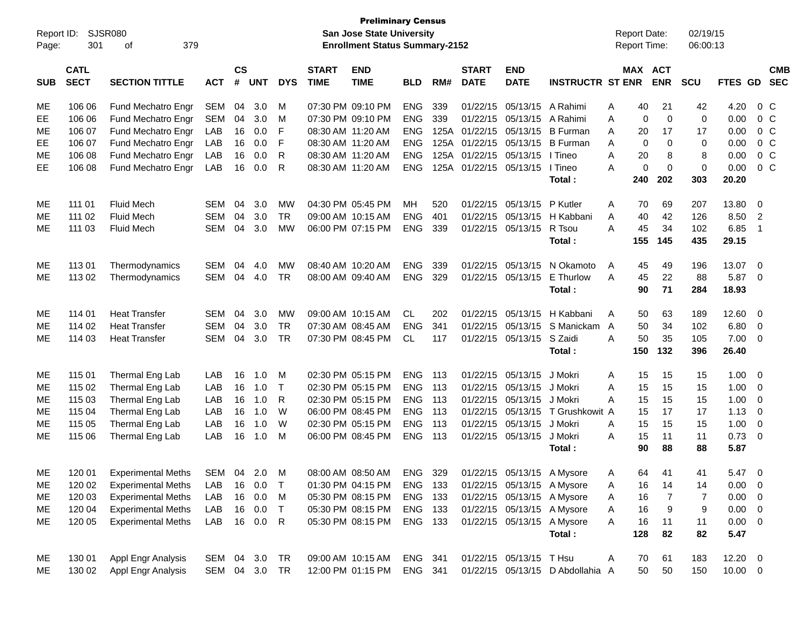| <b>Preliminary Census</b> |                                                                                                                        |                           |              |           |            |            |                   |                                                      |                |     |                        |                                            |                                  |   |             | 02/19/15       |             |              |                          |            |
|---------------------------|------------------------------------------------------------------------------------------------------------------------|---------------------------|--------------|-----------|------------|------------|-------------------|------------------------------------------------------|----------------|-----|------------------------|--------------------------------------------|----------------------------------|---|-------------|----------------|-------------|--------------|--------------------------|------------|
| Page:                     | <b>SJSR080</b><br>San Jose State University<br>Report ID:<br>301<br>379<br><b>Enrollment Status Summary-2152</b><br>оf |                           |              |           |            |            |                   |                                                      |                |     |                        | <b>Report Date:</b><br><b>Report Time:</b> |                                  |   | 06:00:13    |                |             |              |                          |            |
|                           | <b>CATL</b>                                                                                                            |                           |              | <b>CS</b> |            |            | <b>START</b>      | <b>END</b>                                           |                |     | <b>START</b>           | <b>END</b>                                 |                                  |   |             | MAX ACT        |             |              |                          | <b>CMB</b> |
| <b>SUB</b>                | <b>SECT</b>                                                                                                            | <b>SECTION TITTLE</b>     | <b>ACT</b>   | #         | <b>UNT</b> | <b>DYS</b> | <b>TIME</b>       | <b>TIME</b>                                          | <b>BLD</b>     | RM# | <b>DATE</b>            | <b>DATE</b>                                | <b>INSTRUCTR ST ENR</b>          |   |             | <b>ENR</b>     | SCU         | FTES GD SEC  |                          |            |
| ME                        | 106 06                                                                                                                 | Fund Mechatro Engr        | <b>SEM</b>   | 04        | 3.0        | м          |                   | 07:30 PM 09:10 PM                                    | <b>ENG</b>     | 339 |                        | 01/22/15 05/13/15                          | A Rahimi                         | A | 40          | 21             | 42          | 4.20         | $0\,C$                   |            |
| EE.                       | 106 06                                                                                                                 | Fund Mechatro Engr        | <b>SEM</b>   | 04        | 3.0        | м          |                   | 07:30 PM 09:10 PM                                    | <b>ENG</b>     | 339 |                        | 01/22/15 05/13/15                          | A Rahimi                         | A | $\mathbf 0$ | $\mathbf 0$    | $\mathbf 0$ | 0.00         | 0 <sup>o</sup>           |            |
| MЕ                        | 106 07                                                                                                                 | Fund Mechatro Engr        | LAB          | 16        | 0.0        | F          | 08:30 AM 11:20 AM |                                                      | <b>ENG</b>     |     | 125A 01/22/15 05/13/15 |                                            | <b>B</b> Furman                  | A | 20          | 17             | 17          | 0.00         | $0\,C$                   |            |
| EE                        | 106 07                                                                                                                 | Fund Mechatro Engr        | LAB          | 16        | 0.0        | F          | 08:30 AM 11:20 AM |                                                      | <b>ENG</b>     |     | 125A 01/22/15 05/13/15 |                                            | <b>B</b> Furman                  | A | 0           | $\mathbf 0$    | $\mathbf 0$ | 0.00         | $0\,C$                   |            |
| МE                        | 106 08                                                                                                                 | Fund Mechatro Engr        | LAB          | 16        | 0.0        | R          | 08:30 AM 11:20 AM |                                                      | <b>ENG</b>     |     | 125A 01/22/15 05/13/15 |                                            | I Tineo                          | A | 20          | 8              | 8           | 0.00         | $0\,C$                   |            |
| EE                        | 106 08                                                                                                                 | Fund Mechatro Engr        | LAB          | 16        | 0.0        | R          | 08:30 AM 11:20 AM |                                                      | <b>ENG</b>     |     | 125A 01/22/15 05/13/15 |                                            | I Tineo                          | A | $\mathbf 0$ | $\mathbf 0$    | $\mathbf 0$ | 0.00         | $0\,C$                   |            |
|                           |                                                                                                                        |                           |              |           |            |            |                   |                                                      |                |     |                        |                                            | Total:                           |   | 240         | 202            | 303         | 20.20        |                          |            |
| ME                        | 111 01                                                                                                                 | <b>Fluid Mech</b>         | <b>SEM</b>   | 04        | 3.0        | МW         |                   | 04:30 PM 05:45 PM                                    | MH             | 520 |                        | 01/22/15 05/13/15                          | P Kutler                         | Α | 70          | 69             | 207         | 13.80        | $\overline{0}$           |            |
| МE                        | 111 02                                                                                                                 | <b>Fluid Mech</b>         | <b>SEM</b>   | 04        | 3.0        | <b>TR</b>  |                   | 09:00 AM 10:15 AM                                    | <b>ENG</b>     | 401 |                        | 01/22/15 05/13/15                          | H Kabbani                        | A | 40          | 42             | 126         | 8.50         | $\overline{2}$           |            |
| МE                        | 111 03                                                                                                                 | <b>Fluid Mech</b>         | <b>SEM</b>   | 04        | 3.0        | <b>MW</b>  |                   | 06:00 PM 07:15 PM                                    | <b>ENG</b>     | 339 |                        | 01/22/15 05/13/15                          | R Tsou                           | A | 45          | 34             | 102         | 6.85         | $\overline{1}$           |            |
|                           |                                                                                                                        |                           |              |           |            |            |                   |                                                      |                |     |                        |                                            | Total:                           |   | 155         | 145            | 435         | 29.15        |                          |            |
| ME                        | 11301                                                                                                                  | Thermodynamics            | <b>SEM</b>   | 04        | 4.0        | <b>MW</b>  |                   | 08:40 AM 10:20 AM                                    | <b>ENG</b>     | 339 |                        | 01/22/15 05/13/15                          | N Okamoto                        | A | 45          | 49             | 196         | 13.07        | $\overline{0}$           |            |
| ME                        | 113 02                                                                                                                 | Thermodynamics            | <b>SEM</b>   | 04        | 4.0        | <b>TR</b>  |                   | 08:00 AM 09:40 AM                                    | <b>ENG</b>     | 329 |                        | 01/22/15 05/13/15                          | E Thurlow                        | A | 45          | 22             | 88          | 5.87         | $\overline{\mathbf{0}}$  |            |
|                           |                                                                                                                        |                           |              |           |            |            |                   |                                                      |                |     |                        |                                            | Total:                           |   | 90          | 71             | 284         | 18.93        |                          |            |
| ME                        | 114 01                                                                                                                 | <b>Heat Transfer</b>      | <b>SEM</b>   | 04        | 3.0        | <b>MW</b>  |                   | 09:00 AM 10:15 AM                                    | <b>CL</b>      | 202 |                        | 01/22/15 05/13/15                          | H Kabbani                        | A | 50          | 63             | 189         | 12.60        | $\overline{\mathbf{0}}$  |            |
| МE                        | 114 02                                                                                                                 | <b>Heat Transfer</b>      | <b>SEM</b>   | 04        | 3.0        | <b>TR</b>  |                   | 07:30 AM 08:45 AM                                    | <b>ENG</b>     | 341 |                        | 01/22/15 05/13/15                          | S Manickam                       | A | 50          | 34             | 102         | 6.80         | $\overline{0}$           |            |
| МE                        | 114 03                                                                                                                 | <b>Heat Transfer</b>      | <b>SEM</b>   | 04        | 3.0        | <b>TR</b>  |                   | 07:30 PM 08:45 PM                                    | CL             | 117 |                        | 01/22/15 05/13/15                          | S Zaidi                          | A | 50          | 35             | 105         | 7.00         | $\overline{\mathbf{0}}$  |            |
|                           |                                                                                                                        |                           |              |           |            |            |                   |                                                      |                |     |                        |                                            | Total:                           |   | 150         | 132            | 396         | 26.40        |                          |            |
| ME                        | 115 01                                                                                                                 | Thermal Eng Lab           | LAB          | 16        | 1.0        | M          |                   | 02:30 PM 05:15 PM                                    | <b>ENG</b>     | 113 |                        | 01/22/15 05/13/15                          | J Mokri                          | A | 15          | 15             | 15          | 1.00         | $\overline{0}$           |            |
| МE                        | 115 02                                                                                                                 | Thermal Eng Lab           | LAB          | 16        | 1.0        | $\top$     |                   | 02:30 PM 05:15 PM                                    | <b>ENG</b>     | 113 |                        | 01/22/15 05/13/15                          | J Mokri                          | A | 15          | 15             | 15          | 1.00         | $\overline{0}$           |            |
| МE                        | 115 03                                                                                                                 | Thermal Eng Lab           | LAB          | 16        | 1.0        | R          |                   | 02:30 PM 05:15 PM                                    | <b>ENG</b>     | 113 |                        | 01/22/15 05/13/15                          | J Mokri                          | A | 15          | 15             | 15          | 1.00         | $\overline{0}$           |            |
| МE                        | 115 04                                                                                                                 | Thermal Eng Lab           | LAB          | 16        | 1.0        | W          |                   | 06:00 PM 08:45 PM                                    | <b>ENG</b>     | 113 |                        | 01/22/15 05/13/15                          | T Grushkowit A                   |   | 15          | 17             | 17          | 1.13         | $\overline{0}$           |            |
| МE                        | 115 05                                                                                                                 | Thermal Eng Lab           | LAB          | 16        | 1.0        | W          |                   | 02:30 PM 05:15 PM                                    | <b>ENG</b>     | 113 | 01/22/15               | 05/13/15                                   | J Mokri                          | A | 15          | 15             | 15          | 1.00         | $\overline{0}$           |            |
| МE                        | 115 06                                                                                                                 | Thermal Eng Lab           | LAB          | 16        | 1.0        | M          |                   | 06:00 PM 08:45 PM                                    | <b>ENG 113</b> |     |                        | 01/22/15 05/13/15                          | J Mokri                          | A | 15          | 11             | 11          | 0.73         | $\overline{0}$           |            |
|                           |                                                                                                                        |                           |              |           |            |            |                   |                                                      |                |     |                        |                                            | Total:                           |   | 90          | 88             | 88          | 5.87         |                          |            |
| ME                        |                                                                                                                        | 120 01 Experimental Meths | SEM 04 2.0 M |           |            |            |                   | 08:00 AM 08:50 AM ENG 329 01/22/15 05/13/15 A Mysore |                |     |                        |                                            |                                  | A | 64          | 41             | 41          | 5.47 0       |                          |            |
| ME                        | 120 02                                                                                                                 | <b>Experimental Meths</b> | LAB          | 16        | 0.0        | $\top$     |                   | 01:30 PM 04:15 PM                                    | ENG 133        |     |                        | 01/22/15 05/13/15 A Mysore                 |                                  | Α | 16          | 14             | 14          | 0.00         | $\overline{0}$           |            |
| ME                        | 120 03                                                                                                                 | <b>Experimental Meths</b> | LAB          | 16        | 0.0        | M          |                   | 05:30 PM 08:15 PM                                    | ENG 133        |     |                        | 01/22/15 05/13/15 A Mysore                 |                                  | Α | 16          | $\overline{7}$ | 7           | 0.00         | $\overline{\mathbf{0}}$  |            |
| ME                        | 120 04                                                                                                                 | <b>Experimental Meths</b> | LAB          | 16        | 0.0        | $\top$     |                   | 05:30 PM 08:15 PM                                    | ENG 133        |     |                        | 01/22/15 05/13/15 A Mysore                 |                                  | Α | 16          | $9\,$          | 9           | 0.00         | $\overline{\phantom{0}}$ |            |
| ME                        | 120 05                                                                                                                 | <b>Experimental Meths</b> | LAB          |           | 16  0.0    | R          |                   | 05:30 PM 08:15 PM                                    | ENG 133        |     |                        | 01/22/15 05/13/15 A Mysore                 |                                  | A | 16          | 11             | 11          | $0.00 \t 0$  |                          |            |
|                           |                                                                                                                        |                           |              |           |            |            |                   |                                                      |                |     |                        |                                            | Total:                           |   | 128         | 82             | 82          | 5.47         |                          |            |
| ME                        | 130 01                                                                                                                 | Appl Engr Analysis        | SEM          |           | 04 3.0     | TR         |                   | 09:00 AM 10:15 AM                                    | ENG 341        |     |                        | 01/22/15 05/13/15 T Hsu                    |                                  | A | 70          | 61             | 183         | $12.20 \t 0$ |                          |            |
| ME                        | 130 02                                                                                                                 | Appl Engr Analysis        | SEM          |           | 04 3.0 TR  |            |                   | 12:00 PM 01:15 PM                                    | ENG 341        |     |                        |                                            | 01/22/15 05/13/15 D Abdollahia A |   | 50          | 50             | 150         | $10.00 \t 0$ |                          |            |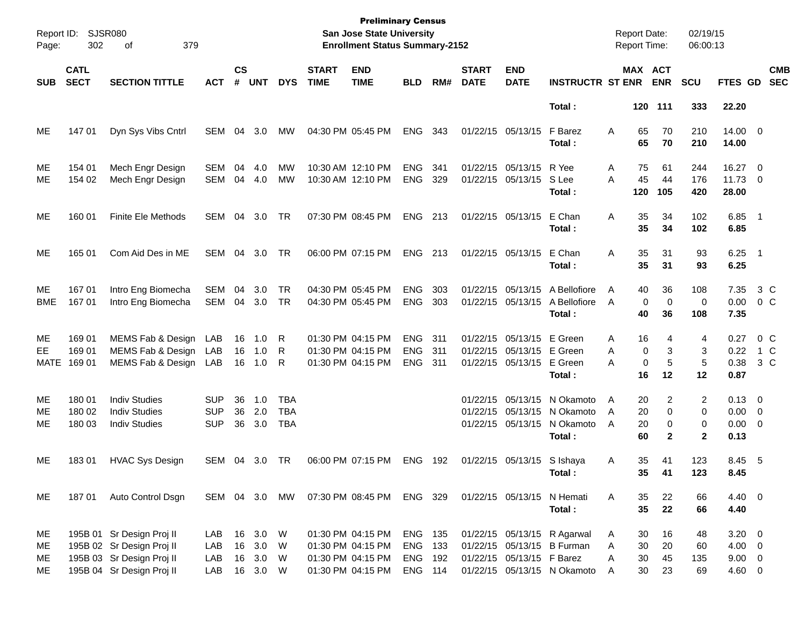| Page:                    | Report ID: SJSR080<br>302  | 379<br>оf                                                                                                        |                                        | <b>Preliminary Census</b><br>San Jose State University<br><b>Enrollment Status Summary-2152</b> |                                      |                                        |                             |                                                                                  |                                        |                     |                             |                                                                     |                                                                                          | <b>Report Date:</b><br><b>Report Time:</b> |                              |                             | 02/19/15<br>06:00:13        |                                                   |                                     |
|--------------------------|----------------------------|------------------------------------------------------------------------------------------------------------------|----------------------------------------|-------------------------------------------------------------------------------------------------|--------------------------------------|----------------------------------------|-----------------------------|----------------------------------------------------------------------------------|----------------------------------------|---------------------|-----------------------------|---------------------------------------------------------------------|------------------------------------------------------------------------------------------|--------------------------------------------|------------------------------|-----------------------------|-----------------------------|---------------------------------------------------|-------------------------------------|
| <b>SUB</b>               | <b>CATL</b><br><b>SECT</b> | <b>SECTION TITTLE</b>                                                                                            | <b>ACT</b>                             | $\mathsf{cs}$<br>#                                                                              | <b>UNT</b>                           | <b>DYS</b>                             | <b>START</b><br><b>TIME</b> | <b>END</b><br><b>TIME</b>                                                        | <b>BLD</b>                             | RM#                 | <b>START</b><br><b>DATE</b> | <b>END</b><br><b>DATE</b>                                           | <b>INSTRUCTR ST ENR</b>                                                                  |                                            |                              | MAX ACT<br><b>ENR</b>       | <b>SCU</b>                  | FTES GD                                           | <b>CMB</b><br><b>SEC</b>            |
|                          |                            |                                                                                                                  |                                        |                                                                                                 |                                      |                                        |                             |                                                                                  |                                        |                     |                             |                                                                     | Total:                                                                                   |                                            |                              | 120 111                     | 333                         | 22.20                                             |                                     |
| MЕ                       | 147 01                     | Dyn Sys Vibs Cntrl                                                                                               | SEM                                    | 04                                                                                              | 3.0                                  | MW                                     |                             | 04:30 PM 05:45 PM                                                                | ENG                                    | 343                 |                             | 01/22/15 05/13/15                                                   | F Barez<br>Total :                                                                       | A                                          | 65<br>65                     | 70<br>70                    | 210<br>210                  | $14.00 \t 0$<br>14.00                             |                                     |
| MЕ<br>ME                 | 154 01<br>154 02           | Mech Engr Design<br>Mech Engr Design                                                                             | <b>SEM</b><br>SEM                      | 04                                                                                              | 4.0<br>04 4.0                        | MW<br>MW                               |                             | 10:30 AM 12:10 PM<br>10:30 AM 12:10 PM                                           | <b>ENG</b><br><b>ENG</b>               | 341<br>329          |                             | 01/22/15 05/13/15<br>01/22/15 05/13/15                              | R Yee<br>S Lee<br>Total:                                                                 | A<br>A                                     | 75<br>45<br>120              | 61<br>44<br>105             | 244<br>176<br>420           | 16.27 0<br>11.73 0<br>28.00                       |                                     |
| МE                       | 160 01                     | <b>Finite Ele Methods</b>                                                                                        | SEM                                    | 04                                                                                              | 3.0                                  | TR                                     |                             | 07:30 PM 08:45 PM                                                                | <b>ENG</b>                             | 213                 |                             | 01/22/15 05/13/15                                                   | E Chan<br>Total:                                                                         | Α                                          | 35<br>35                     | 34<br>34                    | 102<br>102                  | $6.85$ 1<br>6.85                                  |                                     |
| МE                       | 165 01                     | Com Aid Des in ME                                                                                                | SEM                                    | 04                                                                                              | 3.0                                  | TR                                     |                             | 06:00 PM 07:15 PM                                                                | <b>ENG</b>                             | 213                 |                             | 01/22/15 05/13/15                                                   | E Chan<br>Total:                                                                         | Α                                          | 35<br>35                     | 31<br>31                    | 93<br>93                    | $6.25$ 1<br>6.25                                  |                                     |
| ME<br><b>BME</b>         | 167 01<br>167 01           | Intro Eng Biomecha<br>Intro Eng Biomecha                                                                         | <b>SEM</b><br>SEM                      | 04<br>04                                                                                        | 3.0<br>3.0                           | TR<br>TR                               |                             | 04:30 PM 05:45 PM<br>04:30 PM 05:45 PM                                           | <b>ENG</b><br><b>ENG</b>               | 303<br>303          |                             | 01/22/15 05/13/15<br>01/22/15 05/13/15                              | A Bellofiore<br>A Bellofiore<br>Total:                                                   | A<br>A                                     | 40<br>$\mathbf 0$<br>40      | 36<br>$\mathbf 0$<br>36     | 108<br>0<br>108             | 7.35<br>0.00<br>7.35                              | 3 C<br>0 C                          |
| MЕ<br>EE.<br><b>MATE</b> | 169 01<br>169 01<br>169 01 | MEMS Fab & Design<br>MEMS Fab & Design<br>MEMS Fab & Design LAB                                                  | LAB<br>LAB                             | 16<br>16<br>16                                                                                  | 1.0<br>1.0<br>1.0                    | R<br>R<br>R                            |                             | 01:30 PM 04:15 PM<br>01:30 PM 04:15 PM<br>01:30 PM 04:15 PM                      | <b>ENG</b><br><b>ENG</b><br><b>ENG</b> | 311<br>311<br>- 311 |                             | 01/22/15 05/13/15<br>01/22/15 05/13/15 E Green<br>01/22/15 05/13/15 | E Green<br>E Green<br>Total:                                                             | Α<br>A<br>A                                | 16<br>0<br>$\mathbf 0$<br>16 | 4<br>3<br>5<br>12           | 4<br>3<br>5<br>12           | 0.27<br>0.38<br>0.87                              | 0 <sup>o</sup><br>$0.22$ 1 C<br>3 C |
| MЕ<br>МE<br>ME           | 180 01<br>180 02<br>180 03 | <b>Indiv Studies</b><br><b>Indiv Studies</b><br><b>Indiv Studies</b>                                             | <b>SUP</b><br><b>SUP</b><br><b>SUP</b> | 36<br>36<br>36                                                                                  | 1.0<br>2.0<br>3.0                    | <b>TBA</b><br><b>TBA</b><br><b>TBA</b> |                             |                                                                                  |                                        |                     |                             | 01/22/15 05/13/15<br>01/22/15 05/13/15<br>01/22/15 05/13/15         | N Okamoto<br>N Okamoto<br>N Okamoto<br>Total:                                            | A<br>A<br>A                                | 20<br>20<br>20<br>60         | 2<br>0<br>0<br>$\mathbf{2}$ | 2<br>0<br>0<br>$\mathbf{2}$ | $0.13 \ 0$<br>$0.00 \t 0$<br>$0.00 \t 0$<br>0.13  |                                     |
| ME                       | 18301                      | <b>HVAC Sys Design</b>                                                                                           | SEM                                    | 04                                                                                              | 3.0                                  | TR                                     |                             | 06:00 PM 07:15 PM                                                                | <b>ENG</b>                             | 192                 |                             | 01/22/15 05/13/15                                                   | S Ishaya<br>Total:                                                                       | Α                                          | 35<br>35                     | 41<br>41                    | 123<br>123                  | 8.45 5<br>8.45                                    |                                     |
| ME.                      | 187 01                     | Auto Control Dsgn                                                                                                |                                        |                                                                                                 |                                      | SEM 04 3.0 MW                          |                             | 07:30 PM 08:45 PM ENG 329                                                        |                                        |                     |                             |                                                                     | 01/22/15 05/13/15 N Hemati<br>Total:                                                     | A                                          | 35<br>35                     | 22<br>22                    | 66<br>66                    | $4.40 \quad 0$<br>4.40                            |                                     |
| МE<br>ME<br>ME<br>ME     |                            | 195B 01 Sr Design Proj II<br>195B 02 Sr Design Proj II<br>195B 03 Sr Design Proj II<br>195B 04 Sr Design Proj II | LAB<br>LAB<br>LAB<br>LAB               | 16<br>16                                                                                        | 16 3.0 W<br>3.0<br>3.0 W<br>16 3.0 W | W                                      |                             | 01:30 PM 04:15 PM<br>01:30 PM 04:15 PM<br>01:30 PM 04:15 PM<br>01:30 PM 04:15 PM | ENG 135<br>ENG<br>ENG 192<br>ENG 114   | - 133               |                             | 01/22/15 05/13/15 F Barez                                           | 01/22/15 05/13/15 R Agarwal<br>01/22/15 05/13/15 B Furman<br>01/22/15 05/13/15 N Okamoto | A<br>A<br>Α<br>A                           | 30<br>30<br>30<br>30         | 16<br>20<br>45<br>23        | 48<br>60<br>135<br>69       | $3.20 \ 0$<br>$4.00 \ 0$<br>$9.00 \t 0$<br>4.60 0 |                                     |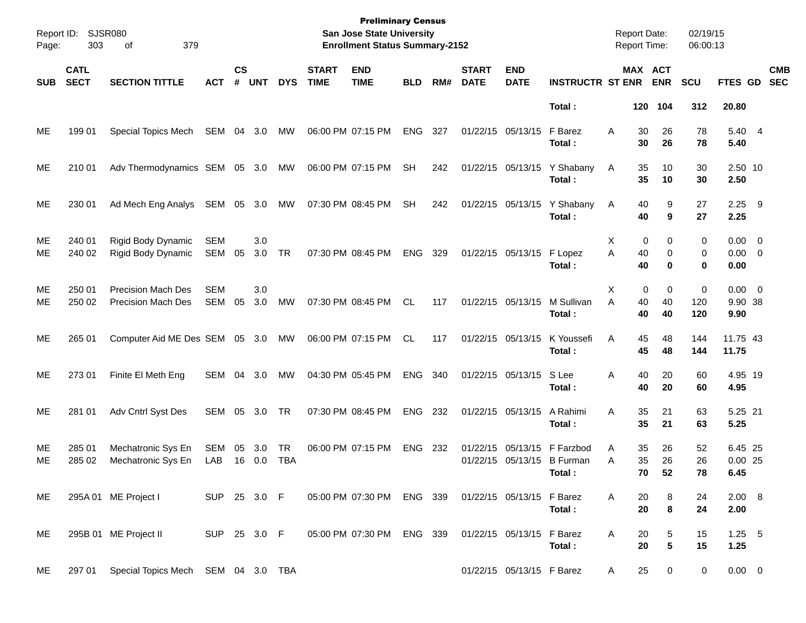| Page:      | Report ID: SJSR080<br>303<br>379<br>of |                                                        |                   |                    |               |                  |                             | <b>Preliminary Census</b><br>San Jose State University<br><b>Enrollment Status Summary-2152</b> |            | 02/19/15<br><b>Report Date:</b><br>Report Time:<br>06:00:13 |                             |                           |                                                                      |        |                                  |                                   |                   |                            |            |
|------------|----------------------------------------|--------------------------------------------------------|-------------------|--------------------|---------------|------------------|-----------------------------|-------------------------------------------------------------------------------------------------|------------|-------------------------------------------------------------|-----------------------------|---------------------------|----------------------------------------------------------------------|--------|----------------------------------|-----------------------------------|-------------------|----------------------------|------------|
| <b>SUB</b> | <b>CATL</b><br><b>SECT</b>             | <b>SECTION TITTLE</b>                                  | <b>ACT</b>        | $\mathsf{cs}$<br># | <b>UNT</b>    | <b>DYS</b>       | <b>START</b><br><b>TIME</b> | <b>END</b><br><b>TIME</b>                                                                       | <b>BLD</b> | RM#                                                         | <b>START</b><br><b>DATE</b> | <b>END</b><br><b>DATE</b> | <b>INSTRUCTR ST ENR</b>                                              |        | MAX ACT<br><b>ENR</b>            | <b>SCU</b>                        | FTES GD SEC       |                            | <b>CMB</b> |
|            |                                        |                                                        |                   |                    |               |                  |                             |                                                                                                 |            |                                                             |                             |                           | Total:                                                               |        | 120 104                          | 312                               | 20.80             |                            |            |
| ME         | 199 01                                 | Special Topics Mech                                    | SEM 04 3.0        |                    |               | MW               |                             | 06:00 PM 07:15 PM                                                                               | ENG 327    |                                                             |                             | 01/22/15 05/13/15         | F Barez<br>Total:                                                    | A      | 26<br>30<br>30<br>26             | 78<br>78                          | 5.40              | 5.40 4                     |            |
| ME         | 210 01                                 | Adv Thermodynamics SEM 05 3.0 MW                       |                   |                    |               |                  |                             | 06:00 PM 07:15 PM                                                                               | <b>SH</b>  | 242                                                         |                             |                           | 01/22/15 05/13/15 Y Shabany<br>Total:                                | A      | 35<br>10<br>35<br>10             | 30<br>30                          | 2.50              | 2.50 10                    |            |
| ME         | 230 01                                 | Ad Mech Eng Analys SEM 05 3.0                          |                   |                    |               | MW               |                             | 07:30 PM 08:45 PM                                                                               | SH         | 242                                                         |                             |                           | 01/22/15 05/13/15 Y Shabany<br>Total:                                | A      | 40<br>40                         | 9<br>27<br>9<br>27                | $2.25$ 9<br>2.25  |                            |            |
| ME<br>ME   | 240 01<br>240 02                       | Rigid Body Dynamic<br>Rigid Body Dynamic               | <b>SEM</b><br>SEM | 05                 | 3.0<br>3.0    | <b>TR</b>        |                             | 07:30 PM 08:45 PM                                                                               | ENG        | 329                                                         |                             | 01/22/15 05/13/15         | F Lopez<br>Total:                                                    | X<br>A | 0<br>40<br>40                    | 0<br>0<br>0<br>0<br>$\bf{0}$<br>0 | 0.00              | $0.00 \t 0$<br>$0.00 \t 0$ |            |
| ME<br>МE   | 250 01<br>250 02                       | <b>Precision Mach Des</b><br><b>Precision Mach Des</b> | <b>SEM</b><br>SEM | 05                 | 3.0<br>3.0    | MW               |                             | 07:30 PM 08:45 PM                                                                               | CL.        | 117                                                         |                             | 01/22/15 05/13/15         | M Sullivan<br>Total:                                                 | X<br>A | 0<br>40<br>40<br>40<br>40        | 0<br>0<br>120<br>120              | 9.90 38<br>9.90   | $0.00 \t 0$                |            |
| ME         | 265 01                                 | Computer Aid ME Des SEM 05 3.0                         |                   |                    |               | MW               |                             | 06:00 PM 07:15 PM                                                                               | CL.        | 117                                                         |                             | 01/22/15 05/13/15         | K Youssefi<br>Total:                                                 | Α      | 48<br>45<br>45<br>48             | 144<br>144                        | 11.75 43<br>11.75 |                            |            |
| ME         | 273 01                                 | Finite El Meth Eng                                     | SEM               |                    | 04 3.0        | MW               |                             | 04:30 PM 05:45 PM                                                                               | ENG        | 340                                                         |                             | 01/22/15 05/13/15         | S Lee<br>Total:                                                      | Α      | 20<br>40<br>40<br>20             | 60<br>60                          | 4.95 19<br>4.95   |                            |            |
| ME         | 281 01                                 | Adv Cntrl Syst Des                                     | SEM 05 3.0        |                    |               | TR               |                             | 07:30 PM 08:45 PM                                                                               | ENG        | 232                                                         |                             | 01/22/15 05/13/15         | A Rahimi<br>Total:                                                   | Α      | 35<br>21<br>35<br>21             | 63<br>63                          | 5.25 21<br>5.25   |                            |            |
| ME<br>МE   | 285 01<br>285 02                       | Mechatronic Sys En<br>Mechatronic Sys En               | SEM<br>LAB        | 05                 | 3.0<br>16 0.0 | TR<br><b>TBA</b> |                             | 06:00 PM 07:15 PM                                                                               | ENG 232    |                                                             |                             |                           | 01/22/15 05/13/15 F Farzbod<br>01/22/15 05/13/15 B Furman<br>Total : | Α<br>A | 35<br>26<br>35<br>26<br>70<br>52 | 52<br>26<br>78                    | $0.00$ 25<br>6.45 | 6.45 25                    |            |
| ME.        |                                        | 295A 01 ME Project I                                   | SUP 25 3.0 F      |                    |               |                  |                             | 05:00 PM 07:30 PM ENG 339 01/22/15 05/13/15 F Barez                                             |            |                                                             |                             |                           | Total:                                                               | A      | 20<br>20                         | 8<br>24<br>8<br>24                | 2.00              | $2.00\quad 8$              |            |
| ME         |                                        | 295B 01 ME Project II                                  | SUP 25 3.0 F      |                    |               |                  |                             | 05:00 PM 07:30 PM ENG 339                                                                       |            |                                                             |                             | 01/22/15 05/13/15 F Barez | Total:                                                               | A      | 20<br>20                         | 5<br>15<br>5<br>15                | 1.25              | $1.25 - 5$                 |            |
| ME         | 297 01                                 | Special Topics Mech SEM 04 3.0 TBA                     |                   |                    |               |                  |                             |                                                                                                 |            |                                                             |                             | 01/22/15 05/13/15 F Barez |                                                                      | A      | 25                               | 0<br>$\mathbf{0}$                 |                   | $0.00 \t 0$                |            |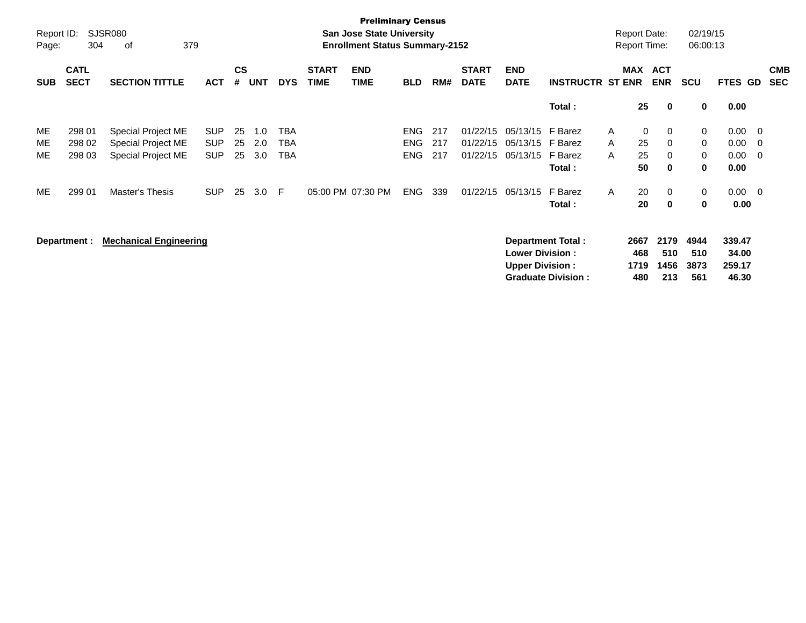| Report ID:<br>Page:   | 304                                  | <b>SJSR080</b><br>379<br>οf                                                       |                                                      |                      | <b>Preliminary Census</b><br><b>San Jose State University</b><br><b>Enrollment Status Summary-2152</b> |                         |                             |                           |                                                      |                          |                                              |                                                  |                                                          |                             | <b>Report Date:</b><br>Report Time: |                                 | 02/19/15<br>06:00:13            |                                                |                                        |                          |
|-----------------------|--------------------------------------|-----------------------------------------------------------------------------------|------------------------------------------------------|----------------------|--------------------------------------------------------------------------------------------------------|-------------------------|-----------------------------|---------------------------|------------------------------------------------------|--------------------------|----------------------------------------------|--------------------------------------------------|----------------------------------------------------------|-----------------------------|-------------------------------------|---------------------------------|---------------------------------|------------------------------------------------|----------------------------------------|--------------------------|
| <b>SUB</b>            | <b>CATL</b><br><b>SECT</b>           | <b>SECTION TITTLE</b>                                                             | <b>ACT</b>                                           | <b>CS</b><br>#       | <b>UNT</b>                                                                                             | <b>DYS</b>              | <b>START</b><br><b>TIME</b> | <b>END</b><br><b>TIME</b> | <b>BLD</b>                                           | RM#                      | <b>START</b><br><b>DATE</b>                  | <b>END</b><br><b>DATE</b>                        | <b>INSTRUCTR ST ENR</b>                                  |                             | <b>MAX</b>                          | <b>ACT</b><br><b>ENR</b>        | <b>SCU</b>                      | FTES GD                                        |                                        | <b>CMB</b><br><b>SEC</b> |
|                       |                                      |                                                                                   |                                                      |                      |                                                                                                        |                         |                             |                           |                                                      |                          |                                              |                                                  | Total:                                                   |                             | 25                                  | 0                               | 0                               | 0.00                                           |                                        |                          |
| ME<br>ME<br>ME.<br>ME | 298 01<br>298 02<br>298 03<br>299 01 | Special Project ME<br>Special Project ME<br>Special Project ME<br>Master's Thesis | <b>SUP</b><br><b>SUP</b><br><b>SUP</b><br><b>SUP</b> | 25<br>25<br>25<br>25 | 1.0<br>2.0<br>3.0<br>3.0                                                                               | TBA<br>TBA<br>TBA<br>-F |                             | 05:00 PM 07:30 PM         | <b>ENG</b><br><b>ENG</b><br><b>ENG</b><br><b>ENG</b> | 217<br>217<br>217<br>339 | 01/22/15<br>01/22/15<br>01/22/15<br>01/22/15 | 05/13/15<br>05/13/15<br>05/13/15<br>05/13/15     | F Barez<br>F Barez<br>F Barez<br>Total:<br>F Barez       | A<br>A<br>A<br>$\mathsf{A}$ | 0<br>25<br>25<br>50<br>20           | 0<br>0<br>0<br>$\mathbf 0$<br>0 | 0<br>0<br>0<br>0<br>0           | 0.00<br>0.00<br>0.00<br>0.00<br>$0.00 \quad 0$ | $\overline{\phantom{0}}$<br>- 0<br>- 0 |                          |
|                       | Department :                         | <b>Mechanical Engineering</b>                                                     |                                                      |                      |                                                                                                        |                         |                             |                           |                                                      |                          |                                              | <b>Lower Division:</b><br><b>Upper Division:</b> | Total:<br>Department Total:<br><b>Graduate Division:</b> |                             | 20<br>2667<br>468<br>1719<br>480    | 0<br>2179<br>510<br>1456<br>213 | 0<br>4944<br>510<br>3873<br>561 | 0.00<br>339.47<br>34.00<br>259.17<br>46.30     |                                        |                          |